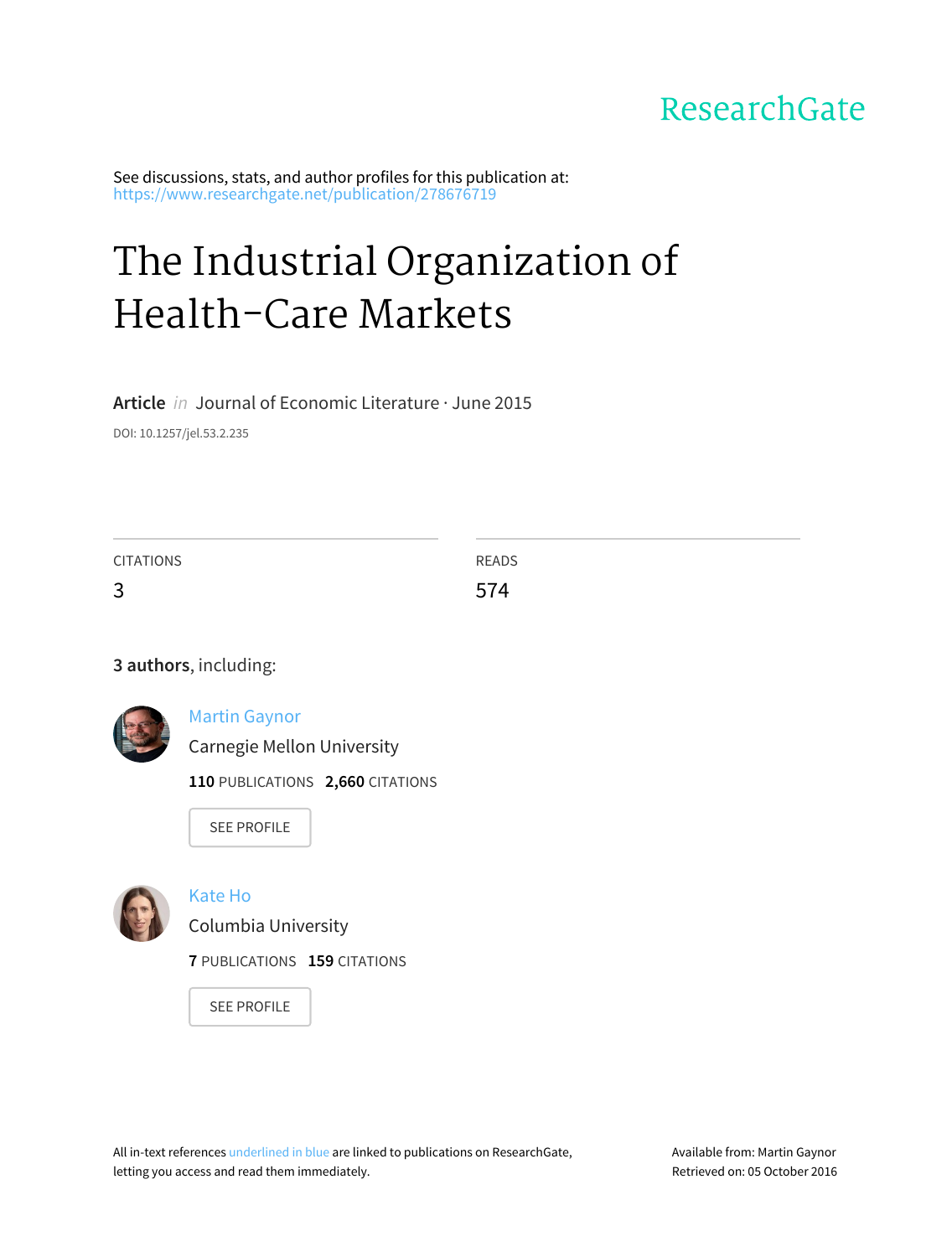## ResearchGate

See discussions, stats, and author profiles for this publication at: [https://www.researchgate.net/publication/278676719](https://www.researchgate.net/publication/278676719_The_Industrial_Organization_of_Health-Care_Markets?enrichId=rgreq-cb7d2b5db6741595fb53fa84c810989d-XXX&enrichSource=Y292ZXJQYWdlOzI3ODY3NjcxOTtBUzoyNDE3NTE4ODU2MTEwMDhAMTQzNDY0OTU0OTA1MA%3D%3D&el=1_x_2)

# The Industrial [Organization](https://www.researchgate.net/publication/278676719_The_Industrial_Organization_of_Health-Care_Markets?enrichId=rgreq-cb7d2b5db6741595fb53fa84c810989d-XXX&enrichSource=Y292ZXJQYWdlOzI3ODY3NjcxOTtBUzoyNDE3NTE4ODU2MTEwMDhAMTQzNDY0OTU0OTA1MA%3D%3D&el=1_x_3) of Health-Care Markets

**Article** in Journal of Economic Literature · June 2015

DOI: 10.1257/jel.53.2.235

| CITATIONS | READS |
|-----------|-------|
| 3         | 574   |

## **3 authors**, including:



Martin [Gaynor](https://www.researchgate.net/profile/Martin_Gaynor?enrichId=rgreq-cb7d2b5db6741595fb53fa84c810989d-XXX&enrichSource=Y292ZXJQYWdlOzI3ODY3NjcxOTtBUzoyNDE3NTE4ODU2MTEwMDhAMTQzNDY0OTU0OTA1MA%3D%3D&el=1_x_5)

Carnegie Mellon [University](https://www.researchgate.net/institution/Carnegie_Mellon_University?enrichId=rgreq-cb7d2b5db6741595fb53fa84c810989d-XXX&enrichSource=Y292ZXJQYWdlOzI3ODY3NjcxOTtBUzoyNDE3NTE4ODU2MTEwMDhAMTQzNDY0OTU0OTA1MA%3D%3D&el=1_x_6)

**110** PUBLICATIONS **2,660** CITATIONS

SEE [PROFILE](https://www.researchgate.net/profile/Martin_Gaynor?enrichId=rgreq-cb7d2b5db6741595fb53fa84c810989d-XXX&enrichSource=Y292ZXJQYWdlOzI3ODY3NjcxOTtBUzoyNDE3NTE4ODU2MTEwMDhAMTQzNDY0OTU0OTA1MA%3D%3D&el=1_x_7)



## [Kate](https://www.researchgate.net/profile/Kate_Ho?enrichId=rgreq-cb7d2b5db6741595fb53fa84c810989d-XXX&enrichSource=Y292ZXJQYWdlOzI3ODY3NjcxOTtBUzoyNDE3NTE4ODU2MTEwMDhAMTQzNDY0OTU0OTA1MA%3D%3D&el=1_x_5) Ho

Columbia [University](https://www.researchgate.net/institution/Columbia_University?enrichId=rgreq-cb7d2b5db6741595fb53fa84c810989d-XXX&enrichSource=Y292ZXJQYWdlOzI3ODY3NjcxOTtBUzoyNDE3NTE4ODU2MTEwMDhAMTQzNDY0OTU0OTA1MA%3D%3D&el=1_x_6)

**7** PUBLICATIONS **159** CITATIONS

SEE [PROFILE](https://www.researchgate.net/profile/Kate_Ho?enrichId=rgreq-cb7d2b5db6741595fb53fa84c810989d-XXX&enrichSource=Y292ZXJQYWdlOzI3ODY3NjcxOTtBUzoyNDE3NTE4ODU2MTEwMDhAMTQzNDY0OTU0OTA1MA%3D%3D&el=1_x_7)

All in-text references underlined in blue are linked to publications on ResearchGate, letting you access and read them immediately.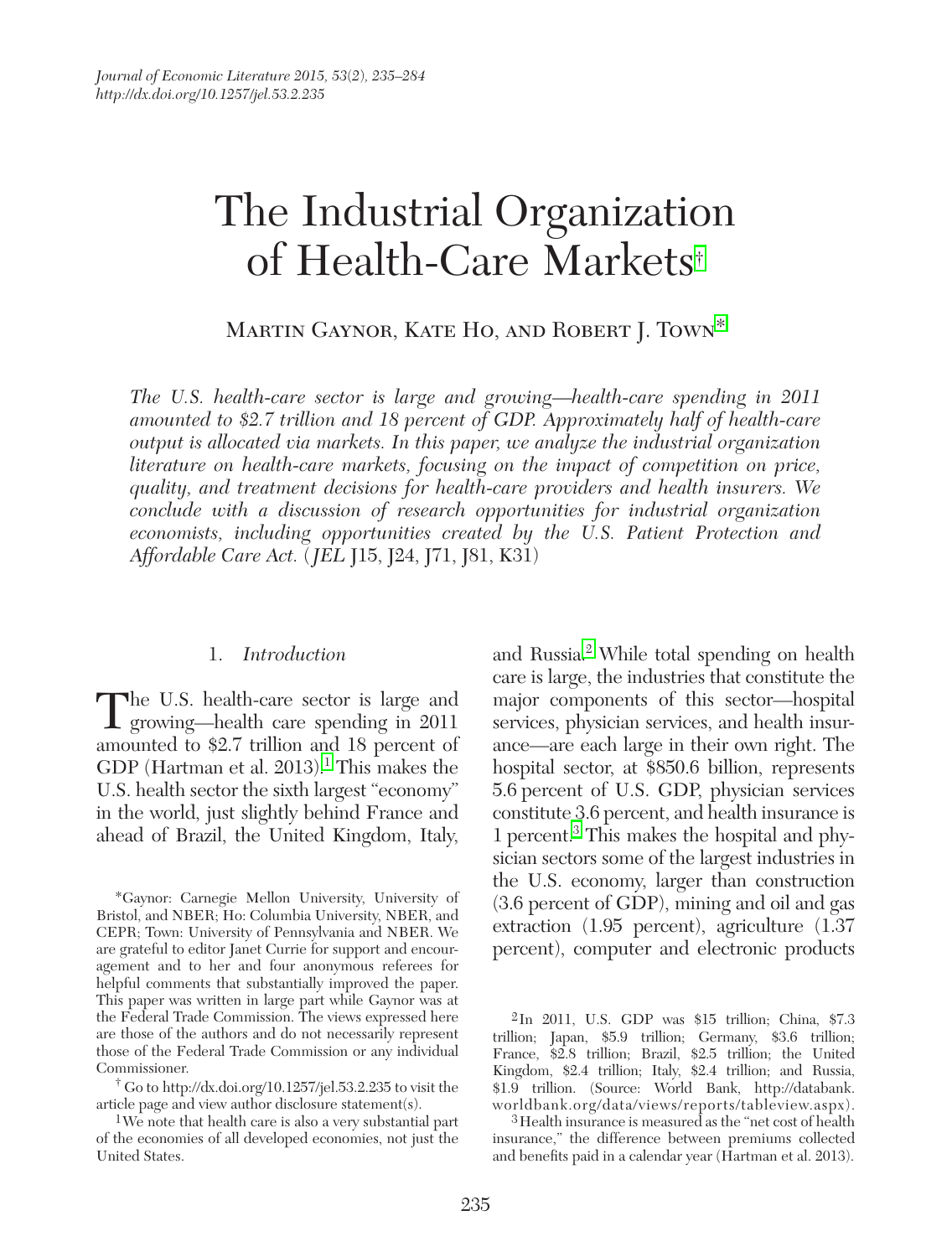## The Industrial Organization of Health-Care Markets†

MARTIN GAYNOR, KATE HO, AND ROBERT J. TOWN<sup>\*</sup>

*The U.S. health-care sector is large and growing—health-care spending in 2011 amounted to \$2.7 trillion and 18 percent of GDP. Approximately half of health-care output is allocated via markets. In this paper, we analyze the industrial organization literature on health-care markets, focusing on the impact of competition on price, quality, and treatment decisions for health-care providers and health insurers. We conclude with a discussion of research opportunities for industrial organization economists, including opportunities created by the U.S. Patient Protection and Affordable Care Act.* (*JEL* J15, J24, J71, J81, K31)

#### 1. *Introduction*

The U.S. health-care sector is large and growing—health care spending in 2011 amounted to \$2.7 trillion and 18 percent of GDP (Hartman et al. 2013).<sup>1</sup> This makes the U.S. health sector the sixth largest "economy" in the world, just slightly behind France and ahead of Brazil, the United Kingdom, Italy,

\*Gaynor: Carnegie Mellon University, University of Bristol, and NBER; Ho: Columbia University, NBER, and CEPR; Town: University of Pennsylvania and NBER. We are grateful to editor Janet Currie for support and encouragement and to her and four anonymous referees for helpful comments that substantially improved the paper. This paper was written in large part while Gaynor was at the Federal Trade Commission. The views expressed here are those of the authors and do not necessarily represent those of the Federal Trade Commission or any individual Commissioner.

† Go to <http://dx.doi.org/10.1257/jel.53.2.235> to visit the article page and view author disclosure statement(s).

1We note that health care is also a very substantial part of the economies of all developed economies, not just the United States.

and Russia.2 While total spending on health care is large, the industries that constitute the major components of this sector—hospital services, physician services, and health insurance—are each large in their own right. The hospital sector, at \$850.6 billion, represents 5.6 percent of U.S. GDP, physician services constitute 3.6 percent, and health insurance is 1 percent.3 This makes the hospital and physician sectors some of the largest industries in the U.S. economy, larger than construction (3.6 percent of GDP), mining and oil and gas extraction (1.95 percent), agriculture (1.37 percent), computer and electronic products

2In 2011, U.S. GDP was \$15 trillion; China, \$7.3 trillion; Japan, \$5.9 trillion; Germany, \$3.6 trillion; France, \$2.8 trillion; Brazil, \$2.5 trillion; the United Kingdom, \$2.4 trillion; Italy, \$2.4 trillion; and Russia, [\\$1.9 trillion. \(Source: World Bank, http://databank.](http://databank.worldbank.org/data/views/reports/tableview.aspx) worldbank.org/data/views/reports/tableview.aspx).

3Health insurance is measured as the "net cost of health insurance," the difference between premiums collected and benefits paid in a calendar year (Hartman et al. 2013).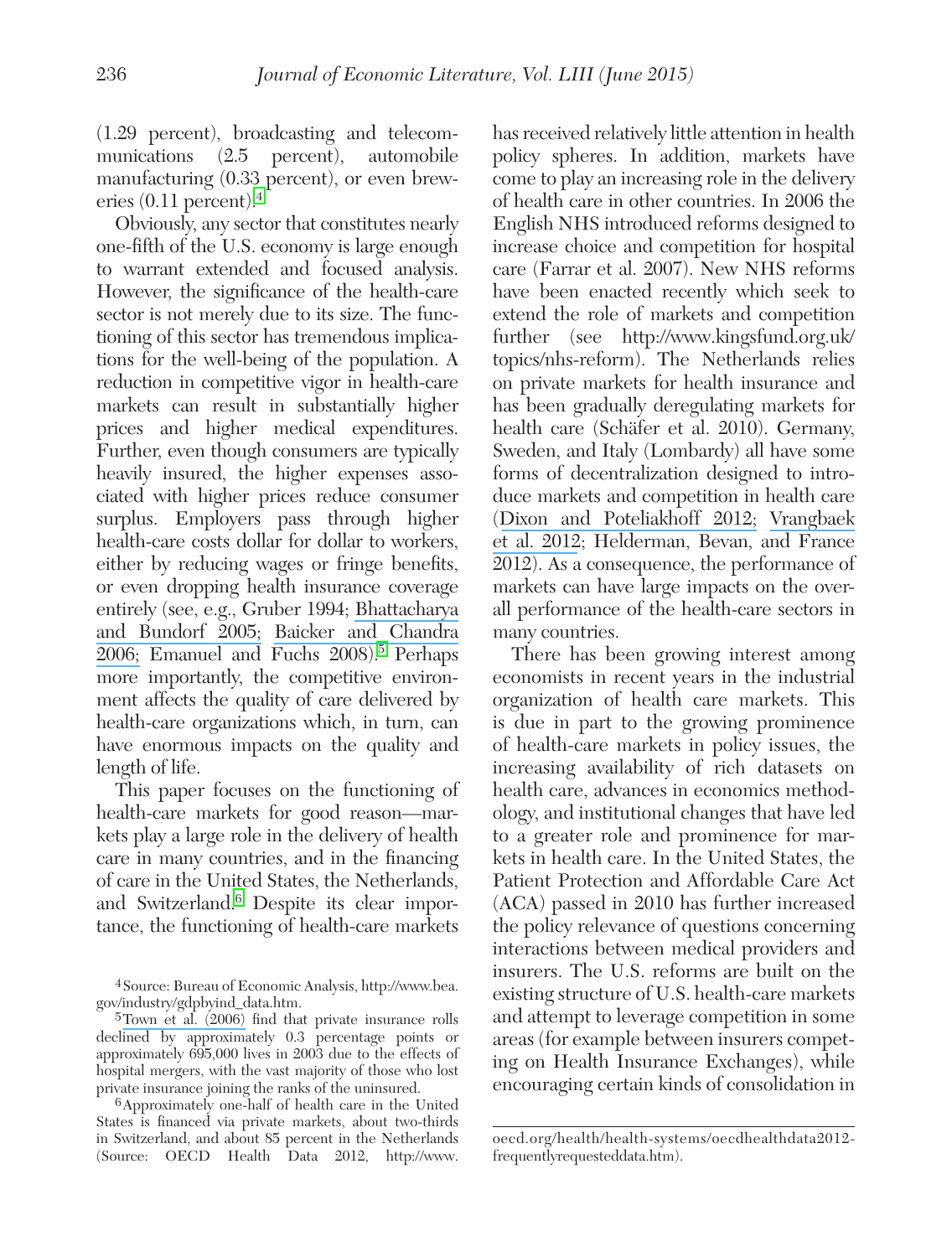(1.29 percent), broadcasting and telecommunications (2.5 percent), automobile manufacturing (0.33 percent), or even breweries  $(0.11$  percent).<sup>4</sup>

Obviously, any sector that constitutes nearly one-fifth of the U.S. economy is large enough to warrant extended and focused analysis. However, the significance of the health-care sector is not merely due to its size. The functioning of this sector has tremendous implications for the well-being of the population. A reduction in competitive vigor in health-care markets can result in substantially higher prices and higher medical expenditures. Further, even though consumers are typically heavily insured, the higher expenses associated with higher prices reduce consumer surplus. Employers pass through higher health-care costs dollar for dollar to workers, either by reducing wages or fringe benefits, or even dropping health insurance coverage entirely (see, e.g., Gruber 1994; [Bhattacharya](https://www.researchgate.net/publication/24418746_The_Incidence_of_Healthcare_Costs_of_Obesity?el=1_x_8&enrichId=rgreq-cb7d2b5db6741595fb53fa84c810989d-XXX&enrichSource=Y292ZXJQYWdlOzI3ODY3NjcxOTtBUzoyNDE3NTE4ODU2MTEwMDhAMTQzNDY0OTU0OTA1MA==) [and Bundorf 2005;](https://www.researchgate.net/publication/24418746_The_Incidence_of_Healthcare_Costs_of_Obesity?el=1_x_8&enrichId=rgreq-cb7d2b5db6741595fb53fa84c810989d-XXX&enrichSource=Y292ZXJQYWdlOzI3ODY3NjcxOTtBUzoyNDE3NTE4ODU2MTEwMDhAMTQzNDY0OTU0OTA1MA==) [Baicker and Chandra](https://www.researchgate.net/publication/24099980_The_Labor_Market_Effects_of_Rising_Health_Insurance_Premiums?el=1_x_8&enrichId=rgreq-cb7d2b5db6741595fb53fa84c810989d-XXX&enrichSource=Y292ZXJQYWdlOzI3ODY3NjcxOTtBUzoyNDE3NTE4ODU2MTEwMDhAMTQzNDY0OTU0OTA1MA==) [2006;](https://www.researchgate.net/publication/24099980_The_Labor_Market_Effects_of_Rising_Health_Insurance_Premiums?el=1_x_8&enrichId=rgreq-cb7d2b5db6741595fb53fa84c810989d-XXX&enrichSource=Y292ZXJQYWdlOzI3ODY3NjcxOTtBUzoyNDE3NTE4ODU2MTEwMDhAMTQzNDY0OTU0OTA1MA==) Emanuel and Fuchs 2008).5 Perhaps more importantly, the competitive environment affects the quality of care delivered by health-care organizations which, in turn, can have enormous impacts on the quality and length of life.

This paper focuses on the functioning of health-care markets for good reason—markets play a large role in the delivery of health care in many countries, and in the financing of care in the United States, the Netherlands, and Switzerland.<sup>6</sup> Despite its clear importance, the functioning of health-care markets

6Approximately one-half of health care in the United States is financed via private markets, about two-thirds in Switzerland, and about 85 percent in the Netherlands (Source: OECD Health Data 2012, [http://www.](http://www.oecd.org/health/health-systems/oecdhealthdata2012-frequentlyrequesteddata.htm)

has received relatively little attention in health policy spheres. In addition, markets have come to play an increasing role in the delivery of health care in other countries. In 2006 the English NHS introduced reforms designed to increase choice and competition for hospital care (Farrar et al. 2007). New NHS reforms have been enacted recently which seek to extend the role of markets and competition [further \(see http://www.kingsfund.org.uk/](http://www.kingsfund.org.uk/topics/nhs-reform) topics/nhs-reform). The Netherlands relies on private markets for health insurance and has been gradually deregulating markets for health care (Schäfer et al. 2010). Germany, Sweden, and Italy (Lombardy) all have some forms of decentralization designed to introduce markets and competition in health care ([Dixon and Poteliakhoff 2012;](https://www.researchgate.net/publication/221726337_Back_to_the_future_10_years_of_European_health_reforms?el=1_x_8&enrichId=rgreq-cb7d2b5db6741595fb53fa84c810989d-XXX&enrichSource=Y292ZXJQYWdlOzI3ODY3NjcxOTtBUzoyNDE3NTE4ODU2MTEwMDhAMTQzNDY0OTU0OTA1MA==) [Vrangbaek](https://www.researchgate.net/publication/221726339_Choice_Policies_in_Northern_European_Health_Systems?el=1_x_8&enrichId=rgreq-cb7d2b5db6741595fb53fa84c810989d-XXX&enrichSource=Y292ZXJQYWdlOzI3ODY3NjcxOTtBUzoyNDE3NTE4ODU2MTEwMDhAMTQzNDY0OTU0OTA1MA==) [et al. 2012](https://www.researchgate.net/publication/221726339_Choice_Policies_in_Northern_European_Health_Systems?el=1_x_8&enrichId=rgreq-cb7d2b5db6741595fb53fa84c810989d-XXX&enrichSource=Y292ZXJQYWdlOzI3ODY3NjcxOTtBUzoyNDE3NTE4ODU2MTEwMDhAMTQzNDY0OTU0OTA1MA==); Helderman, Bevan, and France 2012). As a consequence, the performance of markets can have large impacts on the overall performance of the health-care sectors in many countries.

There has been growing interest among economists in recent years in the industrial organization of health care markets. This is due in part to the growing prominence of health-care markets in policy issues, the increasing availability of rich datasets on health care, advances in economics methodology, and institutional changes that have led to a greater role and prominence for markets in health care. In the United States, the Patient Protection and Affordable Care Act (ACA) passed in 2010 has further increased the policy relevance of questions concerning interactions between medical providers and insurers. The U.S. reforms are built on the existing structure of U.S. health-care markets and attempt to leverage competition in some areas (for example between insurers competing on Health Insurance Exchanges), while encouraging certain kinds of consolidation in

[<sup>4</sup>Source: Bureau of Economic Analysis, http://www.bea.](http://www.bea.gov/industry/gdpbyind_data.htm) gov/industry/gdpbyind\_data.htm.

<sup>5</sup>[Town et al. \(2006\)](https://www.researchgate.net/publication/null?el=1_x_8&enrichId=rgreq-cb7d2b5db6741595fb53fa84c810989d-XXX&enrichSource=Y292ZXJQYWdlOzI3ODY3NjcxOTtBUzoyNDE3NTE4ODU2MTEwMDhAMTQzNDY0OTU0OTA1MA==) find that private insurance rolls declined by approximately 0.3 percentage points or approximately 695,000 lives in 2003 due to the effects of hospital mergers, with the vast majority of those who lost private insurance joining the ranks of the uninsured.

[oecd.org/health/health-systems/oecdhealthdata2012](http://www.oecd.org/health/health-systems/oecdhealthdata2012-frequentlyrequesteddata.htm) frequentlyrequesteddata.htm).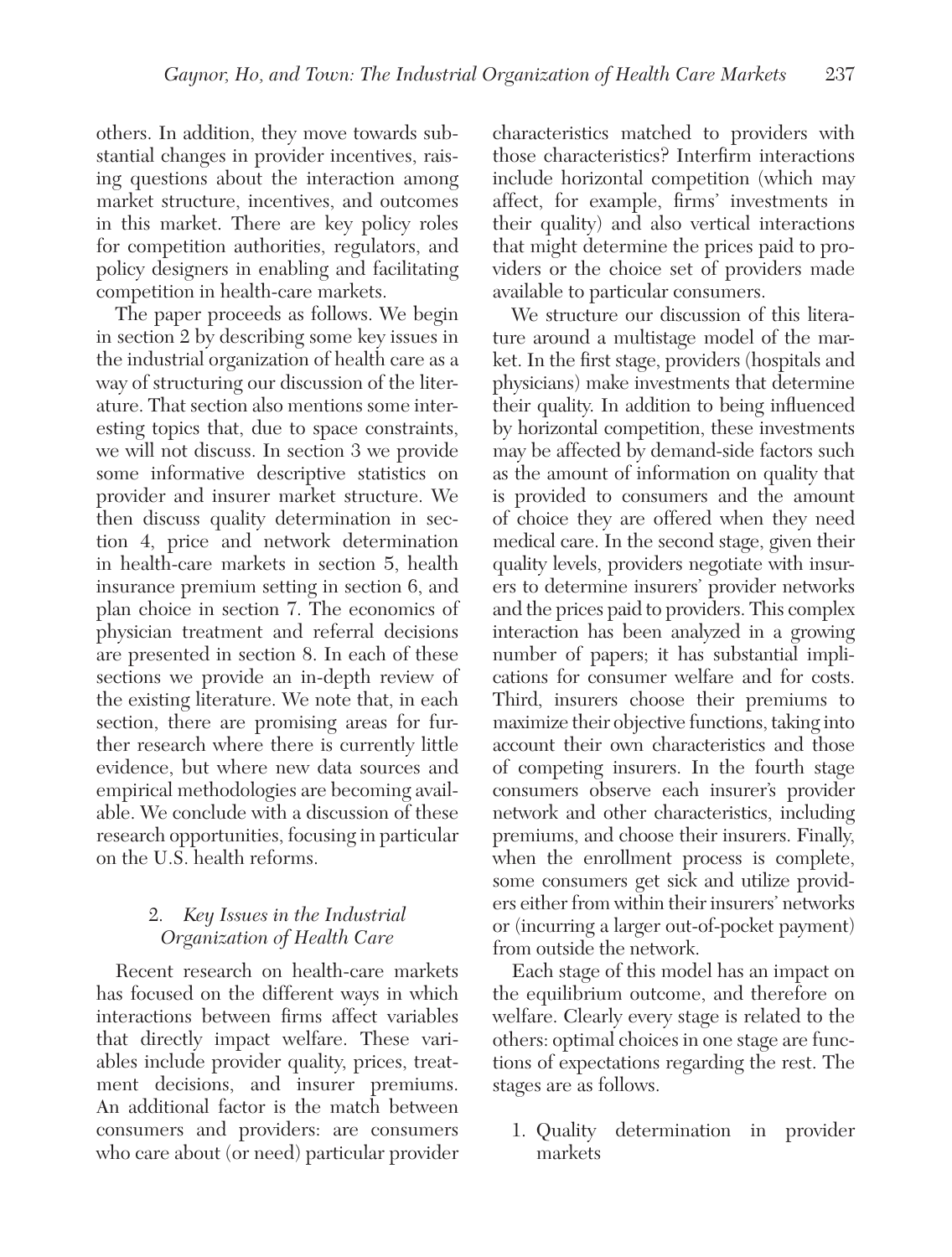others. In addition, they move towards substantial changes in provider incentives, raising questions about the interaction among market structure, incentives, and outcomes in this market. There are key policy roles for competition authorities, regulators, and policy designers in enabling and facilitating competition in health-care markets.

The paper proceeds as follows. We begin in section 2 by describing some key issues in the industrial organization of health care as a way of structuring our discussion of the literature. That section also mentions some interesting topics that, due to space constraints, we will not discuss. In section 3 we provide some informative descriptive statistics on provider and insurer market structure. We then discuss quality determination in section 4, price and network determination in health-care markets in section 5, health insurance premium setting in section 6, and plan choice in section 7. The economics of physician treatment and referral decisions are presented in section 8. In each of these sections we provide an in-depth review of the existing literature. We note that, in each section, there are promising areas for further research where there is currently little evidence, but where new data sources and empirical methodologies are becoming available. We conclude with a discussion of these research opportunities, focusing in particular on the U.S. health reforms.

## 2. *Key Issues in the Industrial Organization of Health Care*

Recent research on health-care markets has focused on the different ways in which interactions between firms affect variables that directly impact welfare. These variables include provider quality, prices, treatment decisions, and insurer premiums. An additional factor is the match between consumers and providers: are consumers who care about (or need) particular provider characteristics matched to providers with those characteristics? Interfirm interactions include horizontal competition (which may affect, for example, firms' investments in their quality) and also vertical interactions that might determine the prices paid to providers or the choice set of providers made available to particular consumers.

We structure our discussion of this literature around a multistage model of the market. In the first stage, providers (hospitals and physicians) make investments that determine their quality. In addition to being influenced by horizontal competition, these investments may be affected by demand-side factors such as the amount of information on quality that is provided to consumers and the amount of choice they are offered when they need medical care. In the second stage, given their quality levels, providers negotiate with insurers to determine insurers' provider networks and the prices paid to providers. This complex interaction has been analyzed in a growing number of papers; it has substantial implications for consumer welfare and for costs. Third, insurers choose their premiums to maximize their objective functions, taking into account their own characteristics and those of competing insurers. In the fourth stage consumers observe each insurer's provider network and other characteristics, including premiums, and choose their insurers. Finally, when the enrollment process is complete, some consumers get sick and utilize providers either from within their insurers' networks or (incurring a larger out-of-pocket payment) from outside the network.

Each stage of this model has an impact on the equilibrium outcome, and therefore on welfare. Clearly every stage is related to the others: optimal choices in one stage are functions of expectations regarding the rest. The stages are as follows.

1. Quality determination in provider markets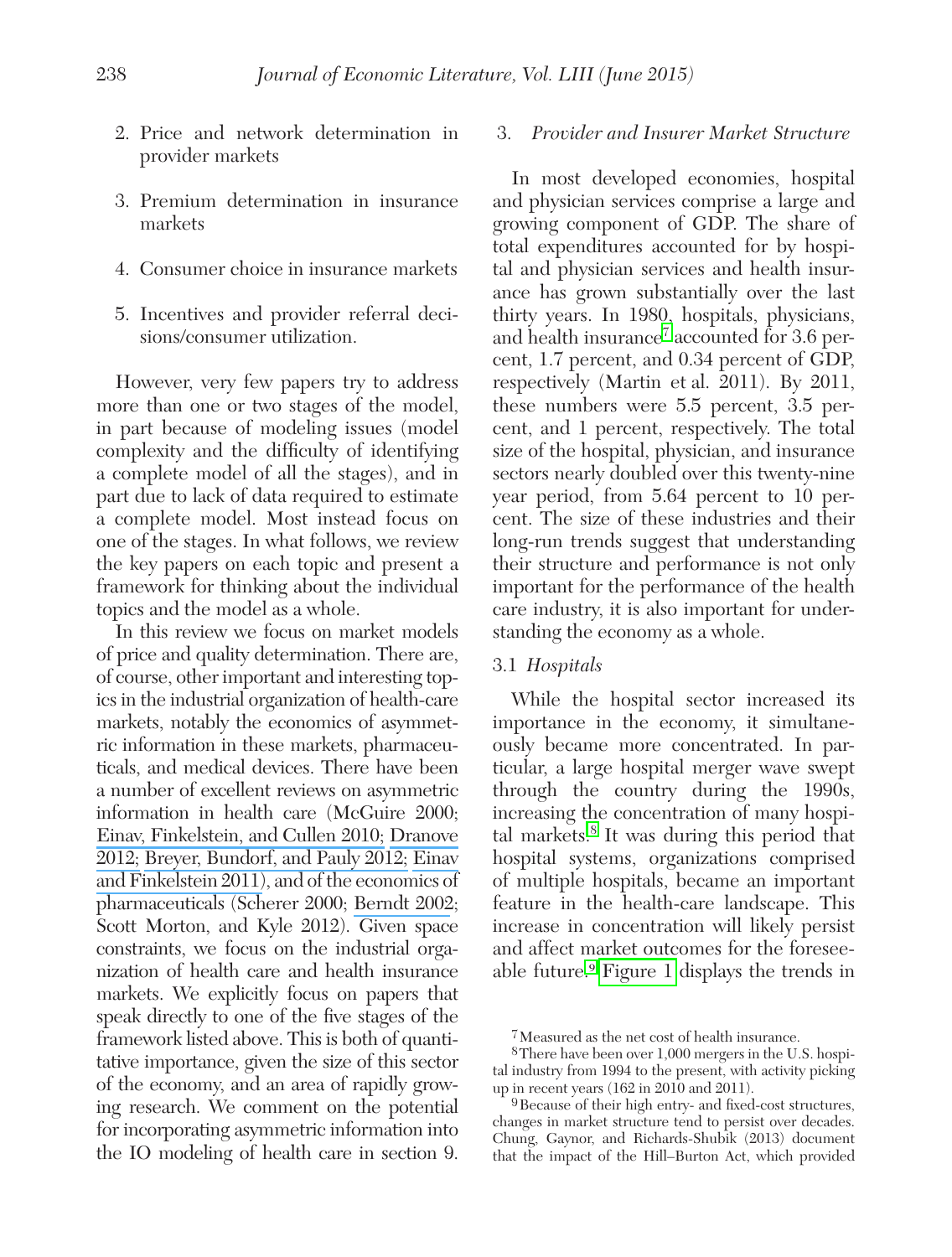- 2. Price and network determination in provider markets
- 3. Premium determination in insurance markets
- 4. Consumer choice in insurance markets
- 5. Incentives and provider referral decisions/consumer utilization.

However, very few papers try to address more than one or two stages of the model, in part because of modeling issues (model complexity and the difficulty of identifying a complete model of all the stages), and in part due to lack of data required to estimate a complete model. Most instead focus on one of the stages. In what follows, we review the key papers on each topic and present a framework for thinking about the individual topics and the model as a whole.

In this review we focus on market models of price and quality determination. There are, of course, other important and interesting topics in the industrial organization of health-care markets, notably the economics of asymmetric information in these markets, pharmaceuticals, and medical devices. There have been a number of excellent reviews on asymmetric information in health care (McGuire 2000; [Einav, Finkelstein, and Cullen 2010;](https://www.researchgate.net/publication/49739934_Estimating_Welfare_In_Insurance_Markets_Using_Variation_in_Prices?el=1_x_8&enrichId=rgreq-cb7d2b5db6741595fb53fa84c810989d-XXX&enrichSource=Y292ZXJQYWdlOzI3ODY3NjcxOTtBUzoyNDE3NTE4ODU2MTEwMDhAMTQzNDY0OTU0OTA1MA==) [Dranove](https://www.researchgate.net/publication/285985987_Health_Care_Markets_Regulators_and_Certifiers?el=1_x_8&enrichId=rgreq-cb7d2b5db6741595fb53fa84c810989d-XXX&enrichSource=Y292ZXJQYWdlOzI3ODY3NjcxOTtBUzoyNDE3NTE4ODU2MTEwMDhAMTQzNDY0OTU0OTA1MA==) [2012;](https://www.researchgate.net/publication/285985987_Health_Care_Markets_Regulators_and_Certifiers?el=1_x_8&enrichId=rgreq-cb7d2b5db6741595fb53fa84c810989d-XXX&enrichSource=Y292ZXJQYWdlOzI3ODY3NjcxOTtBUzoyNDE3NTE4ODU2MTEwMDhAMTQzNDY0OTU0OTA1MA==) [Breyer, Bundorf, and Pauly 2012;](https://www.researchgate.net/publication/279971715_Health_Care_Spending_Risk_Health_Insurance_and_Payment_to_Health_Plans?el=1_x_8&enrichId=rgreq-cb7d2b5db6741595fb53fa84c810989d-XXX&enrichSource=Y292ZXJQYWdlOzI3ODY3NjcxOTtBUzoyNDE3NTE4ODU2MTEwMDhAMTQzNDY0OTU0OTA1MA==) [Einav](https://www.researchgate.net/publication/51149219_Selection_in_Insurance_Markets_Theory_and_Empirics_in_Pictures?el=1_x_8&enrichId=rgreq-cb7d2b5db6741595fb53fa84c810989d-XXX&enrichSource=Y292ZXJQYWdlOzI3ODY3NjcxOTtBUzoyNDE3NTE4ODU2MTEwMDhAMTQzNDY0OTU0OTA1MA==) [and Finkelstein 2011\)](https://www.researchgate.net/publication/51149219_Selection_in_Insurance_Markets_Theory_and_Empirics_in_Pictures?el=1_x_8&enrichId=rgreq-cb7d2b5db6741595fb53fa84c810989d-XXX&enrichSource=Y292ZXJQYWdlOzI3ODY3NjcxOTtBUzoyNDE3NTE4ODU2MTEwMDhAMTQzNDY0OTU0OTA1MA==), and of the economics of pharmaceuticals (Scherer 2000; [Berndt 2002](https://www.researchgate.net/publication/null?el=1_x_8&enrichId=rgreq-cb7d2b5db6741595fb53fa84c810989d-XXX&enrichSource=Y292ZXJQYWdlOzI3ODY3NjcxOTtBUzoyNDE3NTE4ODU2MTEwMDhAMTQzNDY0OTU0OTA1MA==); Scott Morton, and Kyle 2012). Given space constraints, we focus on the industrial organization of health care and health insurance markets. We explicitly focus on papers that speak directly to one of the five stages of the framework listed above. This is both of quantitative importance, given the size of this sector of the economy, and an area of rapidly growing research. We comment on the potential for incorporating asymmetric information into the IO modeling of health care in section 9.

#### 3. *Provider and Insurer Market Structure*

In most developed economies, hospital and physician services comprise a large and growing component of GDP. The share of total expenditures accounted for by hospital and physician services and health insurance has grown substantially over the last thirty years. In 1980, hospitals, physicians, and health insurance<sup>7</sup> accounted for 3.6 percent, 1.7 percent, and 0.34 percent of GDP, respectively (Martin et al. 2011). By 2011, these numbers were 5.5 percent, 3.5 percent, and 1 percent, respectively. The total size of the hospital, physician, and insurance sectors nearly doubled over this twenty-nine year period, from 5.64 percent to 10 percent. The size of these industries and their long-run trends suggest that understanding their structure and performance is not only important for the performance of the health care industry, it is also important for understanding the economy as a whole.

#### 3.1 *Hospitals*

While the hospital sector increased its importance in the economy, it simultaneously became more concentrated. In particular, a large hospital merger wave swept through the country during the 1990s, increasing the concentration of many hospital markets.<sup>8</sup> It was during this period that hospital systems, organizations comprised of multiple hospitals, became an important feature in the health-care landscape. This increase in concentration will likely persist and affect market outcomes for the foreseeable future.<sup>9</sup> Figure 1 displays the trends in

<sup>7</sup>Measured as the net cost of health insurance.

<sup>8</sup>There have been over 1,000 mergers in the U.S. hospital industry from 1994 to the present, with activity picking up in recent years (162 in 2010 and 2011).

<sup>9</sup>Because of their high entry- and fixed-cost structures, changes in market structure tend to persist over decades. Chung, Gaynor, and Richards-Shubik (2013) document that the impact of the Hill–Burton Act, which provided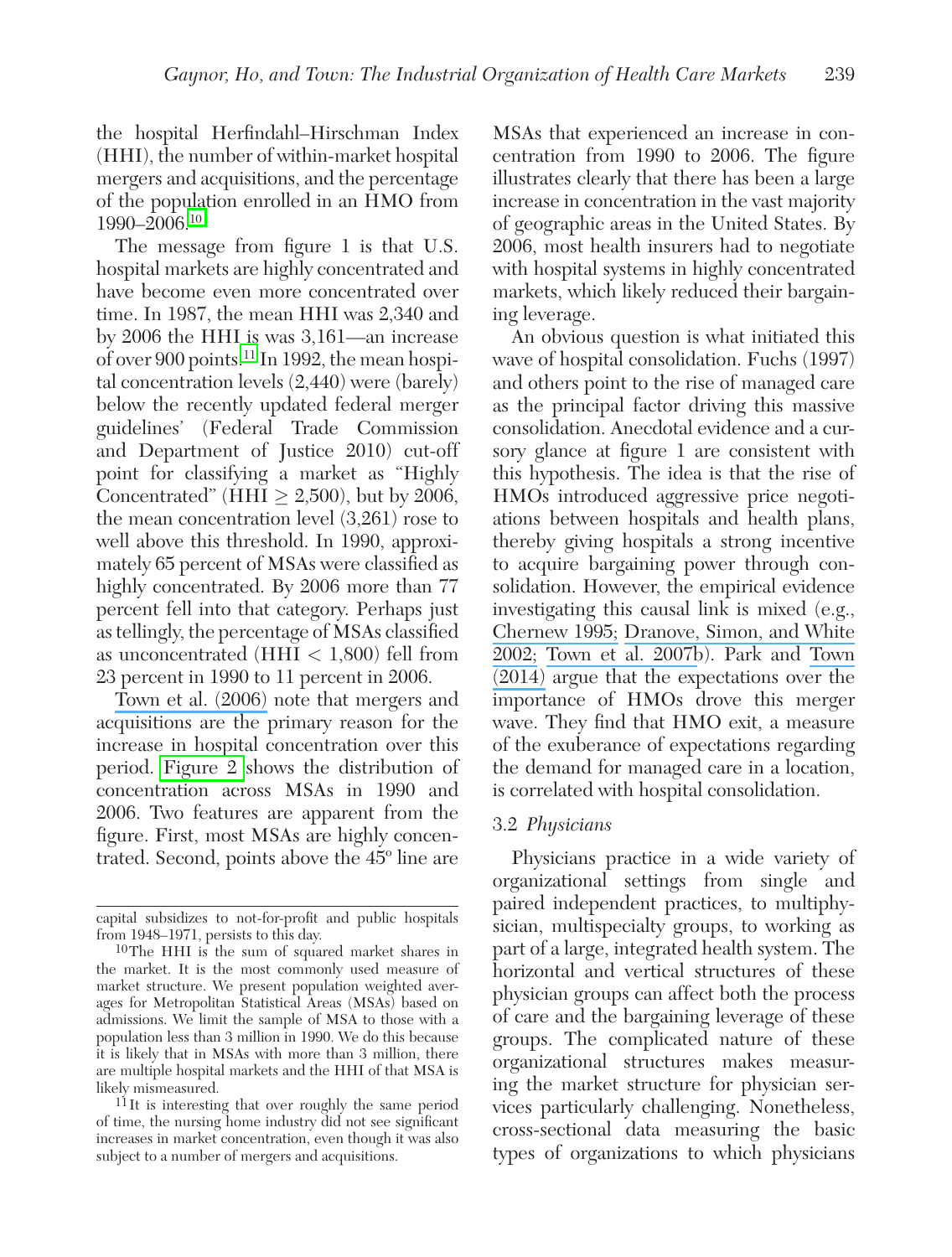the hospital Herfindahl–Hirschman Index (HHI), the number of within-market hospital mergers and acquisitions, and the percentage of the population enrolled in an HMO from 1990–2006.10

The message from figure 1 is that U.S. hospital markets are highly concentrated and have become even more concentrated over time. In 1987, the mean HHI was 2,340 and by 2006 the HHI is was 3,161—an increase of over 900 points.11 In 1992, the mean hospital concentration levels (2,440) were (barely) below the recently updated federal merger guidelines' (Federal Trade Commission and Department of Justice 2010) cut-off point for classifying a market as "Highly Concentrated" (HHI  $\geq 2,500$ ), but by 2006, the mean concentration level (3,261) rose to well above this threshold. In 1990, approximately 65 percent of MSAs were classified as highly concentrated. By 2006 more than  $77$ percent fell into that category. Perhaps just as tellingly, the percentage of MSAs classified as unconcentrated  $(HHI < 1,800)$  fell from 23 percent in 1990 to 11 percent in 2006.

[Town et al. \(2006\)](https://www.researchgate.net/publication/null?el=1_x_8&enrichId=rgreq-cb7d2b5db6741595fb53fa84c810989d-XXX&enrichSource=Y292ZXJQYWdlOzI3ODY3NjcxOTtBUzoyNDE3NTE4ODU2MTEwMDhAMTQzNDY0OTU0OTA1MA==) note that mergers and acquisitions are the primary reason for the increase in hospital concentration over this period. Figure 2 shows the distribution of concentration across MSAs in 1990 and 2006. Two features are apparent from the figure. First, most MSAs are highly concentrated. Second, points above the 45º line are

MSAs that experienced an increase in concentration from 1990 to 2006. The figure illustrates clearly that there has been a large increase in concentration in the vast majority of geographic areas in the United States. By 2006, most health insurers had to negotiate with hospital systems in highly concentrated markets, which likely reduced their bargaining leverage.

An obvious question is what initiated this wave of hospital consolidation. Fuchs (1997) and others point to the rise of managed care as the principal factor driving this massive consolidation. Anecdotal evidence and a cursory glance at figure 1 are consistent with this hypothesis. The idea is that the rise of HMOs introduced aggressive price negotiations between hospitals and health plans, thereby giving hospitals a strong incentive to acquire bargaining power through consolidation. However, the empirical evidence investigating this causal link is mixed (e.g., [Chernew 1995;](https://www.researchgate.net/publication/15596653_The_impact_of_non-IPA_HMOs_on_the_number_of_hospitals_and_hospital_capacity?el=1_x_8&enrichId=rgreq-cb7d2b5db6741595fb53fa84c810989d-XXX&enrichSource=Y292ZXJQYWdlOzI3ODY3NjcxOTtBUzoyNDE3NTE4ODU2MTEwMDhAMTQzNDY0OTU0OTA1MA==) [Dranove, Simon, and White](https://www.researchgate.net/publication/11248398_Is_Managed_Care_Leading_to_Consolidation_in_Health-Care_Markets?el=1_x_8&enrichId=rgreq-cb7d2b5db6741595fb53fa84c810989d-XXX&enrichSource=Y292ZXJQYWdlOzI3ODY3NjcxOTtBUzoyNDE3NTE4ODU2MTEwMDhAMTQzNDY0OTU0OTA1MA==) [2002;](https://www.researchgate.net/publication/11248398_Is_Managed_Care_Leading_to_Consolidation_in_Health-Care_Markets?el=1_x_8&enrichId=rgreq-cb7d2b5db6741595fb53fa84c810989d-XXX&enrichSource=Y292ZXJQYWdlOzI3ODY3NjcxOTtBUzoyNDE3NTE4ODU2MTEwMDhAMTQzNDY0OTU0OTA1MA==) [Town et al. 2007b](https://www.researchgate.net/publication/null?el=1_x_8&enrichId=rgreq-cb7d2b5db6741595fb53fa84c810989d-XXX&enrichSource=Y292ZXJQYWdlOzI3ODY3NjcxOTtBUzoyNDE3NTE4ODU2MTEwMDhAMTQzNDY0OTU0OTA1MA==)). Park and [Town](https://www.researchgate.net/publication/263813927_Industry_Shock_Expectations_Interindustry_Linkages_and_Merger_Waves_Evidence_from_the_Hospital_Industry?el=1_x_8&enrichId=rgreq-cb7d2b5db6741595fb53fa84c810989d-XXX&enrichSource=Y292ZXJQYWdlOzI3ODY3NjcxOTtBUzoyNDE3NTE4ODU2MTEwMDhAMTQzNDY0OTU0OTA1MA==) [\(2014\)](https://www.researchgate.net/publication/263813927_Industry_Shock_Expectations_Interindustry_Linkages_and_Merger_Waves_Evidence_from_the_Hospital_Industry?el=1_x_8&enrichId=rgreq-cb7d2b5db6741595fb53fa84c810989d-XXX&enrichSource=Y292ZXJQYWdlOzI3ODY3NjcxOTtBUzoyNDE3NTE4ODU2MTEwMDhAMTQzNDY0OTU0OTA1MA==) argue that the expectations over the importance of HMOs drove this merger wave. They find that HMO exit, a measure of the exuberance of expectations regarding the demand for managed care in a location, is correlated with hospital consolidation.

#### 3.2 *Physicians*

Physicians practice in a wide variety of organizational settings from single and paired independent practices, to multiphysician, multispecialty groups, to working as part of a large, integrated health system. The horizontal and vertical structures of these physician groups can affect both the process of care and the bargaining leverage of these groups. The complicated nature of these organizational structures makes measuring the market structure for physician services particularly challenging. Nonetheless, cross-sectional data measuring the basic types of organizations to which physicians

capital subsidizes to not-for-profit and public hospitals from 1948–1971, persists to this day.

<sup>10</sup>The HHI is the sum of squared market shares in the market. It is the most commonly used measure of market structure. We present population weighted averages for Metropolitan Statistical Areas (MSAs) based on admissions. We limit the sample of MSA to those with a population less than 3 million in 1990. We do this because it is likely that in MSAs with more than 3 million, there are multiple hospital markets and the HHI of that MSA is likely mismeasured.

<sup>11</sup>It is interesting that over roughly the same period of time, the nursing home industry did not see significant increases in market concentration, even though it was also subject to a number of mergers and acquisitions.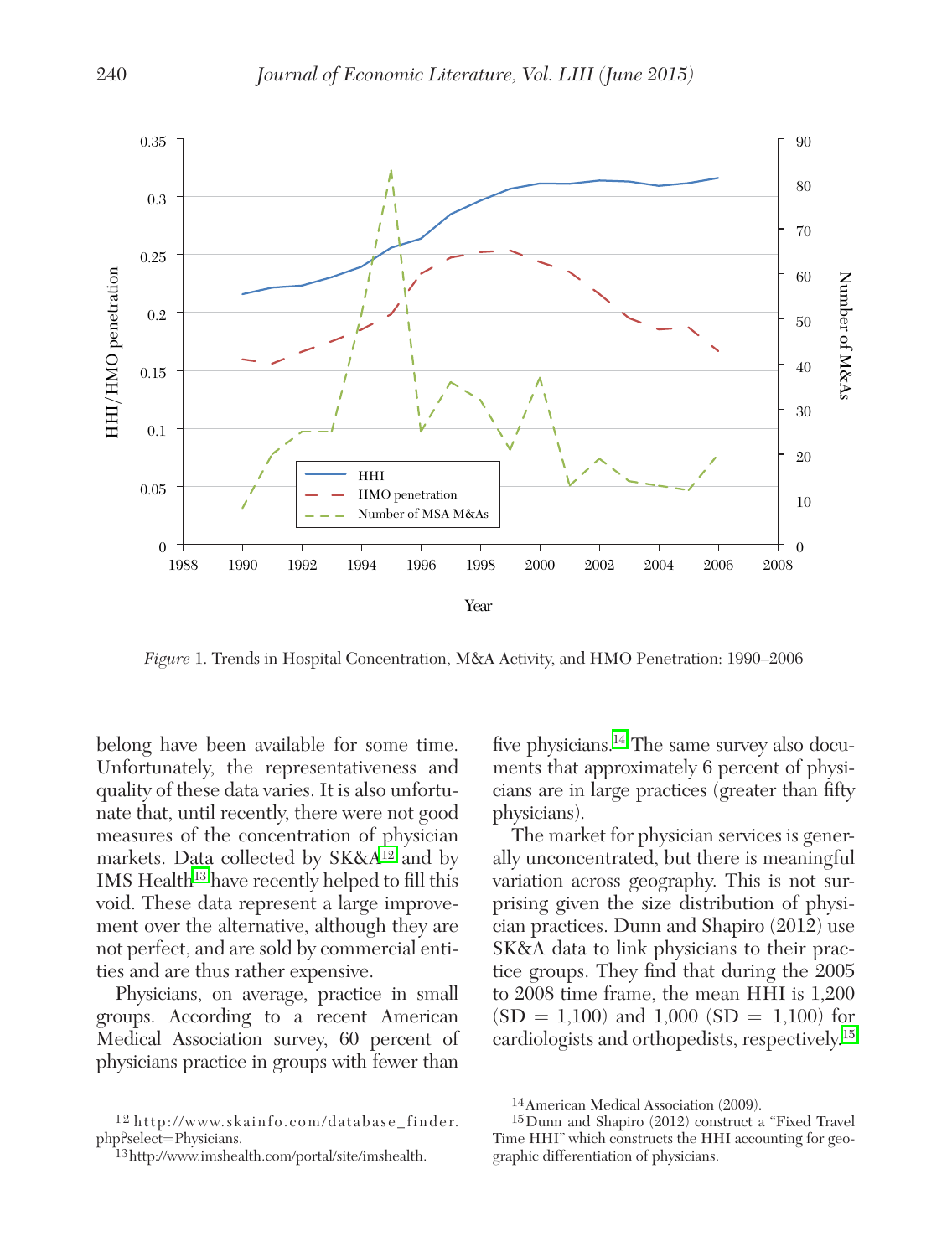

*Figure* 1. Trends in Hospital Concentration, M&A Activity, and HMO Penetration: 1990–2006

belong have been available for some time. Unfortunately, the representativeness and quality of these data varies. It is also unfortunate that, until recently, there were not good measures of the concentration of physician markets. Data collected by SK&A<sup>12</sup> and by  $IMS$  Health<sup>13</sup> have recently helped to fill this void. These data represent a large improvement over the alternative, although they are not perfect, and are sold by commercial entities and are thus rather expensive.

Physicians, on average, practice in small groups. According to a recent American Medical Association survey, 60 percent of physicians practice in groups with fewer than five physicians.<sup>14</sup> The same survey also documents that approximately 6 percent of physicians are in large practices (greater than fifty physicians).

The market for physician services is generally unconcentrated, but there is meaningful variation across geography. This is not surprising given the size distribution of physician practices. Dunn and Shapiro (2012) use SK&A data to link physicians to their practice groups. They find that during the 2005 to 2008 time frame, the mean HHI is 1,200  $(SD = 1,100)$  and  $1,000$   $(SD = 1,100)$  for cardiologists and orthopedists, respectively.15

<sup>1 2</sup> [http://www.skainfo.com/database\\_finder.](http://www.skainfo.com/database_finder.php?select=Physicians) php?select=Physicians.

<sup>13</sup><http://www.imshealth.com/portal/site/imshealth>.

<sup>14</sup>American Medical Association (2009).

<sup>15</sup>Dunn and Shapiro (2012) construct a "Fixed Travel Time HHI" which constructs the HHI accounting for geographic differentiation of physicians.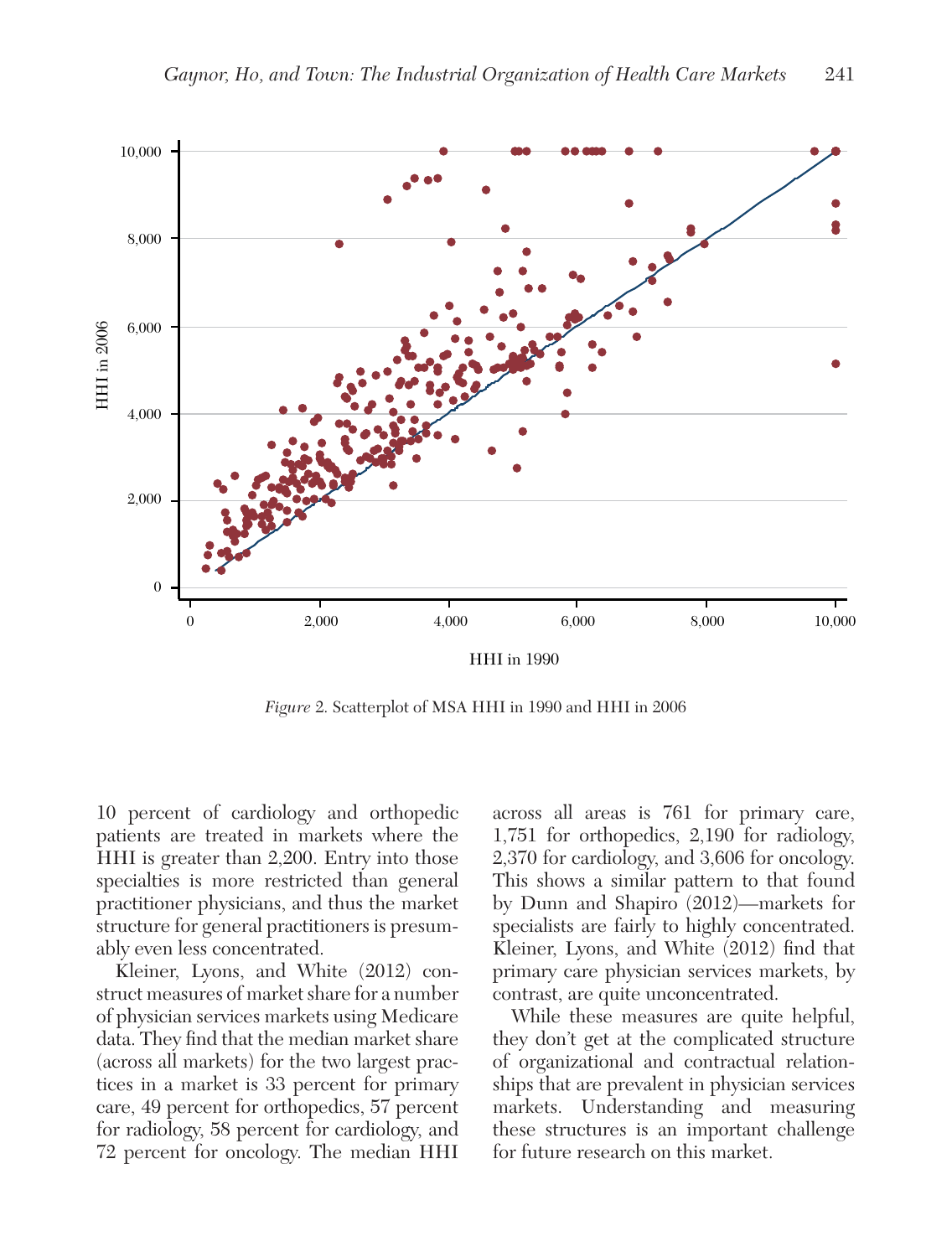

*Figure* 2. Scatterplot of MSA HHI in 1990 and HHI in 2006

10 percent of cardiology and orthopedic patients are treated in markets where the HHI is greater than 2,200. Entry into those specialties is more restricted than general practitioner physicians, and thus the market structure for general practitioners is presumably even less concentrated.

Kleiner, Lyons, and White (2012) construct measures of market share for a number of physician services markets using Medicare data. They find that the median market share (across all markets) for the two largest practices in a market is 33 percent for primary care, 49 percent for orthopedics, 57 percent for radiology, 58 percent for cardiology, and 72 percent for oncology. The median HHI across all areas is 761 for primary care, 1,751 for orthopedics, 2,190 for radiology, 2,370 for cardiology, and 3,606 for oncology. This shows a similar pattern to that found by Dunn and Shapiro (2012)—markets for specialists are fairly to highly concentrated. Kleiner, Lyons, and White (2012) find that primary care physician services markets, by contrast, are quite unconcentrated.

While these measures are quite helpful, they don't get at the complicated structure of organizational and contractual relationships that are prevalent in physician services markets. Understanding and measuring these structures is an important challenge for future research on this market.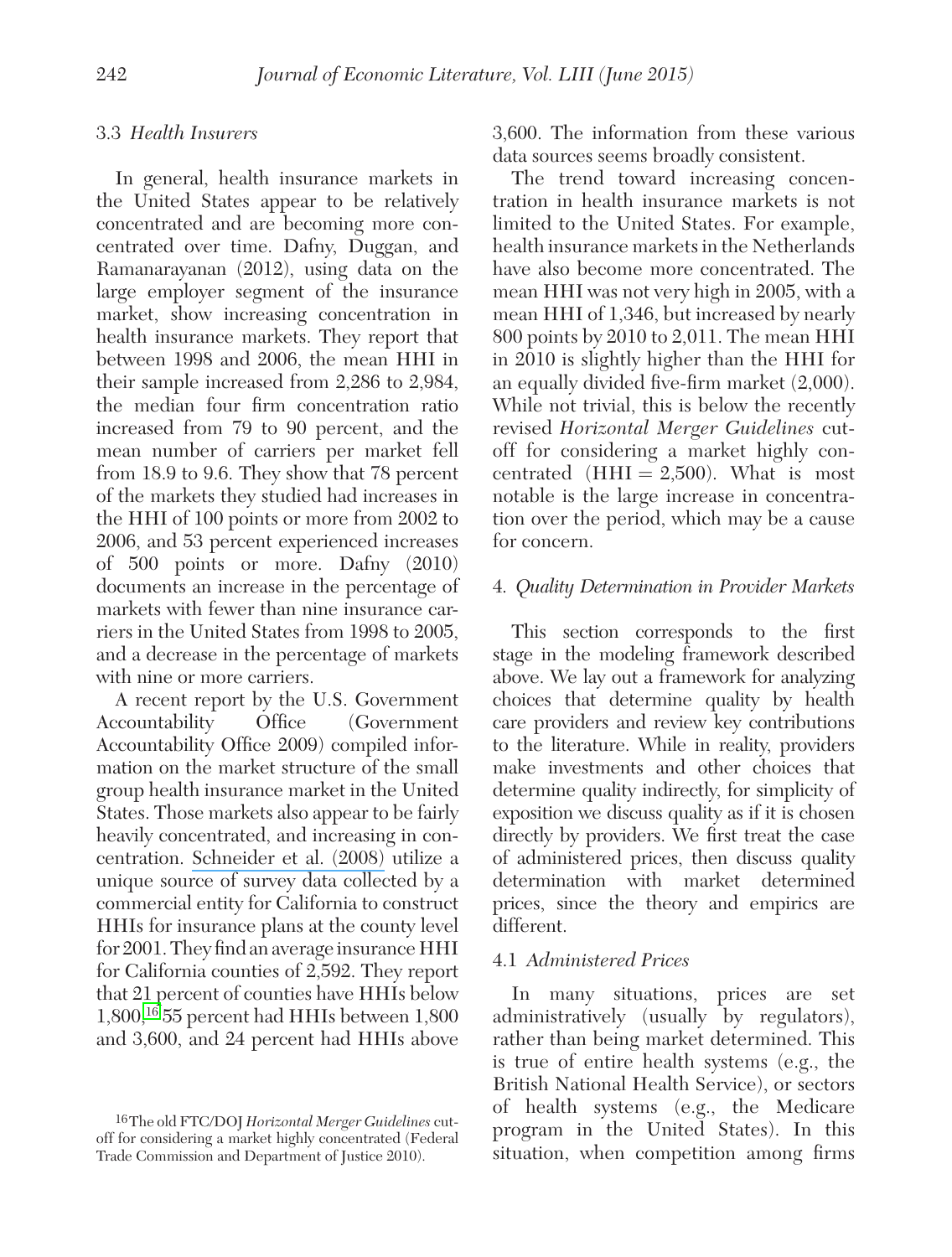## 3.3 *Health Insurers*

In general, health insurance markets in the United States appear to be relatively concentrated and are becoming more concentrated over time. Dafny, Duggan, and Ramanarayanan (2012), using data on the large employer segment of the insurance market, show increasing concentration in health insurance markets. They report that between 1998 and 2006, the mean HHI in their sample increased from 2,286 to 2,984, the median four firm concentration ratio increased from 79 to 90 percent, and the mean number of carriers per market fell from 18.9 to 9.6. They show that 78 percent of the markets they studied had increases in the HHI of 100 points or more from 2002 to 2006, and 53 percent experienced increases of 500 points or more. Dafny (2010) documents an increase in the percentage of markets with fewer than nine insurance carriers in the United States from 1998 to 2005, and a decrease in the percentage of markets with nine or more carriers.

A recent report by the U.S. Government Accountability Office (Government Accountability Office 2009) compiled information on the market structure of the small group health insurance market in the United States. Those markets also appear to be fairly heavily concentrated, and increasing in concentration. [Schneider et al. \(2008\)](https://www.researchgate.net/publication/null?el=1_x_8&enrichId=rgreq-cb7d2b5db6741595fb53fa84c810989d-XXX&enrichSource=Y292ZXJQYWdlOzI3ODY3NjcxOTtBUzoyNDE3NTE4ODU2MTEwMDhAMTQzNDY0OTU0OTA1MA==) utilize a unique source of survey data collected by a commercial entity for California to construct HHIs for insurance plans at the county level for 2001. They find an average insurance HHI for California counties of 2,592. They report that 21 percent of counties have HHIs below 1,800,16 55 percent had HHIs between 1,800 and 3,600, and 24 percent had HHIs above

3,600. The information from these various data sources seems broadly consistent.

The trend toward increasing concentration in health insurance markets is not limited to the United States. For example, health insurance markets in the Netherlands have also become more concentrated. The mean HHI was not very high in 2005, with a mean HHI of 1,346, but increased by nearly 800 points by 2010 to 2,011. The mean HHI in 2010 is slightly higher than the HHI for an equally divided five-firm market (2,000). While not trivial, this is below the recently revised *Horizontal Merger Guidelines* cutoff for considering a market highly concentrated (HHI =  $2,500$ ). What is most notable is the large increase in concentration over the period, which may be a cause for concern.

### 4. *Quality Determination in Provider Markets*

This section corresponds to the first stage in the modeling framework described above. We lay out a framework for analyzing choices that determine quality by health care providers and review key contributions to the literature. While in reality, providers make investments and other choices that determine quality indirectly, for simplicity of exposition we discuss quality as if it is chosen directly by providers. We first treat the case of administered prices, then discuss quality determination with market determined prices, since the theory and empirics are different.

#### 4.1 *Administered Prices*

In many situations, prices are set administratively (usually by regulators), rather than being market determined. This is true of entire health systems (e.g., the British National Health Service), or sectors of health systems (e.g., the Medicare program in the United States). In this situation, when competition among firms

<sup>16</sup>The old FTC/DOJ *Horizontal Merger Guidelines* cutoff for considering a market highly concentrated (Federal Trade Commission and Department of Justice 2010).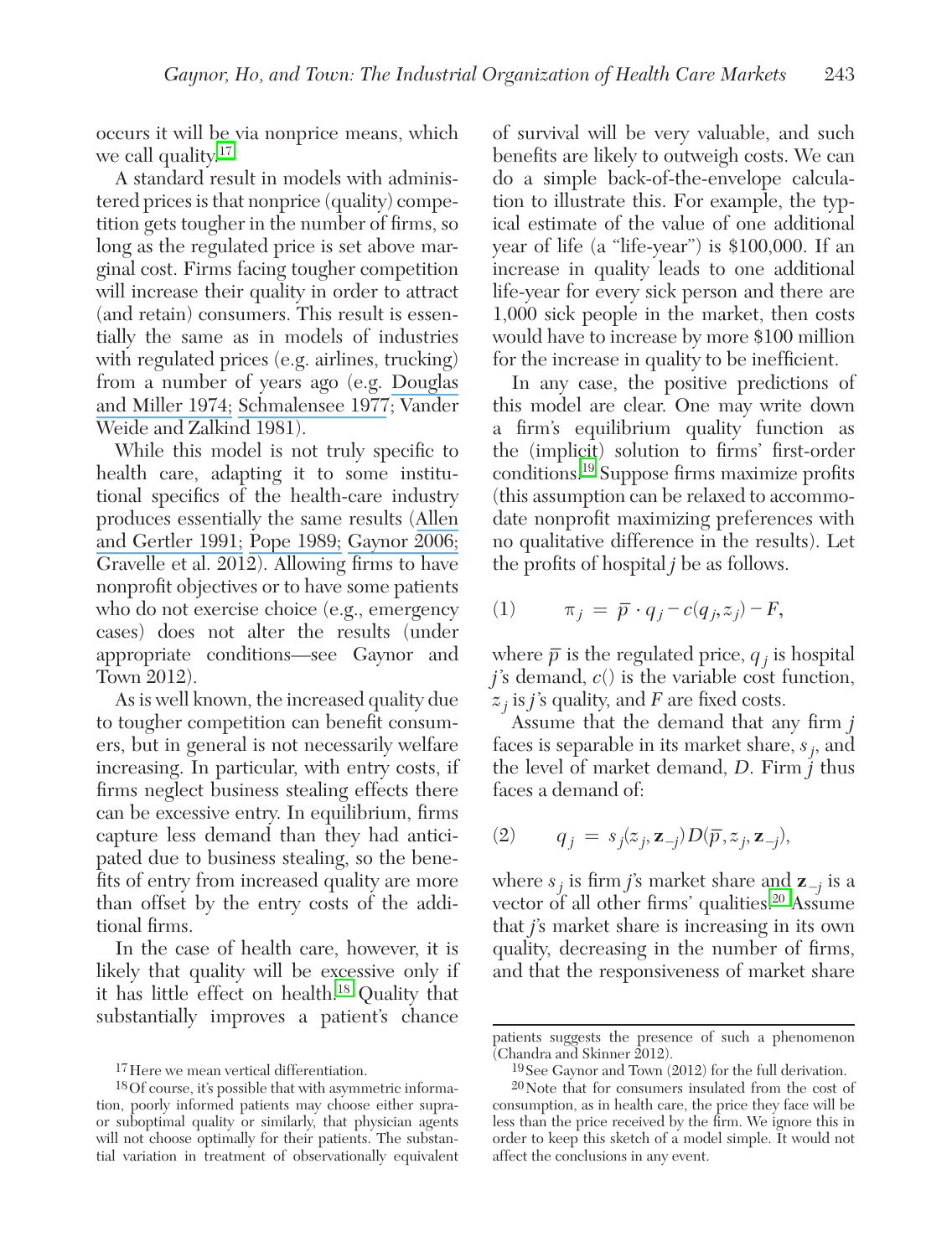occurs it will be via nonprice means, which we call quality.<sup>17</sup>

A standard result in models with administered prices is that nonprice (quality) competition gets tougher in the number of firms, so long as the regulated price is set above marginal cost. Firms facing tougher competition will increase their quality in order to attract (and retain) consumers. This result is essentially the same as in models of industries with regulated prices (e.g. airlines, trucking) from a number of years ago (e.g. [Douglas](https://www.researchgate.net/publication/null?el=1_x_8&enrichId=rgreq-cb7d2b5db6741595fb53fa84c810989d-XXX&enrichSource=Y292ZXJQYWdlOzI3ODY3NjcxOTtBUzoyNDE3NTE4ODU2MTEwMDhAMTQzNDY0OTU0OTA1MA==) [and Miller 1974;](https://www.researchgate.net/publication/null?el=1_x_8&enrichId=rgreq-cb7d2b5db6741595fb53fa84c810989d-XXX&enrichSource=Y292ZXJQYWdlOzI3ODY3NjcxOTtBUzoyNDE3NTE4ODU2MTEwMDhAMTQzNDY0OTU0OTA1MA==) [Schmalensee 1977](https://www.researchgate.net/publication/24048360_Comparative_Static_Properties_of_Regulated_Airline_Oligopolies?el=1_x_8&enrichId=rgreq-cb7d2b5db6741595fb53fa84c810989d-XXX&enrichSource=Y292ZXJQYWdlOzI3ODY3NjcxOTtBUzoyNDE3NTE4ODU2MTEwMDhAMTQzNDY0OTU0OTA1MA==); Vander Weide and Zalkind 1981).

While this model is not truly specific to health care, adapting it to some institutional specifics of the health-care industry produces essentially the same results ([Allen](https://www.researchgate.net/publication/null?el=1_x_8&enrichId=rgreq-cb7d2b5db6741595fb53fa84c810989d-XXX&enrichSource=Y292ZXJQYWdlOzI3ODY3NjcxOTtBUzoyNDE3NTE4ODU2MTEwMDhAMTQzNDY0OTU0OTA1MA==) [and Gertler 1991;](https://www.researchgate.net/publication/null?el=1_x_8&enrichId=rgreq-cb7d2b5db6741595fb53fa84c810989d-XXX&enrichSource=Y292ZXJQYWdlOzI3ODY3NjcxOTtBUzoyNDE3NTE4ODU2MTEwMDhAMTQzNDY0OTU0OTA1MA==) [Pope 1989;](https://www.researchgate.net/publication/12994448_Hospital_NonPrice_Competition_and_Medicare_Reimbursement_Policy?el=1_x_8&enrichId=rgreq-cb7d2b5db6741595fb53fa84c810989d-XXX&enrichSource=Y292ZXJQYWdlOzI3ODY3NjcxOTtBUzoyNDE3NTE4ODU2MTEwMDhAMTQzNDY0OTU0OTA1MA==) [Gaynor 2006;](https://www.researchgate.net/publication/286591516_Competition_and_quality_in_health_care_markets?el=1_x_8&enrichId=rgreq-cb7d2b5db6741595fb53fa84c810989d-XXX&enrichSource=Y292ZXJQYWdlOzI3ODY3NjcxOTtBUzoyNDE3NTE4ODU2MTEwMDhAMTQzNDY0OTU0OTA1MA==) Gravelle et al. 2012). Allowing firms to have nonprofit objectives or to have some patients who do not exercise choice (e.g., emergency cases) does not alter the results (under appropriate conditions—see Gaynor and Town 2012).

As is well known, the increased quality due to tougher competition can benefit consumers, but in general is not necessarily welfare increasing. In particular, with entry costs, if firms neglect business stealing effects there can be excessive entry. In equilibrium, firms capture less demand than they had anticipated due to business stealing, so the benefits of entry from increased quality are more than offset by the entry costs of the additional firms.

In the case of health care, however, it is likely that quality will be excessive only if it has little effect on health.18 Quality that substantially improves a patient's chance of survival will be very valuable, and such benefits are likely to outweigh costs. We can do a simple back-of-the-envelope calculation to illustrate this. For example, the typical estimate of the value of one additional year of life (a "life-year") is \$100,000. If an increase in quality leads to one additional life-year for every sick person and there are 1,000 sick people in the market, then costs would have to increase by more \$100 million for the increase in quality to be inefficient.

In any case, the positive predictions of this model are clear. One may write down a firm's equilibrium quality function as the (implicit) solution to firms' first-order conditions.19 Suppose firms maximize profits (this assumption can be relaxed to accommodate nonprofit maximizing preferences with no qualitative difference in the results). Let the profits of hospital *j* be as follows.

$$
(1) \qquad \pi_j = \overline{p} \cdot q_j - c(q_j, z_j) - F,
$$

where  $\bar{p}$  is the regulated price,  $q_j$  is hospital *j*'s demand, *c*() is the variable cost function,  $z_j$  is *j*'s quality, and *F* are fixed costs.

Assume that the demand that any firm *j* faces is separable in its market share,  $s_j$ , and the level of market demand, *D*. Firm *j* thus faces a demand of:

(2) 
$$
q_j = s_j(z_j, \mathbf{z}_{-j}) D(\overline{p}, z_j, \mathbf{z}_{-j}),
$$

where  $s_j$  is firm *j*'s market share and  $\mathbf{z}_{-j}$  is a vector of all other firms' qualities.<sup>20</sup> Assume that *j*'s market share is increasing in its own quality, decreasing in the number of firms, and that the responsiveness of market share

<sup>&</sup>lt;sup>17</sup> Here we mean vertical differentiation.

<sup>18</sup>Of course, it's possible that with asymmetric information, poorly informed patients may choose either supraor suboptimal quality or similarly, that physician agents will not choose optimally for their patients. The substantial variation in treatment of observationally equivalent

patients suggests the presence of such a phenomenon (Chandra and Skinner 2012).

<sup>19</sup>See Gaynor and Town (2012) for the full derivation.

<sup>20</sup>Note that for consumers insulated from the cost of consumption, as in health care, the price they face will be less than the price received by the firm. We ignore this in order to keep this sketch of a model simple. It would not affect the conclusions in any event.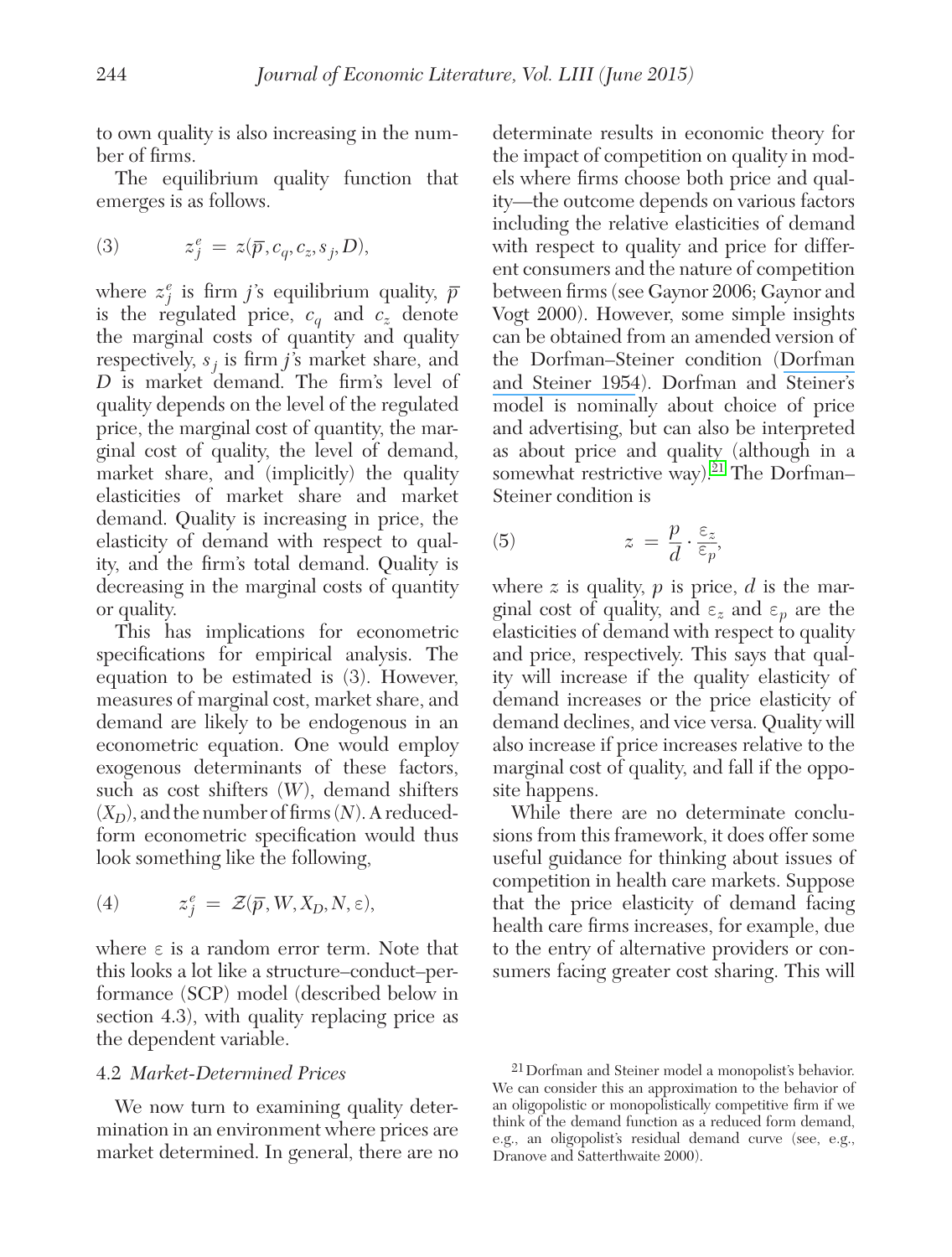to own quality is also increasing in the number of firms.

The equilibrium quality function that emerges is as follows.

$$
(3) \t z_j^e = z(\overline{p}, c_q, c_z, s_j, D),
$$

where  $z_j^e$  is firm *j*'s equilibrium quality,  $\bar{p}$ is the regulated price,  $c_q$  and  $c_z$  denote the marginal costs of quantity and quality respectively, *sj* is firm *j* 's market share, and *D* is market demand. The firm's level of quality depends on the level of the regulated price, the marginal cost of quantity, the marginal cost of quality, the level of demand, market share, and (implicitly) the quality elasticities of market share and market demand. Quality is increasing in price, the elasticity of demand with respect to quality, and the firm's total demand. Quality is decreasing in the marginal costs of quantity or quality.

This has implications for econometric specifications for empirical analysis. The equation to be estimated is (3). However, measures of marginal cost, market share, and demand are likely to be endogenous in an econometric equation. One would employ exogenous determinants of these factors, such as cost shifters (*W*), demand shifters  $(X_D)$ , and the number of firms  $(N)$ . A reducedform econometric specification would thus look something like the following,

(4) 
$$
z_j^e = \mathcal{Z}(\overline{p}, W, X_D, N, \varepsilon),
$$

where  $\varepsilon$  is a random error term. Note that this looks a lot like a structure–conduct–performance (SCP) model (described below in section 4.3), with quality replacing price as the dependent variable.

### 4.2 *Market-Determined Prices*

We now turn to examining quality determination in an environment where prices are market determined. In general, there are no determinate results in economic theory for the impact of competition on quality in models where firms choose both price and quality—the outcome depends on various factors including the relative elasticities of demand with respect to quality and price for different consumers and the nature of competition between firms (see Gaynor 2006; Gaynor and Vogt 2000). However, some simple insights can be obtained from an amended version of the Dorfman–Steiner condition ([Dorfman](https://www.researchgate.net/publication/261703086_Optimal_Advertising_and_Optimal_Quality?el=1_x_8&enrichId=rgreq-cb7d2b5db6741595fb53fa84c810989d-XXX&enrichSource=Y292ZXJQYWdlOzI3ODY3NjcxOTtBUzoyNDE3NTE4ODU2MTEwMDhAMTQzNDY0OTU0OTA1MA==)  [and Steiner 1954](https://www.researchgate.net/publication/261703086_Optimal_Advertising_and_Optimal_Quality?el=1_x_8&enrichId=rgreq-cb7d2b5db6741595fb53fa84c810989d-XXX&enrichSource=Y292ZXJQYWdlOzI3ODY3NjcxOTtBUzoyNDE3NTE4ODU2MTEwMDhAMTQzNDY0OTU0OTA1MA==)). Dorfman and Steiner's model is nominally about choice of price and advertising, but can also be interpreted as about price and quality (although in a somewhat restrictive way).<sup>21</sup> The Dorfman– Steiner condition is

(5) 
$$
z = \frac{p}{d} \cdot \frac{\varepsilon_z}{\varepsilon_p},
$$

where  $z$  is quality,  $p$  is price,  $d$  is the marginal cost of quality, and  $\varepsilon_z$  and  $\varepsilon_p$  are the elasticities of demand with respect to quality and price, respectively. This says that quality will increase if the quality elasticity of demand increases or the price elasticity of demand declines, and vice versa. Quality will also increase if price increases relative to the marginal cost of quality, and fall if the opposite happens.

While there are no determinate conclusions from this framework, it does offer some useful guidance for thinking about issues of competition in health care markets. Suppose that the price elasticity of demand facing health care firms increases, for example, due to the entry of alternative providers or consumers facing greater cost sharing. This will

<sup>21</sup>Dorfman and Steiner model a monopolist's behavior. We can consider this an approximation to the behavior of an oligopolistic or monopolistically competitive firm if we think of the demand function as a reduced form demand, e.g., an oligopolist's residual demand curve (see, e.g., Dranove and Satterthwaite 2000).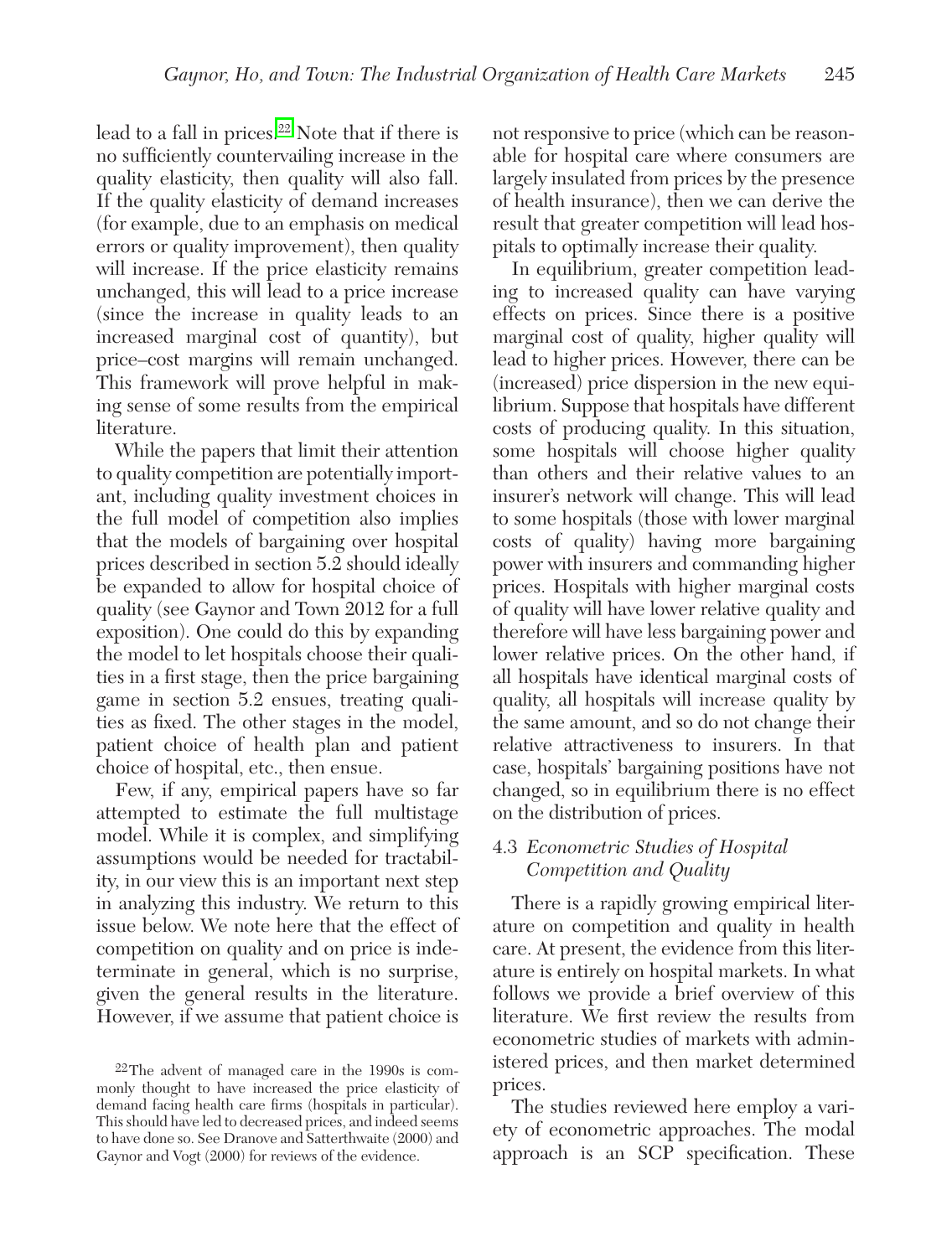lead to a fall in prices.<sup>22</sup> Note that if there is no sufficiently countervailing increase in the quality elasticity, then quality will also fall. If the quality elasticity of demand increases (for example, due to an emphasis on medical errors or quality improvement), then quality will increase. If the price elasticity remains unchanged, this will lead to a price increase (since the increase in quality leads to an increased marginal cost of quantity), but price–cost margins will remain unchanged. This framework will prove helpful in making sense of some results from the empirical literature.

While the papers that limit their attention to quality competition are potentially important, including quality investment choices in the full model of competition also implies that the models of bargaining over hospital prices described in section 5.2 should ideally be expanded to allow for hospital choice of quality (see Gaynor and Town 2012 for a full exposition). One could do this by expanding the model to let hospitals choose their qualities in a first stage, then the price bargaining game in section 5.2 ensues, treating qualities as fixed. The other stages in the model, patient choice of health plan and patient choice of hospital, etc., then ensue.

Few, if any, empirical papers have so far attempted to estimate the full multistage model. While it is complex, and simplifying assumptions would be needed for tractability, in our view this is an important next step in analyzing this industry. We return to this issue below. We note here that the effect of competition on quality and on price is indeterminate in general, which is no surprise, given the general results in the literature. However, if we assume that patient choice is

not responsive to price (which can be reasonable for hospital care where consumers are largely insulated from prices by the presence of health insurance), then we can derive the result that greater competition will lead hospitals to optimally increase their quality.

In equilibrium, greater competition leading to increased quality can have varying effects on prices. Since there is a positive marginal cost of quality, higher quality will lead to higher prices. However, there can be (increased) price dispersion in the new equilibrium. Suppose that hospitals have different costs of producing quality. In this situation, some hospitals will choose higher quality than others and their relative values to an insurer's network will change. This will lead to some hospitals (those with lower marginal costs of quality) having more bargaining power with insurers and commanding higher prices. Hospitals with higher marginal costs of quality will have lower relative quality and therefore will have less bargaining power and lower relative prices. On the other hand, if all hospitals have identical marginal costs of quality, all hospitals will increase quality by the same amount, and so do not change their relative attractiveness to insurers. In that case, hospitals' bargaining positions have not changed, so in equilibrium there is no effect on the distribution of prices.

## 4.3 *Econometric Studies of Hospital Competition and Quality*

There is a rapidly growing empirical literature on competition and quality in health care. At present, the evidence from this literature is entirely on hospital markets. In what follows we provide a brief overview of this literature. We first review the results from econometric studies of markets with administered prices, and then market determined prices.

The studies reviewed here employ a variety of econometric approaches. The modal approach is an SCP specification. These

<sup>22</sup>The advent of managed care in the 1990s is commonly thought to have increased the price elasticity of demand facing health care firms (hospitals in particular). This should have led to decreased prices, and indeed seems to have done so. See Dranove and Satterthwaite (2000) and Gaynor and Vogt (2000) for reviews of the evidence.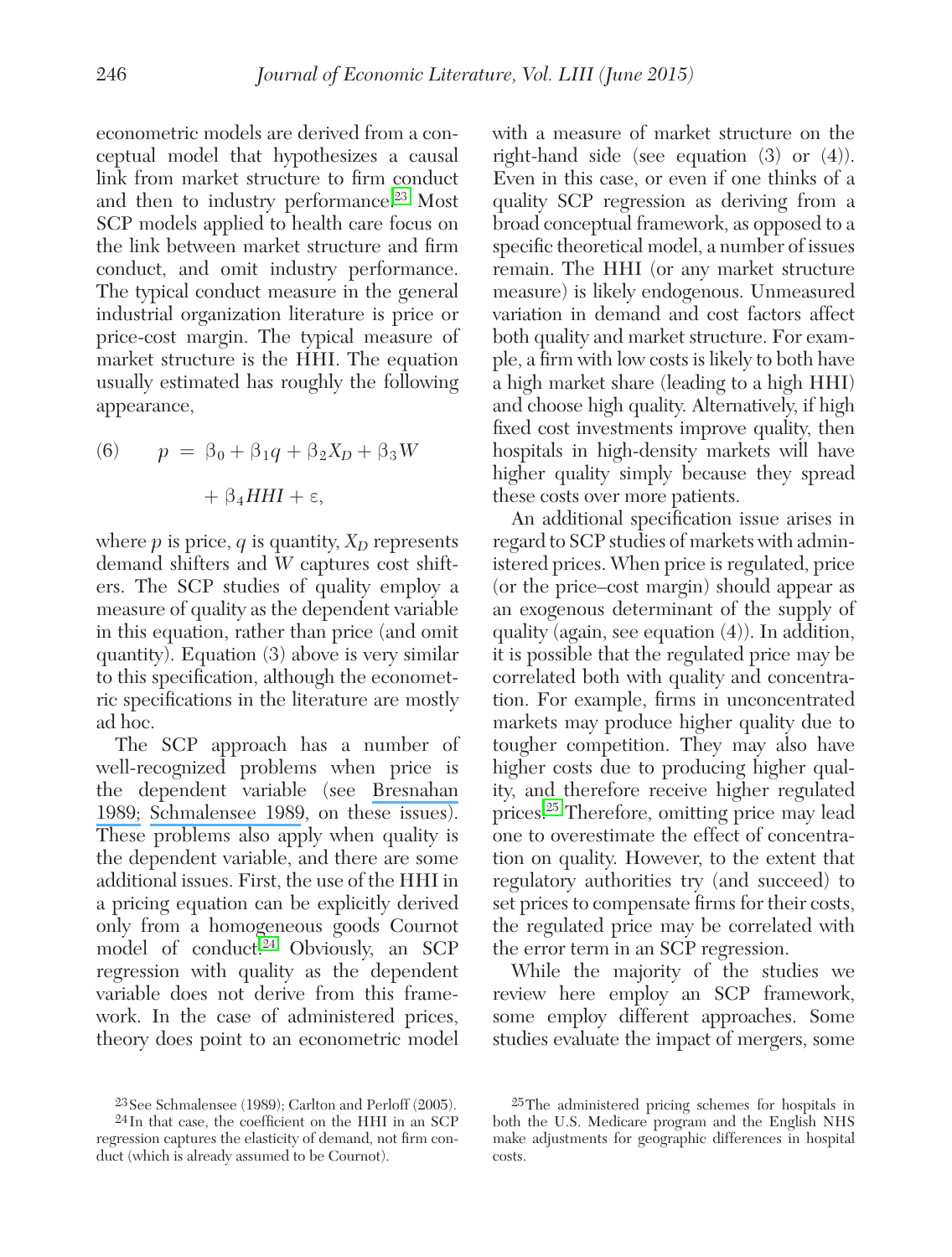econometric models are derived from a conceptual model that hypothesizes a causal link from market structure to firm conduct and then to industry performance.<sup>23</sup> Most SCP models applied to health care focus on the link between market structure and firm conduct, and omit industry performance. The typical conduct measure in the general industrial organization literature is price or price-cost margin. The typical measure of market structure is the HHI. The equation usually estimated has roughly the following appearance,

(6) 
$$
p = \beta_0 + \beta_1 q + \beta_2 X_D + \beta_3 W + \beta_4 H H I + \varepsilon,
$$

where  $p$  is price,  $q$  is quantity,  $X_D$  represents demand shifters and *W* captures cost shifters. The SCP studies of quality employ a measure of quality as the dependent variable in this equation, rather than price (and omit quantity). Equation (3) above is very similar to this specification, although the econometric specifications in the literature are mostly ad hoc.

The SCP approach has a number of well-recognized problems when price is the dependent variable (see [Bresnahan](https://www.researchgate.net/publication/247317625_Chapter_17_Empirical_studies_of_industries_with_market_power?el=1_x_8&enrichId=rgreq-cb7d2b5db6741595fb53fa84c810989d-XXX&enrichSource=Y292ZXJQYWdlOzI3ODY3NjcxOTtBUzoyNDE3NTE4ODU2MTEwMDhAMTQzNDY0OTU0OTA1MA==) [1989;](https://www.researchgate.net/publication/247317625_Chapter_17_Empirical_studies_of_industries_with_market_power?el=1_x_8&enrichId=rgreq-cb7d2b5db6741595fb53fa84c810989d-XXX&enrichSource=Y292ZXJQYWdlOzI3ODY3NjcxOTtBUzoyNDE3NTE4ODU2MTEwMDhAMTQzNDY0OTU0OTA1MA==) [Schmalensee 1989](https://www.researchgate.net/publication/247317435_Chapter_16_Inter-industry_studies_of_structure_and_performance?el=1_x_8&enrichId=rgreq-cb7d2b5db6741595fb53fa84c810989d-XXX&enrichSource=Y292ZXJQYWdlOzI3ODY3NjcxOTtBUzoyNDE3NTE4ODU2MTEwMDhAMTQzNDY0OTU0OTA1MA==), on these issues). These problems also apply when quality is the dependent variable, and there are some additional issues. First, the use of the HHI in a pricing equation can be explicitly derived only from a homogeneous goods Cournot model of conduct.<sup>24</sup> Obviously, an SCP regression with quality as the dependent variable does not derive from this framework. In the case of administered prices, theory does point to an econometric model

with a measure of market structure on the right-hand side (see equation (3) or (4)). Even in this case, or even if one thinks of a quality SCP regression as deriving from a broad conceptual framework, as opposed to a specific theoretical model, a number of issues remain. The HHI (or any market structure measure) is likely endogenous. Unmeasured variation in demand and cost factors affect both quality and market structure. For example, a firm with low costs is likely to both have a high market share (leading to a high HHI) and choose high quality. Alternatively, if high fixed cost investments improve quality, then hospitals in high-density markets will have higher quality simply because they spread these costs over more patients.

An additional specification issue arises in regard to SCP studies of markets with administered prices. When price is regulated, price (or the price–cost margin) should appear as an exogenous determinant of the supply of quality (again, see equation (4)). In addition, it is possible that the regulated price may be correlated both with quality and concentration. For example, firms in unconcentrated markets may produce higher quality due to tougher competition. They may also have higher costs due to producing higher quality, and therefore receive higher regulated prices.25 Therefore, omitting price may lead one to overestimate the effect of concentration on quality. However, to the extent that regulatory authorities try (and succeed) to set prices to compensate firms for their costs, the regulated price may be correlated with the error term in an SCP regression.

While the majority of the studies we review here employ an SCP framework, some employ different approaches. Some studies evaluate the impact of mergers, some

<sup>23</sup>See Schmalensee (1989); Carlton and Perloff (2005).

<sup>24</sup>In that case, the coefficient on the HHI in an SCP regression captures the elasticity of demand, not firm conduct (which is already assumed to be Cournot).

<sup>25</sup>The administered pricing schemes for hospitals in both the U.S. Medicare program and the English NHS make adjustments for geographic differences in hospital costs.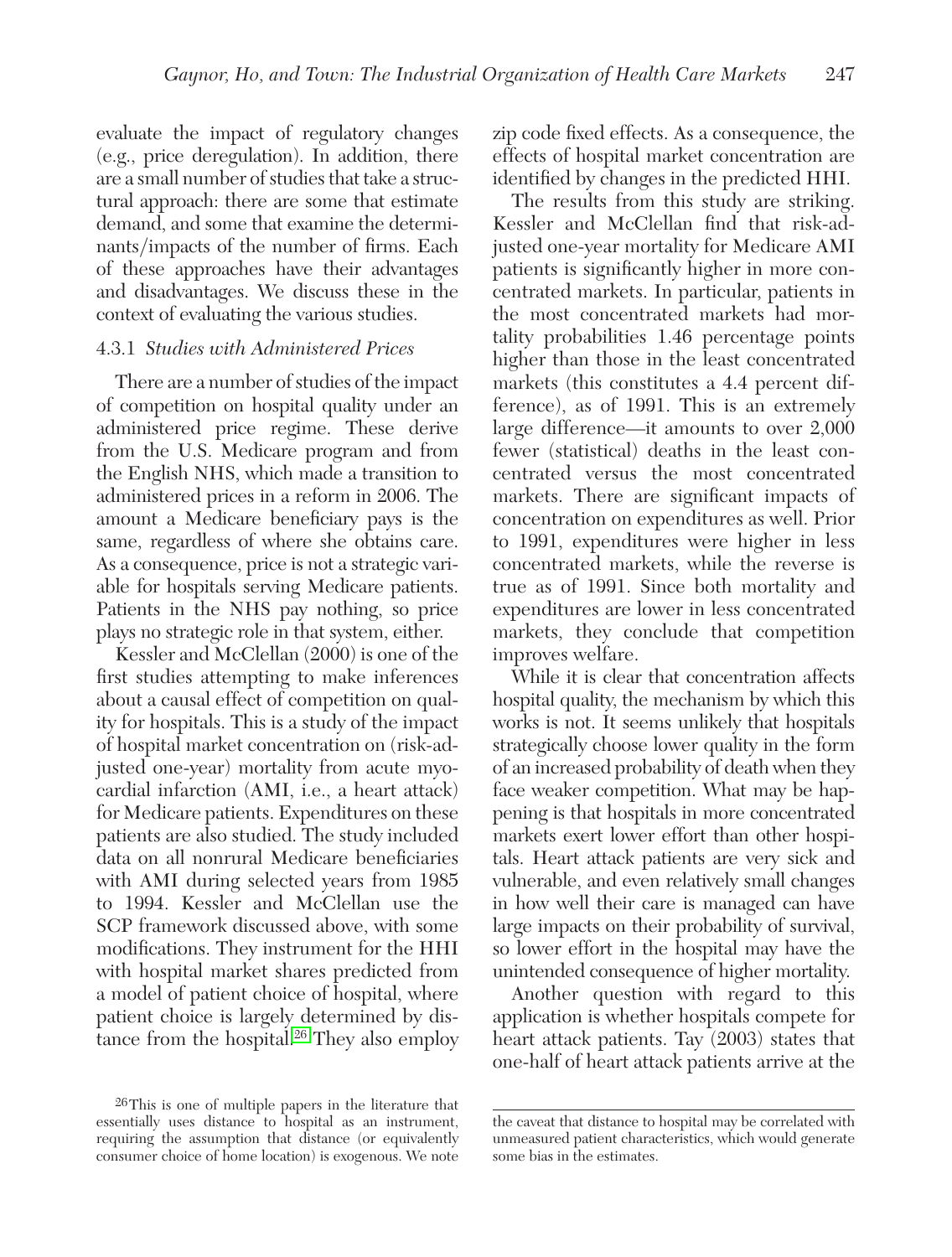evaluate the impact of regulatory changes (e.g., price deregulation). In addition, there are a small number of studies that take a structural approach: there are some that estimate demand, and some that examine the determinants/impacts of the number of firms. Each of these approaches have their advantages and disadvantages. We discuss these in the context of evaluating the various studies.

## 4.3.1 *Studies with Administered Prices*

There are a number of studies of the impact of competition on hospital quality under an administered price regime. These derive from the U.S. Medicare program and from the English NHS, which made a transition to administered prices in a reform in 2006. The amount a Medicare beneficiary pays is the same, regardless of where she obtains care. As a consequence, price is not a strategic variable for hospitals serving Medicare patients. Patients in the NHS pay nothing, so price plays no strategic role in that system, either.

Kessler and McClellan (2000) is one of the first studies attempting to make inferences about a causal effect of competition on quality for hospitals. This is a study of the impact of hospital market concentration on (risk-adjusted one-year) mortality from acute myocardial infarction (AMI, i.e., a heart attack) for Medicare patients. Expenditures on these patients are also studied. The study included data on all nonrural Medicare beneficiaries with AMI during selected years from 1985 to 1994. Kessler and McClellan use the SCP framework discussed above, with some modifications. They instrument for the HHI with hospital market shares predicted from a model of patient choice of hospital, where patient choice is largely determined by distance from the hospital.<sup>26</sup> They also employ

26This is one of multiple papers in the literature that essentially uses distance to hospital as an instrument, requiring the assumption that distance (or equivalently consumer choice of home location) is exogenous. We note zip code fixed effects. As a consequence, the effects of hospital market concentration are identified by changes in the predicted HHI.

The results from this study are striking. Kessler and McClellan find that risk-adjusted one-year mortality for Medicare AMI patients is significantly higher in more concentrated markets. In particular, patients in the most concentrated markets had mortality probabilities 1.46 percentage points higher than those in the least concentrated markets (this constitutes a 4.4 percent difference), as of 1991. This is an extremely large difference—it amounts to over 2,000 fewer (statistical) deaths in the least concentrated versus the most concentrated markets. There are significant impacts of concentration on expenditures as well. Prior to 1991, expenditures were higher in less concentrated markets, while the reverse is true as of 1991. Since both mortality and expenditures are lower in less concentrated markets, they conclude that competition improves welfare.

While it is clear that concentration affects hospital quality, the mechanism by which this works is not. It seems unlikely that hospitals strategically choose lower quality in the form of an increased probability of death when they face weaker competition. What may be happening is that hospitals in more concentrated markets exert lower effort than other hospitals. Heart attack patients are very sick and vulnerable, and even relatively small changes in how well their care is managed can have large impacts on their probability of survival, so lower effort in the hospital may have the unintended consequence of higher mortality.

Another question with regard to this application is whether hospitals compete for heart attack patients. Tay (2003) states that one-half of heart attack patients arrive at the

the caveat that distance to hospital may be correlated with unmeasured patient characteristics, which would generate some bias in the estimates.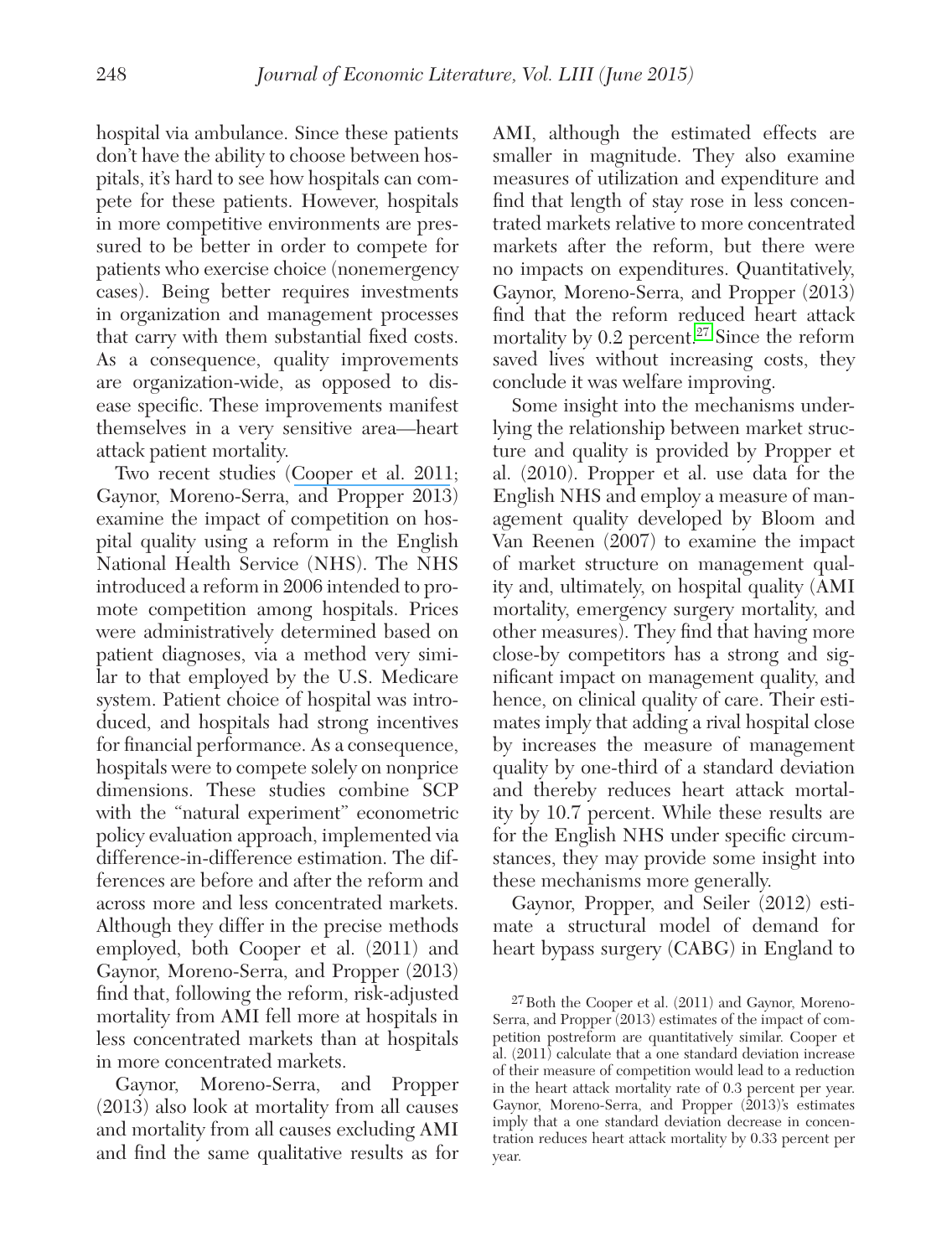hospital via ambulance. Since these patients don't have the ability to choose between hospitals, it's hard to see how hospitals can compete for these patients. However, hospitals in more competitive environments are pressured to be better in order to compete for patients who exercise choice (nonemergency cases). Being better requires investments in organization and management processes that carry with them substantial fixed costs. As a consequence, quality improvements are organization-wide, as opposed to disease specific. These improvements manifest themselves in a very sensitive area—heart attack patient mortality.

Two recent studies ([Cooper et al. 2011](https://www.researchgate.net/publication/45173402_Does_Hospital_Competition_Save_Lives_Evidence_From_the_NHS_Patient_Choice_Reforms?el=1_x_8&enrichId=rgreq-cb7d2b5db6741595fb53fa84c810989d-XXX&enrichSource=Y292ZXJQYWdlOzI3ODY3NjcxOTtBUzoyNDE3NTE4ODU2MTEwMDhAMTQzNDY0OTU0OTA1MA==); Gaynor, Moreno-Serra, and Propper 2013) examine the impact of competition on hospital quality using a reform in the English National Health Service (NHS). The NHS introduced a reform in 2006 intended to promote competition among hospitals. Prices were administratively determined based on patient diagnoses, via a method very similar to that employed by the U.S. Medicare system. Patient choice of hospital was introduced, and hospitals had strong incentives for financial performance. As a consequence, hospitals were to compete solely on nonprice dimensions. These studies combine SCP with the "natural experiment" econometric policy evaluation approach, implemented via difference-in-difference estimation. The differences are before and after the reform and across more and less concentrated markets. Although they differ in the precise methods employed, both Cooper et al. (2011) and Gaynor, Moreno-Serra, and Propper (2013) find that, following the reform, risk-adjusted mortality from AMI fell more at hospitals in less concentrated markets than at hospitals in more concentrated markets.

Gaynor, Moreno-Serra, and Propper (2013) also look at mortality from all causes and mortality from all causes excluding AMI and find the same qualitative results as for

AMI, although the estimated effects are smaller in magnitude. They also examine measures of utilization and expenditure and find that length of stay rose in less concentrated markets relative to more concentrated markets after the reform, but there were no impacts on expenditures. Quantitatively, Gaynor, Moreno-Serra, and Propper (2013) find that the reform reduced heart attack mortality by  $0.2$  percent.<sup>27</sup> Since the reform saved lives without increasing costs, they conclude it was welfare improving.

Some insight into the mechanisms underlying the relationship between market structure and quality is provided by Propper et al. (2010). Propper et al. use data for the English NHS and employ a measure of management quality developed by Bloom and Van Reenen (2007) to examine the impact of market structure on management quality and, ultimately, on hospital quality (AMI mortality, emergency surgery mortality, and other measures). They find that having more close-by competitors has a strong and significant impact on management quality, and hence, on clinical quality of care. Their estimates imply that adding a rival hospital close by increases the measure of management quality by one-third of a standard deviation and thereby reduces heart attack mortality by 10.7 percent. While these results are for the English NHS under specific circumstances, they may provide some insight into these mechanisms more generally.

Gaynor, Propper, and Seiler (2012) estimate a structural model of demand for heart bypass surgery (CABG) in England to

<sup>27</sup>Both the Cooper et al. (2011) and Gaynor, Moreno-Serra, and Propper (2013) estimates of the impact of competition postreform are quantitatively similar. Cooper et al. (2011) calculate that a one standard deviation increase of their measure of competition would lead to a reduction in the heart attack mortality rate of 0.3 percent per year. Gaynor, Moreno-Serra, and Propper (2013)'s estimates imply that a one standard deviation decrease in concentration reduces heart attack mortality by 0.33 percent per year.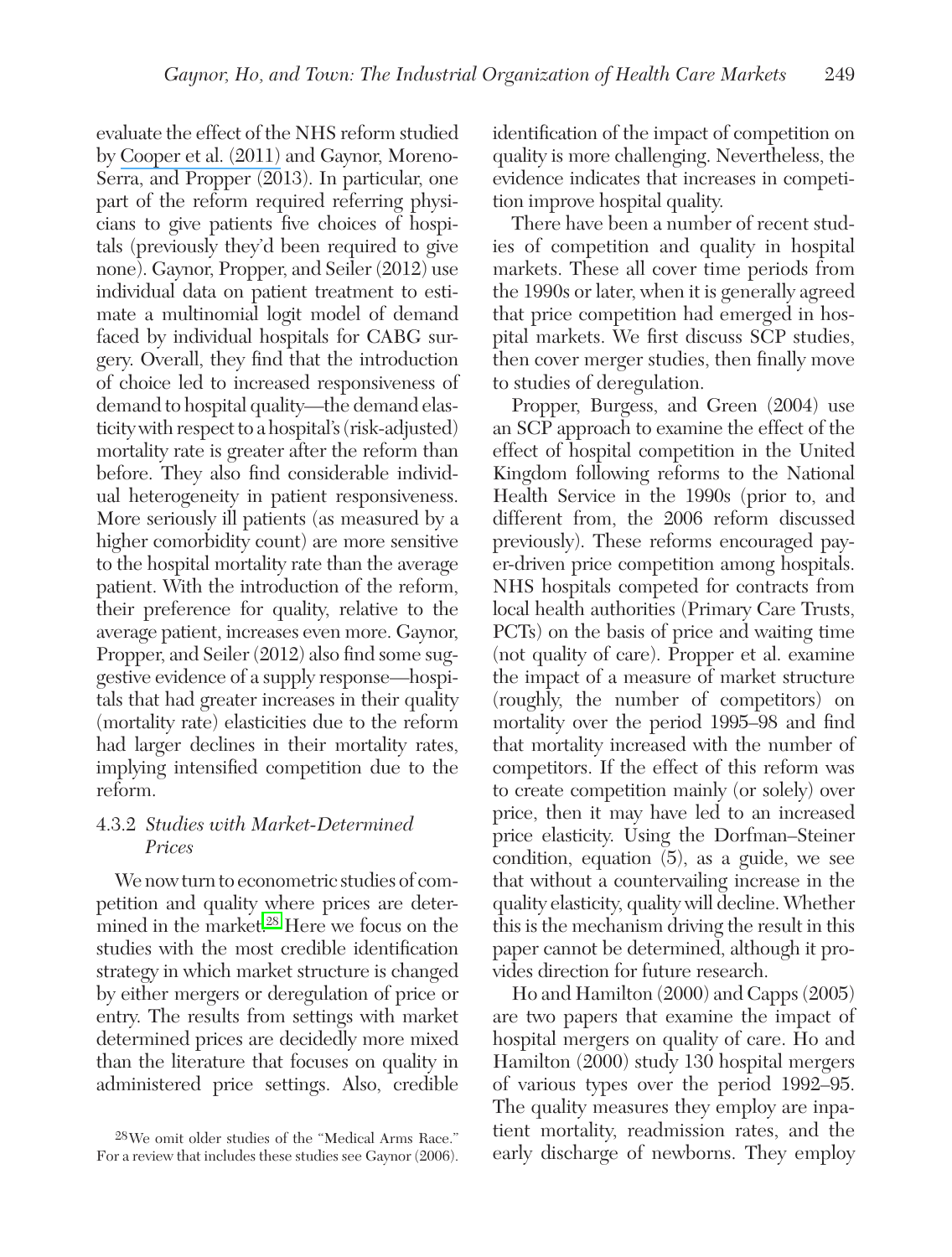evaluate the effect of the NHS reform studied by [Cooper et](https://www.researchgate.net/publication/45173402_Does_Hospital_Competition_Save_Lives_Evidence_From_the_NHS_Patient_Choice_Reforms?el=1_x_8&enrichId=rgreq-cb7d2b5db6741595fb53fa84c810989d-XXX&enrichSource=Y292ZXJQYWdlOzI3ODY3NjcxOTtBUzoyNDE3NTE4ODU2MTEwMDhAMTQzNDY0OTU0OTA1MA==) al. (2011) and Gaynor, Moreno-Serra, and Propper (2013). In particular, one part of the reform required referring physicians to give patients five choices of hospitals (previously they'd been required to give none). Gaynor, Propper, and Seiler (2012) use individual data on patient treatment to estimate a multinomial logit model of demand faced by individual hospitals for CABG surgery. Overall, they find that the introduction of choice led to increased responsiveness of demand to hospital quality—the demand elasticity with respect to a hospital's (risk-adjusted) mortality rate is greater after the reform than before. They also find considerable individual heterogeneity in patient responsiveness. More seriously ill patients (as measured by a higher comorbidity count) are more sensitive to the hospital mortality rate than the average patient. With the introduction of the reform, their preference for quality, relative to the average patient, increases even more. Gaynor, Propper, and Seiler (2012) also find some suggestive evidence of a supply response—hospitals that had greater increases in their quality (mortality rate) elasticities due to the reform had larger declines in their mortality rates, implying intensified competition due to the reform.

## 4.3.2 *Studies with Market-Determined Prices*

We now turn to econometric studies of competition and quality where prices are determined in the market.<sup>28</sup> Here we focus on the studies with the most credible identification strategy in which market structure is changed by either mergers or deregulation of price or entry. The results from settings with market determined prices are decidedly more mixed than the literature that focuses on quality in administered price settings. Also, credible

identification of the impact of competition on quality is more challenging. Nevertheless, the evidence indicates that increases in competition improve hospital quality.

There have been a number of recent studies of competition and quality in hospital markets. These all cover time periods from the 1990s or later, when it is generally agreed that price competition had emerged in hospital markets. We first discuss SCP studies, then cover merger studies, then finally move to studies of deregulation.

Propper, Burgess, and Green (2004) use an SCP approach to examine the effect of the effect of hospital competition in the United Kingdom following reforms to the National Health Service in the 1990s (prior to, and different from, the 2006 reform discussed previously). These reforms encouraged payer-driven price competition among hospitals. NHS hospitals competed for contracts from local health authorities (Primary Care Trusts, PCTs) on the basis of price and waiting time (not quality of care). Propper et al. examine the impact of a measure of market structure (roughly, the number of competitors) on mortality over the period 1995–98 and find that mortality increased with the number of competitors. If the effect of this reform was to create competition mainly (or solely) over price, then it may have led to an increased price elasticity. Using the Dorfman–Steiner condition, equation (5), as a guide, we see that without a countervailing increase in the quality elasticity, quality will decline. Whether this is the mechanism driving the result in this paper cannot be determined, although it provides direction for future research.

Ho and Hamilton (2000) and Capps (2005) are two papers that examine the impact of hospital mergers on quality of care. Ho and Hamilton (2000) study 130 hospital mergers of various types over the period 1992–95. The quality measures they employ are inpatient mortality, readmission rates, and the early discharge of newborns. They employ

<sup>28</sup>We omit older studies of the "Medical Arms Race." For a review that includes these studies see Gaynor (2006).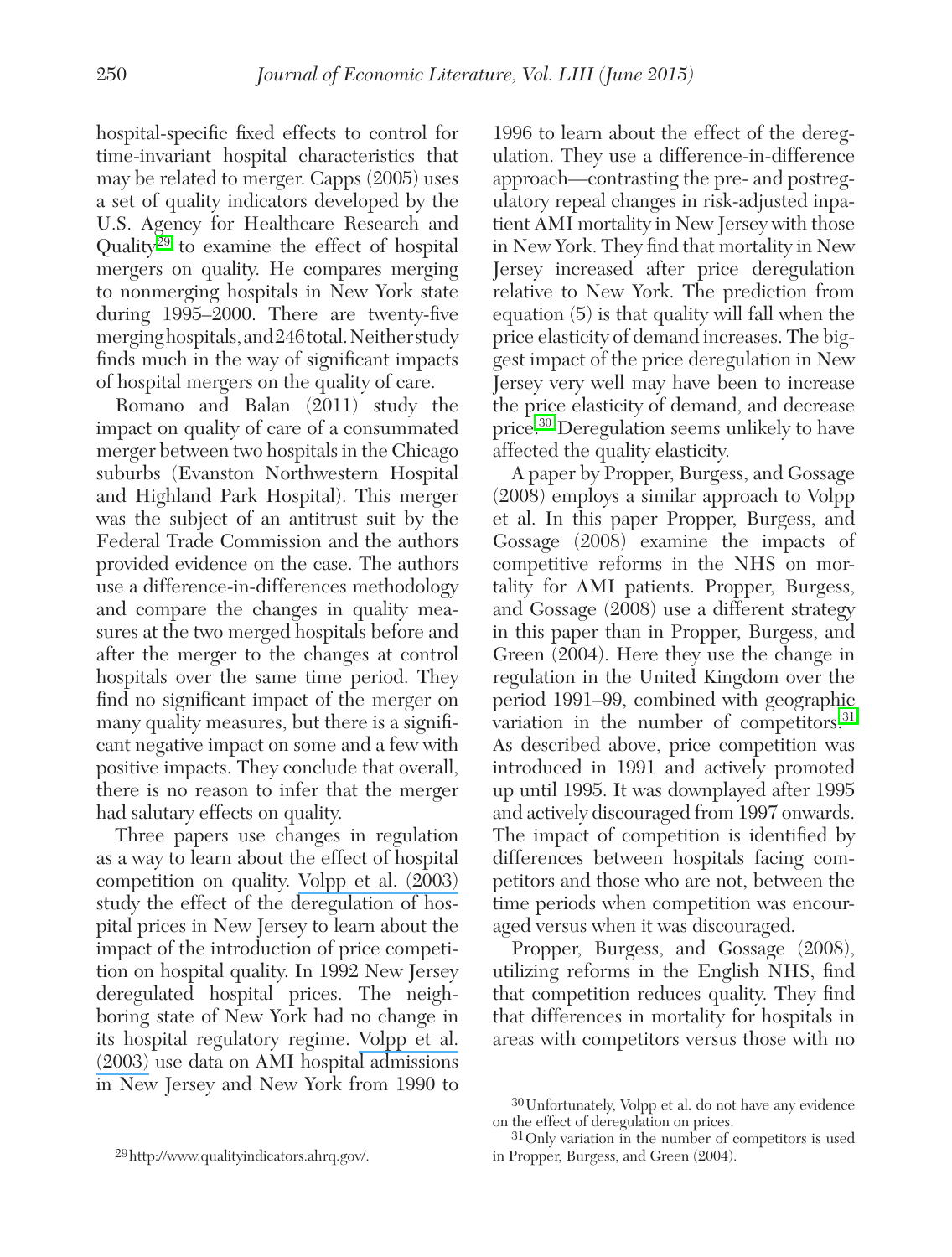hospital-specific fixed effects to control for time-invariant hospital characteristics that may be related to merger. Capps (2005) uses a set of quality indicators developed by the U.S. Agency for Healthcare Research and Quality<sup>29</sup> to examine the effect of hospital mergers on quality. He compares merging to nonmerging hospitals in New York state during 1995–2000. There are twenty-five merging hospitals, and 246 total. Neither study finds much in the way of significant impacts of hospital mergers on the quality of care.

Romano and Balan (2011) study the impact on quality of care of a consummated merger between two hospitals in the Chicago suburbs (Evanston Northwestern Hospital and Highland Park Hospital). This merger was the subject of an antitrust suit by the Federal Trade Commission and the authors provided evidence on the case. The authors use a difference-in-differences methodology and compare the changes in quality measures at the two merged hospitals before and after the merger to the changes at control hospitals over the same time period. They find no significant impact of the merger on many quality measures, but there is a significant negative impact on some and a few with positive impacts. They conclude that overall, there is no reason to infer that the merger had salutary effects on quality.

Three papers use changes in regulation as a way to learn about the effect of hospital competition on quality. [Volpp et al. \(2003\)](https://www.researchgate.net/publication/10725648_Market_Reform_in_New_Jersey_and_the_Effect_on_Mortality_from_Acute_Myocardial_Infarction?el=1_x_8&enrichId=rgreq-cb7d2b5db6741595fb53fa84c810989d-XXX&enrichSource=Y292ZXJQYWdlOzI3ODY3NjcxOTtBUzoyNDE3NTE4ODU2MTEwMDhAMTQzNDY0OTU0OTA1MA==)  study the effect of the deregulation of hospital prices in New Jersey to learn about the impact of the introduction of price competition on hospital quality. In 1992 New Jersey deregulated hospital prices. The neighboring state of New York had no change in its hospital regulatory regime. [Volpp et al.](https://www.researchgate.net/publication/10725648_Market_Reform_in_New_Jersey_and_the_Effect_on_Mortality_from_Acute_Myocardial_Infarction?el=1_x_8&enrichId=rgreq-cb7d2b5db6741595fb53fa84c810989d-XXX&enrichSource=Y292ZXJQYWdlOzI3ODY3NjcxOTtBUzoyNDE3NTE4ODU2MTEwMDhAMTQzNDY0OTU0OTA1MA==) [\(2003\)](https://www.researchgate.net/publication/10725648_Market_Reform_in_New_Jersey_and_the_Effect_on_Mortality_from_Acute_Myocardial_Infarction?el=1_x_8&enrichId=rgreq-cb7d2b5db6741595fb53fa84c810989d-XXX&enrichSource=Y292ZXJQYWdlOzI3ODY3NjcxOTtBUzoyNDE3NTE4ODU2MTEwMDhAMTQzNDY0OTU0OTA1MA==) use data on AMI hospital admissions in New Jersey and New York from 1990 to

1996 to learn about the effect of the deregulation. They use a difference-in-difference approach—contrasting the pre- and postregulatory repeal changes in risk-adjusted inpatient AMI mortality in New Jersey with those in New York. They find that mortality in New Jersey increased after price deregulation relative to New York. The prediction from equation (5) is that quality will fall when the price elasticity of demand increases. The biggest impact of the price deregulation in New Jersey very well may have been to increase the price elasticity of demand, and decrease price.<sup>30</sup> Deregulation seems unlikely to have affected the quality elasticity.

A paper by Propper, Burgess, and Gossage (2008) employs a similar approach to Volpp et al. In this paper Propper, Burgess, and Gossage (2008) examine the impacts of competitive reforms in the NHS on mortality for AMI patients. Propper, Burgess, and Gossage (2008) use a different strategy in this paper than in Propper, Burgess, and Green (2004). Here they use the change in regulation in the United Kingdom over the period 1991–99, combined with geographic variation in the number of competitors.<sup>31</sup> As described above, price competition was introduced in 1991 and actively promoted up until 1995. It was downplayed after 1995 and actively discouraged from 1997 onwards. The impact of competition is identified by differences between hospitals facing competitors and those who are not, between the time periods when competition was encouraged versus when it was discouraged.

Propper, Burgess, and Gossage (2008), utilizing reforms in the English NHS, find that competition reduces quality. They find that differences in mortality for hospitals in areas with competitors versus those with no

<sup>30</sup>Unfortunately, Volpp et al. do not have any evidence on the effect of deregulation on prices.

<sup>29</sup>[http://www.qualityindicators.ahrq.gov/.](http://www.qualityindicators.ahrq.gov/)

<sup>31</sup>Only variation in the number of competitors is used in Propper, Burgess, and Green (2004).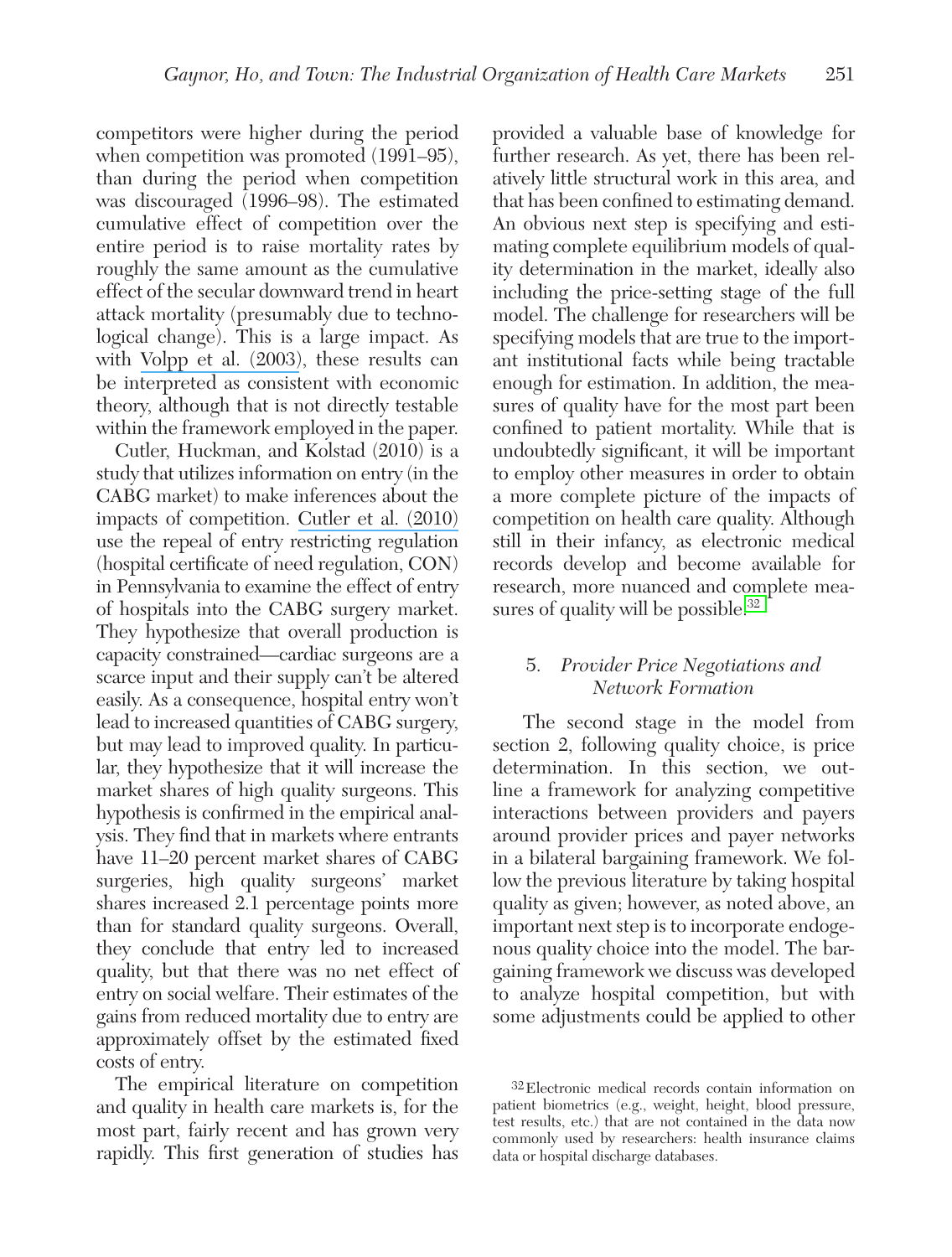competitors were higher during the period when competition was promoted (1991–95), than during the period when competition was discouraged (1996–98). The estimated cumulative effect of competition over the entire period is to raise mortality rates by roughly the same amount as the cumulative effect of the secular downward trend in heart attack mortality (presumably due to technological change). This is a large impact. As with [Volpp et al. \(2003\)](https://www.researchgate.net/publication/10725648_Market_Reform_in_New_Jersey_and_the_Effect_on_Mortality_from_Acute_Myocardial_Infarction?el=1_x_8&enrichId=rgreq-cb7d2b5db6741595fb53fa84c810989d-XXX&enrichSource=Y292ZXJQYWdlOzI3ODY3NjcxOTtBUzoyNDE3NTE4ODU2MTEwMDhAMTQzNDY0OTU0OTA1MA==), these results can be interpreted as consistent with economic theory, although that is not directly testable within the framework employed in the paper.

Cutler, Huckman, and Kolstad (2010) is a study that utilizes information on entry (in the CABG market) to make inferences about the impacts of competition. [Cutler et al. \(2010\)](https://www.researchgate.net/publication/227350857_Input_Constraints_and_the_Efficiency_of_Entry_Lessons_from_Cardiac_Surgery?el=1_x_8&enrichId=rgreq-cb7d2b5db6741595fb53fa84c810989d-XXX&enrichSource=Y292ZXJQYWdlOzI3ODY3NjcxOTtBUzoyNDE3NTE4ODU2MTEwMDhAMTQzNDY0OTU0OTA1MA==) use the repeal of entry restricting regulation (hospital certificate of need regulation, CON) in Pennsylvania to examine the effect of entry of hospitals into the CABG surgery market. They hypothesize that overall production is capacity constrained—cardiac surgeons are a scarce input and their supply can't be altered easily. As a consequence, hospital entry won't lead to increased quantities of CABG surgery, but may lead to improved quality. In particular, they hypothesize that it will increase the market shares of high quality surgeons. This hypothesis is confirmed in the empirical analysis. They find that in markets where entrants have 11–20 percent market shares of CABG surgeries, high quality surgeons' market shares increased 2.1 percentage points more than for standard quality surgeons. Overall, they conclude that entry led to increased quality, but that there was no net effect of entry on social welfare. Their estimates of the gains from reduced mortality due to entry are approximately offset by the estimated fixed costs of entry.

The empirical literature on competition and quality in health care markets is, for the most part, fairly recent and has grown very rapidly. This first generation of studies has

provided a valuable base of knowledge for further research. As yet, there has been relatively little structural work in this area, and that has been confined to estimating demand. An obvious next step is specifying and estimating complete equilibrium models of quality determination in the market, ideally also including the price-setting stage of the full model. The challenge for researchers will be specifying models that are true to the important institutional facts while being tractable enough for estimation. In addition, the measures of quality have for the most part been confined to patient mortality. While that is undoubtedly significant, it will be important to employ other measures in order to obtain a more complete picture of the impacts of competition on health care quality. Although still in their infancy, as electronic medical records develop and become available for research, more nuanced and complete measures of quality will be possible. $32$ 

### 5. *Provider Price Negotiations and Network Formation*

 The second stage in the model from section 2, following quality choice, is price determination. In this section, we outline a framework for analyzing competitive interactions between providers and payers around provider prices and payer networks in a bilateral bargaining framework. We follow the previous literature by taking hospital quality as given; however, as noted above, an important next step is to incorporate endogenous quality choice into the model. The bargaining framework we discuss was developed to analyze hospital competition, but with some adjustments could be applied to other

<sup>32</sup>Electronic medical records contain information on patient biometrics (e.g., weight, height, blood pressure, test results, etc.) that are not contained in the data now commonly used by researchers: health insurance claims data or hospital discharge databases.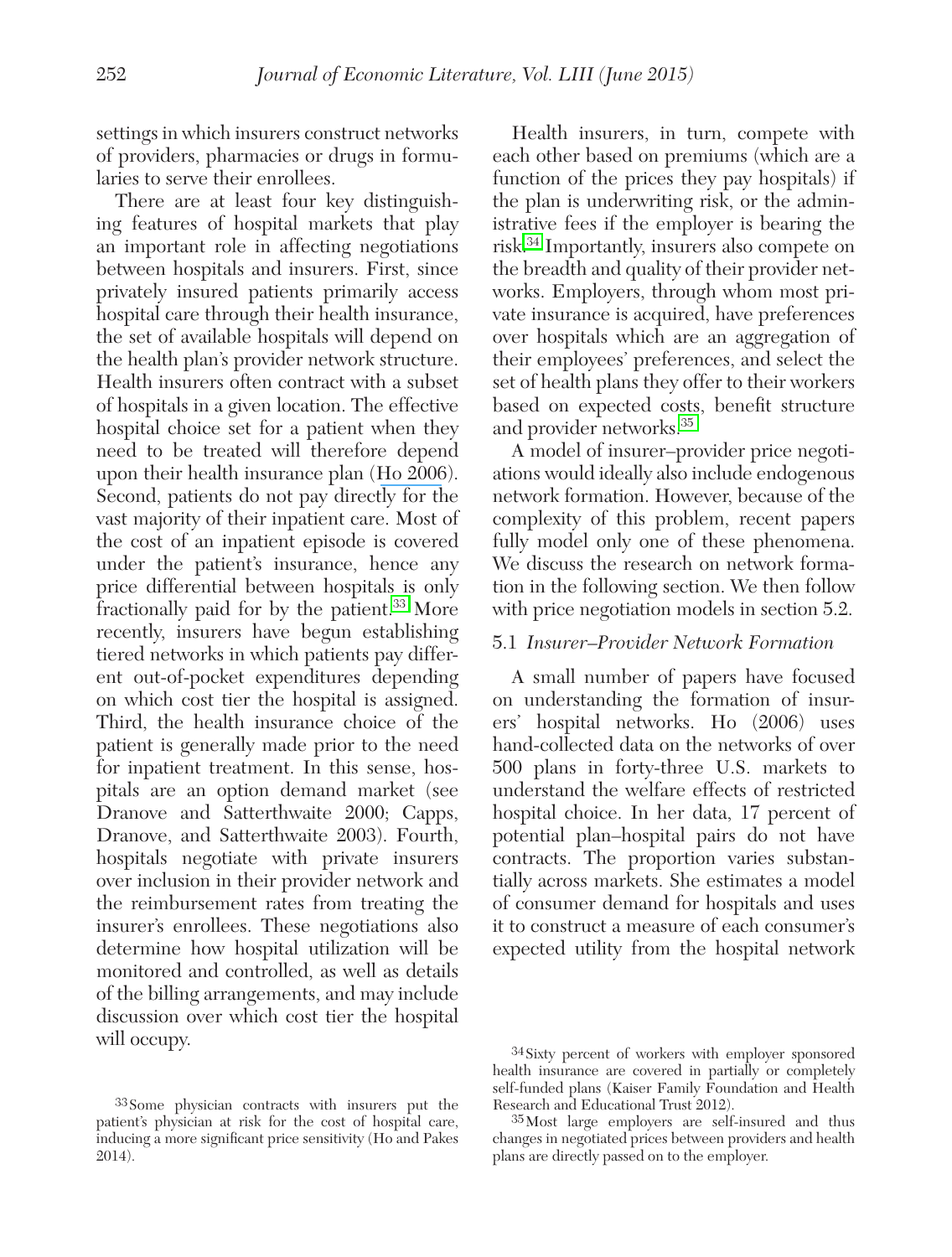settings in which insurers construct networks of providers, pharmacies or drugs in formularies to serve their enrollees.

There are at least four key distinguishing features of hospital markets that play an important role in affecting negotiations between hospitals and insurers. First, since privately insured patients primarily access hospital care through their health insurance, the set of available hospitals will depend on the health plan's provider network structure. Health insurers often contract with a subset of hospitals in a given location. The effective hospital choice set for a patient when they need to be treated will therefore depend upon their health insurance plan ([Ho 2006](https://www.researchgate.net/publication/null?el=1_x_8&enrichId=rgreq-cb7d2b5db6741595fb53fa84c810989d-XXX&enrichSource=Y292ZXJQYWdlOzI3ODY3NjcxOTtBUzoyNDE3NTE4ODU2MTEwMDhAMTQzNDY0OTU0OTA1MA==)). Second, patients do not pay directly for the vast majority of their inpatient care. Most of the cost of an inpatient episode is covered under the patient's insurance, hence any price differential between hospitals is only fractionally paid for by the patient.<sup>33</sup> More recently, insurers have begun establishing tiered networks in which patients pay different out-of-pocket expenditures depending on which cost tier the hospital is assigned. Third, the health insurance choice of the patient is generally made prior to the need for inpatient treatment. In this sense, hospitals are an option demand market (see Dranove and Satterthwaite 2000; Capps, Dranove, and Satterthwaite 2003). Fourth, hospitals negotiate with private insurers over inclusion in their provider network and the reimbursement rates from treating the insurer's enrollees. These negotiations also determine how hospital utilization will be monitored and controlled, as well as details of the billing arrangements, and may include discussion over which cost tier the hospital will occupy.

Health insurers, in turn, compete with each other based on premiums (which are a function of the prices they pay hospitals) if the plan is underwriting risk, or the administrative fees if the employer is bearing the risk.34 Importantly, insurers also compete on the breadth and quality of their provider networks. Employers, through whom most private insurance is acquired, have preferences over hospitals which are an aggregation of their employees' preferences, and select the set of health plans they offer to their workers based on expected costs, benefit structure and provider networks.35

A model of insurer–provider price negotiations would ideally also include endogenous network formation. However, because of the complexity of this problem, recent papers fully model only one of these phenomena. We discuss the research on network formation in the following section. We then follow with price negotiation models in section 5.2.

#### 5.1 *Insurer–Provider Network Formation*

A small number of papers have focused on understanding the formation of insurers' hospital networks. Ho (2006) uses hand-collected data on the networks of over 500 plans in forty-three U.S. markets to understand the welfare effects of restricted hospital choice. In her data, 17 percent of potential plan–hospital pairs do not have contracts. The proportion varies substantially across markets. She estimates a model of consumer demand for hospitals and uses it to construct a measure of each consumer's expected utility from the hospital network

<sup>33</sup>Some physician contracts with insurers put the patient's physician at risk for the cost of hospital care, inducing a more significant price sensitivity (Ho and Pakes 2014).

<sup>34</sup>Sixty percent of workers with employer sponsored health insurance are covered in partially or completely self-funded plans (Kaiser Family Foundation and Health Research and Educational Trust 2012).

<sup>35</sup>Most large employers are self-insured and thus changes in negotiated prices between providers and health plans are directly passed on to the employer.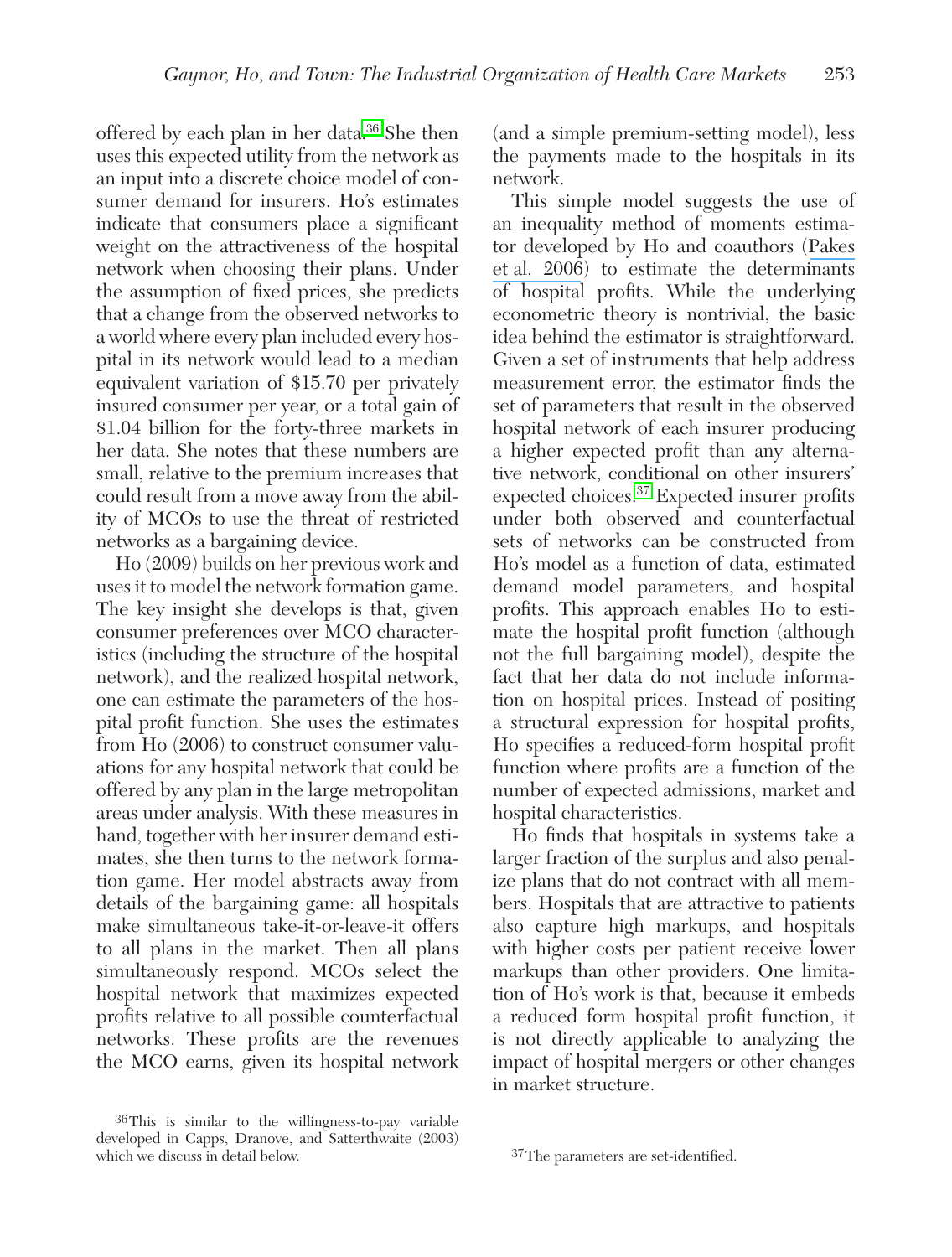offered by each plan in her data.36 She then uses this expected utility from the network as an input into a discrete choice model of consumer demand for insurers. Ho's estimates indicate that consumers place a significant weight on the attractiveness of the hospital network when choosing their plans. Under the assumption of fixed prices, she predicts that a change from the observed networks to a world where every plan included every hospital in its network would lead to a median equivalent variation of \$15.70 per privately insured consumer per year, or a total gain of \$1.04 billion for the forty-three markets in her data. She notes that these numbers are small, relative to the premium increases that could result from a move away from the ability of MCOs to use the threat of restricted networks as a bargaining device.

Ho (2009) builds on her previous work and uses it to model the network formation game. The key insight she develops is that, given consumer preferences over MCO characteristics (including the structure of the hospital network), and the realized hospital network, one can estimate the parameters of the hospital profit function. She uses the estimates from Ho (2006) to construct consumer valuations for any hospital network that could be offered by any plan in the large metropolitan areas under analysis. With these measures in hand, together with her insurer demand estimates, she then turns to the network formation game. Her model abstracts away from details of the bargaining game: all hospitals make simultaneous take-it-or-leave-it offers to all plans in the market. Then all plans simultaneously respond. MCOs select the hospital network that maximizes expected profits relative to all possible counterfactual networks. These profits are the revenues the MCO earns, given its hospital network

36This is similar to the willingness-to-pay variable developed in Capps, Dranove, and Satterthwaite (2003) which we discuss in detail below.

(and a simple premium-setting model), less the payments made to the hospitals in its network.

This simple model suggests the use of an inequality method of moments estimator developed by Ho and coauthors ([Pakes](https://www.researchgate.net/publication/null?el=1_x_8&enrichId=rgreq-cb7d2b5db6741595fb53fa84c810989d-XXX&enrichSource=Y292ZXJQYWdlOzI3ODY3NjcxOTtBUzoyNDE3NTE4ODU2MTEwMDhAMTQzNDY0OTU0OTA1MA==)  et [al. 2006](https://www.researchgate.net/publication/null?el=1_x_8&enrichId=rgreq-cb7d2b5db6741595fb53fa84c810989d-XXX&enrichSource=Y292ZXJQYWdlOzI3ODY3NjcxOTtBUzoyNDE3NTE4ODU2MTEwMDhAMTQzNDY0OTU0OTA1MA==)) to estimate the determinants of hospital profits. While the underlying econometric theory is nontrivial, the basic idea behind the estimator is straightforward. Given a set of instruments that help address measurement error, the estimator finds the set of parameters that result in the observed hospital network of each insurer producing a higher expected profit than any alternative network, conditional on other insurers' expected choices.37 Expected insurer profits under both observed and counterfactual sets of networks can be constructed from Ho's model as a function of data, estimated demand model parameters, and hospital profits. This approach enables Ho to estimate the hospital profit function (although not the full bargaining model), despite the fact that her data do not include information on hospital prices. Instead of positing a structural expression for hospital profits, Ho specifies a reduced-form hospital profit function where profits are a function of the number of expected admissions, market and hospital characteristics.

Ho finds that hospitals in systems take a larger fraction of the surplus and also penalize plans that do not contract with all members. Hospitals that are attractive to patients also capture high markups, and hospitals with higher costs per patient receive lower markups than other providers. One limitation of Ho's work is that, because it embeds a reduced form hospital profit function, it is not directly applicable to analyzing the impact of hospital mergers or other changes in market structure.

<sup>37</sup>The parameters are set-identified.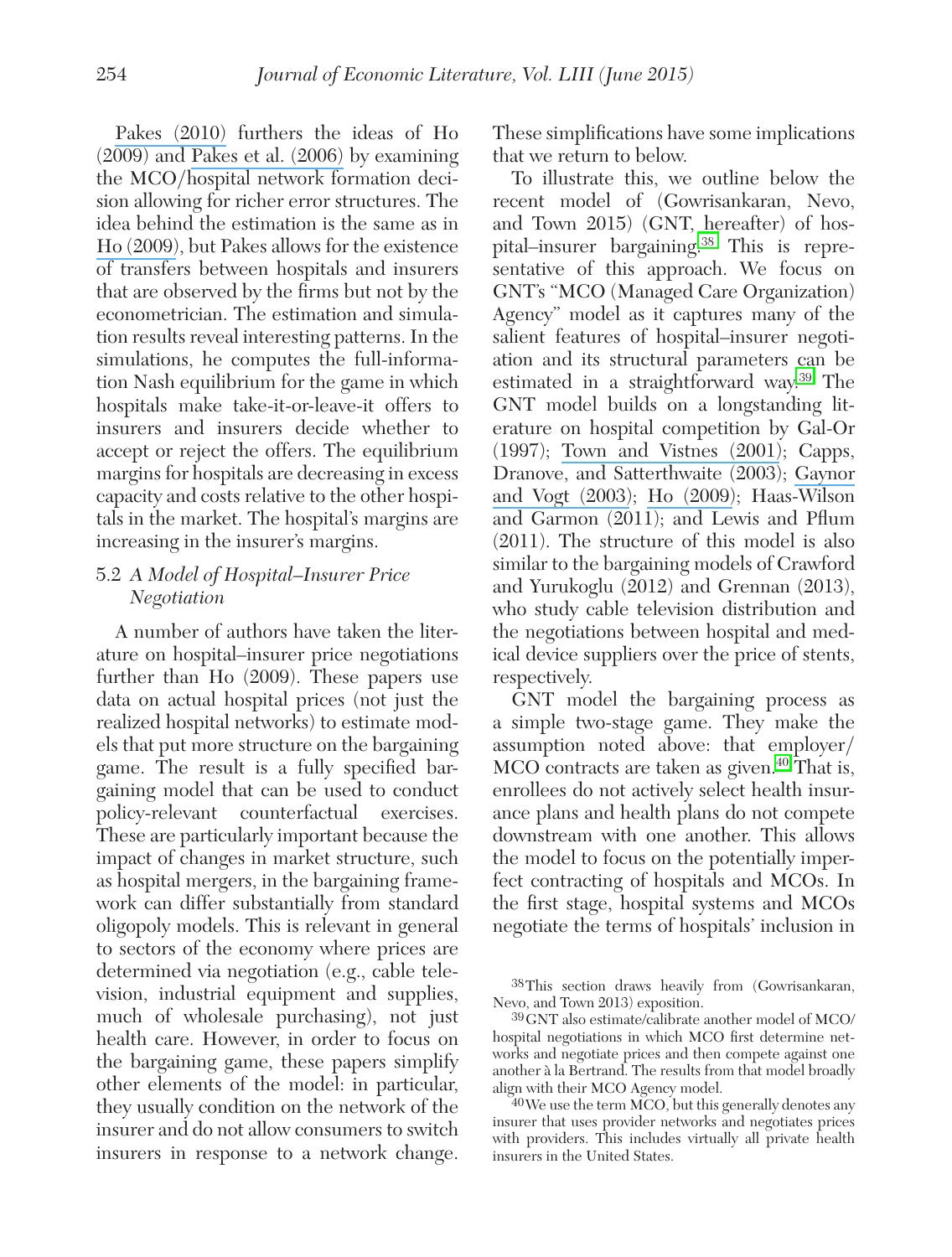[Pakes \(2010\)](https://www.researchgate.net/publication/46447455_Alternative_Models_for_Moment_Inequalities?el=1_x_8&enrichId=rgreq-cb7d2b5db6741595fb53fa84c810989d-XXX&enrichSource=Y292ZXJQYWdlOzI3ODY3NjcxOTtBUzoyNDE3NTE4ODU2MTEwMDhAMTQzNDY0OTU0OTA1MA==) furthers the ideas of Ho (2009) and [Pakes et al. \(2006\)](https://www.researchgate.net/publication/null?el=1_x_8&enrichId=rgreq-cb7d2b5db6741595fb53fa84c810989d-XXX&enrichSource=Y292ZXJQYWdlOzI3ODY3NjcxOTtBUzoyNDE3NTE4ODU2MTEwMDhAMTQzNDY0OTU0OTA1MA==) by examining the MCO/hospital network formation decision allowing for richer error structures. The idea behind the estimation is the same as in [Ho \(2009\)](https://www.researchgate.net/publication/null?el=1_x_8&enrichId=rgreq-cb7d2b5db6741595fb53fa84c810989d-XXX&enrichSource=Y292ZXJQYWdlOzI3ODY3NjcxOTtBUzoyNDE3NTE4ODU2MTEwMDhAMTQzNDY0OTU0OTA1MA==), but Pakes allows for the existence of transfers between hospitals and insurers that are observed by the firms but not by the econometrician. The estimation and simulation results reveal interesting patterns. In the simulations, he computes the full-information Nash equilibrium for the game in which hospitals make take-it-or-leave-it offers to insurers and insurers decide whether to accept or reject the offers. The equilibrium margins for hospitals are decreasing in excess capacity and costs relative to the other hospitals in the market. The hospital's margins are increasing in the insurer's margins.

## 5.2 *A Model of Hospital–Insurer Price Negotiation*

A number of authors have taken the literature on hospital–insurer price negotiations further than Ho (2009). These papers use data on actual hospital prices (not just the realized hospital networks) to estimate models that put more structure on the bargaining game. The result is a fully specified bargaining model that can be used to conduct policy-relevant counterfactual exercises. These are particularly important because the impact of changes in market structure, such as hospital mergers, in the bargaining framework can differ substantially from standard oligopoly models. This is relevant in general to sectors of the economy where prices are determined via negotiation (e.g., cable television, industrial equipment and supplies, much of wholesale purchasing), not just health care. However, in order to focus on the bargaining game, these papers simplify other elements of the model: in particular, they usually condition on the network of the insurer and do not allow consumers to switch insurers in response to a network change.

These simplifications have some implications that we return to below.

To illustrate this, we outline below the recent model of (Gowrisankaran, Nevo, and Town 2015) (GNT, hereafter) of hospital–insurer bargaining.38 This is representative of this approach. We focus on GNT's "MCO (Managed Care Organization) Agency" model as it captures many of the salient features of hospital–insurer negotiation and its structural parameters can be estimated in a straightforward way.39 The GNT model builds on a longstanding literature on hospital competition by Gal-Or (1997); [Town and Vistnes \(2001\)](https://www.researchgate.net/publication/11788606_Hospital_Competition_in_HMO_Networks?el=1_x_8&enrichId=rgreq-cb7d2b5db6741595fb53fa84c810989d-XXX&enrichSource=Y292ZXJQYWdlOzI3ODY3NjcxOTtBUzoyNDE3NTE4ODU2MTEwMDhAMTQzNDY0OTU0OTA1MA==); Capps, Dranove, and Satterthwaite (2003); [Gaynor](https://www.researchgate.net/publication/8681856_Competition_Among_Hospitals?el=1_x_8&enrichId=rgreq-cb7d2b5db6741595fb53fa84c810989d-XXX&enrichSource=Y292ZXJQYWdlOzI3ODY3NjcxOTtBUzoyNDE3NTE4ODU2MTEwMDhAMTQzNDY0OTU0OTA1MA==) [and Vogt \(2003\)](https://www.researchgate.net/publication/8681856_Competition_Among_Hospitals?el=1_x_8&enrichId=rgreq-cb7d2b5db6741595fb53fa84c810989d-XXX&enrichSource=Y292ZXJQYWdlOzI3ODY3NjcxOTtBUzoyNDE3NTE4ODU2MTEwMDhAMTQzNDY0OTU0OTA1MA==); [Ho \(2009\)](https://www.researchgate.net/publication/null?el=1_x_8&enrichId=rgreq-cb7d2b5db6741595fb53fa84c810989d-XXX&enrichSource=Y292ZXJQYWdlOzI3ODY3NjcxOTtBUzoyNDE3NTE4ODU2MTEwMDhAMTQzNDY0OTU0OTA1MA==); Haas-Wilson and Garmon (2011); and Lewis and Pflum (2011). The structure of this model is also similar to the bargaining models of Crawford and Yurukoglu (2012) and Grennan (2013), who study cable television distribution and the negotiations between hospital and medical device suppliers over the price of stents, respectively.

GNT model the bargaining process as a simple two-stage game. They make the assumption noted above: that employer/ MCO contracts are taken as given.<sup>40</sup> That is, enrollees do not actively select health insurance plans and health plans do not compete downstream with one another. This allows the model to focus on the potentially imperfect contracting of hospitals and MCOs. In the first stage, hospital systems and MCOs negotiate the terms of hospitals' inclusion in

38This section draws heavily from (Gowrisankaran, Nevo, and Town 2013) exposition.

39GNT also estimate/calibrate another model of MCO/ hospital negotiations in which MCO first determine networks and negotiate prices and then compete against one another à la Bertrand. The results from that model broadly align with their MCO Agency model.

40We use the term MCO, but this generally denotes any insurer that uses provider networks and negotiates prices with providers. This includes virtually all private health insurers in the United States.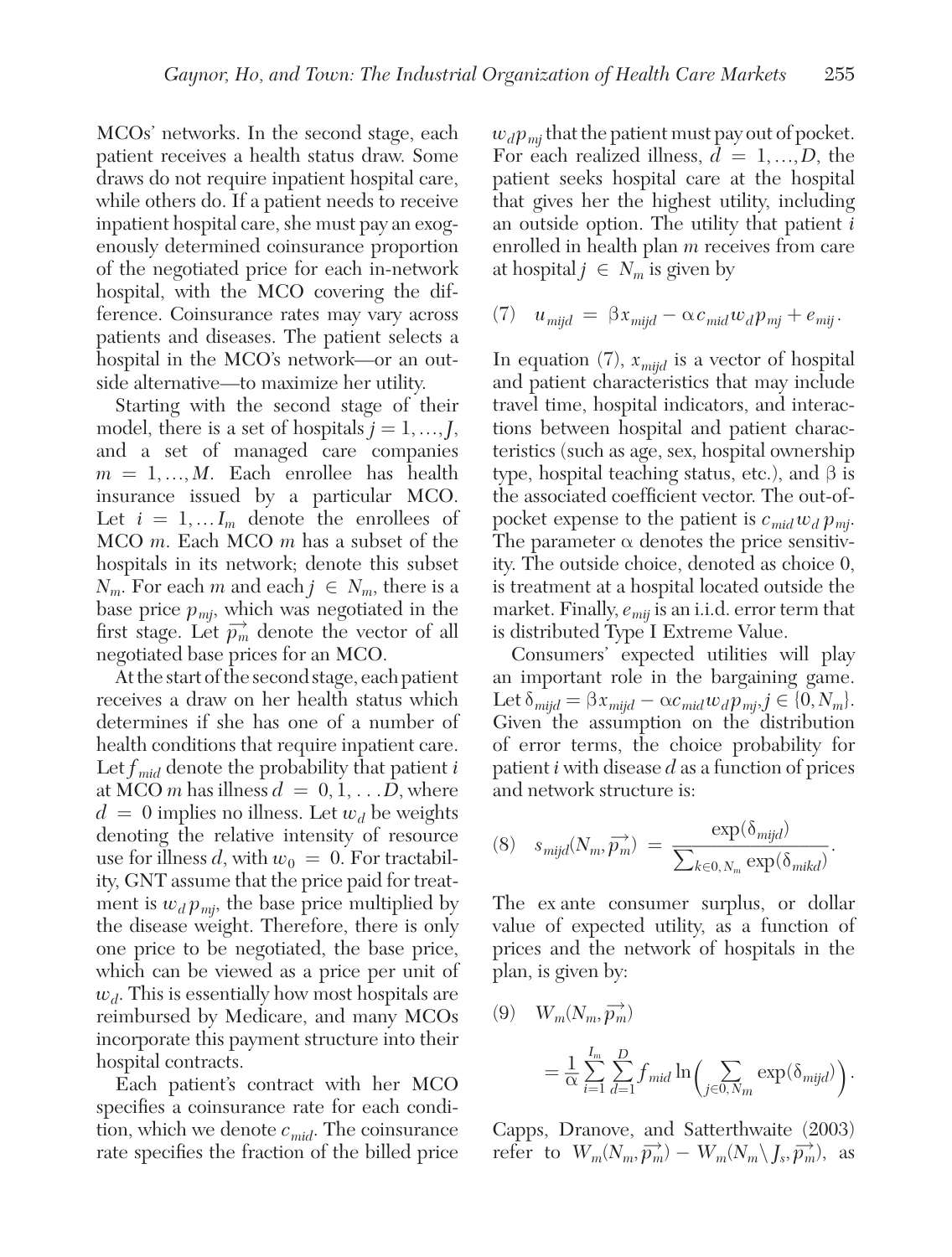MCOs' networks. In the second stage, each patient receives a health status draw. Some draws do not require inpatient hospital care, while others do. If a patient needs to receive inpatient hospital care, she must pay an exogenously determined coinsurance proportion of the negotiated price for each in-network hospital, with the MCO covering the difference. Coinsurance rates may vary across patients and diseases. The patient selects a hospital in the MCO's network—or an outside alternative—to maximize her utility.

Starting with the second stage of their model, there is a set of hospitals  $j = 1, ..., J$ , and a set of managed care companies  $m = 1, \ldots, M$ . Each enrollee has health insurance issued by a particular MCO. Let  $i = 1, \ldots I_m$  denote the enrollees of MCO *m*. Each MCO *m* has a subset of the hospitals in its network; denote this subset *N<sub>m</sub>*. For each *m* and each  $j \in N_m$ , there is a base price  $p_{mj}$ , which was negotiated in the first stage. Let  $\overrightarrow{p_m}$  denote the vector of all negotiated base prices for an MCO.

At the start of the second stage, each patient receives a draw on her health status which determines if she has one of a number of health conditions that require inpatient care. Let  $f_{mid}$  denote the probability that patient *i* at MCO *m* has illness  $d = 0, 1, \ldots D$ , where  $d = 0$  implies no illness. Let  $w_d$  be weights denoting the relative intensity of resource use for illness d, with  $w_0 = 0$ . For tractability, GNT assume that the price paid for treatment is  $w_d p_{mj}$ , the base price multiplied by the disease weight. Therefore, there is only one price to be negotiated, the base price, which can be viewed as a price per unit of  $w_d$ . This is essentially how most hospitals are reimbursed by Medicare, and many MCOs incorporate this payment structure into their hospital contracts.

Each patient's contract with her MCO specifies a coinsurance rate for each condition, which we denote  $c_{mid}$ . The coinsurance rate specifies the fraction of the billed price  $w_d p_{mj}$  that the patient must pay out of pocket. For each realized illness,  $d = 1, ..., D$ , the patient seeks hospital care at the hospital that gives her the highest utility, including an outside option. The utility that patient *i* enrolled in health plan *m* receives from care at hospital  $j \in N_m$  is given by

$$
(7) \quad u_{mijd} = \beta x_{mijd} - \alpha c_{mid} w_d p_{mj} + e_{mij}.
$$

In equation  $(7)$ ,  $x_{\text{mid}}$  is a vector of hospital and patient characteristics that may include travel time, hospital indicators, and interactions between hospital and patient characteristics (such as age, sex, hospital ownership type, hospital teaching status, etc.), and  $β$  is the associated coefficient vector. The out-ofpocket expense to the patient is  $c_{mid} w_d p_{mj}$ . The parameter  $\alpha$  denotes the price sensitivity. The outside choice, denoted as choice 0, is treatment at a hospital located outside the market. Finally, *emij* is an i.i.d. error term that is distributed Type I Extreme Value.

Consumers' expected utilities will play an important role in the bargaining game. Let  $\delta_{mijd} = \beta x_{mijd} - \alpha c_{mid} w_d p_{mj} j \in \{0, N_m\}.$ Given the assumption on the distribution of error terms, the choice probability for patient *i* with disease *d* as a function of prices and network structure is:

(8) 
$$
s_{mijd}(N_m, \overrightarrow{p_m}) = \frac{\exp(\delta_{mijd})}{\sum_{k \in \mathcal{O}, N_m} \exp(\delta_{mikd})}.
$$

The ex ante consumer surplus, or dollar value of expected utility, as a function of prices and the network of hospitals in the plan, is given by:

(9) 
$$
W_m(N_m, \overrightarrow{p_m})
$$
  
=  $\frac{1}{\alpha} \sum_{i=1}^{I_m} \sum_{d=1}^D f_{mid} \ln \left( \sum_{j \in 0, N_m} \exp(\delta_{mij} d) \right)$ .

Capps, Dranove, and Satterthwaite (2003) refer to  $W_m(N_m, \vec{p}_m) - W_m(N_m \backslash J_s, \vec{p}_m)$ , as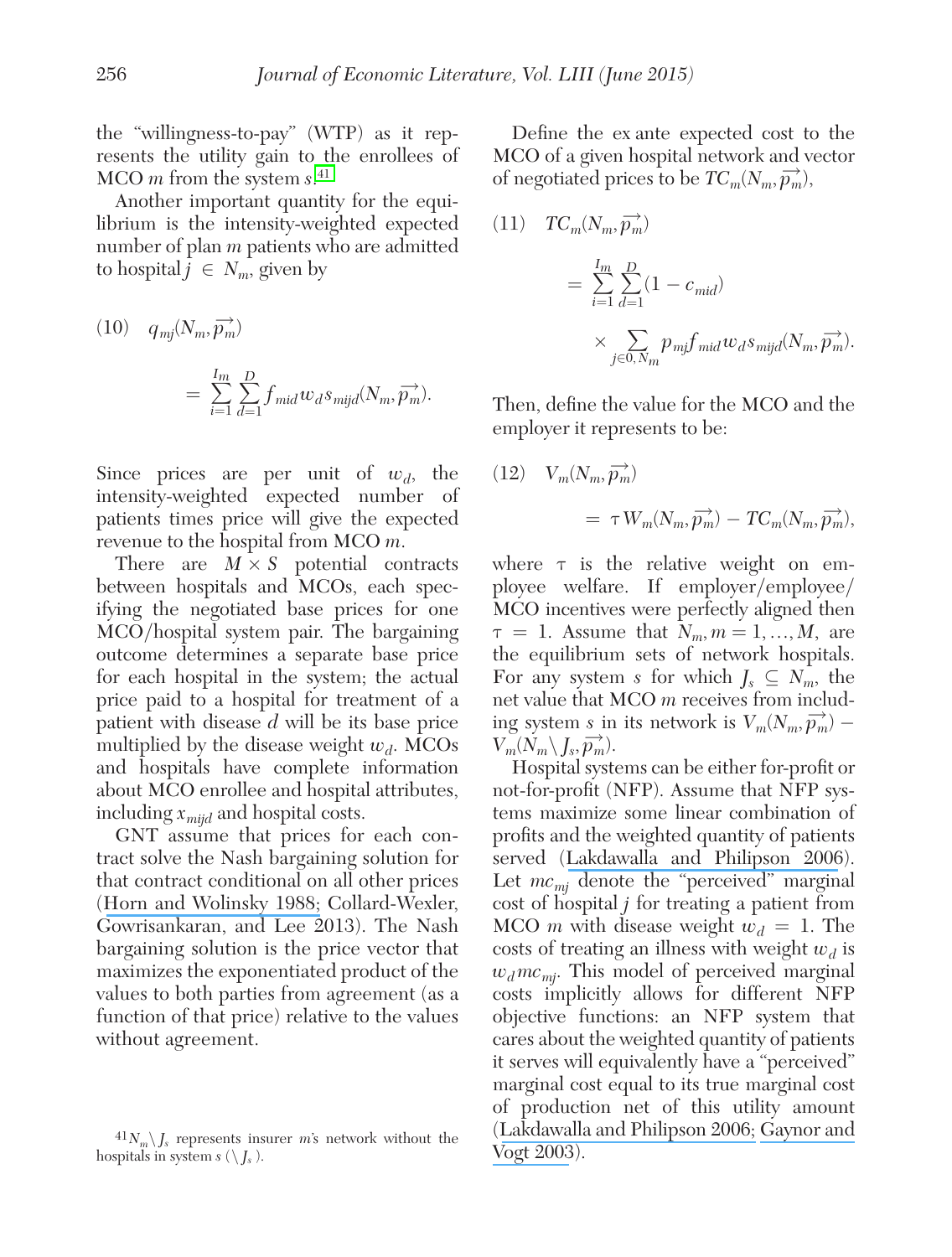the "willingness-to-pay" (WTP) as it represents the utility gain to the enrollees of MCO *m* from the system *s*. 41

Another important quantity for the equilibrium is the intensity-weighted expected number of plan *m* patients who are admitted to hospital  $j \in N_m$ , given by

(10) 
$$
q_{mj}(N_m, \overrightarrow{p_m})
$$
  
= 
$$
\sum_{i=1}^{I_m} \sum_{d=1}^D f_{mid} w_d s_{mijd}(N_m, \overrightarrow{p_m}).
$$

Since prices are per unit of  $w_d$ , the intensity-weighted expected number of patients times price will give the expected revenue to the hospital from MCO *m*.

There are  $M \times S$  potential contracts between hospitals and MCOs, each specifying the negotiated base prices for one MCO/hospital system pair. The bargaining outcome determines a separate base price for each hospital in the system; the actual price paid to a hospital for treatment of a patient with disease *d* will be its base price multiplied by the disease weight  $w_d$ . MCOs and hospitals have complete information about MCO enrollee and hospital attributes, including *xmijd* and hospital costs.

GNT assume that prices for each contract solve the Nash bargaining solution for that contract conditional on all other prices ([Horn and Wolinsky 1988;](https://www.researchgate.net/publication/null?el=1_x_8&enrichId=rgreq-cb7d2b5db6741595fb53fa84c810989d-XXX&enrichSource=Y292ZXJQYWdlOzI3ODY3NjcxOTtBUzoyNDE3NTE4ODU2MTEwMDhAMTQzNDY0OTU0OTA1MA==) Collard-Wexler, Gowrisankaran, and Lee 2013). The Nash bargaining solution is the price vector that maximizes the exponentiated product of the values to both parties from agreement (as a function of that price) relative to the values without agreement.

Define the ex ante expected cost to the MCO of a given hospital network and vector of negotiated prices to be  $TC_m(N_m, \overrightarrow{p_m})$ ,

(11) 
$$
TC_m(N_m, \overrightarrow{p_m})
$$
  
= 
$$
\sum_{i=1}^{I_m} \sum_{d=1}^{D} (1 - c_{mid})
$$
  

$$
\times \sum_{j \in 0, N_m} p_{mj} f_{mid} w_d s_{mjd}(N_m, \overrightarrow{p_m}).
$$

Then, define the value for the MCO and the employer it represents to be:

(12) 
$$
V_m(N_m, \overrightarrow{p_m}) = \tau W_m(N_m, \overrightarrow{p_m}) - TC_m(N_m, \overrightarrow{p_m}),
$$

where  $\tau$  is the relative weight on employee welfare. If employer/employee/ MCO incentives were perfectly aligned then  $\tau = 1$ . Assume that  $N_m$ ,  $m = 1, ..., M$ , are the equilibrium sets of network hospitals. For any system *s* for which  $J_s \subseteq N_m$ , the net value that MCO *m* receives from including system *s* in its network is  $V_m(N_m, \overrightarrow{p_m})$  –  $V_m^\circ(N_m\backslash J_s,\overrightarrow{p_m}).$ 

Hospital systems can be either for-profit or not-for-profit (NFP). Assume that NFP systems maximize some linear combination of profits and the weighted quantity of patients served ([Lakdawalla and Philipson 2006](https://www.researchgate.net/publication/222398380_The_Nonprofit_Sector_and_Industry_Performance?el=1_x_8&enrichId=rgreq-cb7d2b5db6741595fb53fa84c810989d-XXX&enrichSource=Y292ZXJQYWdlOzI3ODY3NjcxOTtBUzoyNDE3NTE4ODU2MTEwMDhAMTQzNDY0OTU0OTA1MA==)). Let  $mc_{mi}$  denote the "perceived" marginal cost of hospital *j* for treating a patient from MCO *m* with disease weight  $w_d = 1$ . The costs of treating an illness with weight  $w_d$  is  $w_dmc_{mj}$ . This model of perceived marginal costs implicitly allows for different NFP objective functions: an NFP system that cares about the weighted quantity of patients it serves will equivalently have a "perceived" marginal cost equal to its true marginal cost of production net of this utility amount ([Lakdawalla and Philipson 2006;](https://www.researchgate.net/publication/222398380_The_Nonprofit_Sector_and_Industry_Performance?el=1_x_8&enrichId=rgreq-cb7d2b5db6741595fb53fa84c810989d-XXX&enrichSource=Y292ZXJQYWdlOzI3ODY3NjcxOTtBUzoyNDE3NTE4ODU2MTEwMDhAMTQzNDY0OTU0OTA1MA==) [Gaynor and](https://www.researchgate.net/publication/8681856_Competition_Among_Hospitals?el=1_x_8&enrichId=rgreq-cb7d2b5db6741595fb53fa84c810989d-XXX&enrichSource=Y292ZXJQYWdlOzI3ODY3NjcxOTtBUzoyNDE3NTE4ODU2MTEwMDhAMTQzNDY0OTU0OTA1MA==)  [Vogt 2003](https://www.researchgate.net/publication/8681856_Competition_Among_Hospitals?el=1_x_8&enrichId=rgreq-cb7d2b5db6741595fb53fa84c810989d-XXX&enrichSource=Y292ZXJQYWdlOzI3ODY3NjcxOTtBUzoyNDE3NTE4ODU2MTEwMDhAMTQzNDY0OTU0OTA1MA==)).

 $^{41}N_m\backslash\, J_s$  represents insurer  $m\dot s$  network without the hospitals in system  $s \left( \sum_{i=1}^{n} s_i \right)$ .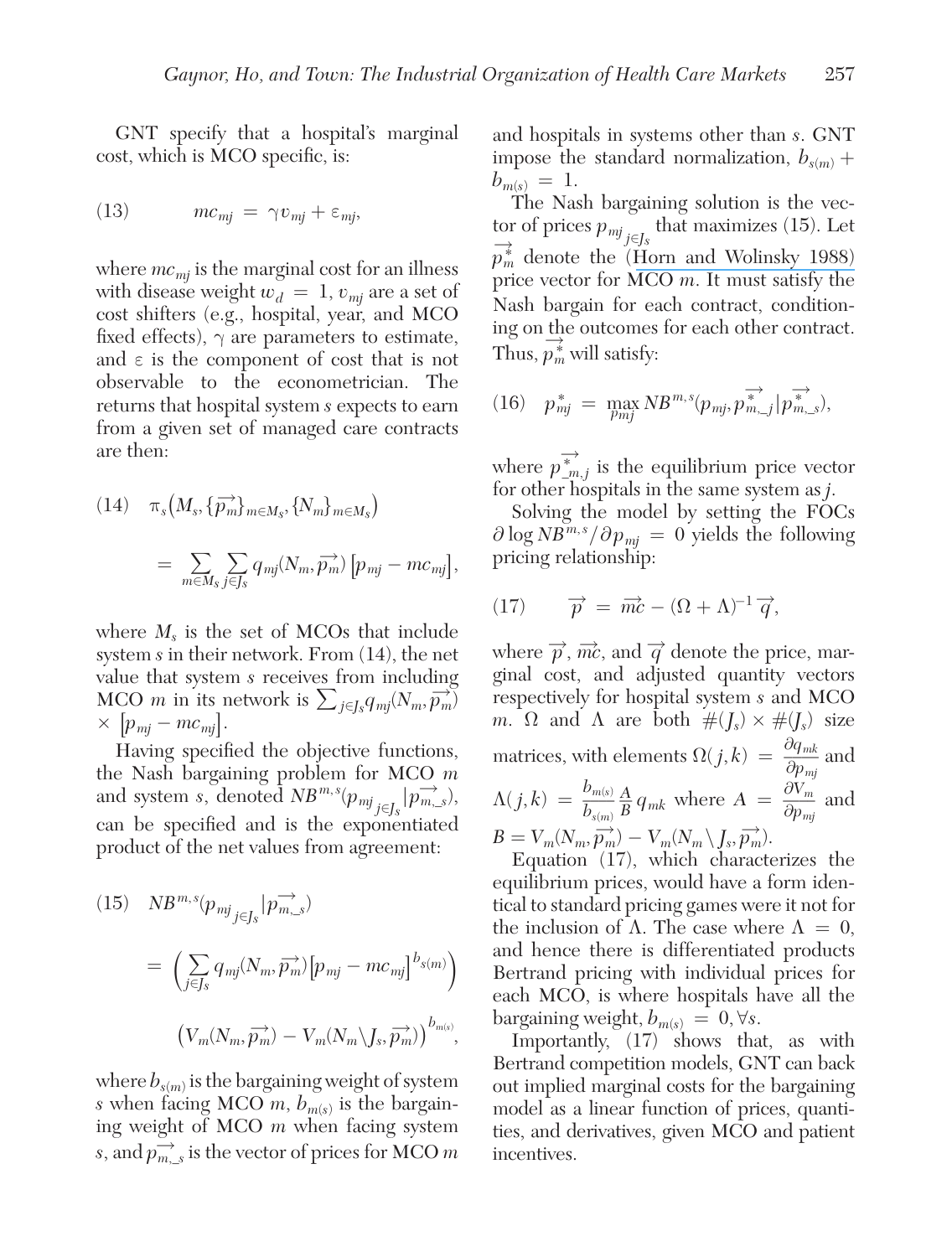GNT specify that a hospital's marginal cost, which is MCO specific, is:

(13) 
$$
mc_{mj} = \gamma v_{mj} + \varepsilon_{mj},
$$

where  $mc_{mj}$  is the marginal cost for an illness with disease weight  $w_d = 1$ ,  $v_{mj}$  are a set of cost shifters (e.g., hospital, year, and MCO fixed effects),  $\gamma$  are parameters to estimate, and  $\varepsilon$  is the component of cost that is not observable to the econometrician. The returns that hospital system *s* expects to earn from a given set of managed care contracts are then:

(14) 
$$
\pi_s\left(M_s, \{\overrightarrow{p_m}\}_{m \in M_s}, \{N_m\}_{m \in M_s}\right)
$$

$$
= \sum_{m \in M_s} \sum_{j \in J_s} q_{mj}(N_m, \overrightarrow{p_m}) \left[p_{mj} - mc_{mj}\right],
$$

where  $M_s$  is the set of MCOs that include system *s* in their network. From (14), the net value that system *s* receives from including MCO *m* in its network is  $\sum_{j\in J_s} q_{mj}(N_m, \overrightarrow{p_m})$  $\times$   $|p_{mj} - mc_{mj}|$ .

Having specified the objective functions, the Nash bargaining problem for MCO *m* and system *s*, denoted  $NB^{m,s}(p_{mj_{j\in J_s}}|p_{m_s,s}^{\rightarrow}),$ can be specified and is the exponentiated product of the net values from agreement:

(15) 
$$
NB^{m,s}(p_{mj} \underset{j \in J_s}{\longrightarrow} |p_{m,s}^{\longrightarrow})
$$

$$
= \left(\sum_{j \in J_s} q_{mj}(N_m, \overrightarrow{p_m}) [p_{mj} - mc_{mj}]^{b_{s(m)}}\right)
$$

$$
\left(V_m(N_m, \overrightarrow{p_m}) - V_m(N_m \setminus J_s, \overrightarrow{p_m})\right)^{b_{m(s)}},
$$

where  $b_{s(m)}$  is the bargaining weight of system *s* when facing MCO *m*,  $b_{m(s)}$  is the bargaining weight of MCO *m* when facing system *s*, and  $p_{m,s}^{\rightarrow}$  is the vector of prices for MCO *m*  and hospitals in systems other than *s*. GNT impose the standard normalization,  $b_{s(m)}$  +  $b_{m(s)} = 1$ .

The Nash bargaining solution is the vector of prices  $p_{mj}$ <sub>*j∈J<sub>s</sub>*</sub> that maximizes (15). Let  $\rightarrow$  $\overrightarrow{p_m}$  denote the ([Horn and Wolinsky 1988\)](https://www.researchgate.net/publication/null?el=1_x_8&enrichId=rgreq-cb7d2b5db6741595fb53fa84c810989d-XXX&enrichSource=Y292ZXJQYWdlOzI3ODY3NjcxOTtBUzoyNDE3NTE4ODU2MTEwMDhAMTQzNDY0OTU0OTA1MA==) price vector for MCO *m*. It must satisfy the Nash bargain for each contract, conditioning on the outcomes for each other contract. Thus,  $\overrightarrow{p_m}$  will satisfy:

(16) 
$$
p_{mj}^* = \max_{p_{mj}} NB^{m,s}(p_{mj}, p_{m,j}^*) \overrightarrow{p_{m,j}^*},
$$

where  $p_{m,j}^{\overrightarrow{*}}$  is the equilibrium price vector for other hospitals in the same system as *j*.

Solving the model by setting the FOCs  $\partial \log NB^{m,s}/\partial p_{mj} = 0$  yields the following pricing relationship:

(17) 
$$
\overrightarrow{p} = \overrightarrow{mc} - (\Omega + \Lambda)^{-1} \overrightarrow{q},
$$

where  $\vec{p}$ ,  $\vec{mc}$ , and  $\vec{q}$  denote the price, marginal cost, and adjusted quantity vectors respectively for hospital system *s* and MCO *m*.  $\Omega$  and  $\Lambda$  are both  $\#(I_s) \times \#(I_s)$  size matrices, with elements  $\Omega(j,k) = \frac{\partial q_{mk}}{\partial n}$  $\frac{\partial q_{mk}}{\partial p_{mj}}$  and  $\Lambda(j,k) = \frac{b_{m(s)}}{b}$  $\frac{b_{m(s)}}{b_{s(m)}} \frac{A}{B} q_{mk}$  where  $A = \frac{\partial V_m}{\partial p_{mj}}$  $rac{\partial v_m}{\partial p_{mj}}$  and  $B = V_m(N_m, \overrightarrow{p_m}) - V_m(N_m \setminus J_s, \overrightarrow{p_m}).$ 

Equation (17), which characterizes the equilibrium prices, would have a form identical to standard pricing games were it not for the inclusion of  $\Lambda$ . The case where  $\Lambda = 0$ , and hence there is differentiated products Bertrand pricing with individual prices for each MCO, is where hospitals have all the bargaining weight,  $b_{m(s)} = 0, \forall s$ .

Importantly, (17) shows that, as with Bertrand competition models, GNT can back out implied marginal costs for the bargaining model as a linear function of prices, quantities, and derivatives, given MCO and patient incentives.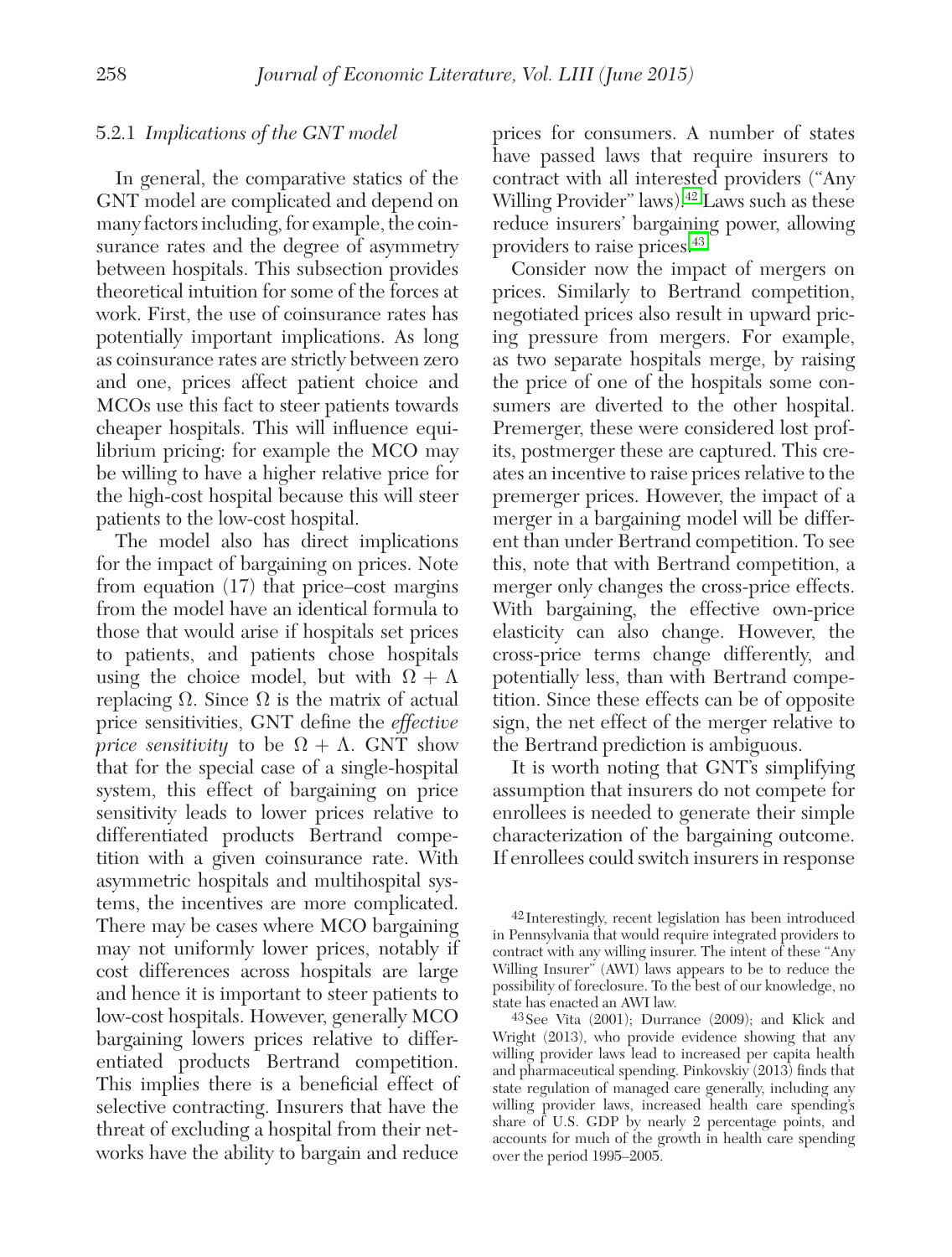### 5.2.1 *Implications of the GNT model*

In general, the comparative statics of the GNT model are complicated and depend on many factors including, for example, the coinsurance rates and the degree of asymmetry between hospitals. This subsection provides theoretical intuition for some of the forces at work. First, the use of coinsurance rates has potentially important implications. As long as coinsurance rates are strictly between zero and one, prices affect patient choice and MCOs use this fact to steer patients towards cheaper hospitals. This will influence equilibrium pricing: for example the MCO may be willing to have a higher relative price for the high-cost hospital because this will steer patients to the low-cost hospital.

The model also has direct implications for the impact of bargaining on prices. Note from equation (17) that price–cost margins from the model have an identical formula to those that would arise if hospitals set prices to patients, and patients chose hospitals using the choice model, but with  $\Omega + \Lambda$ replacing  $Ω$ . Since  $Ω$  is the matrix of actual price sensitivities, GNT define the *effective price sensitivity* to be  $\Omega + \Lambda$ . GNT show that for the special case of a single-hospital system, this effect of bargaining on price sensitivity leads to lower prices relative to differentiated products Bertrand competition with a given coinsurance rate. With asymmetric hospitals and multihospital systems, the incentives are more complicated. There may be cases where MCO bargaining may not uniformly lower prices, notably if cost differences across hospitals are large and hence it is important to steer patients to low-cost hospitals. However, generally MCO bargaining lowers prices relative to differentiated products Bertrand competition. This implies there is a beneficial effect of selective contracting. Insurers that have the threat of excluding a hospital from their networks have the ability to bargain and reduce

prices for consumers. A number of states have passed laws that require insurers to contract with all interested providers ("Any Willing Provider" laws).<sup>42</sup> Laws such as these reduce insurers' bargaining power, allowing providers to raise prices.<sup>43</sup>

Consider now the impact of mergers on prices. Similarly to Bertrand competition, negotiated prices also result in upward pricing pressure from mergers. For example, as two separate hospitals merge, by raising the price of one of the hospitals some consumers are diverted to the other hospital. Premerger, these were considered lost profits, postmerger these are captured. This creates an incentive to raise prices relative to the premerger prices. However, the impact of a merger in a bargaining model will be different than under Bertrand competition. To see this, note that with Bertrand competition, a merger only changes the cross-price effects. With bargaining, the effective own-price elasticity can also change. However, the cross-price terms change differently, and potentially less, than with Bertrand competition. Since these effects can be of opposite sign, the net effect of the merger relative to the Bertrand prediction is ambiguous.

It is worth noting that GNT's simplifying assumption that insurers do not compete for enrollees is needed to generate their simple characterization of the bargaining outcome. If enrollees could switch insurers in response

<sup>42</sup>Interestingly, recent legislation has been introduced in Pennsylvania that would require integrated providers to contract with any willing insurer. The intent of these "Any Willing Insurer" (AWI) laws appears to be to reduce the possibility of foreclosure. To the best of our knowledge, no state has enacted an AWI law.

<sup>43</sup>See Vita (2001); Durrance (2009); and Klick and Wright (2013), who provide evidence showing that any willing provider laws lead to increased per capita health and pharmaceutical spending. Pinkovskiy (2013) finds that state regulation of managed care generally, including any willing provider laws, increased health care spending's share of U.S. GDP by nearly 2 percentage points, and accounts for much of the growth in health care spending over the period 1995–2005.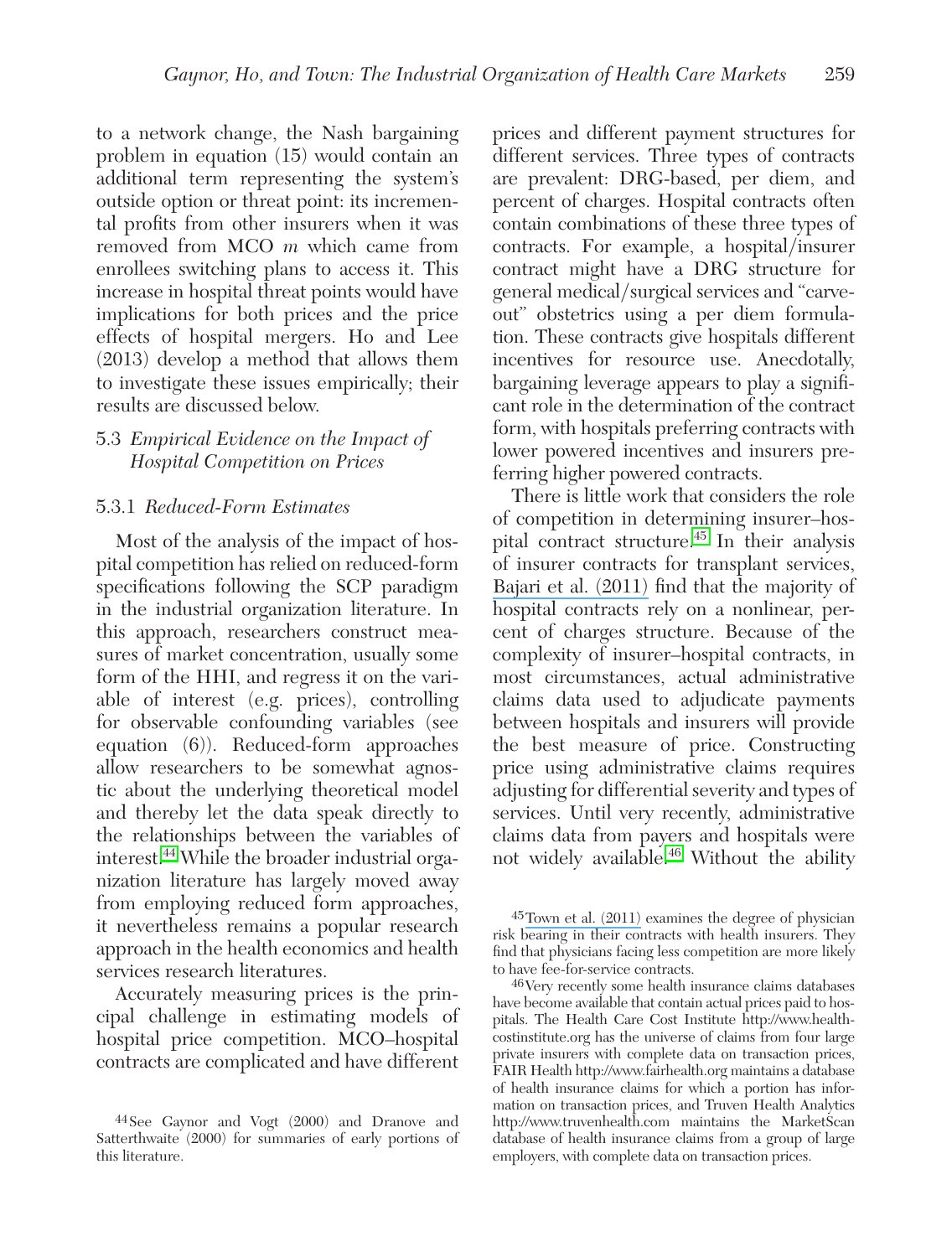to a network change, the Nash bargaining problem in equation (15) would contain an additional term representing the system's outside option or threat point: its incremental profits from other insurers when it was removed from MCO *m* which came from enrollees switching plans to access it. This increase in hospital threat points would have implications for both prices and the price effects of hospital mergers. Ho and Lee (2013) develop a method that allows them to investigate these issues empirically; their results are discussed below.

## 5.3 *Empirical Evidence on the Impact of Hospital Competition on Prices*

#### 5.3.1 *Reduced-Form Estimates*

Most of the analysis of the impact of hospital competition has relied on reduced-form specifications following the SCP paradigm in the industrial organization literature. In this approach, researchers construct measures of market concentration, usually some form of the HHI, and regress it on the variable of interest (e.g. prices), controlling for observable confounding variables (see equation (6)). Reduced-form approaches allow researchers to be somewhat agnostic about the underlying theoretical model and thereby let the data speak directly to the relationships between the variables of interest.44 While the broader industrial organization literature has largely moved away from employing reduced form approaches, it nevertheless remains a popular research approach in the health economics and health services research literatures.

Accurately measuring prices is the principal challenge in estimating models of hospital price competition. MCO–hospital contracts are complicated and have different

prices and different payment structures for different services. Three types of contracts are prevalent: DRG-based, per diem, and percent of charges. Hospital contracts often contain combinations of these three types of contracts. For example, a hospital/insurer contract might have a DRG structure for general medical/surgical services and "carveout" obstetrics using a per diem formulation. These contracts give hospitals different incentives for resource use. Anecdotally, bargaining leverage appears to play a significant role in the determination of the contract form, with hospitals preferring contracts with lower powered incentives and insurers preferring higher powered contracts.

There is little work that considers the role of competition in determining insurer–hospital contract structure.45 In their analysis of insurer contracts for transplant services, [Bajari et al. \(2011\)](https://www.researchgate.net/publication/228303072_Regression_Discontinuity_Designs_with_an_Endogenous_Forcing_Variable_and_an_Application_to_Contracting_in_Health_Care?el=1_x_8&enrichId=rgreq-cb7d2b5db6741595fb53fa84c810989d-XXX&enrichSource=Y292ZXJQYWdlOzI3ODY3NjcxOTtBUzoyNDE3NTE4ODU2MTEwMDhAMTQzNDY0OTU0OTA1MA==) find that the majority of hospital contracts rely on a nonlinear, percent of charges structure. Because of the complexity of insurer–hospital contracts, in most circumstances, actual administrative claims data used to adjudicate payments between hospitals and insurers will provide the best measure of price. Constructing price using administrative claims requires adjusting for differential severity and types of services. Until very recently, administrative claims data from payers and hospitals were not widely available.<sup>46</sup> Without the ability

<sup>44</sup>See Gaynor and Vogt (2000) and Dranove and Satterthwaite (2000) for summaries of early portions of this literature.

<sup>45</sup>[Town et al. \(2011\)](https://www.researchgate.net/publication/51117636_Market_power_and_contract_form_Evidence_from_physician_group_practices?el=1_x_8&enrichId=rgreq-cb7d2b5db6741595fb53fa84c810989d-XXX&enrichSource=Y292ZXJQYWdlOzI3ODY3NjcxOTtBUzoyNDE3NTE4ODU2MTEwMDhAMTQzNDY0OTU0OTA1MA==) examines the degree of physician risk bearing in their contracts with health insurers. They find that physicians facing less competition are more likely to have fee-for-service contracts.

<sup>46</sup>Very recently some health insurance claims databases have become available that contain actual prices paid to hos[pitals. The Health Care Cost Institute http://www.health](http://www.healthcostinstitute.org)costinstitute.org has the universe of claims from four large private insurers with complete data on transaction prices, FAIR Health<http://www.fairhealth.org> maintains a database of health insurance claims for which a portion has information on transaction prices, and Truven Health Analytics <http://www.truvenhealth.com>maintains the MarketScan database of health insurance claims from a group of large employers, with complete data on transaction prices.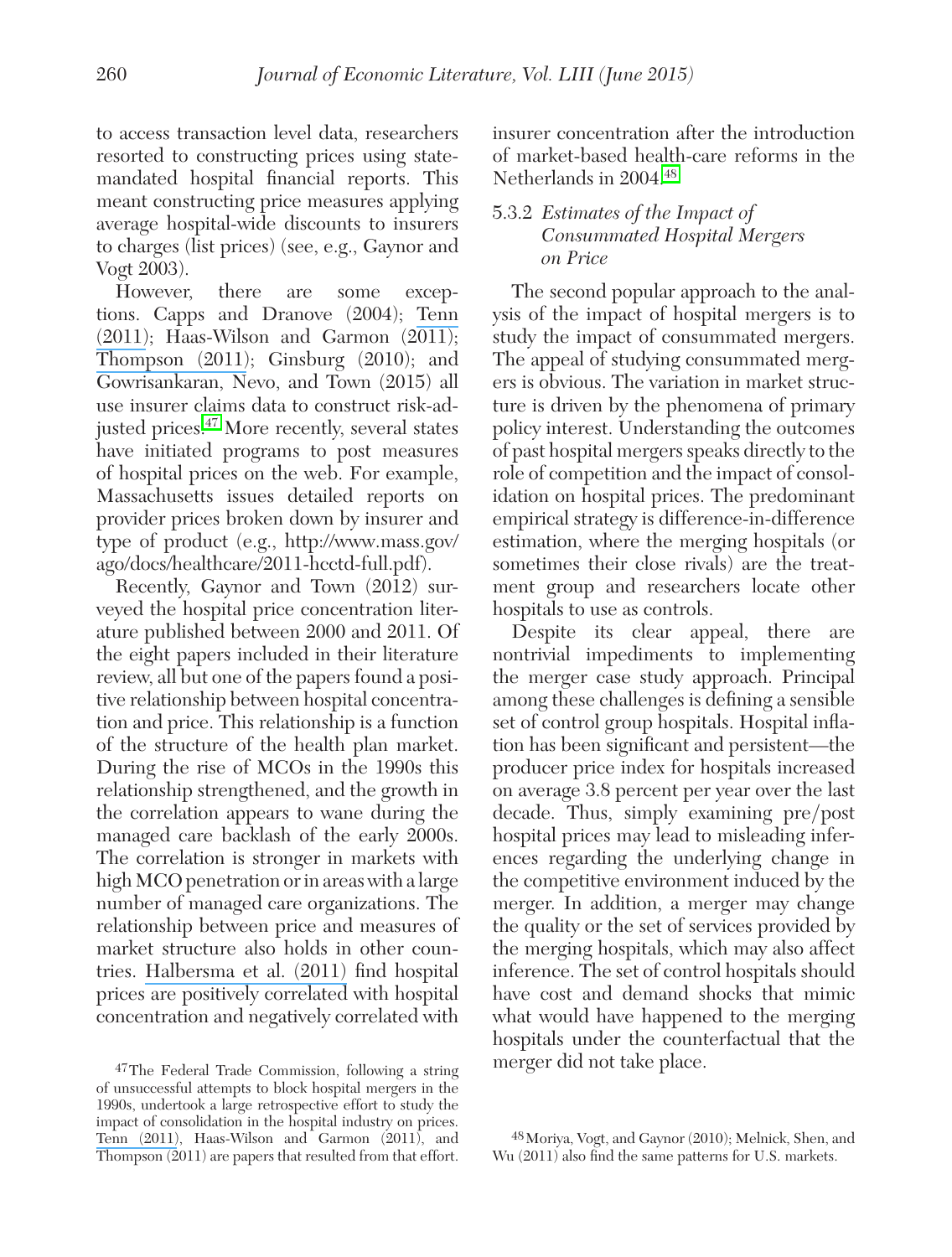to access transaction level data, researchers resorted to constructing prices using statemandated hospital financial reports. This meant constructing price measures applying average hospital-wide discounts to insurers to charges (list prices) (see, e.g., Gaynor and Vogt 2003).

However, there are some exceptions. Capps and Dranove (2004); [Tenn](https://www.researchgate.net/publication/227615631_The_Price_Effects_of_Hospital_Mergers_A_Case_Study_of_the_Sutter-Summit_Transaction?el=1_x_8&enrichId=rgreq-cb7d2b5db6741595fb53fa84c810989d-XXX&enrichSource=Y292ZXJQYWdlOzI3ODY3NjcxOTtBUzoyNDE3NTE4ODU2MTEwMDhAMTQzNDY0OTU0OTA1MA==)  [\(2011\)](https://www.researchgate.net/publication/227615631_The_Price_Effects_of_Hospital_Mergers_A_Case_Study_of_the_Sutter-Summit_Transaction?el=1_x_8&enrichId=rgreq-cb7d2b5db6741595fb53fa84c810989d-XXX&enrichSource=Y292ZXJQYWdlOzI3ODY3NjcxOTtBUzoyNDE3NTE4ODU2MTEwMDhAMTQzNDY0OTU0OTA1MA==); Haas-Wilson and Garmon (2011); [Thompson \(2011\)](https://www.researchgate.net/publication/227615634_The_Effect_of_Hospital_Mergers_on_Inpatient_Prices_A_Case_Study_of_the_New_Hanover-Cape_Fear_Transaction?el=1_x_8&enrichId=rgreq-cb7d2b5db6741595fb53fa84c810989d-XXX&enrichSource=Y292ZXJQYWdlOzI3ODY3NjcxOTtBUzoyNDE3NTE4ODU2MTEwMDhAMTQzNDY0OTU0OTA1MA==); Ginsburg (2010); and Gowrisankaran, Nevo, and Town (2015) all use insurer claims data to construct risk-adjusted prices.<sup>47</sup> More recently, several states have initiated programs to post measures of hospital prices on the web. For example, Massachusetts issues detailed reports on provider prices broken down by insurer and [type of product \(e.g., http://www.mass.gov/](http://www.mass.gov/ago/docs/healthcare/2011-hcctd-full.pdf) ago/docs/healthcare/2011-hcctd-full.pdf).

Recently, Gaynor and Town (2012) surveyed the hospital price concentration literature published between 2000 and 2011. Of the eight papers included in their literature review, all but one of the papers found a positive relationship between hospital concentration and price. This relationship is a function of the structure of the health plan market. During the rise of MCOs in the 1990s this relationship strengthened, and the growth in the correlation appears to wane during the managed care backlash of the early 2000s. The correlation is stronger in markets with high MCO penetration or in areas with a large number of managed care organizations. The relationship between price and measures of market structure also holds in other countries. [Halbersma et al. \(2011\)](https://www.researchgate.net/publication/46307319_Market_structure_and_hospital-insurer_bargaining_in_the_Netherlands?el=1_x_8&enrichId=rgreq-cb7d2b5db6741595fb53fa84c810989d-XXX&enrichSource=Y292ZXJQYWdlOzI3ODY3NjcxOTtBUzoyNDE3NTE4ODU2MTEwMDhAMTQzNDY0OTU0OTA1MA==) find hospital prices are positively correlated with hospital concentration and negatively correlated with

insurer concentration after the introduction of market-based health-care reforms in the Netherlands in 2004.48

## 5.3.2 *Estimates of the Impact of Consummated Hospital Mergers on Price*

The second popular approach to the analysis of the impact of hospital mergers is to study the impact of consummated mergers. The appeal of studying consummated mergers is obvious. The variation in market structure is driven by the phenomena of primary policy interest. Understanding the outcomes of past hospital mergers speaks directly to the role of competition and the impact of consolidation on hospital prices. The predominant empirical strategy is difference-in-difference estimation, where the merging hospitals (or sometimes their close rivals) are the treatment group and researchers locate other hospitals to use as controls.

Despite its clear appeal, there are nontrivial impediments to implementing the merger case study approach. Principal among these challenges is defining a sensible set of control group hospitals. Hospital inflation has been significant and persistent—the producer price index for hospitals increased on average 3.8 percent per year over the last decade. Thus, simply examining pre/post hospital prices may lead to misleading inferences regarding the underlying change in the competitive environment induced by the merger. In addition, a merger may change the quality or the set of services provided by the merging hospitals, which may also affect inference. The set of control hospitals should have cost and demand shocks that mimic what would have happened to the merging hospitals under the counterfactual that the merger did not take place.

<sup>47</sup>The Federal Trade Commission, following a string of unsuccessful attempts to block hospital mergers in the 1990s, undertook a large retrospective effort to study the impact of consolidation in the hospital industry on prices. [Tenn \(2011\)](https://www.researchgate.net/publication/227615631_The_Price_Effects_of_Hospital_Mergers_A_Case_Study_of_the_Sutter-Summit_Transaction?el=1_x_8&enrichId=rgreq-cb7d2b5db6741595fb53fa84c810989d-XXX&enrichSource=Y292ZXJQYWdlOzI3ODY3NjcxOTtBUzoyNDE3NTE4ODU2MTEwMDhAMTQzNDY0OTU0OTA1MA==), Haas-Wilson and Garmon (2011), and Thompson (2011) are papers that resulted from that effort.

<sup>48</sup>Moriya, Vogt, and Gaynor (2010); Melnick, Shen, and Wu (2011) also find the same patterns for U.S. markets.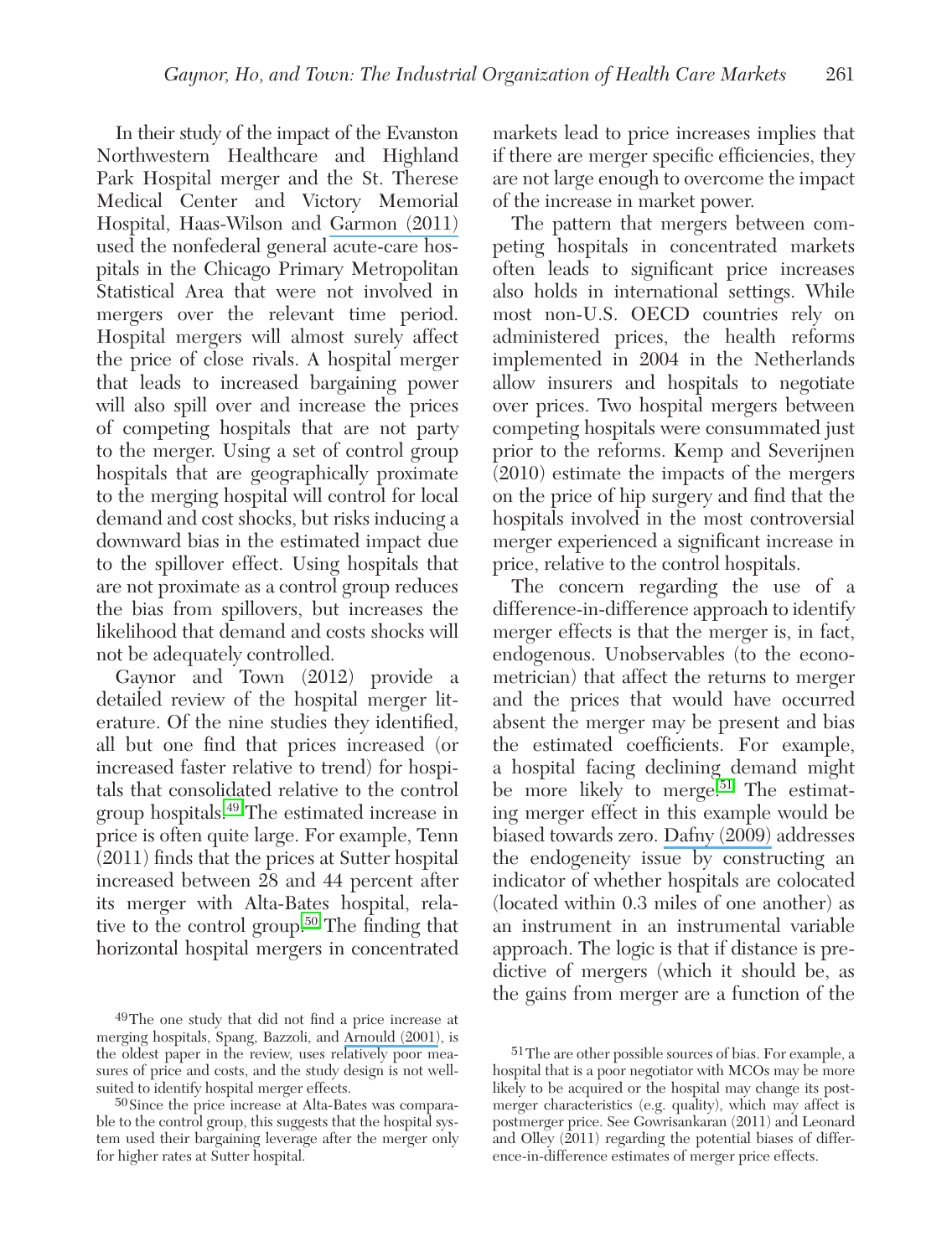In their study of the impact of the Evanston Northwestern Healthcare and Highland Park Hospital merger and the St. Therese Medical Center and Victory Memorial Hospital, Haas-Wilson and [Garmon \(2011\)](https://www.researchgate.net/publication/227615625_Hospital_Mergers_and_Competitive_Effects_Two_Retrospective_Analyses?el=1_x_8&enrichId=rgreq-cb7d2b5db6741595fb53fa84c810989d-XXX&enrichSource=Y292ZXJQYWdlOzI3ODY3NjcxOTtBUzoyNDE3NTE4ODU2MTEwMDhAMTQzNDY0OTU0OTA1MA==) used the nonfederal general acute-care hospitals in the Chicago Primary Metropolitan Statistical Area that were not involved in mergers over the relevant time period. Hospital mergers will almost surely affect the price of close rivals. A hospital merger that leads to increased bargaining power will also spill over and increase the prices of competing hospitals that are not party to the merger. Using a set of control group hospitals that are geographically proximate to the merging hospital will control for local demand and cost shocks, but risks inducing a downward bias in the estimated impact due to the spillover effect. Using hospitals that are not proximate as a control group reduces the bias from spillovers, but increases the likelihood that demand and costs shocks will not be adequately controlled.

Gaynor and Town (2012) provide a detailed review of the hospital merger literature. Of the nine studies they identified, all but one find that prices increased (or increased faster relative to trend) for hospitals that consolidated relative to the control group hospitals.49 The estimated increase in price is often quite large. For example, Tenn (2011) finds that the prices at Sutter hospital increased between 28 and 44 percent after its merger with Alta-Bates hospital, relative to the control group.<sup>50</sup> The finding that horizontal hospital mergers in concentrated

markets lead to price increases implies that if there are merger specific efficiencies, they are not large enough to overcome the impact of the increase in market power.

The pattern that mergers between competing hospitals in concentrated markets often leads to significant price increases also holds in international settings. While most non-U.S. OECD countries rely on administered prices, the health reforms implemented in 2004 in the Netherlands allow insurers and hospitals to negotiate over prices. Two hospital mergers between competing hospitals were consummated just prior to the reforms. Kemp and Severijnen (2010) estimate the impacts of the mergers on the price of hip surgery and find that the hospitals involved in the most controversial merger experienced a significant increase in price, relative to the control hospitals.

The concern regarding the use of a difference-in-difference approach to identify merger effects is that the merger is, in fact, endogenous. Unobservables (to the econometrician) that affect the returns to merger and the prices that would have occurred absent the merger may be present and bias the estimated coefficients. For example, a hospital facing declining demand might be more likely to merge.<sup>51</sup> The estimating merger effect in this example would be biased towards zero. [Dafny \(2009\)](https://www.researchgate.net/publication/46553719_Estimation_and_Identification_of_Merger_Effects_An_Application_to_Hospital_Mergers?el=1_x_8&enrichId=rgreq-cb7d2b5db6741595fb53fa84c810989d-XXX&enrichSource=Y292ZXJQYWdlOzI3ODY3NjcxOTtBUzoyNDE3NTE4ODU2MTEwMDhAMTQzNDY0OTU0OTA1MA==) addresses the endogeneity issue by constructing an indicator of whether hospitals are colocated (located within 0.3 miles of one another) as an instrument in an instrumental variable approach. The logic is that if distance is predictive of mergers (which it should be, as the gains from merger are a function of the

<sup>49</sup>The one study that did not find a price increase at merging hospitals, Spang, Bazzoli, and [Arnould \(2001\)](https://www.researchgate.net/publication/11879271_Hospital_Mergers_And_Savings_For_Consumers_Exploring_New_Evidence?el=1_x_8&enrichId=rgreq-cb7d2b5db6741595fb53fa84c810989d-XXX&enrichSource=Y292ZXJQYWdlOzI3ODY3NjcxOTtBUzoyNDE3NTE4ODU2MTEwMDhAMTQzNDY0OTU0OTA1MA==), is the oldest paper in the review, uses relatively poor measures of price and costs, and the study design is not wellsuited to identify hospital merger effects.

<sup>50</sup>Since the price increase at Alta-Bates was comparable to the control group, this suggests that the hospital system used their bargaining leverage after the merger only for higher rates at Sutter hospital.

<sup>51</sup>The are other possible sources of bias. For example, a hospital that is a poor negotiator with MCOs may be more likely to be acquired or the hospital may change its postmerger characteristics (e.g. quality), which may affect is postmerger price. See Gowrisankaran (2011) and Leonard and Olley (2011) regarding the potential biases of difference-in-difference estimates of merger price effects.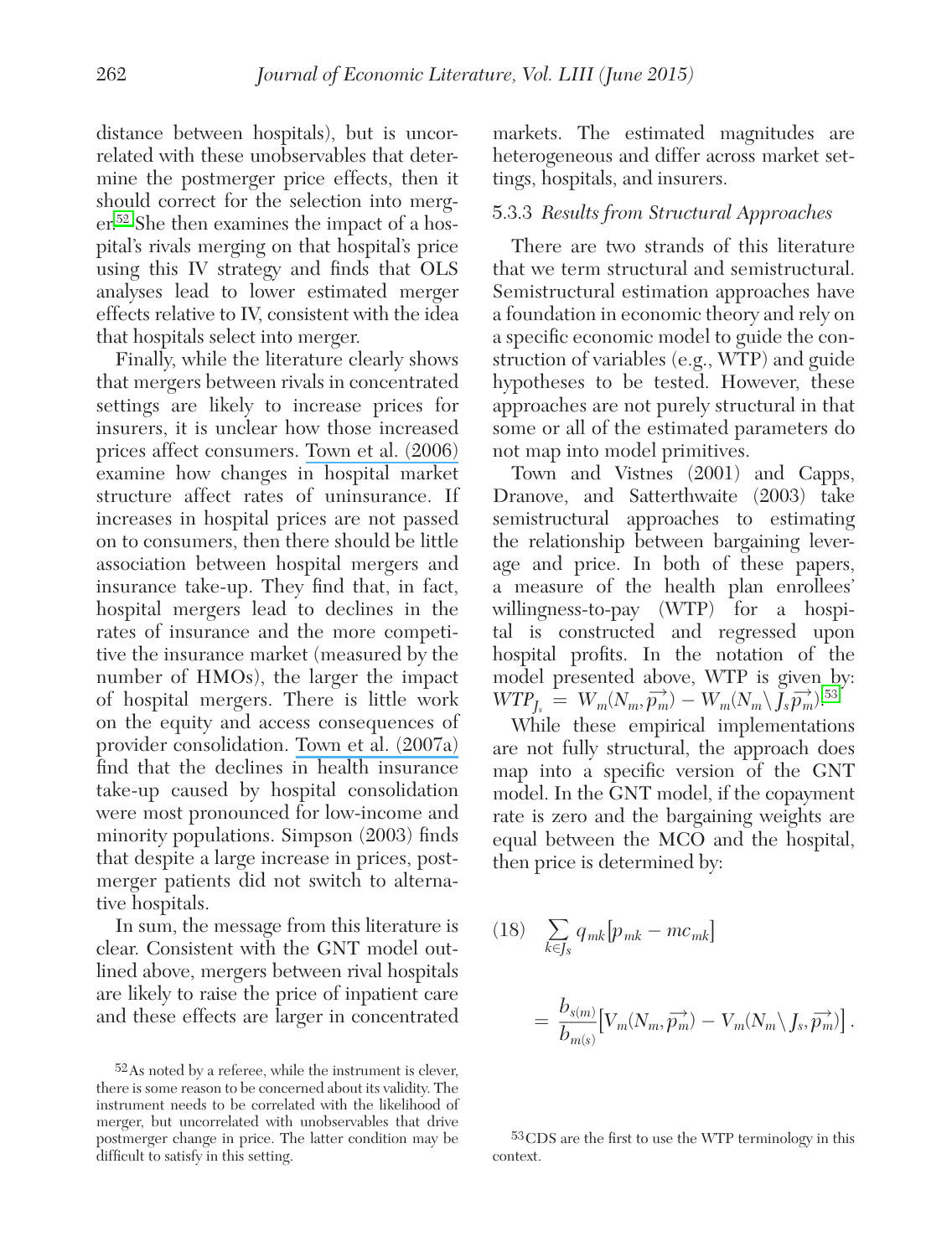distance between hospitals), but is uncorrelated with these unobservables that determine the postmerger price effects, then it should correct for the selection into merger.52 She then examines the impact of a hospital's rivals merging on that hospital's price using this IV strategy and finds that OLS analyses lead to lower estimated merger effects relative to IV, consistent with the idea that hospitals select into merger.

Finally, while the literature clearly shows that mergers between rivals in concentrated settings are likely to increase prices for insurers, it is unclear how those increased prices affect consumers. [Town et al. \(2006\)](https://www.researchgate.net/publication/null?el=1_x_8&enrichId=rgreq-cb7d2b5db6741595fb53fa84c810989d-XXX&enrichSource=Y292ZXJQYWdlOzI3ODY3NjcxOTtBUzoyNDE3NTE4ODU2MTEwMDhAMTQzNDY0OTU0OTA1MA==)  examine how changes in hospital market structure affect rates of uninsurance. If increases in hospital prices are not passed on to consumers, then there should be little association between hospital mergers and insurance take-up. They find that, in fact, hospital mergers lead to declines in the rates of insurance and the more competitive the insurance market (measured by the number of HMOs), the larger the impact of hospital mergers. There is little work on the equity and access consequences of provider consolidation. [Town et al. \(2007a\)](https://www.researchgate.net/publication/null?el=1_x_8&enrichId=rgreq-cb7d2b5db6741595fb53fa84c810989d-XXX&enrichSource=Y292ZXJQYWdlOzI3ODY3NjcxOTtBUzoyNDE3NTE4ODU2MTEwMDhAMTQzNDY0OTU0OTA1MA==) find that the declines in health insurance take-up caused by hospital consolidation were most pronounced for low-income and minority populations. Simpson (2003) finds that despite a large increase in prices, postmerger patients did not switch to alternative hospitals.

In sum, the message from this literature is clear. Consistent with the GNT model outlined above, mergers between rival hospitals are likely to raise the price of inpatient care and these effects are larger in concentrated markets. The estimated magnitudes are heterogeneous and differ across market settings, hospitals, and insurers.

### 5.3.3 *Results from Structural Approaches*

There are two strands of this literature that we term structural and semistructural. Semistructural estimation approaches have a foundation in economic theory and rely on a specific economic model to guide the construction of variables (e.g., WTP) and guide hypotheses to be tested. However, these approaches are not purely structural in that some or all of the estimated parameters do not map into model primitives.

Town and Vistnes (2001) and Capps, Dranove, and Satterthwaite (2003) take semistructural approaches to estimating the relationship between bargaining leverage and price. In both of these papers, a measure of the health plan enrollees' willingness-to-pay (WTP) for a hospital is constructed and regressed upon hospital profits. In the notation of the model presented above, WTP is given by:  $WTP_{J_s} = W_m(N_m, \vec{p_m}) - W_m(N_m \setminus \vec{J_s} \vec{p_m})$ .<sup>53</sup>

While these empirical implementations are not fully structural, the approach does map into a specific version of the GNT model. In the GNT model, if the copayment rate is zero and the bargaining weights are equal between the MCO and the hospital, then price is determined by:

(18) 
$$
\sum_{k \in J_s} q_{mk} [p_{mk} - mc_{mk}]
$$
  
= 
$$
\frac{b_{s(m)}}{b_{m(s)}} [V_m(N_m, \vec{p}_m) - V_m(N_m \setminus J_s, \vec{p}_m)]
$$
.

<sup>52</sup>As noted by a referee, while the instrument is clever, there is some reason to be concerned about its validity. The instrument needs to be correlated with the likelihood of merger, but uncorrelated with unobservables that drive postmerger change in price. The latter condition may be difficult to satisfy in this setting.

<sup>53</sup>CDS are the first to use the WTP terminology in this context.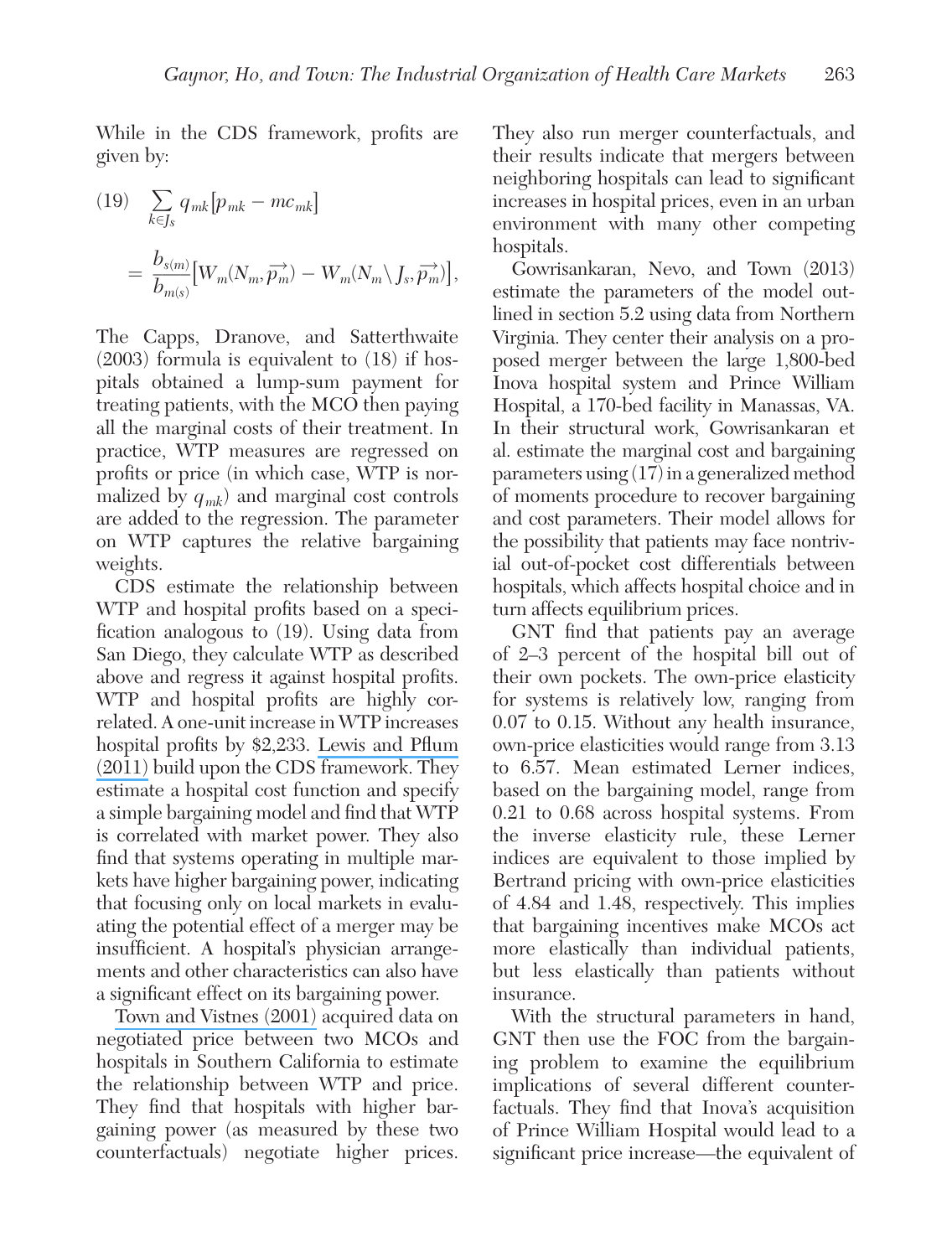While in the CDS framework, profits are given by:

(19) 
$$
\sum_{k \in J_s} q_{mk} [p_{mk} - mc_{mk}]
$$
  
= 
$$
\frac{b_{s(m)}}{b_{m(s)}} [W_m(N_m, \vec{p}_m) - W_m(N_m \setminus J_s, \vec{p}_m)],
$$

The Capps, Dranove, and Satterthwaite (2003) formula is equivalent to (18) if hospitals obtained a lump-sum payment for treating patients, with the MCO then paying all the marginal costs of their treatment. In practice, WTP measures are regressed on profits or price (in which case, WTP is normalized by  $q_{mk}$ ) and marginal cost controls are added to the regression. The parameter on WTP captures the relative bargaining weights.

CDS estimate the relationship between WTP and hospital profits based on a specification analogous to (19). Using data from San Diego, they calculate WTP as described above and regress it against hospital profits. WTP and hospital profits are highly correlated. A one-unit increase in WTP increases hospital profits by \$2,233. [Lewis and Pflum](https://www.researchgate.net/publication/272201268_Diagnosing_Hospital_System_Bargaining_Power_in_Managed_Care_Networks?el=1_x_8&enrichId=rgreq-cb7d2b5db6741595fb53fa84c810989d-XXX&enrichSource=Y292ZXJQYWdlOzI3ODY3NjcxOTtBUzoyNDE3NTE4ODU2MTEwMDhAMTQzNDY0OTU0OTA1MA==) [\(2011\)](https://www.researchgate.net/publication/272201268_Diagnosing_Hospital_System_Bargaining_Power_in_Managed_Care_Networks?el=1_x_8&enrichId=rgreq-cb7d2b5db6741595fb53fa84c810989d-XXX&enrichSource=Y292ZXJQYWdlOzI3ODY3NjcxOTtBUzoyNDE3NTE4ODU2MTEwMDhAMTQzNDY0OTU0OTA1MA==) build upon the CDS framework. They estimate a hospital cost function and specify a simple bargaining model and find that WTP is correlated with market power. They also find that systems operating in multiple markets have higher bargaining power, indicating that focusing only on local markets in evaluating the potential effect of a merger may be insufficient. A hospital's physician arrangements and other characteristics can also have a significant effect on its bargaining power.

[Town and Vistnes \(2001\)](https://www.researchgate.net/publication/11788606_Hospital_Competition_in_HMO_Networks?el=1_x_8&enrichId=rgreq-cb7d2b5db6741595fb53fa84c810989d-XXX&enrichSource=Y292ZXJQYWdlOzI3ODY3NjcxOTtBUzoyNDE3NTE4ODU2MTEwMDhAMTQzNDY0OTU0OTA1MA==) acquired data on negotiated price between two MCOs and hospitals in Southern California to estimate the relationship between WTP and price. They find that hospitals with higher bargaining power (as measured by these two counterfactuals) negotiate higher prices. They also run merger counterfactuals, and their results indicate that mergers between neighboring hospitals can lead to significant increases in hospital prices, even in an urban environment with many other competing hospitals.

Gowrisankaran, Nevo, and Town (2013) estimate the parameters of the model outlined in section 5.2 using data from Northern Virginia. They center their analysis on a proposed merger between the large 1,800-bed Inova hospital system and Prince William Hospital, a 170-bed facility in Manassas, VA. In their structural work, Gowrisankaran et al. estimate the marginal cost and bargaining parameters using (17) in a generalized method of moments procedure to recover bargaining and cost parameters. Their model allows for the possibility that patients may face nontrivial out-of-pocket cost differentials between hospitals, which affects hospital choice and in turn affects equilibrium prices.

GNT find that patients pay an average of 2–3 percent of the hospital bill out of their own pockets. The own-price elasticity for systems is relatively low, ranging from 0.07 to 0.15. Without any health insurance, own-price elasticities would range from 3.13 to 6.57. Mean estimated Lerner indices, based on the bargaining model, range from 0.21 to 0.68 across hospital systems. From the inverse elasticity rule, these Lerner indices are equivalent to those implied by Bertrand pricing with own-price elasticities of 4.84 and 1.48, respectively. This implies that bargaining incentives make MCOs act more elastically than individual patients, but less elastically than patients without insurance.

With the structural parameters in hand, GNT then use the FOC from the bargaining problem to examine the equilibrium implications of several different counterfactuals. They find that Inova's acquisition of Prince William Hospital would lead to a significant price increase—the equivalent of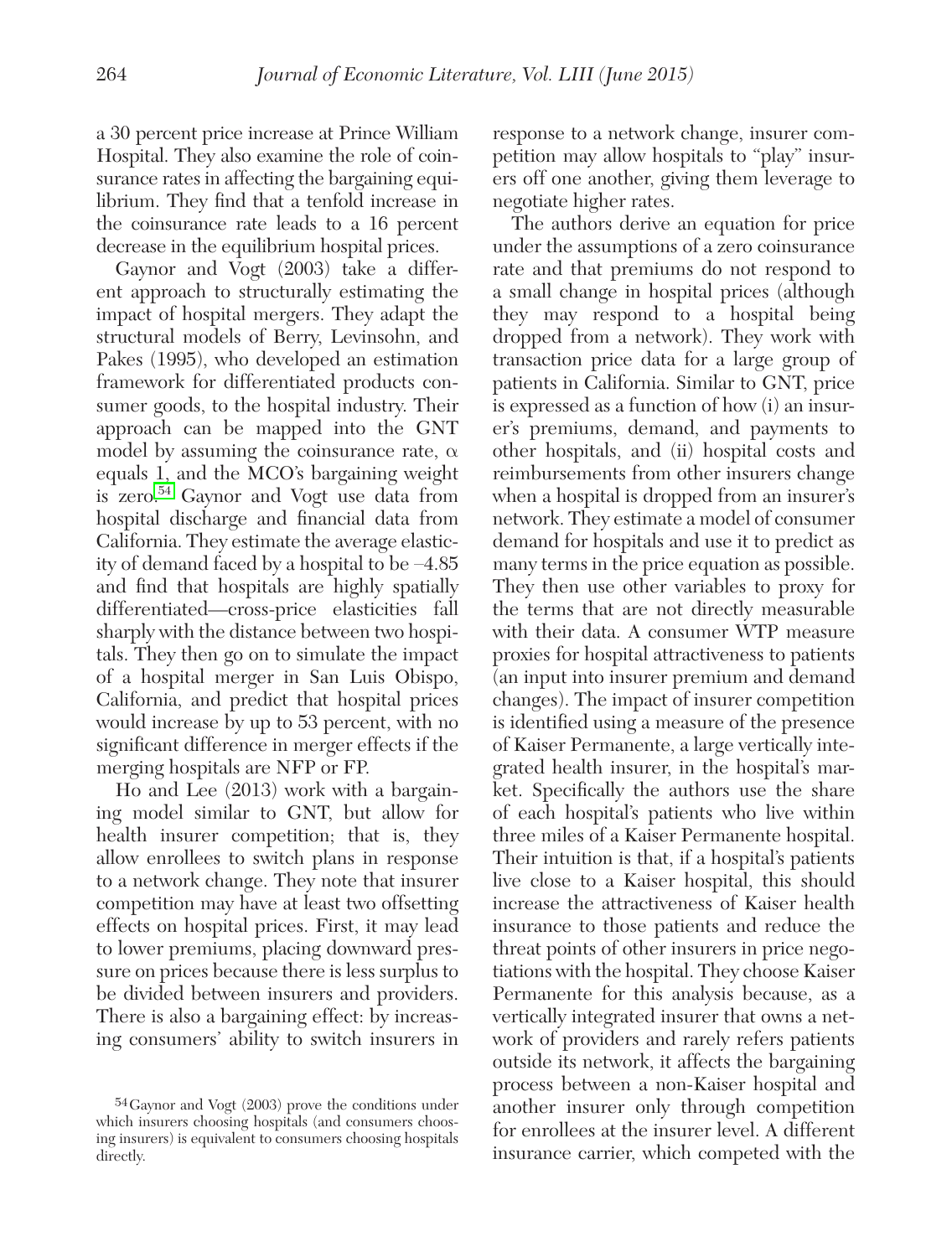a 30 percent price increase at Prince William Hospital. They also examine the role of coinsurance rates in affecting the bargaining equilibrium. They find that a tenfold increase in the coinsurance rate leads to a 16 percent decrease in the equilibrium hospital prices.

Gaynor and Vogt (2003) take a different approach to structurally estimating the impact of hospital mergers. They adapt the structural models of Berry, Levinsohn, and Pakes (1995), who developed an estimation framework for differentiated products consumer goods, to the hospital industry. Their approach can be mapped into the GNT model by assuming the coinsurance rate,  $\alpha$ equals 1, and the MCO's bargaining weight is zero.54 Gaynor and Vogt use data from hospital discharge and financial data from California. They estimate the average elasticity of demand faced by a hospital to be –4.85 and find that hospitals are highly spatially differentiated—cross-price elasticities fall sharply with the distance between two hospitals. They then go on to simulate the impact of a hospital merger in San Luis Obispo, California, and predict that hospital prices would increase by up to 53 percent, with no significant difference in merger effects if the merging hospitals are NFP or FP.

Ho and Lee (2013) work with a bargaining model similar to GNT, but allow for health insurer competition; that is, they allow enrollees to switch plans in response to a network change. They note that insurer competition may have at least two offsetting effects on hospital prices. First, it may lead to lower premiums, placing downward pressure on prices because there is less surplus to be divided between insurers and providers. There is also a bargaining effect: by increasing consumers' ability to switch insurers in

response to a network change, insurer competition may allow hospitals to "play" insurers off one another, giving them leverage to negotiate higher rates.

The authors derive an equation for price under the assumptions of a zero coinsurance rate and that premiums do not respond to a small change in hospital prices (although they may respond to a hospital being dropped from a network). They work with transaction price data for a large group of patients in California. Similar to GNT, price is expressed as a function of how (i) an insurer's premiums, demand, and payments to other hospitals, and (ii) hospital costs and reimbursements from other insurers change when a hospital is dropped from an insurer's network. They estimate a model of consumer demand for hospitals and use it to predict as many terms in the price equation as possible. They then use other variables to proxy for the terms that are not directly measurable with their data. A consumer WTP measure proxies for hospital attractiveness to patients (an input into insurer premium and demand changes). The impact of insurer competition is identified using a measure of the presence of Kaiser Permanente, a large vertically integrated health insurer, in the hospital's market. Specifically the authors use the share of each hospital's patients who live within three miles of a Kaiser Permanente hospital. Their intuition is that, if a hospital's patients live close to a Kaiser hospital, this should increase the attractiveness of Kaiser health insurance to those patients and reduce the threat points of other insurers in price negotiations with the hospital. They choose Kaiser Permanente for this analysis because, as a vertically integrated insurer that owns a network of providers and rarely refers patients outside its network, it affects the bargaining process between a non-Kaiser hospital and another insurer only through competition for enrollees at the insurer level. A different insurance carrier, which competed with the

<sup>54</sup>Gaynor and Vogt (2003) prove the conditions under which insurers choosing hospitals (and consumers choosing insurers) is equivalent to consumers choosing hospitals directly.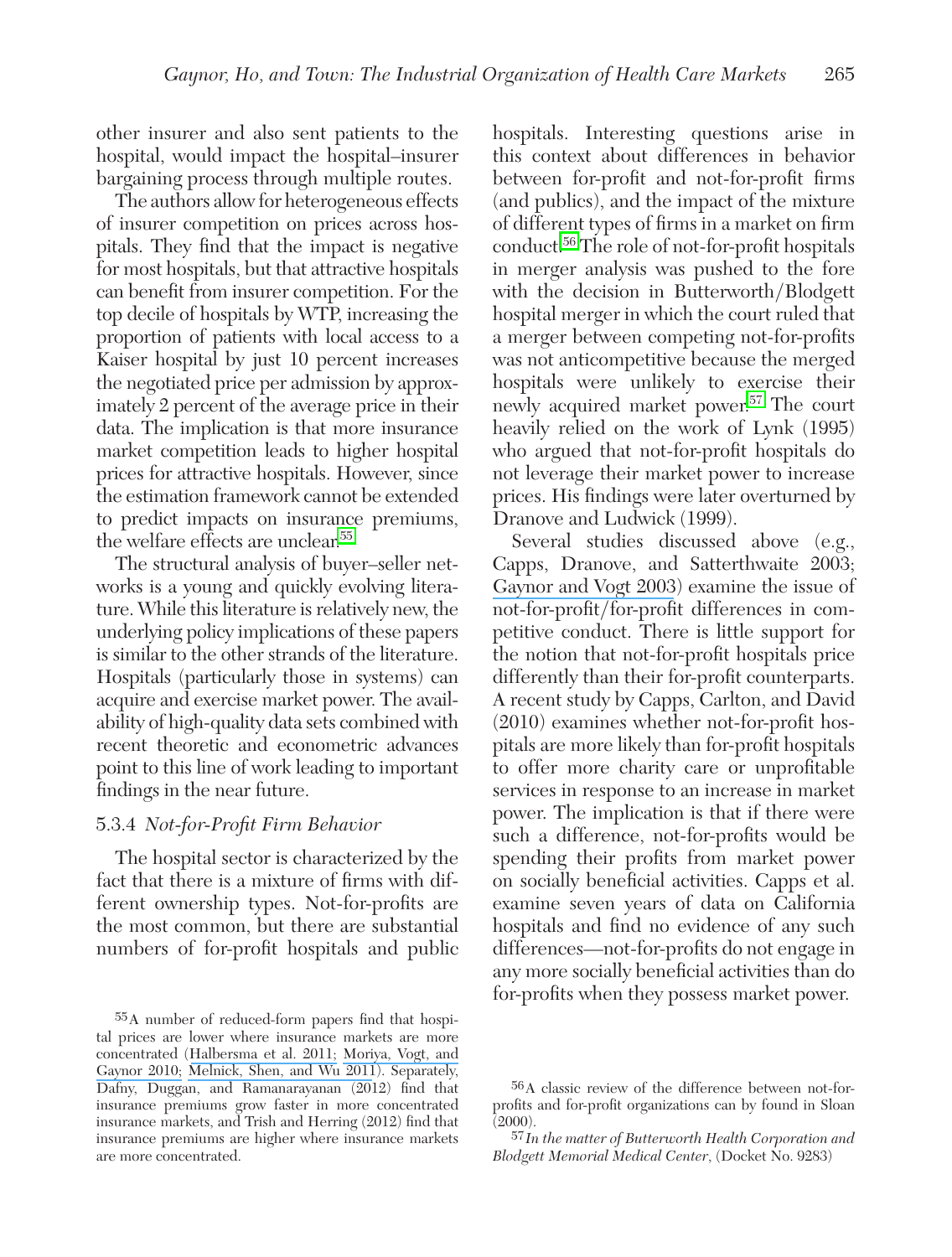other insurer and also sent patients to the hospital, would impact the hospital–insurer bargaining process through multiple routes.

The authors allow for heterogeneous effects of insurer competition on prices across hospitals. They find that the impact is negative for most hospitals, but that attractive hospitals can benefit from insurer competition. For the top decile of hospitals by WTP, increasing the proportion of patients with local access to a Kaiser hospital by just 10 percent increases the negotiated price per admission by approximately 2 percent of the average price in their data. The implication is that more insurance market competition leads to higher hospital prices for attractive hospitals. However, since the estimation framework cannot be extended to predict impacts on insurance premiums, the welfare effects are unclear.55

The structural analysis of buyer–seller networks is a young and quickly evolving literature. While this literature is relatively new, the underlying policy implications of these papers is similar to the other strands of the literature. Hospitals (particularly those in systems) can acquire and exercise market power. The availability of high-quality data sets combined with recent theoretic and econometric advances point to this line of work leading to important findings in the near future.

#### 5.3.4 *Not-for-Profit Firm Behavior*

The hospital sector is characterized by the fact that there is a mixture of firms with different ownership types. Not-for-profits are the most common, but there are substantial numbers of for-profit hospitals and public

hospitals. Interesting questions arise in this context about differences in behavior between for-profit and not-for-profit firms (and publics), and the impact of the mixture of different types of firms in a market on firm conduct.56 The role of not-for-profit hospitals in merger analysis was pushed to the fore with the decision in Butterworth/Blodgett hospital merger in which the court ruled that a merger between competing not-for-profits was not anticompetitive because the merged hospitals were unlikely to exercise their newly acquired market power.57 The court heavily relied on the work of Lynk (1995) who argued that not-for-profit hospitals do not leverage their market power to increase prices. His findings were later overturned by Dranove and Ludwick (1999).

Several studies discussed above (e.g., Capps, Dranove, and Satterthwaite 2003; [Gaynor and Vogt 2003](https://www.researchgate.net/publication/8681856_Competition_Among_Hospitals?el=1_x_8&enrichId=rgreq-cb7d2b5db6741595fb53fa84c810989d-XXX&enrichSource=Y292ZXJQYWdlOzI3ODY3NjcxOTtBUzoyNDE3NTE4ODU2MTEwMDhAMTQzNDY0OTU0OTA1MA==)) examine the issue of not-for-profit/for-profit differences in competitive conduct. There is little support for the notion that not-for-profit hospitals price differently than their for-profit counterparts. A recent study by Capps, Carlton, and David (2010) examines whether not-for-profit hospitals are more likely than for-profit hospitals to offer more charity care or unprofitable services in response to an increase in market power. The implication is that if there were such a difference, not-for-profits would be spending their profits from market power on socially beneficial activities. Capps et al. examine seven years of data on California hospitals and find no evidence of any such differences—not-for-profits do not engage in any more socially beneficial activities than do for-profits when they possess market power.

<sup>55</sup>A number of reduced-form papers find that hospital prices are lower where insurance markets are more concentrated ([Halbersma et al. 2011;](https://www.researchgate.net/publication/46307319_Market_structure_and_hospital-insurer_bargaining_in_the_Netherlands?el=1_x_8&enrichId=rgreq-cb7d2b5db6741595fb53fa84c810989d-XXX&enrichSource=Y292ZXJQYWdlOzI3ODY3NjcxOTtBUzoyNDE3NTE4ODU2MTEwMDhAMTQzNDY0OTU0OTA1MA==) [Moriya, Vogt, and](https://www.researchgate.net/publication/272488612_Hospital_prices_and_market_structure_in_the_hospital_and_insurance_industries?el=1_x_8&enrichId=rgreq-cb7d2b5db6741595fb53fa84c810989d-XXX&enrichSource=Y292ZXJQYWdlOzI3ODY3NjcxOTtBUzoyNDE3NTE4ODU2MTEwMDhAMTQzNDY0OTU0OTA1MA==) [Gaynor 2010;](https://www.researchgate.net/publication/272488612_Hospital_prices_and_market_structure_in_the_hospital_and_insurance_industries?el=1_x_8&enrichId=rgreq-cb7d2b5db6741595fb53fa84c810989d-XXX&enrichSource=Y292ZXJQYWdlOzI3ODY3NjcxOTtBUzoyNDE3NTE4ODU2MTEwMDhAMTQzNDY0OTU0OTA1MA==) [Melnick, Shen, and Wu 2011](https://www.researchgate.net/publication/51626612_The_Increased_Concentration_Of_Health_Plan_Markets_Can_Benefit_Consumers_Through_Lower_Hospital_Prices?el=1_x_8&enrichId=rgreq-cb7d2b5db6741595fb53fa84c810989d-XXX&enrichSource=Y292ZXJQYWdlOzI3ODY3NjcxOTtBUzoyNDE3NTE4ODU2MTEwMDhAMTQzNDY0OTU0OTA1MA==)). Separately, Dafny, Duggan, and Ramanarayanan (2012) find that insurance premiums grow faster in more concentrated insurance markets, and Trish and Herring (2012) find that insurance premiums are higher where insurance markets are more concentrated.

<sup>56</sup>A classic review of the difference between not-forprofits and for-profit organizations can by found in Sloan (2000).

<sup>57</sup>*In the matter of Butterworth Health Corporation and Blodgett Memorial Medical Center*, (Docket No. 9283)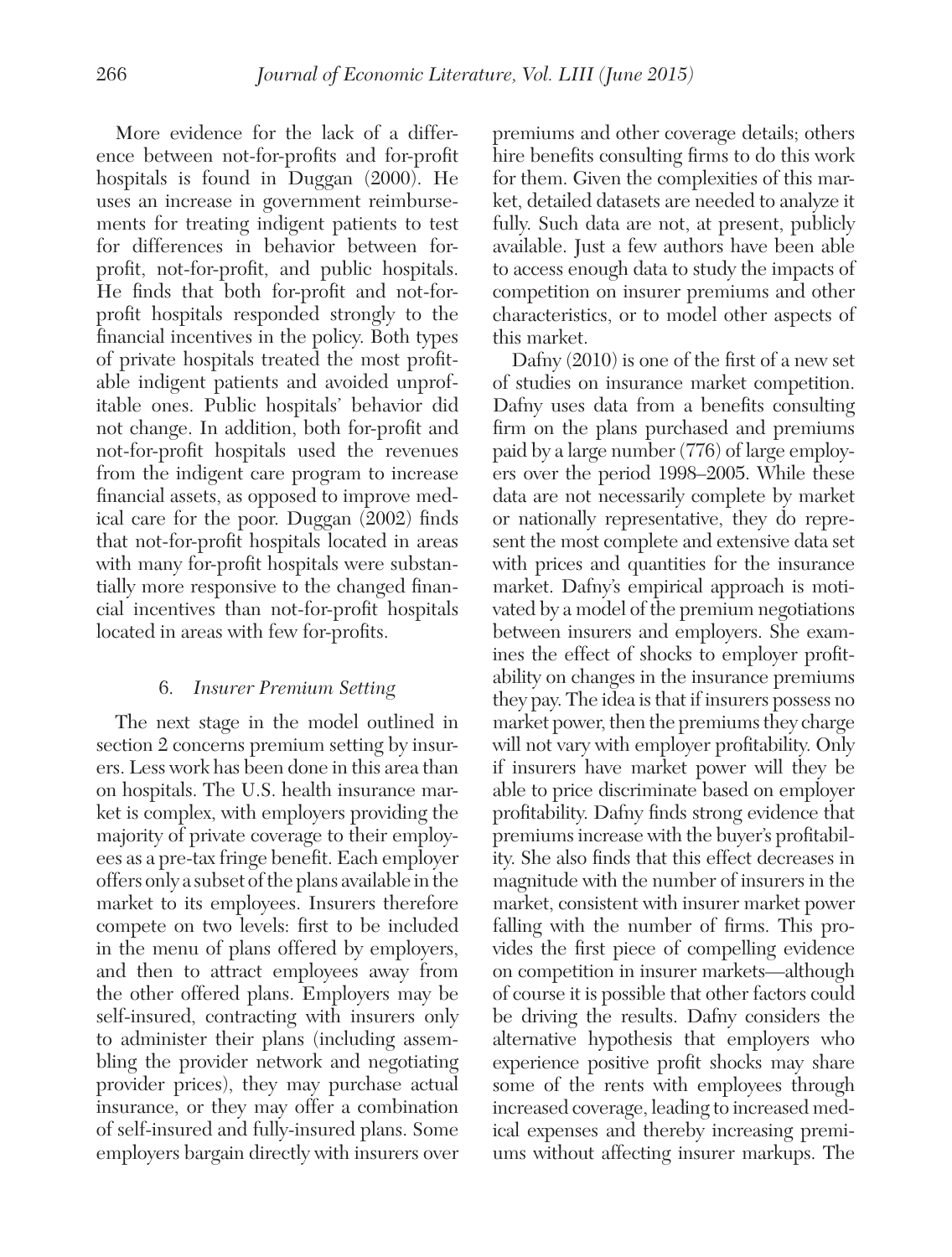More evidence for the lack of a difference between not-for-profits and for-profit hospitals is found in Duggan (2000). He uses an increase in government reimbursements for treating indigent patients to test for differences in behavior between forprofit, not-for-profit, and public hospitals. He finds that both for-profit and not-forprofit hospitals responded strongly to the financial incentives in the policy. Both types of private hospitals treated the most profitable indigent patients and avoided unprofitable ones. Public hospitals' behavior did not change. In addition, both for-profit and not-for-profit hospitals used the revenues from the indigent care program to increase financial assets, as opposed to improve medical care for the poor. Duggan (2002) finds that not-for-profit hospitals located in areas with many for-profit hospitals were substantially more responsive to the changed financial incentives than not-for-profit hospitals located in areas with few for-profits.

#### 6. *Insurer Premium Setting*

The next stage in the model outlined in section 2 concerns premium setting by insurers. Less work has been done in this area than on hospitals. The U.S. health insurance market is complex, with employers providing the majority of private coverage to their employees as a pre-tax fringe benefit. Each employer offers only a subset of the plans available in the market to its employees. Insurers therefore compete on two levels: first to be included in the menu of plans offered by employers, and then to attract employees away from the other offered plans. Employers may be self-insured, contracting with insurers only to administer their plans (including assembling the provider network and negotiating provider prices), they may purchase actual insurance, or they may offer a combination of self-insured and fully-insured plans. Some employers bargain directly with insurers over

premiums and other coverage details; others hire benefits consulting firms to do this work for them. Given the complexities of this market, detailed datasets are needed to analyze it fully. Such data are not, at present, publicly available. Just a few authors have been able to access enough data to study the impacts of competition on insurer premiums and other characteristics, or to model other aspects of this market.

Dafny (2010) is one of the first of a new set of studies on insurance market competition. Dafny uses data from a benefits consulting firm on the plans purchased and premiums paid by a large number (776) of large employers over the period 1998–2005. While these data are not necessarily complete by market or nationally representative, they do represent the most complete and extensive data set with prices and quantities for the insurance market. Dafny's empirical approach is motivated by a model of the premium negotiations between insurers and employers. She examines the effect of shocks to employer profitability on changes in the insurance premiums they pay. The idea is that if insurers possess no market power, then the premiums they charge will not vary with employer profitability. Only if insurers have market power will they be able to price discriminate based on employer profitability. Dafny finds strong evidence that premiums increase with the buyer's profitability. She also finds that this effect decreases in magnitude with the number of insurers in the market, consistent with insurer market power falling with the number of firms. This provides the first piece of compelling evidence on competition in insurer markets—although of course it is possible that other factors could be driving the results. Dafny considers the alternative hypothesis that employers who experience positive profit shocks may share some of the rents with employees through increased coverage, leading to increased medical expenses and thereby increasing premiums without affecting insurer markups. The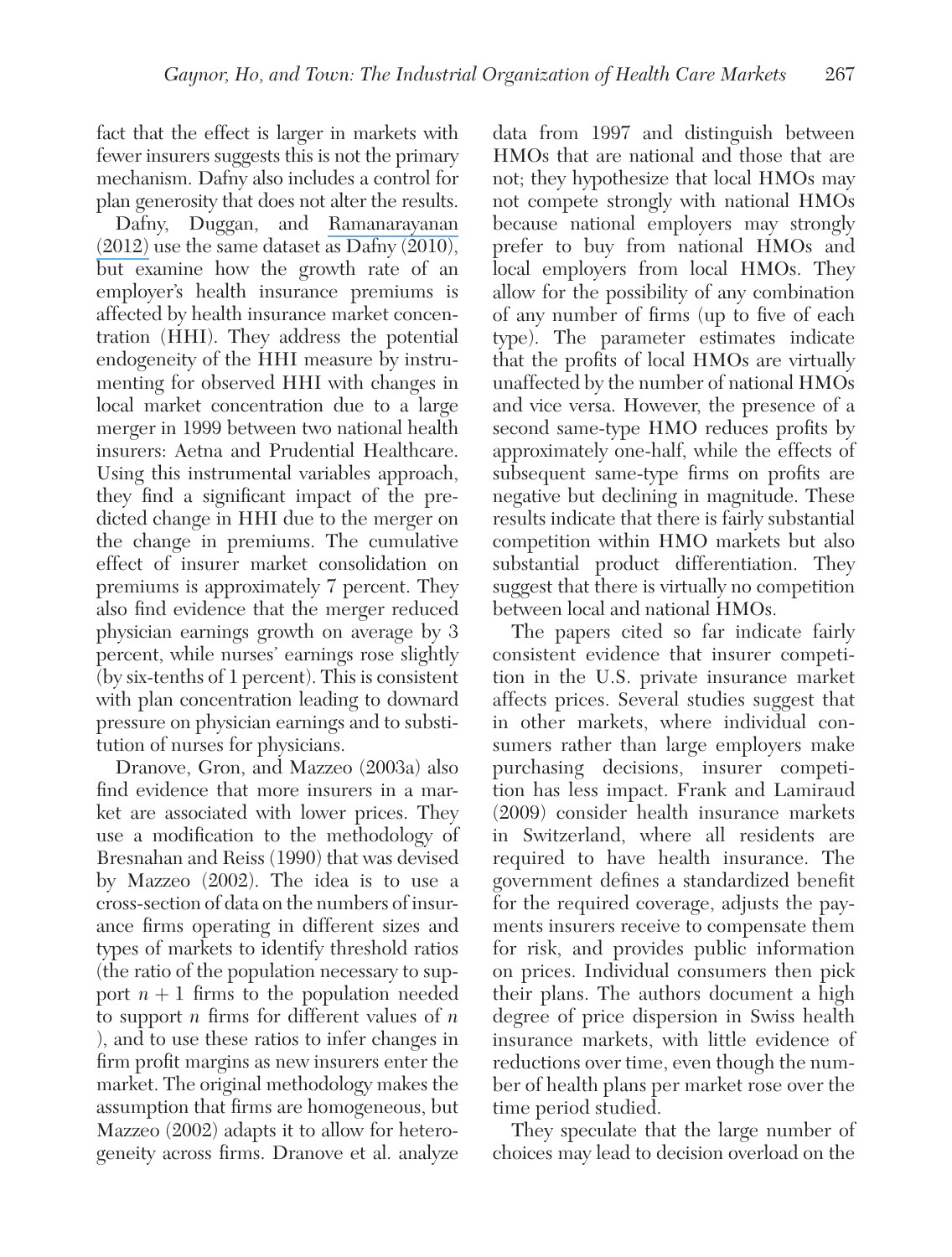fact that the effect is larger in markets with fewer insurers suggests this is not the primary mechanism. Dafny also includes a control for plan generosity that does not alter the results.

Dafny, Duggan, and [Ramanarayanan](https://www.researchgate.net/publication/46467094_Paying_a_Premium_on_Your_Premium_Consolidation_in_the_US_Health_Insurance_Industry?el=1_x_8&enrichId=rgreq-cb7d2b5db6741595fb53fa84c810989d-XXX&enrichSource=Y292ZXJQYWdlOzI3ODY3NjcxOTtBUzoyNDE3NTE4ODU2MTEwMDhAMTQzNDY0OTU0OTA1MA==) [\(2012\)](https://www.researchgate.net/publication/46467094_Paying_a_Premium_on_Your_Premium_Consolidation_in_the_US_Health_Insurance_Industry?el=1_x_8&enrichId=rgreq-cb7d2b5db6741595fb53fa84c810989d-XXX&enrichSource=Y292ZXJQYWdlOzI3ODY3NjcxOTtBUzoyNDE3NTE4ODU2MTEwMDhAMTQzNDY0OTU0OTA1MA==) use the same dataset as Dafny (2010), but examine how the growth rate of an employer's health insurance premiums is affected by health insurance market concentration (HHI). They address the potential endogeneity of the HHI measure by instrumenting for observed HHI with changes in local market concentration due to a large merger in 1999 between two national health insurers: Aetna and Prudential Healthcare. Using this instrumental variables approach, they find a significant impact of the predicted change in HHI due to the merger on the change in premiums. The cumulative effect of insurer market consolidation on premiums is approximately 7 percent. They also find evidence that the merger reduced physician earnings growth on average by 3 percent, while nurses' earnings rose slightly (by six-tenths of 1 percent). This is consistent with plan concentration leading to downard pressure on physician earnings and to substitution of nurses for physicians.

Dranove, Gron, and Mazzeo (2003a) also find evidence that more insurers in a market are associated with lower prices. They use a modification to the methodology of Bresnahan and Reiss (1990) that was devised by Mazzeo (2002). The idea is to use a cross-section of data on the numbers of insurance firms operating in different sizes and types of markets to identify threshold ratios (the ratio of the population necessary to support  $n+1$  firms to the population needed to support *n* firms for different values of *n* ), and to use these ratios to infer changes in firm profit margins as new insurers enter the market. The original methodology makes the assumption that firms are homogeneous, but Mazzeo (2002) adapts it to allow for heterogeneity across firms. Dranove et al. analyze

data from 1997 and distinguish between HMOs that are national and those that are not; they hypothesize that local HMOs may not compete strongly with national HMOs because national employers may strongly prefer to buy from national HMOs and local employers from local HMOs. They allow for the possibility of any combination of any number of firms (up to five of each type). The parameter estimates indicate that the profits of local HMOs are virtually unaffected by the number of national HMOs and vice versa. However, the presence of a second same-type HMO reduces profits by approximately one-half, while the effects of subsequent same-type firms on profits are negative but declining in magnitude. These results indicate that there is fairly substantial competition within HMO markets but also substantial product differentiation. They suggest that there is virtually no competition between local and national HMOs.

The papers cited so far indicate fairly consistent evidence that insurer competition in the U.S. private insurance market affects prices. Several studies suggest that in other markets, where individual consumers rather than large employers make purchasing decisions, insurer competition has less impact. Frank and Lamiraud (2009) consider health insurance markets in Switzerland, where all residents are required to have health insurance. The government defines a standardized benefit for the required coverage, adjusts the payments insurers receive to compensate them for risk, and provides public information on prices. Individual consumers then pick their plans. The authors document a high degree of price dispersion in Swiss health insurance markets, with little evidence of reductions over time, even though the number of health plans per market rose over the time period studied.

They speculate that the large number of choices may lead to decision overload on the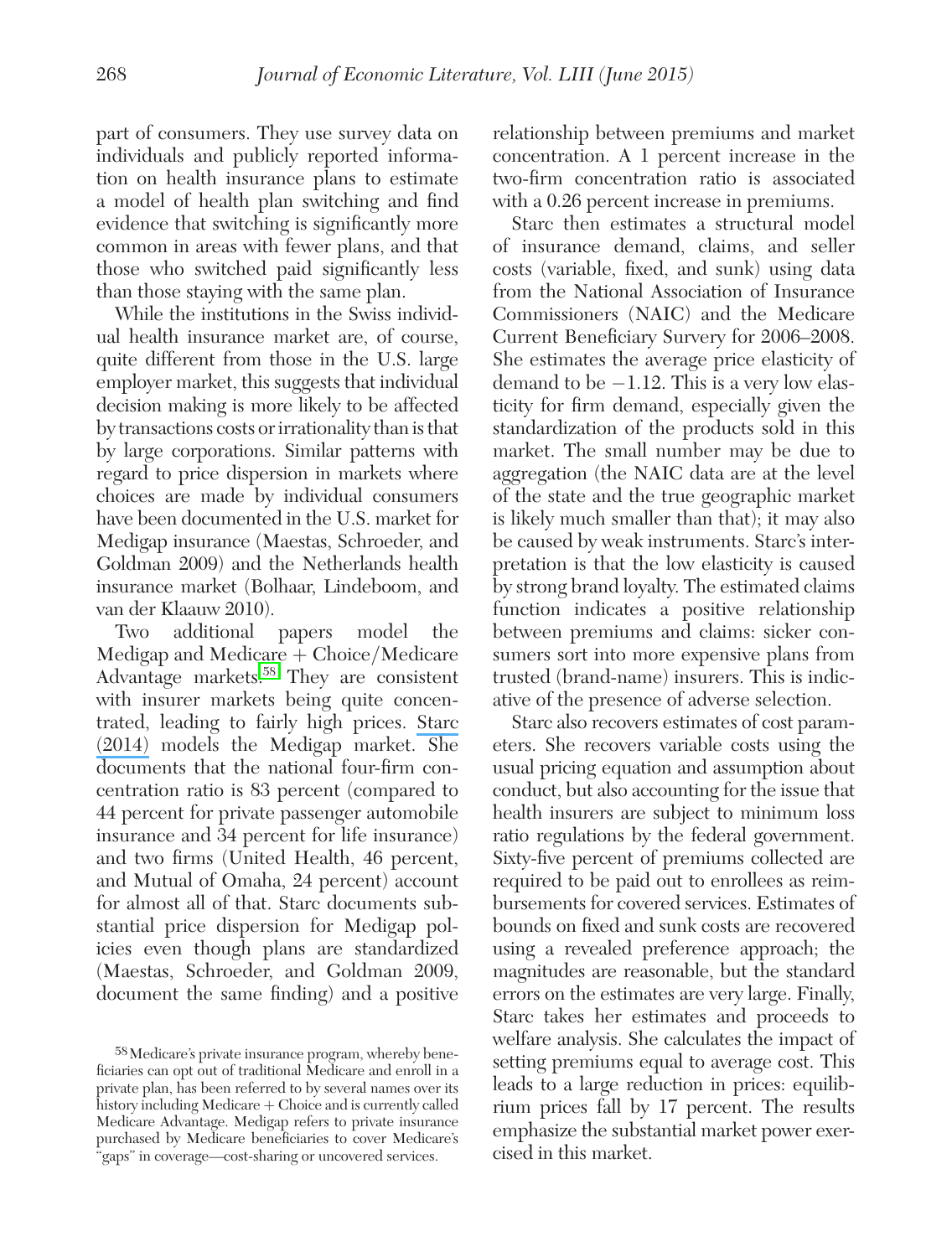part of consumers. They use survey data on individuals and publicly reported information on health insurance plans to estimate a model of health plan switching and find evidence that switching is significantly more common in areas with fewer plans, and that those who switched paid significantly less than those staying with the same plan.

While the institutions in the Swiss individual health insurance market are, of course, quite different from those in the U.S. large employer market, this suggests that individual decision making is more likely to be affected by transactions costs or irrationality than is that by large corporations. Similar patterns with regard to price dispersion in markets where choices are made by individual consumers have been documented in the U.S. market for Medigap insurance (Maestas, Schroeder, and Goldman 2009) and the Netherlands health insurance market (Bolhaar, Lindeboom, and van der Klaauw 2010).

Two additional papers model the  $Medigap$  and  $Medicare + Choice/Medicare$ Advantage markets.58 They are consistent with insurer markets being quite concentrated, leading to fairly high prices. [Starc](https://www.researchgate.net/publication/228342508_Insurer_Pricing_and_Consumer_Welfare_Evidence_from_Medigap?el=1_x_8&enrichId=rgreq-cb7d2b5db6741595fb53fa84c810989d-XXX&enrichSource=Y292ZXJQYWdlOzI3ODY3NjcxOTtBUzoyNDE3NTE4ODU2MTEwMDhAMTQzNDY0OTU0OTA1MA==) [\(2014\)](https://www.researchgate.net/publication/228342508_Insurer_Pricing_and_Consumer_Welfare_Evidence_from_Medigap?el=1_x_8&enrichId=rgreq-cb7d2b5db6741595fb53fa84c810989d-XXX&enrichSource=Y292ZXJQYWdlOzI3ODY3NjcxOTtBUzoyNDE3NTE4ODU2MTEwMDhAMTQzNDY0OTU0OTA1MA==) models the Medigap market. She documents that the national four-firm concentration ratio is 83 percent (compared to 44 percent for private passenger automobile insurance and 34 percent for life insurance) and two firms (United Health, 46 percent, and Mutual of Omaha, 24 percent) account for almost all of that. Starc documents substantial price dispersion for Medigap policies even though plans are standardized (Maestas, Schroeder, and Goldman 2009, document the same finding) and a positive

relationship between premiums and market concentration. A 1 percent increase in the two-firm concentration ratio is associated with a 0.26 percent increase in premiums.

Starc then estimates a structural model of insurance demand, claims, and seller costs (variable, fixed, and sunk) using data from the National Association of Insurance Commissioners (NAIC) and the Medicare Current Beneficiary Survery for 2006–2008. She estimates the average price elasticity of demand to be −1.12. This is a very low elasticity for firm demand, especially given the standardization of the products sold in this market. The small number may be due to aggregation (the NAIC data are at the level of the state and the true geographic market is likely much smaller than that); it may also be caused by weak instruments. Starc's interpretation is that the low elasticity is caused by strong brand loyalty. The estimated claims function indicates a positive relationship between premiums and claims: sicker consumers sort into more expensive plans from trusted (brand-name) insurers. This is indicative of the presence of adverse selection.

Starc also recovers estimates of cost parameters. She recovers variable costs using the usual pricing equation and assumption about conduct, but also accounting for the issue that health insurers are subject to minimum loss ratio regulations by the federal government. Sixty-five percent of premiums collected are required to be paid out to enrollees as reimbursements for covered services. Estimates of bounds on fixed and sunk costs are recovered using a revealed preference approach; the magnitudes are reasonable, but the standard errors on the estimates are very large. Finally, Starc takes her estimates and proceeds to welfare analysis. She calculates the impact of setting premiums equal to average cost. This leads to a large reduction in prices: equilibrium prices fall by 17 percent. The results emphasize the substantial market power exercised in this market.

<sup>58</sup>Medicare's private insurance program, whereby beneficiaries can opt out of traditional Medicare and enroll in a private plan, has been referred to by several names over its history including Medicare + Choice and is currently called Medicare Advantage. Medigap refers to private insurance purchased by Medicare beneficiaries to cover Medicare's "gaps" in coverage—cost-sharing or uncovered services.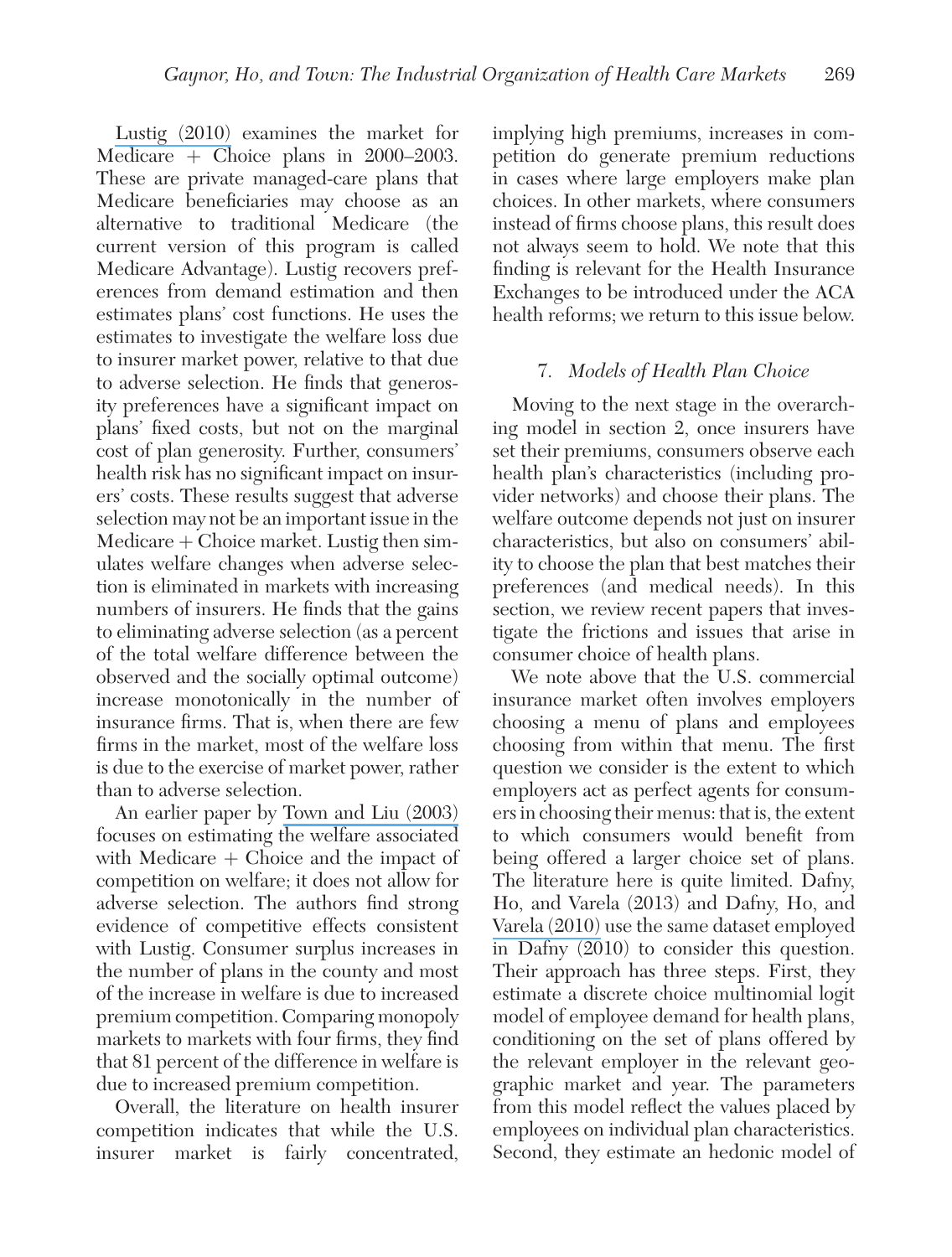[Lustig \(2010\)](https://www.researchgate.net/publication/228649178_Measuring_Welfare_Losses_from_Adverse_Selection_and_Imperfect_Competition_in_Privatized_Medicare?el=1_x_8&enrichId=rgreq-cb7d2b5db6741595fb53fa84c810989d-XXX&enrichSource=Y292ZXJQYWdlOzI3ODY3NjcxOTtBUzoyNDE3NTE4ODU2MTEwMDhAMTQzNDY0OTU0OTA1MA==) examines the market for Medicare + Choice plans in 2000–2003. These are private managed-care plans that Medicare beneficiaries may choose as an alternative to traditional Medicare (the current version of this program is called Medicare Advantage). Lustig recovers preferences from demand estimation and then estimates plans' cost functions. He uses the estimates to investigate the welfare loss due to insurer market power, relative to that due to adverse selection. He finds that generosity preferences have a significant impact on plans' fixed costs, but not on the marginal cost of plan generosity. Further, consumers' health risk has no significant impact on insurers' costs. These results suggest that adverse selection may not be an important issue in the Medicare + Choice market. Lustig then simulates welfare changes when adverse selection is eliminated in markets with increasing numbers of insurers. He finds that the gains to eliminating adverse selection (as a percent of the total welfare difference between the observed and the socially optimal outcome) increase monotonically in the number of insurance firms. That is, when there are few firms in the market, most of the welfare loss is due to the exercise of market power, rather than to adverse selection.

An earlier paper by [Town and Liu \(2003\)](https://www.researchgate.net/publication/8681854_The_welfare_impact_of_Medicare_HMOs?el=1_x_8&enrichId=rgreq-cb7d2b5db6741595fb53fa84c810989d-XXX&enrichSource=Y292ZXJQYWdlOzI3ODY3NjcxOTtBUzoyNDE3NTE4ODU2MTEwMDhAMTQzNDY0OTU0OTA1MA==)  focuses on estimating the welfare associated with Medicare  $+$  Choice and the impact of competition on welfare; it does not allow for adverse selection. The authors find strong evidence of competitive effects consistent with Lustig. Consumer surplus increases in the number of plans in the county and most of the increase in welfare is due to increased premium competition. Comparing monopoly markets to markets with four firms, they find that 81 percent of the difference in welfare is due to increased premium competition.

Overall, the literature on health insurer competition indicates that while the U.S. insurer market is fairly concentrated, implying high premiums, increases in competition do generate premium reductions in cases where large employers make plan choices. In other markets, where consumers instead of firms choose plans, this result does not always seem to hold. We note that this finding is relevant for the Health Insurance Exchanges to be introduced under the ACA health reforms; we return to this issue below.

#### 7. *Models of Health Plan Choice*

Moving to the next stage in the overarching model in section 2, once insurers have set their premiums, consumers observe each health plan's characteristics (including provider networks) and choose their plans. The welfare outcome depends not just on insurer characteristics, but also on consumers' ability to choose the plan that best matches their preferences (and medical needs). In this section, we review recent papers that investigate the frictions and issues that arise in consumer choice of health plans.

We note above that the U.S. commercial insurance market often involves employers choosing a menu of plans and employees choosing from within that menu. The first question we consider is the extent to which employers act as perfect agents for consumers in choosing their menus: that is, the extent to which consumers would benefit from being offered a larger choice set of plans. The literature here is quite limited. Dafny, Ho, and Varela (2013) and Dafny, Ho, and [Varela \(2010\)](https://www.researchgate.net/publication/227362893_An_Individual_Health_Plan_Exchange_Which_Employees_Would_Benefit_and_Why?el=1_x_8&enrichId=rgreq-cb7d2b5db6741595fb53fa84c810989d-XXX&enrichSource=Y292ZXJQYWdlOzI3ODY3NjcxOTtBUzoyNDE3NTE4ODU2MTEwMDhAMTQzNDY0OTU0OTA1MA==) use the same dataset employed in Dafny (2010) to consider this question. Their approach has three steps. First, they estimate a discrete choice multinomial logit model of employee demand for health plans, conditioning on the set of plans offered by the relevant employer in the relevant geographic market and year. The parameters from this model reflect the values placed by employees on individual plan characteristics. Second, they estimate an hedonic model of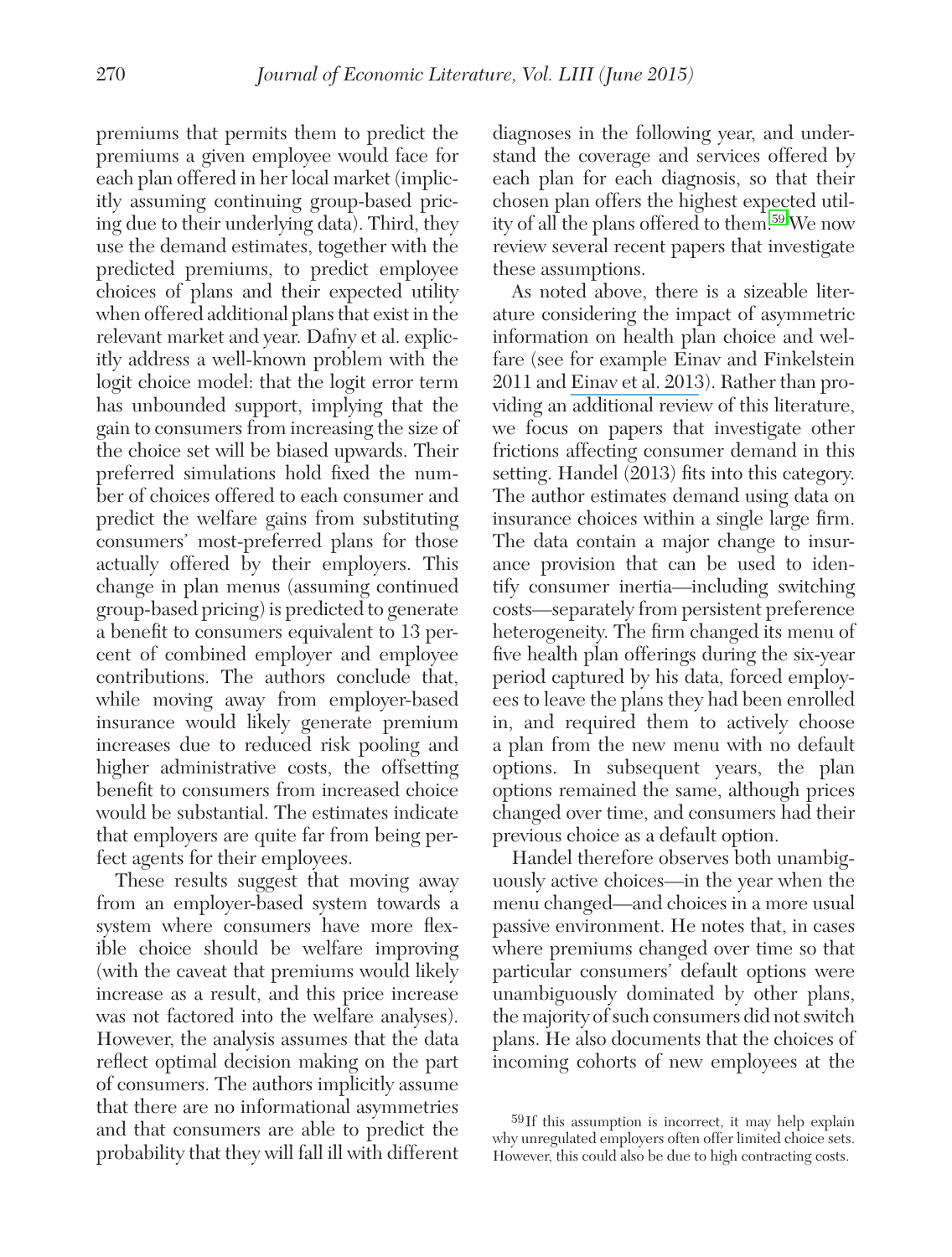premiums that permits them to predict the premiums a given employee would face for each plan offered in her local market (implicitly assuming continuing group-based pricing due to their underlying data). Third, they use the demand estimates, together with the predicted premiums, to predict employee choices of plans and their expected utility when offered additional plans that exist in the relevant market and year. Dafny et al. explicitly address a well-known problem with the logit choice model: that the logit error term has unbounded support, implying that the gain to consumers from increasing the size of the choice set will be biased upwards. Their preferred simulations hold fixed the number of choices offered to each consumer and predict the welfare gains from substituting consumers' most-preferred plans for those actually offered by their employers. This change in plan menus (assuming continued group-based pricing) is predicted to generate a benefit to consumers equivalent to 13 percent of combined employer and employee contributions. The authors conclude that, while moving away from employer-based insurance would likely generate premium increases due to reduced risk pooling and higher administrative costs, the offsetting benefit to consumers from increased choice would be substantial. The estimates indicate that employers are quite far from being perfect agents for their employees.

These results suggest that moving away from an employer-based system towards a system where consumers have more flexible choice should be welfare improving (with the caveat that premiums would likely increase as a result, and this price increase was not factored into the welfare analyses). However, the analysis assumes that the data reflect optimal decision making on the part of consumers. The authors implicitly assume that there are no informational asymmetries and that consumers are able to predict the probability that they will fall ill with different

diagnoses in the following year, and understand the coverage and services offered by each plan for each diagnosis, so that their chosen plan offers the highest expected utility of all the plans offered to them.59 We now review several recent papers that investigate these assumptions.

As noted above, there is a sizeable literature considering the impact of asymmetric information on health plan choice and welfare (see for example Einav and Finkelstein 2011 and [Einav et al. 2013](https://www.researchgate.net/publication/261766793_Selection_on_Moral_Hazard_in_Health_Insurance?el=1_x_8&enrichId=rgreq-cb7d2b5db6741595fb53fa84c810989d-XXX&enrichSource=Y292ZXJQYWdlOzI3ODY3NjcxOTtBUzoyNDE3NTE4ODU2MTEwMDhAMTQzNDY0OTU0OTA1MA==)). Rather than providing an additional review of this literature, we focus on papers that investigate other frictions affecting consumer demand in this setting. Handel (2013) fits into this category. The author estimates demand using data on insurance choices within a single large firm. The data contain a major change to insurance provision that can be used to identify consumer inertia—including switching costs—separately from persistent preference heterogeneity. The firm changed its menu of five health plan offerings during the six-year period captured by his data, forced employees to leave the plans they had been enrolled in, and required them to actively choose a plan from the new menu with no default options. In subsequent years, the plan options remained the same, although prices changed over time, and consumers had their previous choice as a default option.

Handel therefore observes both unambiguously active choices—in the year when the menu changed—and choices in a more usual passive environment. He notes that, in cases where premiums changed over time so that particular consumers' default options were unambiguously dominated by other plans, the majority of such consumers did not switch plans. He also documents that the choices of incoming cohorts of new employees at the

<sup>59</sup>If this assumption is incorrect, it may help explain why unregulated employers often offer limited choice sets. However, this could also be due to high contracting costs.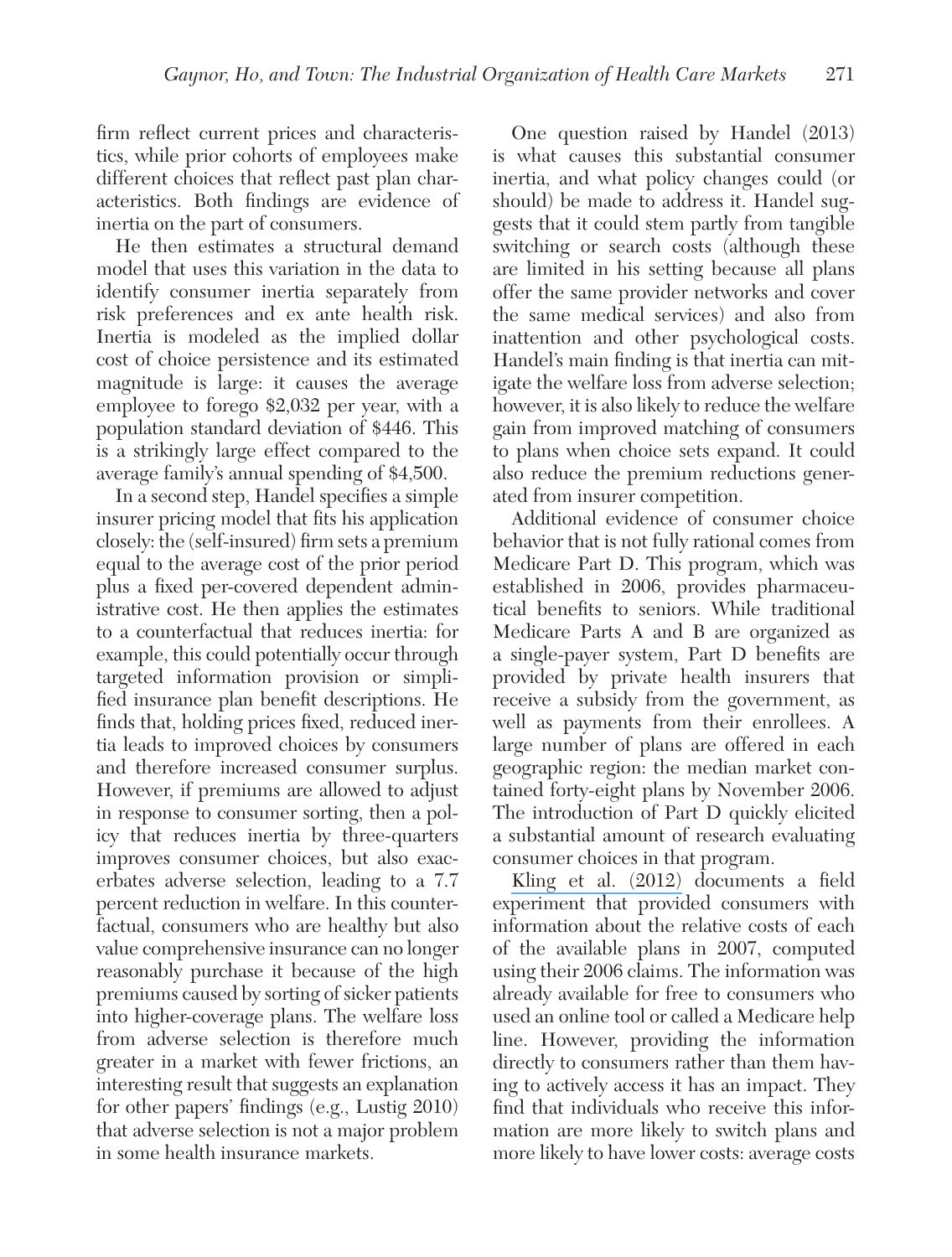firm reflect current prices and characteristics, while prior cohorts of employees make different choices that reflect past plan characteristics. Both findings are evidence of inertia on the part of consumers.

He then estimates a structural demand model that uses this variation in the data to identify consumer inertia separately from risk preferences and ex ante health risk. Inertia is modeled as the implied dollar cost of choice persistence and its estimated magnitude is large: it causes the average employee to forego \$2,032 per year, with a population standard deviation of \$446. This is a strikingly large effect compared to the average family's annual spending of \$4,500.

In a second step, Handel specifies a simple insurer pricing model that fits his application closely: the (self-insured) firm sets a premium equal to the average cost of the prior period plus a fixed per-covered dependent administrative cost. He then applies the estimates to a counterfactual that reduces inertia: for example, this could potentially occur through targeted information provision or simplified insurance plan benefit descriptions. He finds that, holding prices fixed, reduced inertia leads to improved choices by consumers and therefore increased consumer surplus. However, if premiums are allowed to adjust in response to consumer sorting, then a policy that reduces inertia by three-quarters improves consumer choices, but also exacerbates adverse selection, leading to a 7.7 percent reduction in welfare. In this counterfactual, consumers who are healthy but also value comprehensive insurance can no longer reasonably purchase it because of the high premiums caused by sorting of sicker patients into higher-coverage plans. The welfare loss from adverse selection is therefore much greater in a market with fewer frictions, an interesting result that suggests an explanation for other papers' findings (e.g., Lustig 2010) that adverse selection is not a major problem in some health insurance markets.

One question raised by Handel (2013) is what causes this substantial consumer inertia, and what policy changes could (or should) be made to address it. Handel suggests that it could stem partly from tangible switching or search costs (although these are limited in his setting because all plans offer the same provider networks and cover the same medical services) and also from inattention and other psychological costs. Handel's main finding is that inertia can mitigate the welfare loss from adverse selection; however, it is also likely to reduce the welfare gain from improved matching of consumers to plans when choice sets expand. It could also reduce the premium reductions generated from insurer competition.

Additional evidence of consumer choice behavior that is not fully rational comes from Medicare Part D. This program, which was established in 2006, provides pharmaceutical benefits to seniors. While traditional Medicare Parts A and B are organized as a single-payer system, Part D benefits are provided by private health insurers that receive a subsidy from the government, as well as payments from their enrollees. A large number of plans are offered in each geographic region: the median market contained forty-eight plans by November 2006. The introduction of Part D quickly elicited a substantial amount of research evaluating consumer choices in that program.

[Kling et al. \(2012\)](https://www.researchgate.net/publication/221979773_Comparison_Friction_Experimental_Evidence_from_Medicare_Drug_Plans?el=1_x_8&enrichId=rgreq-cb7d2b5db6741595fb53fa84c810989d-XXX&enrichSource=Y292ZXJQYWdlOzI3ODY3NjcxOTtBUzoyNDE3NTE4ODU2MTEwMDhAMTQzNDY0OTU0OTA1MA==) documents a field experiment that provided consumers with information about the relative costs of each of the available plans in 2007, computed using their 2006 claims. The information was already available for free to consumers who used an online tool or called a Medicare help line. However, providing the information directly to consumers rather than them having to actively access it has an impact. They find that individuals who receive this information are more likely to switch plans and more likely to have lower costs: average costs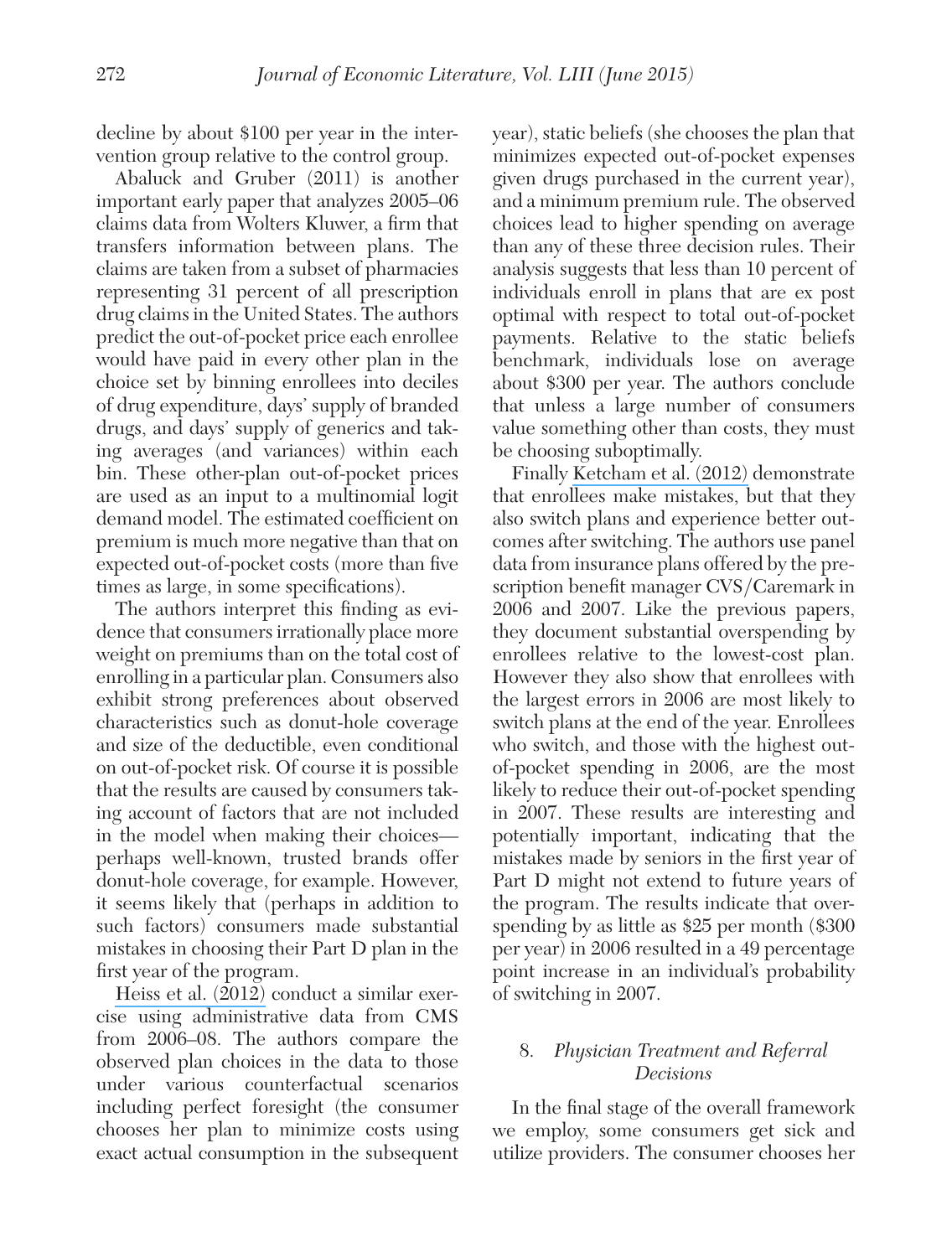decline by about \$100 per year in the intervention group relative to the control group.

Abaluck and Gruber (2011) is another important early paper that analyzes 2005–06 claims data from Wolters Kluwer, a firm that transfers information between plans. The claims are taken from a subset of pharmacies representing 31 percent of all prescription drug claims in the United States. The authors predict the out-of-pocket price each enrollee would have paid in every other plan in the choice set by binning enrollees into deciles of drug expenditure, days' supply of branded drugs, and days' supply of generics and taking averages (and variances) within each bin. These other-plan out-of-pocket prices are used as an input to a multinomial logit demand model. The estimated coefficient on premium is much more negative than that on expected out-of-pocket costs (more than five times as large, in some specifications).

The authors interpret this finding as evidence that consumers irrationally place more weight on premiums than on the total cost of enrolling in a particular plan. Consumers also exhibit strong preferences about observed characteristics such as donut-hole coverage and size of the deductible, even conditional on out-of-pocket risk. Of course it is possible that the results are caused by consumers taking account of factors that are not included in the model when making their choices perhaps well-known, trusted brands offer donut-hole coverage, for example. However, it seems likely that (perhaps in addition to such factors) consumers made substantial mistakes in choosing their Part D plan in the first year of the program.

[Heiss et al. \(2012\)](https://www.researchgate.net/publication/259204565_Plan_selection_in_Medicare_Part_D_Evidence_from_administrative_data?el=1_x_8&enrichId=rgreq-cb7d2b5db6741595fb53fa84c810989d-XXX&enrichSource=Y292ZXJQYWdlOzI3ODY3NjcxOTtBUzoyNDE3NTE4ODU2MTEwMDhAMTQzNDY0OTU0OTA1MA==) conduct a similar exercise using administrative data from CMS from 2006–08. The authors compare the observed plan choices in the data to those under various counterfactual scenarios including perfect foresight (the consumer chooses her plan to minimize costs using exact actual consumption in the subsequent year), static beliefs (she chooses the plan that minimizes expected out-of-pocket expenses given drugs purchased in the current year), and a minimum premium rule. The observed choices lead to higher spending on average than any of these three decision rules. Their analysis suggests that less than 10 percent of individuals enroll in plans that are ex post optimal with respect to total out-of-pocket payments. Relative to the static beliefs benchmark, individuals lose on average about \$300 per year. The authors conclude that unless a large number of consumers value something other than costs, they must be choosing suboptimally.

Finally [Ketcham et al. \(2012\)](https://www.researchgate.net/publication/229003765_Sinking_Swimming_or_Learning_to_Swim_in_Medicare_Part_D?el=1_x_8&enrichId=rgreq-cb7d2b5db6741595fb53fa84c810989d-XXX&enrichSource=Y292ZXJQYWdlOzI3ODY3NjcxOTtBUzoyNDE3NTE4ODU2MTEwMDhAMTQzNDY0OTU0OTA1MA==) demonstrate that enrollees make mistakes, but that they also switch plans and experience better outcomes after switching. The authors use panel data from insurance plans offered by the prescription benefit manager CVS/Caremark in 2006 and 2007. Like the previous papers, they document substantial overspending by enrollees relative to the lowest-cost plan. However they also show that enrollees with the largest errors in 2006 are most likely to switch plans at the end of the year. Enrollees who switch, and those with the highest outof-pocket spending in 2006, are the most likely to reduce their out-of-pocket spending in 2007. These results are interesting and potentially important, indicating that the mistakes made by seniors in the first year of Part D might not extend to future years of the program. The results indicate that overspending by as little as \$25 per month (\$300 per year) in 2006 resulted in a 49 percentage point increase in an individual's probability of switching in 2007.

## 8. *Physician Treatment and Referral Decisions*

In the final stage of the overall framework we employ, some consumers get sick and utilize providers. The consumer chooses her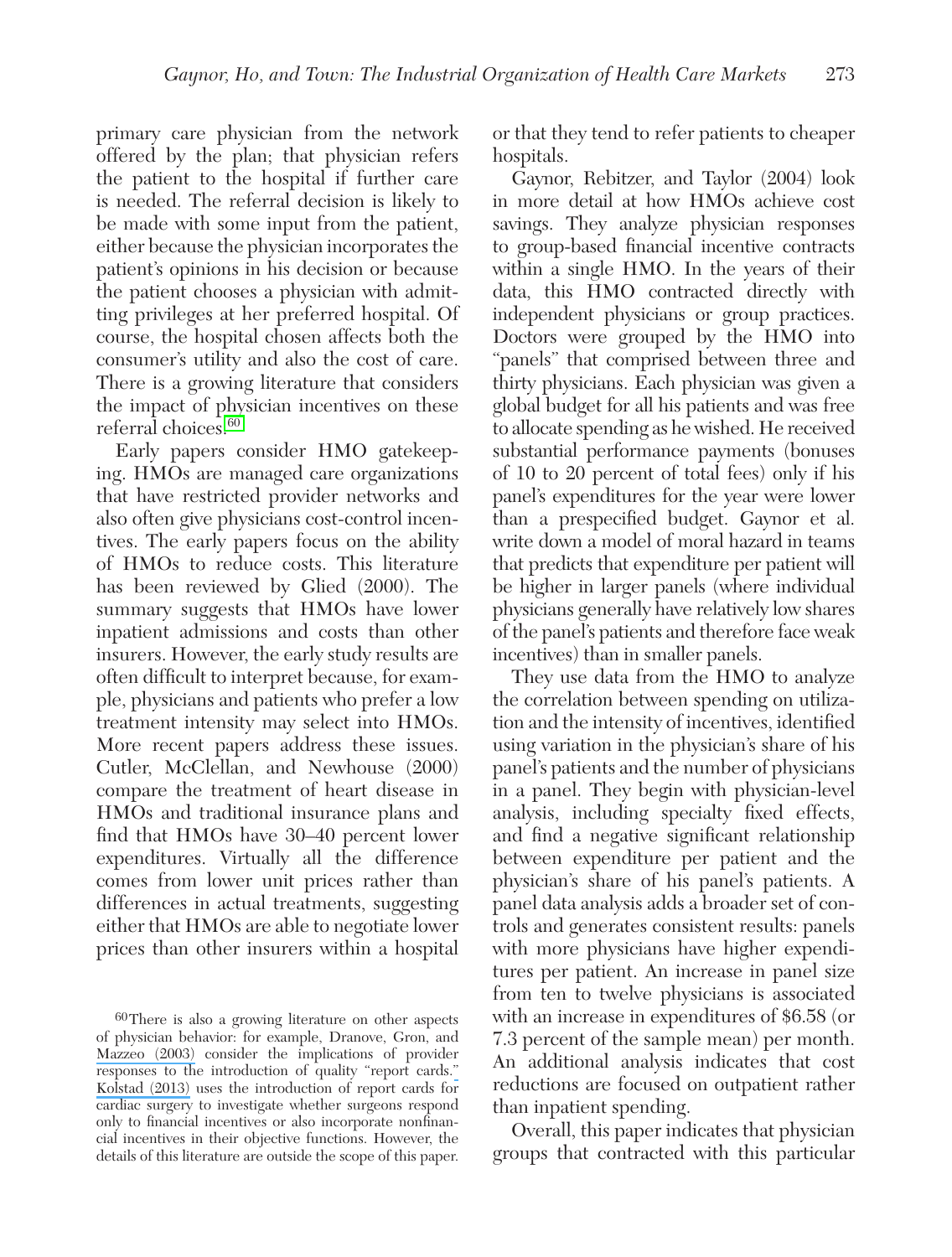primary care physician from the network offered by the plan; that physician refers the patient to the hospital if further care is needed. The referral decision is likely to be made with some input from the patient, either because the physician incorporates the patient's opinions in his decision or because the patient chooses a physician with admitting privileges at her preferred hospital. Of course, the hospital chosen affects both the consumer's utility and also the cost of care. There is a growing literature that considers the impact of physician incentives on these referral choices.<sup>60</sup>

Early papers consider HMO gatekeeping. HMOs are managed care organizations that have restricted provider networks and also often give physicians cost-control incentives. The early papers focus on the ability of HMOs to reduce costs. This literature has been reviewed by Glied (2000). The summary suggests that HMOs have lower inpatient admissions and costs than other insurers. However, the early study results are often difficult to interpret because, for example, physicians and patients who prefer a low treatment intensity may select into HMOs. More recent papers address these issues. Cutler, McClellan, and Newhouse (2000) compare the treatment of heart disease in HMOs and traditional insurance plans and find that HMOs have 30–40 percent lower expenditures. Virtually all the difference comes from lower unit prices rather than differences in actual treatments, suggesting either that HMOs are able to negotiate lower prices than other insurers within a hospital

or that they tend to refer patients to cheaper hospitals.

Gaynor, Rebitzer, and Taylor (2004) look in more detail at how HMOs achieve cost savings. They analyze physician responses to group-based financial incentive contracts within a single HMO. In the years of their data, this HMO contracted directly with independent physicians or group practices. Doctors were grouped by the HMO into "panels" that comprised between three and thirty physicians. Each physician was given a global budget for all his patients and was free to allocate spending as he wished. He received substantial performance payments (bonuses of 10 to 20 percent of total fees) only if his panel's expenditures for the year were lower than a prespecified budget. Gaynor et al. write down a model of moral hazard in teams that predicts that expenditure per patient will be higher in larger panels (where individual physicians generally have relatively low shares of the panel's patients and therefore face weak incentives) than in smaller panels.

They use data from the HMO to analyze the correlation between spending on utilization and the intensity of incentives, identified using variation in the physician's share of his panel's patients and the number of physicians in a panel. They begin with physician-level analysis, including specialty fixed effects, and find a negative significant relationship between expenditure per patient and the physician's share of his panel's patients. A panel data analysis adds a broader set of controls and generates consistent results: panels with more physicians have higher expenditures per patient. An increase in panel size from ten to twelve physicians is associated with an increase in expenditures of \$6.58 (or 7.3 percent of the sample mean) per month. An additional analysis indicates that cost reductions are focused on outpatient rather than inpatient spending.

Overall, this paper indicates that physician groups that contracted with this particular

<sup>60</sup>There is also a growing literature on other aspects of physician behavior: for example, Dranove, Gron, and [Mazzeo \(2003\)](https://www.researchgate.net/publication/null?el=1_x_8&enrichId=rgreq-cb7d2b5db6741595fb53fa84c810989d-XXX&enrichSource=Y292ZXJQYWdlOzI3ODY3NjcxOTtBUzoyNDE3NTE4ODU2MTEwMDhAMTQzNDY0OTU0OTA1MA==) consider the implications of provider responses to the introduction of quality "report cards.["](https://www.researchgate.net/publication/255633509_Information_and_Quality_When_Motivation_Is_Intrinsic_Evidence_from_Surgeon_Report_Cards?el=1_x_8&enrichId=rgreq-cb7d2b5db6741595fb53fa84c810989d-XXX&enrichSource=Y292ZXJQYWdlOzI3ODY3NjcxOTtBUzoyNDE3NTE4ODU2MTEwMDhAMTQzNDY0OTU0OTA1MA==)  [Kolstad \(2013\)](https://www.researchgate.net/publication/255633509_Information_and_Quality_When_Motivation_Is_Intrinsic_Evidence_from_Surgeon_Report_Cards?el=1_x_8&enrichId=rgreq-cb7d2b5db6741595fb53fa84c810989d-XXX&enrichSource=Y292ZXJQYWdlOzI3ODY3NjcxOTtBUzoyNDE3NTE4ODU2MTEwMDhAMTQzNDY0OTU0OTA1MA==) uses the introduction of report cards for cardiac surgery to investigate whether surgeons respond only to financial incentives or also incorporate nonfinancial incentives in their objective functions. However, the details of this literature are outside the scope of this paper.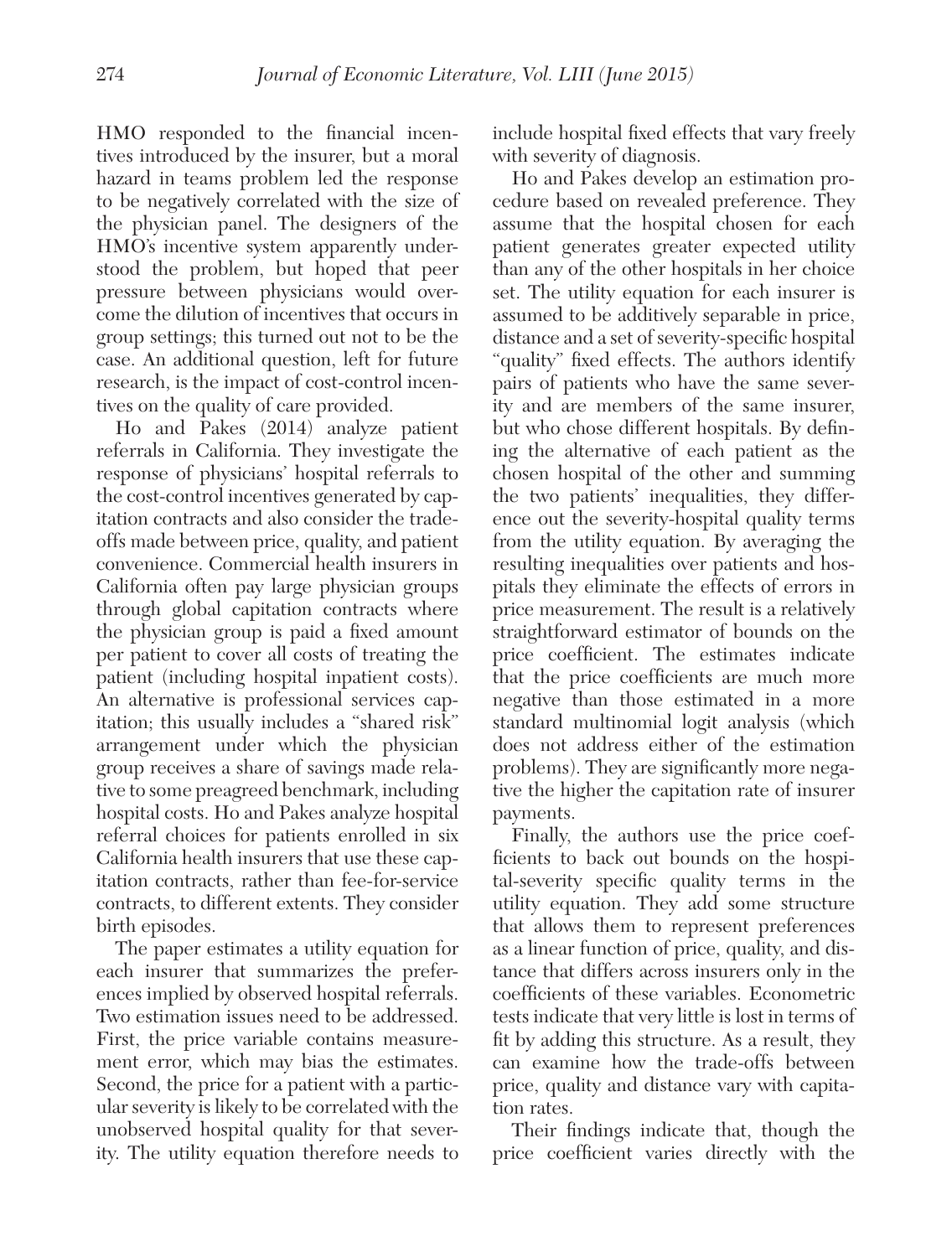HMO responded to the financial incentives introduced by the insurer, but a moral hazard in teams problem led the response to be negatively correlated with the size of the physician panel. The designers of the HMO's incentive system apparently understood the problem, but hoped that peer pressure between physicians would overcome the dilution of incentives that occurs in group settings; this turned out not to be the case. An additional question, left for future research, is the impact of cost-control incentives on the quality of care provided.

Ho and Pakes (2014) analyze patient referrals in California. They investigate the response of physicians' hospital referrals to the cost-control incentives generated by capitation contracts and also consider the tradeoffs made between price, quality, and patient convenience. Commercial health insurers in California often pay large physician groups through global capitation contracts where the physician group is paid a fixed amount per patient to cover all costs of treating the patient (including hospital inpatient costs). An alternative is professional services capitation; this usually includes a "shared risk" arrangement under which the physician group receives a share of savings made relative to some preagreed benchmark, including hospital costs. Ho and Pakes analyze hospital referral choices for patients enrolled in six California health insurers that use these capitation contracts, rather than fee-for-service contracts, to different extents. They consider birth episodes.

The paper estimates a utility equation for each insurer that summarizes the preferences implied by observed hospital referrals. Two estimation issues need to be addressed. First, the price variable contains measurement error, which may bias the estimates. Second, the price for a patient with a particular severity is likely to be correlated with the unobserved hospital quality for that severity. The utility equation therefore needs to include hospital fixed effects that vary freely with severity of diagnosis.

Ho and Pakes develop an estimation procedure based on revealed preference. They assume that the hospital chosen for each patient generates greater expected utility than any of the other hospitals in her choice set. The utility equation for each insurer is assumed to be additively separable in price, distance and a set of severity-specific hospital "quality" fixed effects. The authors identify pairs of patients who have the same severity and are members of the same insurer, but who chose different hospitals. By defining the alternative of each patient as the chosen hospital of the other and summing the two patients' inequalities, they difference out the severity-hospital quality terms from the utility equation. By averaging the resulting inequalities over patients and hospitals they eliminate the effects of errors in price measurement. The result is a relatively straightforward estimator of bounds on the price coefficient. The estimates indicate that the price coefficients are much more negative than those estimated in a more standard multinomial logit analysis (which does not address either of the estimation problems). They are significantly more negative the higher the capitation rate of insurer payments.

Finally, the authors use the price coefficients to back out bounds on the hospital-severity specific quality terms in the utility equation. They add some structure that allows them to represent preferences as a linear function of price, quality, and distance that differs across insurers only in the coefficients of these variables. Econometric tests indicate that very little is lost in terms of fit by adding this structure. As a result, they can examine how the trade-offs between price, quality and distance vary with capitation rates.

Their findings indicate that, though the price coefficient varies directly with the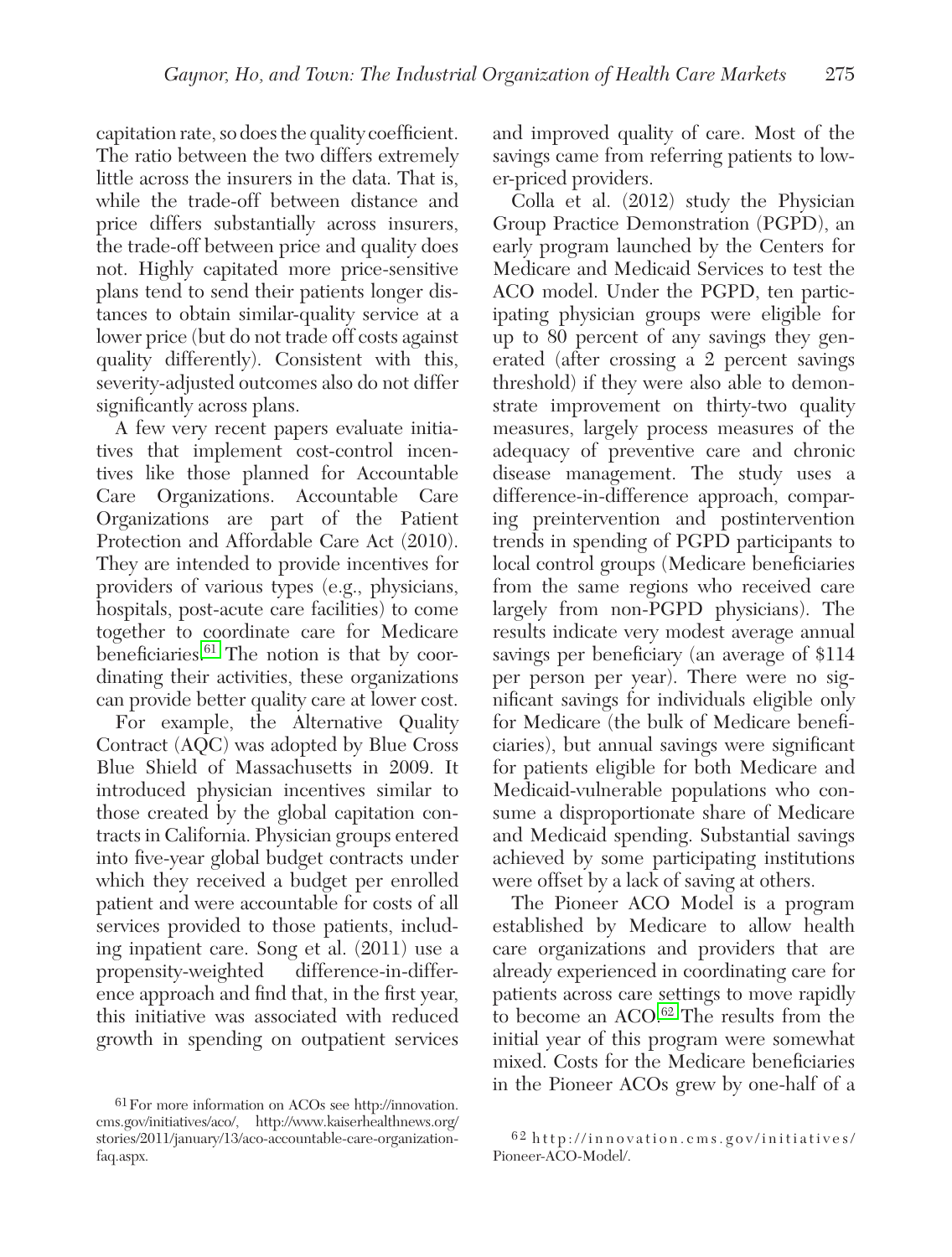capitation rate, so does the quality coefficient. The ratio between the two differs extremely little across the insurers in the data. That is, while the trade-off between distance and price differs substantially across insurers, the trade-off between price and quality does not. Highly capitated more price-sensitive plans tend to send their patients longer distances to obtain similar-quality service at a lower price (but do not trade off costs against quality differently). Consistent with this, severity-adjusted outcomes also do not differ significantly across plans.

A few very recent papers evaluate initiatives that implement cost-control incentives like those planned for Accountable Care Organizations. Accountable Care Organizations are part of the Patient Protection and Affordable Care Act (2010). They are intended to provide incentives for providers of various types (e.g., physicians, hospitals, post-acute care facilities) to come together to coordinate care for Medicare beneficiaries.<sup>61</sup> The notion is that by coordinating their activities, these organizations can provide better quality care at lower cost.

For example, the Alternative Quality Contract (AQC) was adopted by Blue Cross Blue Shield of Massachusetts in 2009. It introduced physician incentives similar to those created by the global capitation contracts in California. Physician groups entered into five-year global budget contracts under which they received a budget per enrolled patient and were accountable for costs of all services provided to those patients, including inpatient care. Song et al. (2011) use a propensity-weighted difference-in-difference approach and find that, in the first year, this initiative was associated with reduced growth in spending on outpatient services

[61For more information on ACOs see http://innovation.](http://innovation.cms.gov/initiatives/aco/) [cms.gov/initiatives/aco/, http://www.kaiserhealthnews.org/](http://www.kaiserhealthnews.org/stories/2011/january/13/aco-accountable-care-organization-faq.aspx) stories/2011/january/13/aco-accountable-care-organizationfaq.aspx.

and improved quality of care. Most of the savings came from referring patients to lower-priced providers.

Colla et al. (2012) study the Physician Group Practice Demonstration (PGPD), an early program launched by the Centers for Medicare and Medicaid Services to test the ACO model. Under the PGPD, ten participating physician groups were eligible for up to 80 percent of any savings they generated (after crossing a 2 percent savings threshold) if they were also able to demonstrate improvement on thirty-two quality measures, largely process measures of the adequacy of preventive care and chronic disease management. The study uses a difference-in-difference approach, comparing preintervention and postintervention trends in spending of PGPD participants to local control groups (Medicare beneficiaries from the same regions who received care largely from non-PGPD physicians). The results indicate very modest average annual savings per beneficiary (an average of \$114 per person per year). There were no significant savings for individuals eligible only for Medicare (the bulk of Medicare beneficiaries), but annual savings were significant for patients eligible for both Medicare and Medicaid-vulnerable populations who consume a disproportionate share of Medicare and Medicaid spending. Substantial savings achieved by some participating institutions were offset by a lack of saving at others.

The Pioneer ACO Model is a program established by Medicare to allow health care organizations and providers that are already experienced in coordinating care for patients across care settings to move rapidly to become an ACO.62 The results from the initial year of this program were somewhat mixed. Costs for the Medicare beneficiaries in the Pioneer ACOs grew by one-half of a

<sup>6 2</sup> [http://innovation.cms.gov/initiatives/](http://innovation.cms.gov/initiatives/Pioneer-ACO-Model/) Pioneer-ACO-Model/.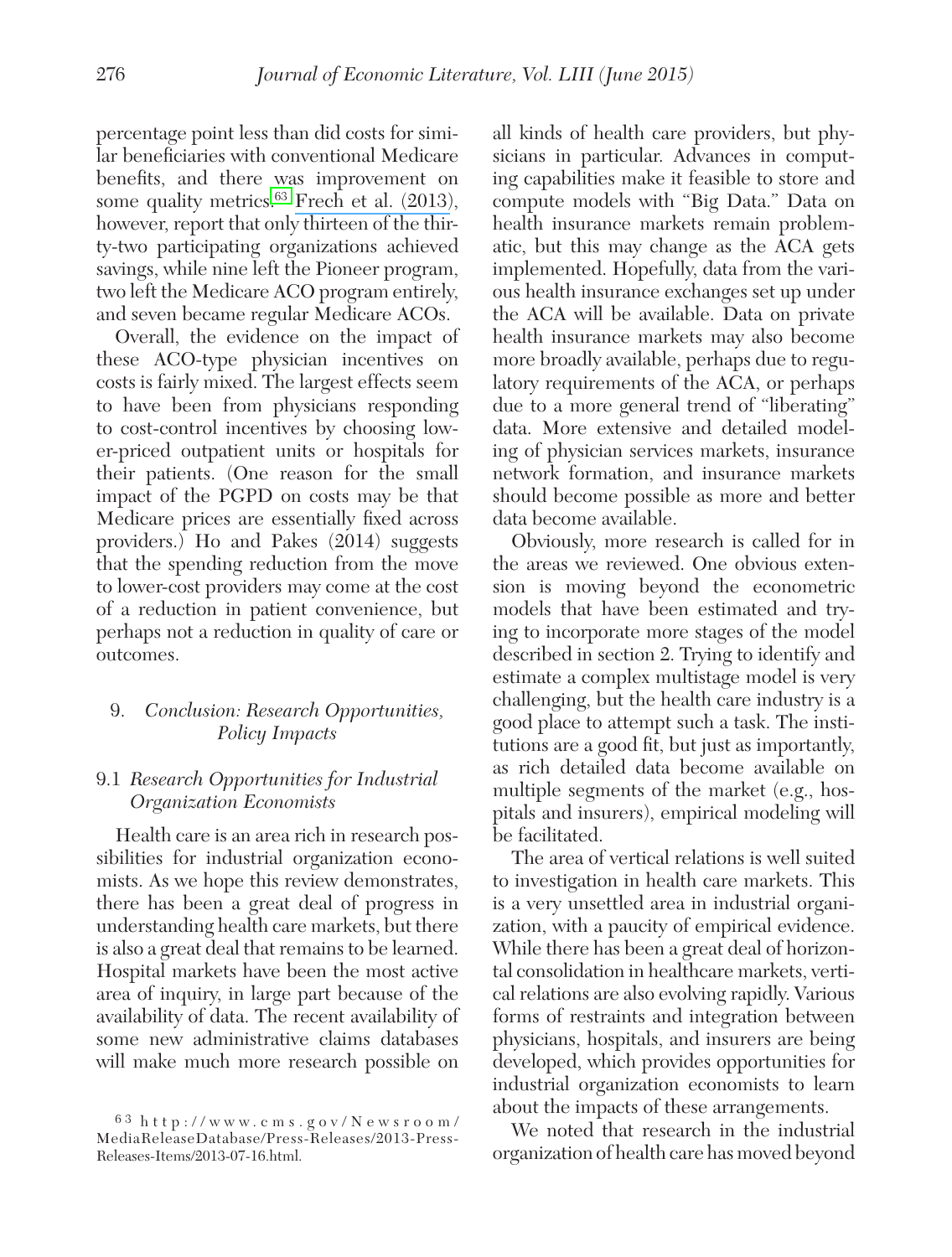percentage point less than did costs for similar beneficiaries with conventional Medicare benefits, and there was improvement on some quality metrics.<sup>63</sup> [Frech et al. \(2013\)](https://www.researchgate.net/publication/280386659_Market_Power_Transactions_Costs_and_the_Entry_of_Accountable_Care_Organizations_in_Health_Care?el=1_x_8&enrichId=rgreq-cb7d2b5db6741595fb53fa84c810989d-XXX&enrichSource=Y292ZXJQYWdlOzI3ODY3NjcxOTtBUzoyNDE3NTE4ODU2MTEwMDhAMTQzNDY0OTU0OTA1MA==), however, report that only thirteen of the thirty-two participating organizations achieved savings, while nine left the Pioneer program, two left the Medicare ACO program entirely, and seven became regular Medicare ACOs.

Overall, the evidence on the impact of these ACO-type physician incentives on costs is fairly mixed. The largest effects seem to have been from physicians responding to cost-control incentives by choosing lower-priced outpatient units or hospitals for their patients. (One reason for the small impact of the PGPD on costs may be that Medicare prices are essentially fixed across providers.) Ho and Pakes (2014) suggests that the spending reduction from the move to lower-cost providers may come at the cost of a reduction in patient convenience, but perhaps not a reduction in quality of care or outcomes.

## 9. *Conclusion: Research Opportunities, Policy Impacts*

## 9.1 *Research Opportunities for Industrial Organization Economists*

Health care is an area rich in research possibilities for industrial organization economists. As we hope this review demonstrates, there has been a great deal of progress in understanding health care markets, but there is also a great deal that remains to be learned. Hospital markets have been the most active area of inquiry, in large part because of the availability of data. The recent availability of some new administrative claims databases will make much more research possible on

all kinds of health care providers, but physicians in particular. Advances in computing capabilities make it feasible to store and compute models with "Big Data." Data on health insurance markets remain problematic, but this may change as the ACA gets implemented. Hopefully, data from the various health insurance exchanges set up under the ACA will be available. Data on private health insurance markets may also become more broadly available, perhaps due to regulatory requirements of the ACA, or perhaps due to a more general trend of "liberating" data. More extensive and detailed modeling of physician services markets, insurance network formation, and insurance markets should become possible as more and better data become available.

Obviously, more research is called for in the areas we reviewed. One obvious extension is moving beyond the econometric models that have been estimated and trying to incorporate more stages of the model described in section 2. Trying to identify and estimate a complex multistage model is very challenging, but the health care industry is a good place to attempt such a task. The institutions are a good fit, but just as importantly, as rich detailed data become available on multiple segments of the market (e.g., hospitals and insurers), empirical modeling will be facilitated.

The area of vertical relations is well suited to investigation in health care markets. This is a very unsettled area in industrial organization, with a paucity of empirical evidence. While there has been a great deal of horizontal consolidation in healthcare markets, vertical relations are also evolving rapidly. Various forms of restraints and integration between physicians, hospitals, and insurers are being developed, which provides opportunities for industrial organization economists to learn about the impacts of these arrangements.

We noted that research in the industrial organization of health care has moved beyond

<sup>6 3</sup> http://www.cms.gov/Newsroom/ MediaReleaseDatabase/Press-Releases/2013-Press-Releases-Items/2013-07-16.html.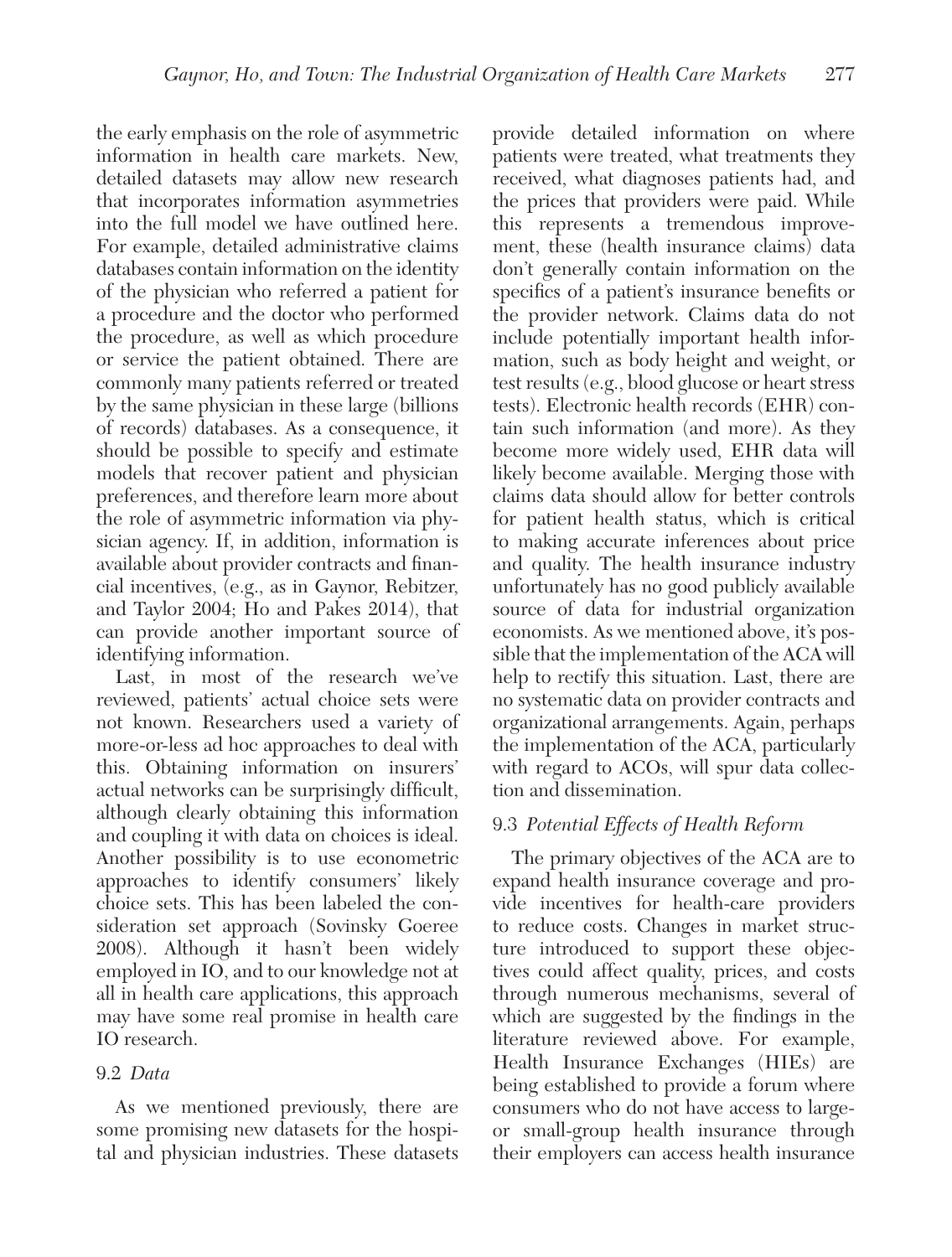the early emphasis on the role of asymmetric information in health care markets. New, detailed datasets may allow new research that incorporates information asymmetries into the full model we have outlined here. For example, detailed administrative claims databases contain information on the identity of the physician who referred a patient for a procedure and the doctor who performed the procedure, as well as which procedure or service the patient obtained. There are commonly many patients referred or treated by the same physician in these large (billions of records) databases. As a consequence, it should be possible to specify and estimate models that recover patient and physician preferences, and therefore learn more about the role of asymmetric information via physician agency. If, in addition, information is available about provider contracts and financial incentives, (e.g., as in Gaynor, Rebitzer, and Taylor 2004; Ho and Pakes 2014), that can provide another important source of identifying information.

Last, in most of the research we've reviewed, patients' actual choice sets were not known. Researchers used a variety of more-or-less ad hoc approaches to deal with this. Obtaining information on insurers' actual networks can be surprisingly difficult, although clearly obtaining this information and coupling it with data on choices is ideal. Another possibility is to use econometric approaches to identify consumers' likely choice sets. This has been labeled the consideration set approach (Sovinsky Goeree 2008). Although it hasn't been widely employed in IO, and to our knowledge not at all in health care applications, this approach may have some real promise in health care IO research.

## 9.2 *Data*

As we mentioned previously, there are some promising new datasets for the hospital and physician industries. These datasets provide detailed information on where patients were treated, what treatments they received, what diagnoses patients had, and the prices that providers were paid. While this represents a tremendous improvement, these (health insurance claims) data don't generally contain information on the specifics of a patient's insurance benefits or the provider network. Claims data do not include potentially important health information, such as body height and weight, or test results (e.g., blood glucose or heart stress tests). Electronic health records (EHR) contain such information (and more). As they become more widely used, EHR data will likely become available. Merging those with claims data should allow for better controls for patient health status, which is critical to making accurate inferences about price and quality. The health insurance industry unfortunately has no good publicly available source of data for industrial organization economists. As we mentioned above, it's possible that the implementation of the ACA will help to rectify this situation. Last, there are no systematic data on provider contracts and organizational arrangements. Again, perhaps the implementation of the ACA, particularly with regard to ACOs, will spur data collection and dissemination.

## 9.3 *Potential Effects of Health Reform*

The primary objectives of the ACA are to expand health insurance coverage and provide incentives for health-care providers to reduce costs. Changes in market structure introduced to support these objectives could affect quality, prices, and costs through numerous mechanisms, several of which are suggested by the findings in the literature reviewed above. For example, Health Insurance Exchanges (HIEs) are being established to provide a forum where consumers who do not have access to largeor small-group health insurance through their employers can access health insurance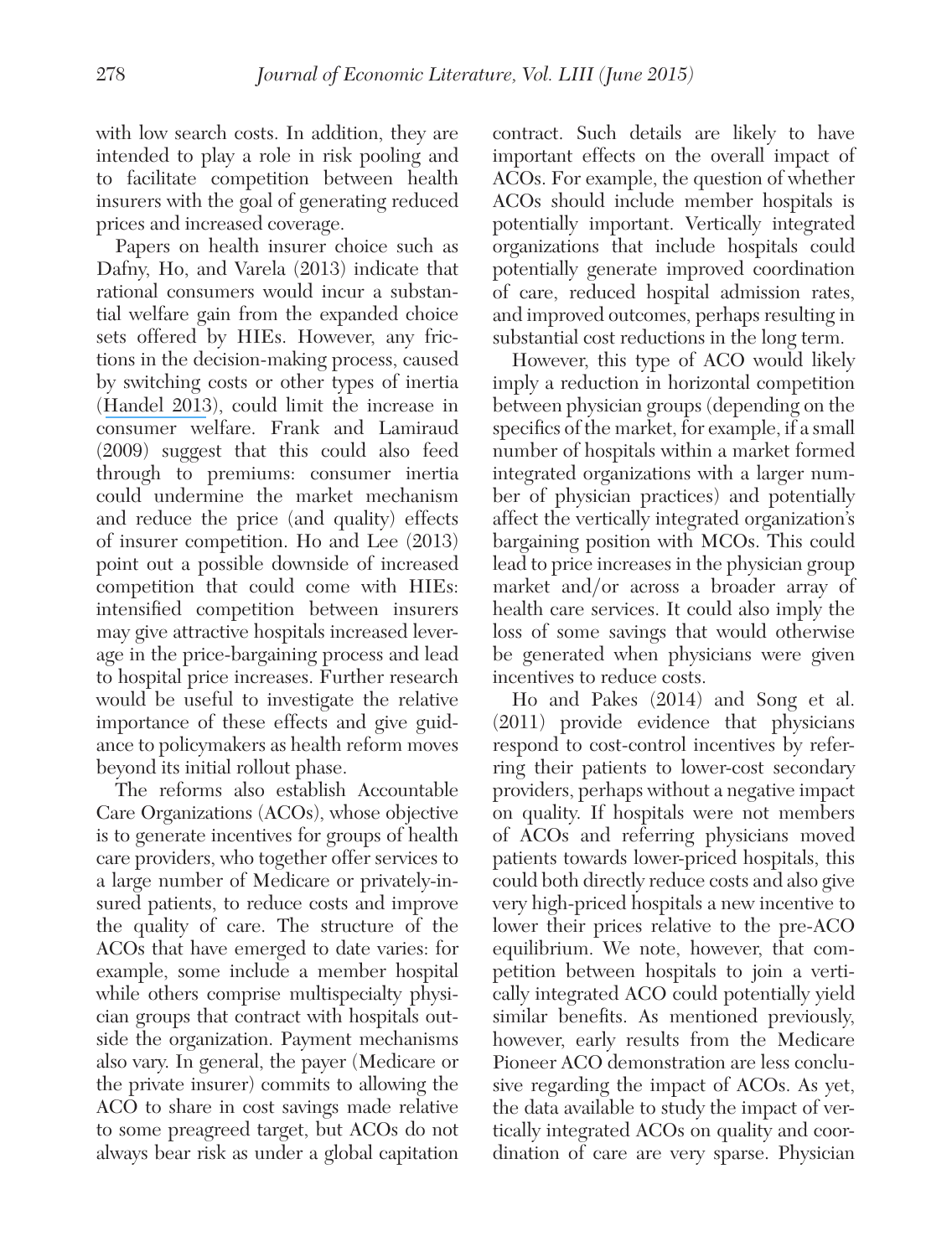with low search costs. In addition, they are intended to play a role in risk pooling and to facilitate competition between health insurers with the goal of generating reduced prices and increased coverage.

Papers on health insurer choice such as Dafny, Ho, and Varela (2013) indicate that rational consumers would incur a substantial welfare gain from the expanded choice sets offered by HIEs. However, any frictions in the decision-making process, caused by switching costs or other types of inertia ([Handel 2013](https://www.researchgate.net/publication/274799081_Adverse_Selection_and_Inertia_in_Health_Insurance_Markets_When_Nudging_Hurts?el=1_x_8&enrichId=rgreq-cb7d2b5db6741595fb53fa84c810989d-XXX&enrichSource=Y292ZXJQYWdlOzI3ODY3NjcxOTtBUzoyNDE3NTE4ODU2MTEwMDhAMTQzNDY0OTU0OTA1MA==)), could limit the increase in consumer welfare. Frank and Lamiraud (2009) suggest that this could also feed through to premiums: consumer inertia could undermine the market mechanism and reduce the price (and quality) effects of insurer competition. Ho and Lee (2013) point out a possible downside of increased competition that could come with HIEs: intensified competition between insurers may give attractive hospitals increased leverage in the price-bargaining process and lead to hospital price increases. Further research would be useful to investigate the relative importance of these effects and give guidance to policymakers as health reform moves beyond its initial rollout phase.

The reforms also establish Accountable Care Organizations (ACOs), whose objective is to generate incentives for groups of health care providers, who together offer services to a large number of Medicare or privately-insured patients, to reduce costs and improve the quality of care. The structure of the ACOs that have emerged to date varies: for example, some include a member hospital while others comprise multispecialty physician groups that contract with hospitals outside the organization. Payment mechanisms also vary. In general, the payer (Medicare or the private insurer) commits to allowing the ACO to share in cost savings made relative to some preagreed target, but ACOs do not always bear risk as under a global capitation

contract. Such details are likely to have important effects on the overall impact of ACOs. For example, the question of whether ACOs should include member hospitals is potentially important. Vertically integrated organizations that include hospitals could potentially generate improved coordination of care, reduced hospital admission rates, and improved outcomes, perhaps resulting in substantial cost reductions in the long term.

However, this type of ACO would likely imply a reduction in horizontal competition between physician groups (depending on the specifics of the market, for example, if a small number of hospitals within a market formed integrated organizations with a larger number of physician practices) and potentially affect the vertically integrated organization's bargaining position with MCOs. This could lead to price increases in the physician group market and/or across a broader array of health care services. It could also imply the loss of some savings that would otherwise be generated when physicians were given incentives to reduce costs.

Ho and Pakes (2014) and Song et al. (2011) provide evidence that physicians respond to cost-control incentives by referring their patients to lower-cost secondary providers, perhaps without a negative impact on quality. If hospitals were not members of ACOs and referring physicians moved patients towards lower-priced hospitals, this could both directly reduce costs and also give very high-priced hospitals a new incentive to lower their prices relative to the pre-ACO equilibrium. We note, however, that competition between hospitals to join a vertically integrated ACO could potentially yield similar benefits. As mentioned previously, however, early results from the Medicare Pioneer ACO demonstration are less conclusive regarding the impact of ACOs. As yet, the data available to study the impact of vertically integrated ACOs on quality and coordination of care are very sparse. Physician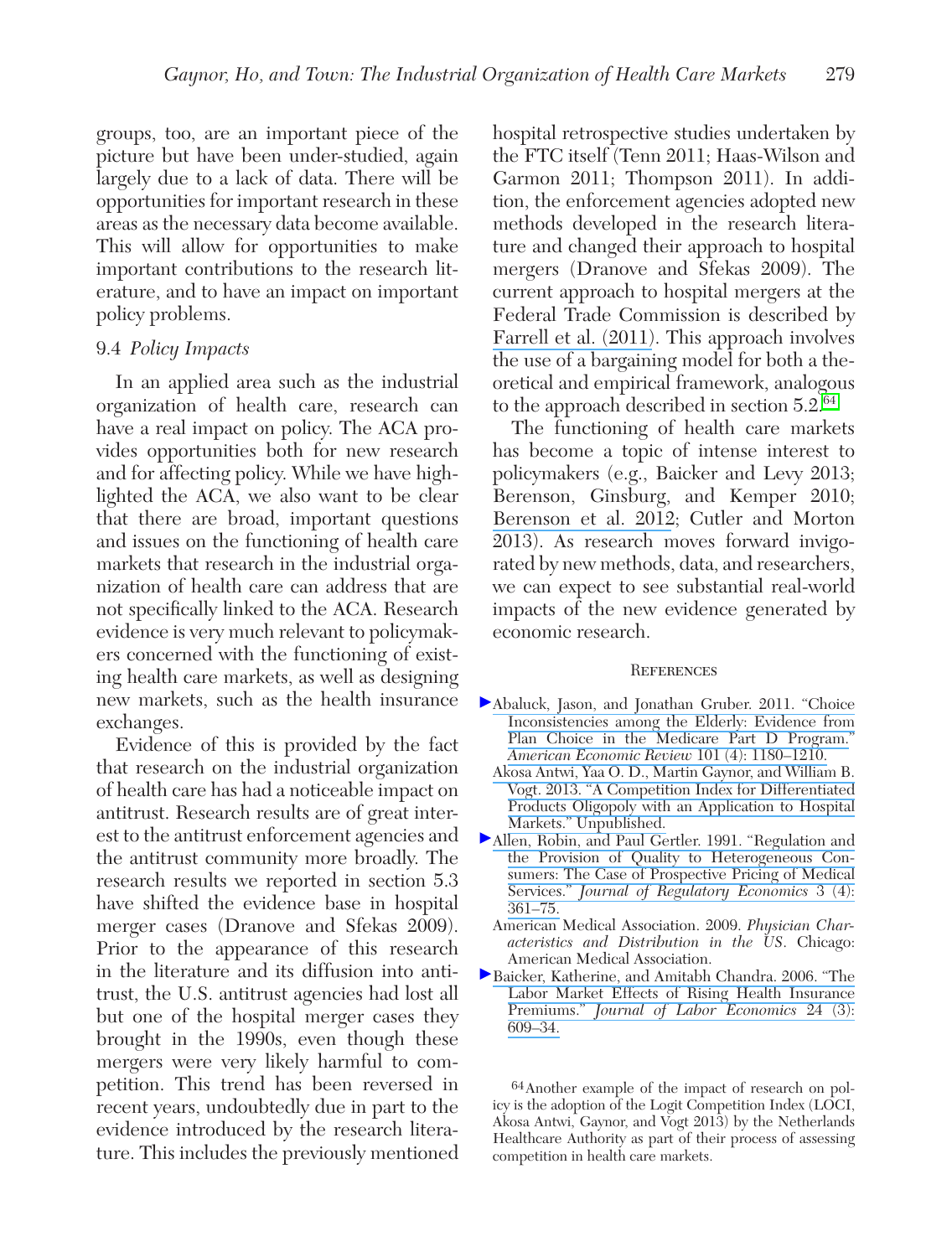groups, too, are an important piece of the picture but have been under-studied, again largely due to a lack of data. There will be opportunities for important research in these areas as the necessary data become available. This will allow for opportunities to make important contributions to the research literature, and to have an impact on important policy problems.

### 9.4 *Policy Impacts*

In an applied area such as the industrial organization of health care, research can have a real impact on policy. The ACA provides opportunities both for new research and for affecting policy. While we have highlighted the ACA, we also want to be clear that there are broad, important questions and issues on the functioning of health care markets that research in the industrial organization of health care can address that are not specifically linked to the ACA. Research evidence is very much relevant to policymakers concerned with the functioning of existing health care markets, as well as designing new markets, such as the health insurance exchanges.

Evidence of this is provided by the fact that research on the industrial organization of health care has had a noticeable impact on antitrust. Research results are of great interest to the antitrust enforcement agencies and the antitrust community more broadly. The research results we reported in section 5.3 have shifted the evidence base in hospital merger cases (Dranove and Sfekas 2009). Prior to the appearance of this research in the literature and its diffusion into antitrust, the U.S. antitrust agencies had lost all but one of the hospital merger cases they brought in the 1990s, even though these mergers were very likely harmful to competition. This trend has been reversed in recent years, undoubtedly due in part to the evidence introduced by the research literature. This includes the previously mentioned

hospital retrospective studies undertaken by the FTC itself (Tenn 2011; Haas-Wilson and Garmon 2011; Thompson 2011). In addition, the enforcement agencies adopted new methods developed in the research literature and changed their approach to hospital mergers (Dranove and Sfekas 2009). The current approach to hospital mergers at the Federal Trade Commission is described by [Farrell et al. \(2011\)](https://www.researchgate.net/publication/227359865_Economics_at_the_FTC_Hospital_Mergers_Authorized_Generic_Drugs_and_Consumer_Credit_Markets?el=1_x_8&enrichId=rgreq-cb7d2b5db6741595fb53fa84c810989d-XXX&enrichSource=Y292ZXJQYWdlOzI3ODY3NjcxOTtBUzoyNDE3NTE4ODU2MTEwMDhAMTQzNDY0OTU0OTA1MA==). This approach involves the use of a bargaining model for both a theoretical and empirical framework, analogous to the approach described in section  $5.2^{64}$ 

The functioning of health care markets has become a topic of intense interest to policymakers (e.g., Baicker and Levy 2013; Berenson, Ginsburg, and Kemper 2010; [Berenson et al. 2012](https://www.researchgate.net/publication/224918834_The_Growing_Power_Of_Some_Providers_To_Win_Steep_Payment_Increases_From_Insurers_Suggests_Policy_Remedies_May_Be_Needed?el=1_x_8&enrichId=rgreq-cb7d2b5db6741595fb53fa84c810989d-XXX&enrichSource=Y292ZXJQYWdlOzI3ODY3NjcxOTtBUzoyNDE3NTE4ODU2MTEwMDhAMTQzNDY0OTU0OTA1MA==); Cutler and Morton 2013). As research moves forward invigorated by new methods, data, and researchers, we can expect to see substantial real-world impacts of the new evidence generated by economic research.

#### **REFERENCES**

- [Abaluck, Jason, and Jonathan Gruber. 2011. "Choice](https://www.researchgate.net/publication/51586535_Choice_Inconsistencies_Among_the_Elderly_Evidence_from_Plan_Choice_in_the_Medicare_Part_D_Program?el=1_x_8&enrichId=rgreq-cb7d2b5db6741595fb53fa84c810989d-XXX&enrichSource=Y292ZXJQYWdlOzI3ODY3NjcxOTtBUzoyNDE3NTE4ODU2MTEwMDhAMTQzNDY0OTU0OTA1MA==)  [Inconsistencies among the Elderly: Evidence from](https://www.researchgate.net/publication/51586535_Choice_Inconsistencies_Among_the_Elderly_Evidence_from_Plan_Choice_in_the_Medicare_Part_D_Program?el=1_x_8&enrichId=rgreq-cb7d2b5db6741595fb53fa84c810989d-XXX&enrichSource=Y292ZXJQYWdlOzI3ODY3NjcxOTtBUzoyNDE3NTE4ODU2MTEwMDhAMTQzNDY0OTU0OTA1MA==) [Plan Choice in the Medicare Part D Program."](https://www.researchgate.net/publication/51586535_Choice_Inconsistencies_Among_the_Elderly_Evidence_from_Plan_Choice_in_the_Medicare_Part_D_Program?el=1_x_8&enrichId=rgreq-cb7d2b5db6741595fb53fa84c810989d-XXX&enrichSource=Y292ZXJQYWdlOzI3ODY3NjcxOTtBUzoyNDE3NTE4ODU2MTEwMDhAMTQzNDY0OTU0OTA1MA==) *[American Economic Review](https://www.researchgate.net/publication/51586535_Choice_Inconsistencies_Among_the_Elderly_Evidence_from_Plan_Choice_in_the_Medicare_Part_D_Program?el=1_x_8&enrichId=rgreq-cb7d2b5db6741595fb53fa84c810989d-XXX&enrichSource=Y292ZXJQYWdlOzI3ODY3NjcxOTtBUzoyNDE3NTE4ODU2MTEwMDhAMTQzNDY0OTU0OTA1MA==)* 101 (4): 1180–1210.
	- [Akosa Antwi, Yaa O. D., Martin Gaynor, and William B.](https://www.researchgate.net/publication/251247441_A_competition_index_for_differentiated_products_oligopoly_with_an_application_to_hospital_markets?el=1_x_8&enrichId=rgreq-cb7d2b5db6741595fb53fa84c810989d-XXX&enrichSource=Y292ZXJQYWdlOzI3ODY3NjcxOTtBUzoyNDE3NTE4ODU2MTEwMDhAMTQzNDY0OTU0OTA1MA==)  [Vogt. 2013. "A Competition Index for Differentiated](https://www.researchgate.net/publication/251247441_A_competition_index_for_differentiated_products_oligopoly_with_an_application_to_hospital_markets?el=1_x_8&enrichId=rgreq-cb7d2b5db6741595fb53fa84c810989d-XXX&enrichSource=Y292ZXJQYWdlOzI3ODY3NjcxOTtBUzoyNDE3NTE4ODU2MTEwMDhAMTQzNDY0OTU0OTA1MA==) [Products Oligopoly with an Application to Hospital](https://www.researchgate.net/publication/251247441_A_competition_index_for_differentiated_products_oligopoly_with_an_application_to_hospital_markets?el=1_x_8&enrichId=rgreq-cb7d2b5db6741595fb53fa84c810989d-XXX&enrichSource=Y292ZXJQYWdlOzI3ODY3NjcxOTtBUzoyNDE3NTE4ODU2MTEwMDhAMTQzNDY0OTU0OTA1MA==) [Markets." Unpublished.](https://www.researchgate.net/publication/251247441_A_competition_index_for_differentiated_products_oligopoly_with_an_application_to_hospital_markets?el=1_x_8&enrichId=rgreq-cb7d2b5db6741595fb53fa84c810989d-XXX&enrichSource=Y292ZXJQYWdlOzI3ODY3NjcxOTtBUzoyNDE3NTE4ODU2MTEwMDhAMTQzNDY0OTU0OTA1MA==)
- [Allen, Robin, and Paul Gertler. 1991. "Regulation and](https://www.researchgate.net/publication/null?el=1_x_8&enrichId=rgreq-cb7d2b5db6741595fb53fa84c810989d-XXX&enrichSource=Y292ZXJQYWdlOzI3ODY3NjcxOTtBUzoyNDE3NTE4ODU2MTEwMDhAMTQzNDY0OTU0OTA1MA==) [the Provision of Quality to Heterogeneous Con](https://www.researchgate.net/publication/null?el=1_x_8&enrichId=rgreq-cb7d2b5db6741595fb53fa84c810989d-XXX&enrichSource=Y292ZXJQYWdlOzI3ODY3NjcxOTtBUzoyNDE3NTE4ODU2MTEwMDhAMTQzNDY0OTU0OTA1MA==)[sumers: The Case of Prospective Pricing of Medical](https://www.researchgate.net/publication/null?el=1_x_8&enrichId=rgreq-cb7d2b5db6741595fb53fa84c810989d-XXX&enrichSource=Y292ZXJQYWdlOzI3ODY3NjcxOTtBUzoyNDE3NTE4ODU2MTEwMDhAMTQzNDY0OTU0OTA1MA==) Services." *[Journal of Regulatory Economics](https://www.researchgate.net/publication/null?el=1_x_8&enrichId=rgreq-cb7d2b5db6741595fb53fa84c810989d-XXX&enrichSource=Y292ZXJQYWdlOzI3ODY3NjcxOTtBUzoyNDE3NTE4ODU2MTEwMDhAMTQzNDY0OTU0OTA1MA==)* 3 (4): [361–75.](https://www.researchgate.net/publication/null?el=1_x_8&enrichId=rgreq-cb7d2b5db6741595fb53fa84c810989d-XXX&enrichSource=Y292ZXJQYWdlOzI3ODY3NjcxOTtBUzoyNDE3NTE4ODU2MTEwMDhAMTQzNDY0OTU0OTA1MA==)
	- American Medical Association. 2009. *Physician Characteristics and Distribution in the US*. Chicago: American Medical Association.
- [Baicker, Katherine, and Amitabh Chandra. 2006. "The](https://www.researchgate.net/publication/24099980_The_Labor_Market_Effects_of_Rising_Health_Insurance_Premiums?el=1_x_8&enrichId=rgreq-cb7d2b5db6741595fb53fa84c810989d-XXX&enrichSource=Y292ZXJQYWdlOzI3ODY3NjcxOTtBUzoyNDE3NTE4ODU2MTEwMDhAMTQzNDY0OTU0OTA1MA==)  [Labor Market Effects of Rising Health Insurance](https://www.researchgate.net/publication/24099980_The_Labor_Market_Effects_of_Rising_Health_Insurance_Premiums?el=1_x_8&enrichId=rgreq-cb7d2b5db6741595fb53fa84c810989d-XXX&enrichSource=Y292ZXJQYWdlOzI3ODY3NjcxOTtBUzoyNDE3NTE4ODU2MTEwMDhAMTQzNDY0OTU0OTA1MA==)  Premiums." *[Journal of Labor Economics](https://www.researchgate.net/publication/24099980_The_Labor_Market_Effects_of_Rising_Health_Insurance_Premiums?el=1_x_8&enrichId=rgreq-cb7d2b5db6741595fb53fa84c810989d-XXX&enrichSource=Y292ZXJQYWdlOzI3ODY3NjcxOTtBUzoyNDE3NTE4ODU2MTEwMDhAMTQzNDY0OTU0OTA1MA==)* 24 (3): [609–34.](https://www.researchgate.net/publication/24099980_The_Labor_Market_Effects_of_Rising_Health_Insurance_Premiums?el=1_x_8&enrichId=rgreq-cb7d2b5db6741595fb53fa84c810989d-XXX&enrichSource=Y292ZXJQYWdlOzI3ODY3NjcxOTtBUzoyNDE3NTE4ODU2MTEwMDhAMTQzNDY0OTU0OTA1MA==)

64Another example of the impact of research on policy is the adoption of the Logit Competition Index (LOCI, Akosa Antwi, Gaynor, and Vogt 2013) by the Netherlands Healthcare Authority as part of their process of assessing competition in health care markets.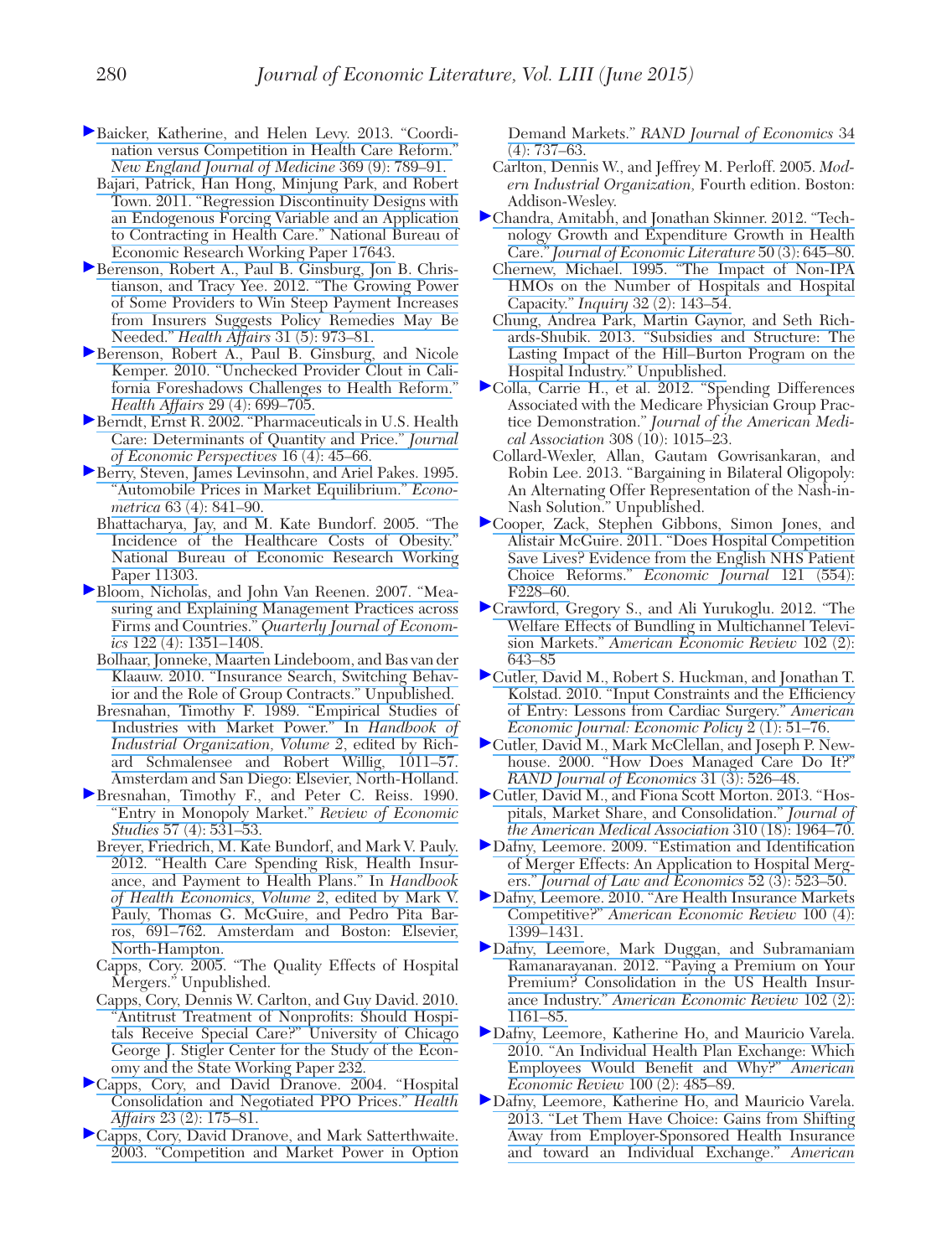- [Baicker, Katherine, and Helen Levy. 2013. "Coordi](https://www.researchgate.net/publication/255952768_Coordination_versus_Competition_in_Health_Care_Reform?el=1_x_8&enrichId=rgreq-cb7d2b5db6741595fb53fa84c810989d-XXX&enrichSource=Y292ZXJQYWdlOzI3ODY3NjcxOTtBUzoyNDE3NTE4ODU2MTEwMDhAMTQzNDY0OTU0OTA1MA==)[nation versus Competition in Health Care Reform."](https://www.researchgate.net/publication/255952768_Coordination_versus_Competition_in_Health_Care_Reform?el=1_x_8&enrichId=rgreq-cb7d2b5db6741595fb53fa84c810989d-XXX&enrichSource=Y292ZXJQYWdlOzI3ODY3NjcxOTtBUzoyNDE3NTE4ODU2MTEwMDhAMTQzNDY0OTU0OTA1MA==) *[New England Journal of Medicine](https://www.researchgate.net/publication/255952768_Coordination_versus_Competition_in_Health_Care_Reform?el=1_x_8&enrichId=rgreq-cb7d2b5db6741595fb53fa84c810989d-XXX&enrichSource=Y292ZXJQYWdlOzI3ODY3NjcxOTtBUzoyNDE3NTE4ODU2MTEwMDhAMTQzNDY0OTU0OTA1MA==)* 369 (9): 789–91.
	- [Bajari, Patrick, Han Hong, Minjung Park, and Robert](https://www.researchgate.net/publication/228303072_Regression_Discontinuity_Designs_with_an_Endogenous_Forcing_Variable_and_an_Application_to_Contracting_in_Health_Care?el=1_x_8&enrichId=rgreq-cb7d2b5db6741595fb53fa84c810989d-XXX&enrichSource=Y292ZXJQYWdlOzI3ODY3NjcxOTtBUzoyNDE3NTE4ODU2MTEwMDhAMTQzNDY0OTU0OTA1MA==) [Town. 2011. "Regression Discontinuity Designs with](https://www.researchgate.net/publication/228303072_Regression_Discontinuity_Designs_with_an_Endogenous_Forcing_Variable_and_an_Application_to_Contracting_in_Health_Care?el=1_x_8&enrichId=rgreq-cb7d2b5db6741595fb53fa84c810989d-XXX&enrichSource=Y292ZXJQYWdlOzI3ODY3NjcxOTtBUzoyNDE3NTE4ODU2MTEwMDhAMTQzNDY0OTU0OTA1MA==)  [an Endogenous Forcing Variable and an Application](https://www.researchgate.net/publication/228303072_Regression_Discontinuity_Designs_with_an_Endogenous_Forcing_Variable_and_an_Application_to_Contracting_in_Health_Care?el=1_x_8&enrichId=rgreq-cb7d2b5db6741595fb53fa84c810989d-XXX&enrichSource=Y292ZXJQYWdlOzI3ODY3NjcxOTtBUzoyNDE3NTE4ODU2MTEwMDhAMTQzNDY0OTU0OTA1MA==) [to Contracting in Health Care." National Bureau of](https://www.researchgate.net/publication/228303072_Regression_Discontinuity_Designs_with_an_Endogenous_Forcing_Variable_and_an_Application_to_Contracting_in_Health_Care?el=1_x_8&enrichId=rgreq-cb7d2b5db6741595fb53fa84c810989d-XXX&enrichSource=Y292ZXJQYWdlOzI3ODY3NjcxOTtBUzoyNDE3NTE4ODU2MTEwMDhAMTQzNDY0OTU0OTA1MA==) [Economic Research Working Paper 17643.](https://www.researchgate.net/publication/228303072_Regression_Discontinuity_Designs_with_an_Endogenous_Forcing_Variable_and_an_Application_to_Contracting_in_Health_Care?el=1_x_8&enrichId=rgreq-cb7d2b5db6741595fb53fa84c810989d-XXX&enrichSource=Y292ZXJQYWdlOzI3ODY3NjcxOTtBUzoyNDE3NTE4ODU2MTEwMDhAMTQzNDY0OTU0OTA1MA==)
- [Berenson, Robert A., Paul B. Ginsburg, Jon B. Chris](https://www.researchgate.net/publication/224918834_The_Growing_Power_Of_Some_Providers_To_Win_Steep_Payment_Increases_From_Insurers_Suggests_Policy_Remedies_May_Be_Needed?el=1_x_8&enrichId=rgreq-cb7d2b5db6741595fb53fa84c810989d-XXX&enrichSource=Y292ZXJQYWdlOzI3ODY3NjcxOTtBUzoyNDE3NTE4ODU2MTEwMDhAMTQzNDY0OTU0OTA1MA==)[tianson, and Tracy Yee. 2012. "The Growing Power](https://www.researchgate.net/publication/224918834_The_Growing_Power_Of_Some_Providers_To_Win_Steep_Payment_Increases_From_Insurers_Suggests_Policy_Remedies_May_Be_Needed?el=1_x_8&enrichId=rgreq-cb7d2b5db6741595fb53fa84c810989d-XXX&enrichSource=Y292ZXJQYWdlOzI3ODY3NjcxOTtBUzoyNDE3NTE4ODU2MTEwMDhAMTQzNDY0OTU0OTA1MA==) [of Some Providers to Win Steep Payment Increases](https://www.researchgate.net/publication/224918834_The_Growing_Power_Of_Some_Providers_To_Win_Steep_Payment_Increases_From_Insurers_Suggests_Policy_Remedies_May_Be_Needed?el=1_x_8&enrichId=rgreq-cb7d2b5db6741595fb53fa84c810989d-XXX&enrichSource=Y292ZXJQYWdlOzI3ODY3NjcxOTtBUzoyNDE3NTE4ODU2MTEwMDhAMTQzNDY0OTU0OTA1MA==)  [from Insurers Suggests Policy Remedies May Be](https://www.researchgate.net/publication/224918834_The_Growing_Power_Of_Some_Providers_To_Win_Steep_Payment_Increases_From_Insurers_Suggests_Policy_Remedies_May_Be_Needed?el=1_x_8&enrichId=rgreq-cb7d2b5db6741595fb53fa84c810989d-XXX&enrichSource=Y292ZXJQYWdlOzI3ODY3NjcxOTtBUzoyNDE3NTE4ODU2MTEwMDhAMTQzNDY0OTU0OTA1MA==) Needed." *Health Affairs* [31 \(5\): 973–81.](https://www.researchgate.net/publication/224918834_The_Growing_Power_Of_Some_Providers_To_Win_Steep_Payment_Increases_From_Insurers_Suggests_Policy_Remedies_May_Be_Needed?el=1_x_8&enrichId=rgreq-cb7d2b5db6741595fb53fa84c810989d-XXX&enrichSource=Y292ZXJQYWdlOzI3ODY3NjcxOTtBUzoyNDE3NTE4ODU2MTEwMDhAMTQzNDY0OTU0OTA1MA==)
- [Berenson, Robert A., Paul B. Ginsburg, and Nicole](https://www.researchgate.net/publication/41578207_Unchecked_Provider_Clout_In_California_Foreshadows_Challenges_To_Health_Reform?el=1_x_8&enrichId=rgreq-cb7d2b5db6741595fb53fa84c810989d-XXX&enrichSource=Y292ZXJQYWdlOzI3ODY3NjcxOTtBUzoyNDE3NTE4ODU2MTEwMDhAMTQzNDY0OTU0OTA1MA==)  [Kemper. 2010. "Unchecked Provider Clout in Cali](https://www.researchgate.net/publication/41578207_Unchecked_Provider_Clout_In_California_Foreshadows_Challenges_To_Health_Reform?el=1_x_8&enrichId=rgreq-cb7d2b5db6741595fb53fa84c810989d-XXX&enrichSource=Y292ZXJQYWdlOzI3ODY3NjcxOTtBUzoyNDE3NTE4ODU2MTEwMDhAMTQzNDY0OTU0OTA1MA==)fornia Foreshadows Challenges to Health Reform.' *Health Affairs* [29 \(4\): 699–705.](https://www.researchgate.net/publication/41578207_Unchecked_Provider_Clout_In_California_Foreshadows_Challenges_To_Health_Reform?el=1_x_8&enrichId=rgreq-cb7d2b5db6741595fb53fa84c810989d-XXX&enrichSource=Y292ZXJQYWdlOzI3ODY3NjcxOTtBUzoyNDE3NTE4ODU2MTEwMDhAMTQzNDY0OTU0OTA1MA==)
- [Berndt, Ernst R. 2002. "Pharmaceuticals in U.S. Health](https://www.researchgate.net/publication/null?el=1_x_8&enrichId=rgreq-cb7d2b5db6741595fb53fa84c810989d-XXX&enrichSource=Y292ZXJQYWdlOzI3ODY3NjcxOTtBUzoyNDE3NTE4ODU2MTEwMDhAMTQzNDY0OTU0OTA1MA==) [Care: Determinants of Quantity and Price."](https://www.researchgate.net/publication/null?el=1_x_8&enrichId=rgreq-cb7d2b5db6741595fb53fa84c810989d-XXX&enrichSource=Y292ZXJQYWdlOzI3ODY3NjcxOTtBUzoyNDE3NTE4ODU2MTEwMDhAMTQzNDY0OTU0OTA1MA==) *Journal [of Economic Perspectives](https://www.researchgate.net/publication/null?el=1_x_8&enrichId=rgreq-cb7d2b5db6741595fb53fa84c810989d-XXX&enrichSource=Y292ZXJQYWdlOzI3ODY3NjcxOTtBUzoyNDE3NTE4ODU2MTEwMDhAMTQzNDY0OTU0OTA1MA==)* 16 (4): 45–66.
- [Berry, Steven, James Levinsohn, and Ariel Pakes. 1995.](https://www.researchgate.net/publication/null?el=1_x_8&enrichId=rgreq-cb7d2b5db6741595fb53fa84c810989d-XXX&enrichSource=Y292ZXJQYWdlOzI3ODY3NjcxOTtBUzoyNDE3NTE4ODU2MTEwMDhAMTQzNDY0OTU0OTA1MA==) ["Automobile Prices in Market Equilibrium."](https://www.researchgate.net/publication/null?el=1_x_8&enrichId=rgreq-cb7d2b5db6741595fb53fa84c810989d-XXX&enrichSource=Y292ZXJQYWdlOzI3ODY3NjcxOTtBUzoyNDE3NTE4ODU2MTEwMDhAMTQzNDY0OTU0OTA1MA==) *Econometrica* [63 \(4\): 841–90.](https://www.researchgate.net/publication/null?el=1_x_8&enrichId=rgreq-cb7d2b5db6741595fb53fa84c810989d-XXX&enrichSource=Y292ZXJQYWdlOzI3ODY3NjcxOTtBUzoyNDE3NTE4ODU2MTEwMDhAMTQzNDY0OTU0OTA1MA==)
	- [Bhattacharya, Jay, and M. Kate Bundorf. 2005. "The](https://www.researchgate.net/publication/24418746_The_Incidence_of_Healthcare_Costs_of_Obesity?el=1_x_8&enrichId=rgreq-cb7d2b5db6741595fb53fa84c810989d-XXX&enrichSource=Y292ZXJQYWdlOzI3ODY3NjcxOTtBUzoyNDE3NTE4ODU2MTEwMDhAMTQzNDY0OTU0OTA1MA==) [Incidence of the Healthcare Costs of Obesity."](https://www.researchgate.net/publication/24418746_The_Incidence_of_Healthcare_Costs_of_Obesity?el=1_x_8&enrichId=rgreq-cb7d2b5db6741595fb53fa84c810989d-XXX&enrichSource=Y292ZXJQYWdlOzI3ODY3NjcxOTtBUzoyNDE3NTE4ODU2MTEwMDhAMTQzNDY0OTU0OTA1MA==) [National Bureau of Economic Research Working](https://www.researchgate.net/publication/24418746_The_Incidence_of_Healthcare_Costs_of_Obesity?el=1_x_8&enrichId=rgreq-cb7d2b5db6741595fb53fa84c810989d-XXX&enrichSource=Y292ZXJQYWdlOzI3ODY3NjcxOTtBUzoyNDE3NTE4ODU2MTEwMDhAMTQzNDY0OTU0OTA1MA==) [Paper 11303.](https://www.researchgate.net/publication/24418746_The_Incidence_of_Healthcare_Costs_of_Obesity?el=1_x_8&enrichId=rgreq-cb7d2b5db6741595fb53fa84c810989d-XXX&enrichSource=Y292ZXJQYWdlOzI3ODY3NjcxOTtBUzoyNDE3NTE4ODU2MTEwMDhAMTQzNDY0OTU0OTA1MA==)
- [Bloom, Nicholas, and John Van Reenen. 2007. "Mea](https://www.researchgate.net/publication/null?el=1_x_8&enrichId=rgreq-cb7d2b5db6741595fb53fa84c810989d-XXX&enrichSource=Y292ZXJQYWdlOzI3ODY3NjcxOTtBUzoyNDE3NTE4ODU2MTEwMDhAMTQzNDY0OTU0OTA1MA==)[suring and Explaining Management Practices across](https://www.researchgate.net/publication/null?el=1_x_8&enrichId=rgreq-cb7d2b5db6741595fb53fa84c810989d-XXX&enrichSource=Y292ZXJQYWdlOzI3ODY3NjcxOTtBUzoyNDE3NTE4ODU2MTEwMDhAMTQzNDY0OTU0OTA1MA==) Firms and Countries." *[Quarterly Journal of Econom](https://www.researchgate.net/publication/null?el=1_x_8&enrichId=rgreq-cb7d2b5db6741595fb53fa84c810989d-XXX&enrichSource=Y292ZXJQYWdlOzI3ODY3NjcxOTtBUzoyNDE3NTE4ODU2MTEwMDhAMTQzNDY0OTU0OTA1MA==)ics* [122 \(4\): 1351–1408.](https://www.researchgate.net/publication/null?el=1_x_8&enrichId=rgreq-cb7d2b5db6741595fb53fa84c810989d-XXX&enrichSource=Y292ZXJQYWdlOzI3ODY3NjcxOTtBUzoyNDE3NTE4ODU2MTEwMDhAMTQzNDY0OTU0OTA1MA==)
	- [Bolhaar, Jonneke, Maarten Lindeboom, and Bas van der](https://www.researchgate.net/publication/272361575_Insurance_Search_Switching_Behavior_and_the_Role_of_Group_Contracts?el=1_x_8&enrichId=rgreq-cb7d2b5db6741595fb53fa84c810989d-XXX&enrichSource=Y292ZXJQYWdlOzI3ODY3NjcxOTtBUzoyNDE3NTE4ODU2MTEwMDhAMTQzNDY0OTU0OTA1MA==) [Klaauw. 2010. "Insurance Search, Switching Behav](https://www.researchgate.net/publication/272361575_Insurance_Search_Switching_Behavior_and_the_Role_of_Group_Contracts?el=1_x_8&enrichId=rgreq-cb7d2b5db6741595fb53fa84c810989d-XXX&enrichSource=Y292ZXJQYWdlOzI3ODY3NjcxOTtBUzoyNDE3NTE4ODU2MTEwMDhAMTQzNDY0OTU0OTA1MA==)[ior and the Role of Group Contracts." Unpublished.](https://www.researchgate.net/publication/272361575_Insurance_Search_Switching_Behavior_and_the_Role_of_Group_Contracts?el=1_x_8&enrichId=rgreq-cb7d2b5db6741595fb53fa84c810989d-XXX&enrichSource=Y292ZXJQYWdlOzI3ODY3NjcxOTtBUzoyNDE3NTE4ODU2MTEwMDhAMTQzNDY0OTU0OTA1MA==)
	- [Bresnahan, Timothy F. 1989. "Empirical Studies of](https://www.researchgate.net/publication/247317625_Chapter_17_Empirical_studies_of_industries_with_market_power?el=1_x_8&enrichId=rgreq-cb7d2b5db6741595fb53fa84c810989d-XXX&enrichSource=Y292ZXJQYWdlOzI3ODY3NjcxOTtBUzoyNDE3NTE4ODU2MTEwMDhAMTQzNDY0OTU0OTA1MA==)  [Industries with Market Power." In](https://www.researchgate.net/publication/247317625_Chapter_17_Empirical_studies_of_industries_with_market_power?el=1_x_8&enrichId=rgreq-cb7d2b5db6741595fb53fa84c810989d-XXX&enrichSource=Y292ZXJQYWdlOzI3ODY3NjcxOTtBUzoyNDE3NTE4ODU2MTEwMDhAMTQzNDY0OTU0OTA1MA==) *Handbook of [Industrial Organization, Volume 2](https://www.researchgate.net/publication/247317625_Chapter_17_Empirical_studies_of_industries_with_market_power?el=1_x_8&enrichId=rgreq-cb7d2b5db6741595fb53fa84c810989d-XXX&enrichSource=Y292ZXJQYWdlOzI3ODY3NjcxOTtBUzoyNDE3NTE4ODU2MTEwMDhAMTQzNDY0OTU0OTA1MA==)*, edited by Rich[ard Schmalensee and Robert Willig, 1011–57.](https://www.researchgate.net/publication/247317625_Chapter_17_Empirical_studies_of_industries_with_market_power?el=1_x_8&enrichId=rgreq-cb7d2b5db6741595fb53fa84c810989d-XXX&enrichSource=Y292ZXJQYWdlOzI3ODY3NjcxOTtBUzoyNDE3NTE4ODU2MTEwMDhAMTQzNDY0OTU0OTA1MA==)  Amsterdam and San Diego: Elsevier, North-Holland.
- [Bresnahan, Timothy F., and Peter C. Reiss. 1990.](https://www.researchgate.net/publication/null?el=1_x_8&enrichId=rgreq-cb7d2b5db6741595fb53fa84c810989d-XXX&enrichSource=Y292ZXJQYWdlOzI3ODY3NjcxOTtBUzoyNDE3NTE4ODU2MTEwMDhAMTQzNDY0OTU0OTA1MA==)  ["Entry in Monopoly Market."](https://www.researchgate.net/publication/null?el=1_x_8&enrichId=rgreq-cb7d2b5db6741595fb53fa84c810989d-XXX&enrichSource=Y292ZXJQYWdlOzI3ODY3NjcxOTtBUzoyNDE3NTE4ODU2MTEwMDhAMTQzNDY0OTU0OTA1MA==) *Review of Economic Studies* [57 \(4\): 531–53.](https://www.researchgate.net/publication/null?el=1_x_8&enrichId=rgreq-cb7d2b5db6741595fb53fa84c810989d-XXX&enrichSource=Y292ZXJQYWdlOzI3ODY3NjcxOTtBUzoyNDE3NTE4ODU2MTEwMDhAMTQzNDY0OTU0OTA1MA==)
	- [Breyer, Friedrich, M. Kate Bundorf, and Mark V. Pauly.](https://www.researchgate.net/publication/279971715_Health_Care_Spending_Risk_Health_Insurance_and_Payment_to_Health_Plans?el=1_x_8&enrichId=rgreq-cb7d2b5db6741595fb53fa84c810989d-XXX&enrichSource=Y292ZXJQYWdlOzI3ODY3NjcxOTtBUzoyNDE3NTE4ODU2MTEwMDhAMTQzNDY0OTU0OTA1MA==) [2012. "Health Care Spending Risk, Health Insur](https://www.researchgate.net/publication/279971715_Health_Care_Spending_Risk_Health_Insurance_and_Payment_to_Health_Plans?el=1_x_8&enrichId=rgreq-cb7d2b5db6741595fb53fa84c810989d-XXX&enrichSource=Y292ZXJQYWdlOzI3ODY3NjcxOTtBUzoyNDE3NTE4ODU2MTEwMDhAMTQzNDY0OTU0OTA1MA==)[ance, and Payment to Health Plans." In](https://www.researchgate.net/publication/279971715_Health_Care_Spending_Risk_Health_Insurance_and_Payment_to_Health_Plans?el=1_x_8&enrichId=rgreq-cb7d2b5db6741595fb53fa84c810989d-XXX&enrichSource=Y292ZXJQYWdlOzI3ODY3NjcxOTtBUzoyNDE3NTE4ODU2MTEwMDhAMTQzNDY0OTU0OTA1MA==) *Handbook [of Health Economics, Volume 2](https://www.researchgate.net/publication/279971715_Health_Care_Spending_Risk_Health_Insurance_and_Payment_to_Health_Plans?el=1_x_8&enrichId=rgreq-cb7d2b5db6741595fb53fa84c810989d-XXX&enrichSource=Y292ZXJQYWdlOzI3ODY3NjcxOTtBUzoyNDE3NTE4ODU2MTEwMDhAMTQzNDY0OTU0OTA1MA==)*, edited by Mark V. [Pauly, Thomas G. McGuire, and Pedro Pita Bar](https://www.researchgate.net/publication/279971715_Health_Care_Spending_Risk_Health_Insurance_and_Payment_to_Health_Plans?el=1_x_8&enrichId=rgreq-cb7d2b5db6741595fb53fa84c810989d-XXX&enrichSource=Y292ZXJQYWdlOzI3ODY3NjcxOTtBUzoyNDE3NTE4ODU2MTEwMDhAMTQzNDY0OTU0OTA1MA==)[ros, 691–762. Amsterdam and Boston: Elsevier,](https://www.researchgate.net/publication/279971715_Health_Care_Spending_Risk_Health_Insurance_and_Payment_to_Health_Plans?el=1_x_8&enrichId=rgreq-cb7d2b5db6741595fb53fa84c810989d-XXX&enrichSource=Y292ZXJQYWdlOzI3ODY3NjcxOTtBUzoyNDE3NTE4ODU2MTEwMDhAMTQzNDY0OTU0OTA1MA==)  [North-Hampton.](https://www.researchgate.net/publication/279971715_Health_Care_Spending_Risk_Health_Insurance_and_Payment_to_Health_Plans?el=1_x_8&enrichId=rgreq-cb7d2b5db6741595fb53fa84c810989d-XXX&enrichSource=Y292ZXJQYWdlOzI3ODY3NjcxOTtBUzoyNDE3NTE4ODU2MTEwMDhAMTQzNDY0OTU0OTA1MA==)
	- Capps, Cory. 2005. "The Quality Effects of Hospital Mergers." Unpublished.
	- [Capps, Cory, Dennis W. Carlton, and Guy David. 2010.](https://www.researchgate.net/publication/228172128_Antitrust_Treatment_of_Nonprofits_Should_Hospitals_Receive_Special_Care?el=1_x_8&enrichId=rgreq-cb7d2b5db6741595fb53fa84c810989d-XXX&enrichSource=Y292ZXJQYWdlOzI3ODY3NjcxOTtBUzoyNDE3NTE4ODU2MTEwMDhAMTQzNDY0OTU0OTA1MA==)  Antitrust Treatment of Nonprofits: Should Hospi[tals Receive Special Care?" University of Chicago](https://www.researchgate.net/publication/228172128_Antitrust_Treatment_of_Nonprofits_Should_Hospitals_Receive_Special_Care?el=1_x_8&enrichId=rgreq-cb7d2b5db6741595fb53fa84c810989d-XXX&enrichSource=Y292ZXJQYWdlOzI3ODY3NjcxOTtBUzoyNDE3NTE4ODU2MTEwMDhAMTQzNDY0OTU0OTA1MA==) [George J. Stigler Center for the Study of the Econ](https://www.researchgate.net/publication/228172128_Antitrust_Treatment_of_Nonprofits_Should_Hospitals_Receive_Special_Care?el=1_x_8&enrichId=rgreq-cb7d2b5db6741595fb53fa84c810989d-XXX&enrichSource=Y292ZXJQYWdlOzI3ODY3NjcxOTtBUzoyNDE3NTE4ODU2MTEwMDhAMTQzNDY0OTU0OTA1MA==)[omy and the State Working Paper 232.](https://www.researchgate.net/publication/228172128_Antitrust_Treatment_of_Nonprofits_Should_Hospitals_Receive_Special_Care?el=1_x_8&enrichId=rgreq-cb7d2b5db6741595fb53fa84c810989d-XXX&enrichSource=Y292ZXJQYWdlOzI3ODY3NjcxOTtBUzoyNDE3NTE4ODU2MTEwMDhAMTQzNDY0OTU0OTA1MA==)
- [Capps, Cory, and David Dranove. 2004. "Hospital](https://www.researchgate.net/publication/null?el=1_x_8&enrichId=rgreq-cb7d2b5db6741595fb53fa84c810989d-XXX&enrichSource=Y292ZXJQYWdlOzI3ODY3NjcxOTtBUzoyNDE3NTE4ODU2MTEwMDhAMTQzNDY0OTU0OTA1MA==) [Consolidation and Negotiated PPO Prices."](https://www.researchgate.net/publication/null?el=1_x_8&enrichId=rgreq-cb7d2b5db6741595fb53fa84c810989d-XXX&enrichSource=Y292ZXJQYWdlOzI3ODY3NjcxOTtBUzoyNDE3NTE4ODU2MTEwMDhAMTQzNDY0OTU0OTA1MA==) *Health Affairs* [23 \(2\): 175–81.](https://www.researchgate.net/publication/null?el=1_x_8&enrichId=rgreq-cb7d2b5db6741595fb53fa84c810989d-XXX&enrichSource=Y292ZXJQYWdlOzI3ODY3NjcxOTtBUzoyNDE3NTE4ODU2MTEwMDhAMTQzNDY0OTU0OTA1MA==)
- [Capps, Cory, David Dranove, and Mark Satterthwaite.](https://www.researchgate.net/publication/8681855_2003_Competition_and_Market_Power_in_Option_Demand_MarketsRAND?el=1_x_8&enrichId=rgreq-cb7d2b5db6741595fb53fa84c810989d-XXX&enrichSource=Y292ZXJQYWdlOzI3ODY3NjcxOTtBUzoyNDE3NTE4ODU2MTEwMDhAMTQzNDY0OTU0OTA1MA==) [2003. "Competition and Market Power in Option](https://www.researchgate.net/publication/8681855_2003_Competition_and_Market_Power_in_Option_Demand_MarketsRAND?el=1_x_8&enrichId=rgreq-cb7d2b5db6741595fb53fa84c810989d-XXX&enrichSource=Y292ZXJQYWdlOzI3ODY3NjcxOTtBUzoyNDE3NTE4ODU2MTEwMDhAMTQzNDY0OTU0OTA1MA==)

Demand Markets." *[RAND Journal of Economics](https://www.researchgate.net/publication/8681855_2003_Competition_and_Market_Power_in_Option_Demand_MarketsRAND?el=1_x_8&enrichId=rgreq-cb7d2b5db6741595fb53fa84c810989d-XXX&enrichSource=Y292ZXJQYWdlOzI3ODY3NjcxOTtBUzoyNDE3NTE4ODU2MTEwMDhAMTQzNDY0OTU0OTA1MA==)* 34 [\(4\): 737–63.](https://www.researchgate.net/publication/8681855_2003_Competition_and_Market_Power_in_Option_Demand_MarketsRAND?el=1_x_8&enrichId=rgreq-cb7d2b5db6741595fb53fa84c810989d-XXX&enrichSource=Y292ZXJQYWdlOzI3ODY3NjcxOTtBUzoyNDE3NTE4ODU2MTEwMDhAMTQzNDY0OTU0OTA1MA==)

- Carlton, Dennis W., and Jeffrey M. Perloff. 2005. *Modern Industrial Organization,* Fourth edition. Boston: Addison-Wesley.
- [Chandra, Amitabh, and Jonathan Skinner. 2012. "Tech](https://www.researchgate.net/publication/274435087_Technology_Growth_and_Expenditure_Growth_in_Health_Care?el=1_x_8&enrichId=rgreq-cb7d2b5db6741595fb53fa84c810989d-XXX&enrichSource=Y292ZXJQYWdlOzI3ODY3NjcxOTtBUzoyNDE3NTE4ODU2MTEwMDhAMTQzNDY0OTU0OTA1MA==)[nology Growth and Expenditure Growth in Health](https://www.researchgate.net/publication/274435087_Technology_Growth_and_Expenditure_Growth_in_Health_Care?el=1_x_8&enrichId=rgreq-cb7d2b5db6741595fb53fa84c810989d-XXX&enrichSource=Y292ZXJQYWdlOzI3ODY3NjcxOTtBUzoyNDE3NTE4ODU2MTEwMDhAMTQzNDY0OTU0OTA1MA==)  Care." *[Journal of Economic Literature](https://www.researchgate.net/publication/274435087_Technology_Growth_and_Expenditure_Growth_in_Health_Care?el=1_x_8&enrichId=rgreq-cb7d2b5db6741595fb53fa84c810989d-XXX&enrichSource=Y292ZXJQYWdlOzI3ODY3NjcxOTtBUzoyNDE3NTE4ODU2MTEwMDhAMTQzNDY0OTU0OTA1MA==)* 50 (3): 645–80.
	- [Chernew, Michael. 1995. "The Impact of Non-IPA](https://www.researchgate.net/publication/15596653_The_impact_of_non-IPA_HMOs_on_the_number_of_hospitals_and_hospital_capacity?el=1_x_8&enrichId=rgreq-cb7d2b5db6741595fb53fa84c810989d-XXX&enrichSource=Y292ZXJQYWdlOzI3ODY3NjcxOTtBUzoyNDE3NTE4ODU2MTEwMDhAMTQzNDY0OTU0OTA1MA==)  [HMOs on the Number of Hospitals and Hospital](https://www.researchgate.net/publication/15596653_The_impact_of_non-IPA_HMOs_on_the_number_of_hospitals_and_hospital_capacity?el=1_x_8&enrichId=rgreq-cb7d2b5db6741595fb53fa84c810989d-XXX&enrichSource=Y292ZXJQYWdlOzI3ODY3NjcxOTtBUzoyNDE3NTE4ODU2MTEwMDhAMTQzNDY0OTU0OTA1MA==)  Capacity." *Inquiry* [32 \(2\): 143–54.](https://www.researchgate.net/publication/15596653_The_impact_of_non-IPA_HMOs_on_the_number_of_hospitals_and_hospital_capacity?el=1_x_8&enrichId=rgreq-cb7d2b5db6741595fb53fa84c810989d-XXX&enrichSource=Y292ZXJQYWdlOzI3ODY3NjcxOTtBUzoyNDE3NTE4ODU2MTEwMDhAMTQzNDY0OTU0OTA1MA==)
	- [Chung, Andrea Park, Martin Gaynor, and Seth Rich](https://www.researchgate.net/publication/273439255_Subsidies_and_Structure_The_Lasting_Impact_of_the_Hill-Burton_Program_on_the_Hospital_Industry?el=1_x_8&enrichId=rgreq-cb7d2b5db6741595fb53fa84c810989d-XXX&enrichSource=Y292ZXJQYWdlOzI3ODY3NjcxOTtBUzoyNDE3NTE4ODU2MTEwMDhAMTQzNDY0OTU0OTA1MA==)[ards-Shubik. 2013. "Subsidies and Structure: The](https://www.researchgate.net/publication/273439255_Subsidies_and_Structure_The_Lasting_Impact_of_the_Hill-Burton_Program_on_the_Hospital_Industry?el=1_x_8&enrichId=rgreq-cb7d2b5db6741595fb53fa84c810989d-XXX&enrichSource=Y292ZXJQYWdlOzI3ODY3NjcxOTtBUzoyNDE3NTE4ODU2MTEwMDhAMTQzNDY0OTU0OTA1MA==)  [Lasting Impact of the Hill–Burton Program on the](https://www.researchgate.net/publication/273439255_Subsidies_and_Structure_The_Lasting_Impact_of_the_Hill-Burton_Program_on_the_Hospital_Industry?el=1_x_8&enrichId=rgreq-cb7d2b5db6741595fb53fa84c810989d-XXX&enrichSource=Y292ZXJQYWdlOzI3ODY3NjcxOTtBUzoyNDE3NTE4ODU2MTEwMDhAMTQzNDY0OTU0OTA1MA==)  [Hospital Industry." Unpublished.](https://www.researchgate.net/publication/273439255_Subsidies_and_Structure_The_Lasting_Impact_of_the_Hill-Burton_Program_on_the_Hospital_Industry?el=1_x_8&enrichId=rgreq-cb7d2b5db6741595fb53fa84c810989d-XXX&enrichSource=Y292ZXJQYWdlOzI3ODY3NjcxOTtBUzoyNDE3NTE4ODU2MTEwMDhAMTQzNDY0OTU0OTA1MA==)
- [C](http://pubs.aeaweb.org/action/showLinks?crossref=10.1001%2F2012.jama.10812)olla, Carrie H., et al. 2012. "Spending Differences Associated with the Medicare Physician Group Practice Demonstration." *Journal of the American Medical Association* 308 (10): 1015–23.
- Collard-Wexler, Allan, Gautam Gowrisankaran, and Robin Lee. 2013. "Bargaining in Bilateral Oligopoly: An Alternating Offer Representation of the Nash-in-Nash Solution." Unpublished.
- [Cooper, Zack, Stephen Gibbons, Simon Jones, and](https://www.researchgate.net/publication/45173402_Does_Hospital_Competition_Save_Lives_Evidence_From_the_NHS_Patient_Choice_Reforms?el=1_x_8&enrichId=rgreq-cb7d2b5db6741595fb53fa84c810989d-XXX&enrichSource=Y292ZXJQYWdlOzI3ODY3NjcxOTtBUzoyNDE3NTE4ODU2MTEwMDhAMTQzNDY0OTU0OTA1MA==)  [Alistair McGuire. 2011. "Does Hospital Competition](https://www.researchgate.net/publication/45173402_Does_Hospital_Competition_Save_Lives_Evidence_From_the_NHS_Patient_Choice_Reforms?el=1_x_8&enrichId=rgreq-cb7d2b5db6741595fb53fa84c810989d-XXX&enrichSource=Y292ZXJQYWdlOzI3ODY3NjcxOTtBUzoyNDE3NTE4ODU2MTEwMDhAMTQzNDY0OTU0OTA1MA==)  [Save Lives? Evidence from the English NHS Patient](https://www.researchgate.net/publication/45173402_Does_Hospital_Competition_Save_Lives_Evidence_From_the_NHS_Patient_Choice_Reforms?el=1_x_8&enrichId=rgreq-cb7d2b5db6741595fb53fa84c810989d-XXX&enrichSource=Y292ZXJQYWdlOzI3ODY3NjcxOTtBUzoyNDE3NTE4ODU2MTEwMDhAMTQzNDY0OTU0OTA1MA==)  [Choice Reforms."](https://www.researchgate.net/publication/45173402_Does_Hospital_Competition_Save_Lives_Evidence_From_the_NHS_Patient_Choice_Reforms?el=1_x_8&enrichId=rgreq-cb7d2b5db6741595fb53fa84c810989d-XXX&enrichSource=Y292ZXJQYWdlOzI3ODY3NjcxOTtBUzoyNDE3NTE4ODU2MTEwMDhAMTQzNDY0OTU0OTA1MA==) *Economic Journal* 121 (554): [F228–60.](https://www.researchgate.net/publication/45173402_Does_Hospital_Competition_Save_Lives_Evidence_From_the_NHS_Patient_Choice_Reforms?el=1_x_8&enrichId=rgreq-cb7d2b5db6741595fb53fa84c810989d-XXX&enrichSource=Y292ZXJQYWdlOzI3ODY3NjcxOTtBUzoyNDE3NTE4ODU2MTEwMDhAMTQzNDY0OTU0OTA1MA==)
- [Crawford, Gregory S., and Ali Yurukoglu. 2012. "The](https://www.researchgate.net/publication/227362994_The_Welfare_Effects_of_Bundling_in_Multi-Channel_Television_Markets?el=1_x_8&enrichId=rgreq-cb7d2b5db6741595fb53fa84c810989d-XXX&enrichSource=Y292ZXJQYWdlOzI3ODY3NjcxOTtBUzoyNDE3NTE4ODU2MTEwMDhAMTQzNDY0OTU0OTA1MA==) [Welfare Effects of Bundling in Multichannel Televi](https://www.researchgate.net/publication/227362994_The_Welfare_Effects_of_Bundling_in_Multi-Channel_Television_Markets?el=1_x_8&enrichId=rgreq-cb7d2b5db6741595fb53fa84c810989d-XXX&enrichSource=Y292ZXJQYWdlOzI3ODY3NjcxOTtBUzoyNDE3NTE4ODU2MTEwMDhAMTQzNDY0OTU0OTA1MA==)sion Markets." *[American Economic Review](https://www.researchgate.net/publication/227362994_The_Welfare_Effects_of_Bundling_in_Multi-Channel_Television_Markets?el=1_x_8&enrichId=rgreq-cb7d2b5db6741595fb53fa84c810989d-XXX&enrichSource=Y292ZXJQYWdlOzI3ODY3NjcxOTtBUzoyNDE3NTE4ODU2MTEwMDhAMTQzNDY0OTU0OTA1MA==)* 102 (2): [643–85](https://www.researchgate.net/publication/227362994_The_Welfare_Effects_of_Bundling_in_Multi-Channel_Television_Markets?el=1_x_8&enrichId=rgreq-cb7d2b5db6741595fb53fa84c810989d-XXX&enrichSource=Y292ZXJQYWdlOzI3ODY3NjcxOTtBUzoyNDE3NTE4ODU2MTEwMDhAMTQzNDY0OTU0OTA1MA==)
- [Cutler, David M., Robert S. Huckman, and Jonathan T.](https://www.researchgate.net/publication/227350857_Input_Constraints_and_the_Efficiency_of_Entry_Lessons_from_Cardiac_Surgery?el=1_x_8&enrichId=rgreq-cb7d2b5db6741595fb53fa84c810989d-XXX&enrichSource=Y292ZXJQYWdlOzI3ODY3NjcxOTtBUzoyNDE3NTE4ODU2MTEwMDhAMTQzNDY0OTU0OTA1MA==)  [Kolstad. 2010. "Input Constraints and the Efficiency](https://www.researchgate.net/publication/227350857_Input_Constraints_and_the_Efficiency_of_Entry_Lessons_from_Cardiac_Surgery?el=1_x_8&enrichId=rgreq-cb7d2b5db6741595fb53fa84c810989d-XXX&enrichSource=Y292ZXJQYWdlOzI3ODY3NjcxOTtBUzoyNDE3NTE4ODU2MTEwMDhAMTQzNDY0OTU0OTA1MA==)  [of Entry: Lessons from Cardiac Surgery."](https://www.researchgate.net/publication/227350857_Input_Constraints_and_the_Efficiency_of_Entry_Lessons_from_Cardiac_Surgery?el=1_x_8&enrichId=rgreq-cb7d2b5db6741595fb53fa84c810989d-XXX&enrichSource=Y292ZXJQYWdlOzI3ODY3NjcxOTtBUzoyNDE3NTE4ODU2MTEwMDhAMTQzNDY0OTU0OTA1MA==) *American [Economic Journal: Economic Policy](https://www.researchgate.net/publication/227350857_Input_Constraints_and_the_Efficiency_of_Entry_Lessons_from_Cardiac_Surgery?el=1_x_8&enrichId=rgreq-cb7d2b5db6741595fb53fa84c810989d-XXX&enrichSource=Y292ZXJQYWdlOzI3ODY3NjcxOTtBUzoyNDE3NTE4ODU2MTEwMDhAMTQzNDY0OTU0OTA1MA==)* 2 (1): 51–76.
- [Cutler, David M., Mark McClellan, and Joseph P. New](https://www.researchgate.net/publication/11840683_How_Does_Managed_Care_do_it?el=1_x_8&enrichId=rgreq-cb7d2b5db6741595fb53fa84c810989d-XXX&enrichSource=Y292ZXJQYWdlOzI3ODY3NjcxOTtBUzoyNDE3NTE4ODU2MTEwMDhAMTQzNDY0OTU0OTA1MA==)[house. 2000. "How Does Managed Care Do It?"](https://www.researchgate.net/publication/11840683_How_Does_Managed_Care_do_it?el=1_x_8&enrichId=rgreq-cb7d2b5db6741595fb53fa84c810989d-XXX&enrichSource=Y292ZXJQYWdlOzI3ODY3NjcxOTtBUzoyNDE3NTE4ODU2MTEwMDhAMTQzNDY0OTU0OTA1MA==) *[RAND Journal of Economics](https://www.researchgate.net/publication/11840683_How_Does_Managed_Care_do_it?el=1_x_8&enrichId=rgreq-cb7d2b5db6741595fb53fa84c810989d-XXX&enrichSource=Y292ZXJQYWdlOzI3ODY3NjcxOTtBUzoyNDE3NTE4ODU2MTEwMDhAMTQzNDY0OTU0OTA1MA==)* 31 (3): 526–48.
- [Cutler, David M., and Fiona Scott Morton. 2013. "Hos](https://www.researchgate.net/publication/258501309_Hospitals_Market_Share_and_Consolidation?el=1_x_8&enrichId=rgreq-cb7d2b5db6741595fb53fa84c810989d-XXX&enrichSource=Y292ZXJQYWdlOzI3ODY3NjcxOTtBUzoyNDE3NTE4ODU2MTEwMDhAMTQzNDY0OTU0OTA1MA==)[pitals, Market Share, and Consolidation."](https://www.researchgate.net/publication/258501309_Hospitals_Market_Share_and_Consolidation?el=1_x_8&enrichId=rgreq-cb7d2b5db6741595fb53fa84c810989d-XXX&enrichSource=Y292ZXJQYWdlOzI3ODY3NjcxOTtBUzoyNDE3NTE4ODU2MTEwMDhAMTQzNDY0OTU0OTA1MA==) *Journal of [the American Medical Association](https://www.researchgate.net/publication/258501309_Hospitals_Market_Share_and_Consolidation?el=1_x_8&enrichId=rgreq-cb7d2b5db6741595fb53fa84c810989d-XXX&enrichSource=Y292ZXJQYWdlOzI3ODY3NjcxOTtBUzoyNDE3NTE4ODU2MTEwMDhAMTQzNDY0OTU0OTA1MA==)* 310 (18): 1964–70.
- [Dafny, Leemore. 2009. "Estimation and Identification](https://www.researchgate.net/publication/46553719_Estimation_and_Identification_of_Merger_Effects_An_Application_to_Hospital_Mergers?el=1_x_8&enrichId=rgreq-cb7d2b5db6741595fb53fa84c810989d-XXX&enrichSource=Y292ZXJQYWdlOzI3ODY3NjcxOTtBUzoyNDE3NTE4ODU2MTEwMDhAMTQzNDY0OTU0OTA1MA==) [of Merger Effects: An Application to Hospital Merg](https://www.researchgate.net/publication/46553719_Estimation_and_Identification_of_Merger_Effects_An_Application_to_Hospital_Mergers?el=1_x_8&enrichId=rgreq-cb7d2b5db6741595fb53fa84c810989d-XXX&enrichSource=Y292ZXJQYWdlOzI3ODY3NjcxOTtBUzoyNDE3NTE4ODU2MTEwMDhAMTQzNDY0OTU0OTA1MA==)ers." *[Journal of Law and Economics](https://www.researchgate.net/publication/46553719_Estimation_and_Identification_of_Merger_Effects_An_Application_to_Hospital_Mergers?el=1_x_8&enrichId=rgreq-cb7d2b5db6741595fb53fa84c810989d-XXX&enrichSource=Y292ZXJQYWdlOzI3ODY3NjcxOTtBUzoyNDE3NTE4ODU2MTEwMDhAMTQzNDY0OTU0OTA1MA==)* 52 (3): 523–50.
- [Dafny, Leemore. 2010. "Are Health Insurance Markets](https://www.researchgate.net/publication/23645395_Are_Health_Insurance_Markets_Competitive?el=1_x_8&enrichId=rgreq-cb7d2b5db6741595fb53fa84c810989d-XXX&enrichSource=Y292ZXJQYWdlOzI3ODY3NjcxOTtBUzoyNDE3NTE4ODU2MTEwMDhAMTQzNDY0OTU0OTA1MA==)  Competitive?" *[American Economic Review](https://www.researchgate.net/publication/23645395_Are_Health_Insurance_Markets_Competitive?el=1_x_8&enrichId=rgreq-cb7d2b5db6741595fb53fa84c810989d-XXX&enrichSource=Y292ZXJQYWdlOzI3ODY3NjcxOTtBUzoyNDE3NTE4ODU2MTEwMDhAMTQzNDY0OTU0OTA1MA==)* 100 (4): [1399–1431.](https://www.researchgate.net/publication/23645395_Are_Health_Insurance_Markets_Competitive?el=1_x_8&enrichId=rgreq-cb7d2b5db6741595fb53fa84c810989d-XXX&enrichSource=Y292ZXJQYWdlOzI3ODY3NjcxOTtBUzoyNDE3NTE4ODU2MTEwMDhAMTQzNDY0OTU0OTA1MA==)
- [Dafny, Leemore, Mark Duggan, and Subramaniam](https://www.researchgate.net/publication/46467094_Paying_a_Premium_on_Your_Premium_Consolidation_in_the_US_Health_Insurance_Industry?el=1_x_8&enrichId=rgreq-cb7d2b5db6741595fb53fa84c810989d-XXX&enrichSource=Y292ZXJQYWdlOzI3ODY3NjcxOTtBUzoyNDE3NTE4ODU2MTEwMDhAMTQzNDY0OTU0OTA1MA==) [Ramanarayanan. 2012. "Paying a Premium on Your](https://www.researchgate.net/publication/46467094_Paying_a_Premium_on_Your_Premium_Consolidation_in_the_US_Health_Insurance_Industry?el=1_x_8&enrichId=rgreq-cb7d2b5db6741595fb53fa84c810989d-XXX&enrichSource=Y292ZXJQYWdlOzI3ODY3NjcxOTtBUzoyNDE3NTE4ODU2MTEwMDhAMTQzNDY0OTU0OTA1MA==) [Premium? Consolidation in the US Health Insur](https://www.researchgate.net/publication/46467094_Paying_a_Premium_on_Your_Premium_Consolidation_in_the_US_Health_Insurance_Industry?el=1_x_8&enrichId=rgreq-cb7d2b5db6741595fb53fa84c810989d-XXX&enrichSource=Y292ZXJQYWdlOzI3ODY3NjcxOTtBUzoyNDE3NTE4ODU2MTEwMDhAMTQzNDY0OTU0OTA1MA==)ance Industry." *[American Economic Review](https://www.researchgate.net/publication/46467094_Paying_a_Premium_on_Your_Premium_Consolidation_in_the_US_Health_Insurance_Industry?el=1_x_8&enrichId=rgreq-cb7d2b5db6741595fb53fa84c810989d-XXX&enrichSource=Y292ZXJQYWdlOzI3ODY3NjcxOTtBUzoyNDE3NTE4ODU2MTEwMDhAMTQzNDY0OTU0OTA1MA==)* 102 (2): [1161–85.](https://www.researchgate.net/publication/46467094_Paying_a_Premium_on_Your_Premium_Consolidation_in_the_US_Health_Insurance_Industry?el=1_x_8&enrichId=rgreq-cb7d2b5db6741595fb53fa84c810989d-XXX&enrichSource=Y292ZXJQYWdlOzI3ODY3NjcxOTtBUzoyNDE3NTE4ODU2MTEwMDhAMTQzNDY0OTU0OTA1MA==)
- [Dafny, Leemore, Katherine Ho, and Mauricio Varela.](https://www.researchgate.net/publication/227362893_An_Individual_Health_Plan_Exchange_Which_Employees_Would_Benefit_and_Why?el=1_x_8&enrichId=rgreq-cb7d2b5db6741595fb53fa84c810989d-XXX&enrichSource=Y292ZXJQYWdlOzI3ODY3NjcxOTtBUzoyNDE3NTE4ODU2MTEwMDhAMTQzNDY0OTU0OTA1MA==)  [2010. "An Individual Health Plan Exchange: Which](https://www.researchgate.net/publication/227362893_An_Individual_Health_Plan_Exchange_Which_Employees_Would_Benefit_and_Why?el=1_x_8&enrichId=rgreq-cb7d2b5db6741595fb53fa84c810989d-XXX&enrichSource=Y292ZXJQYWdlOzI3ODY3NjcxOTtBUzoyNDE3NTE4ODU2MTEwMDhAMTQzNDY0OTU0OTA1MA==)  [Employees Would Benefit and Why?"](https://www.researchgate.net/publication/227362893_An_Individual_Health_Plan_Exchange_Which_Employees_Would_Benefit_and_Why?el=1_x_8&enrichId=rgreq-cb7d2b5db6741595fb53fa84c810989d-XXX&enrichSource=Y292ZXJQYWdlOzI3ODY3NjcxOTtBUzoyNDE3NTE4ODU2MTEwMDhAMTQzNDY0OTU0OTA1MA==) *American [Economic Review](https://www.researchgate.net/publication/227362893_An_Individual_Health_Plan_Exchange_Which_Employees_Would_Benefit_and_Why?el=1_x_8&enrichId=rgreq-cb7d2b5db6741595fb53fa84c810989d-XXX&enrichSource=Y292ZXJQYWdlOzI3ODY3NjcxOTtBUzoyNDE3NTE4ODU2MTEwMDhAMTQzNDY0OTU0OTA1MA==)* 100 (2): 485–89.
- [Dafny, Leemore, Katherine Ho, and Mauricio Varela.](https://www.researchgate.net/publication/46466691_Let_Them_Have_Choice_Gains_from_Shifting_Away_from_Employer-Sponsored_Health_Insurance_and_Toward_an_Individual_Exchange?el=1_x_8&enrichId=rgreq-cb7d2b5db6741595fb53fa84c810989d-XXX&enrichSource=Y292ZXJQYWdlOzI3ODY3NjcxOTtBUzoyNDE3NTE4ODU2MTEwMDhAMTQzNDY0OTU0OTA1MA==)  [2013. "Let Them Have Choice: Gains from Shifting](https://www.researchgate.net/publication/46466691_Let_Them_Have_Choice_Gains_from_Shifting_Away_from_Employer-Sponsored_Health_Insurance_and_Toward_an_Individual_Exchange?el=1_x_8&enrichId=rgreq-cb7d2b5db6741595fb53fa84c810989d-XXX&enrichSource=Y292ZXJQYWdlOzI3ODY3NjcxOTtBUzoyNDE3NTE4ODU2MTEwMDhAMTQzNDY0OTU0OTA1MA==) [Away from Employer-Sponsored Health Insurance](https://www.researchgate.net/publication/46466691_Let_Them_Have_Choice_Gains_from_Shifting_Away_from_Employer-Sponsored_Health_Insurance_and_Toward_an_Individual_Exchange?el=1_x_8&enrichId=rgreq-cb7d2b5db6741595fb53fa84c810989d-XXX&enrichSource=Y292ZXJQYWdlOzI3ODY3NjcxOTtBUzoyNDE3NTE4ODU2MTEwMDhAMTQzNDY0OTU0OTA1MA==) [and toward an Individual Exchange."](https://www.researchgate.net/publication/46466691_Let_Them_Have_Choice_Gains_from_Shifting_Away_from_Employer-Sponsored_Health_Insurance_and_Toward_an_Individual_Exchange?el=1_x_8&enrichId=rgreq-cb7d2b5db6741595fb53fa84c810989d-XXX&enrichSource=Y292ZXJQYWdlOzI3ODY3NjcxOTtBUzoyNDE3NTE4ODU2MTEwMDhAMTQzNDY0OTU0OTA1MA==) *American*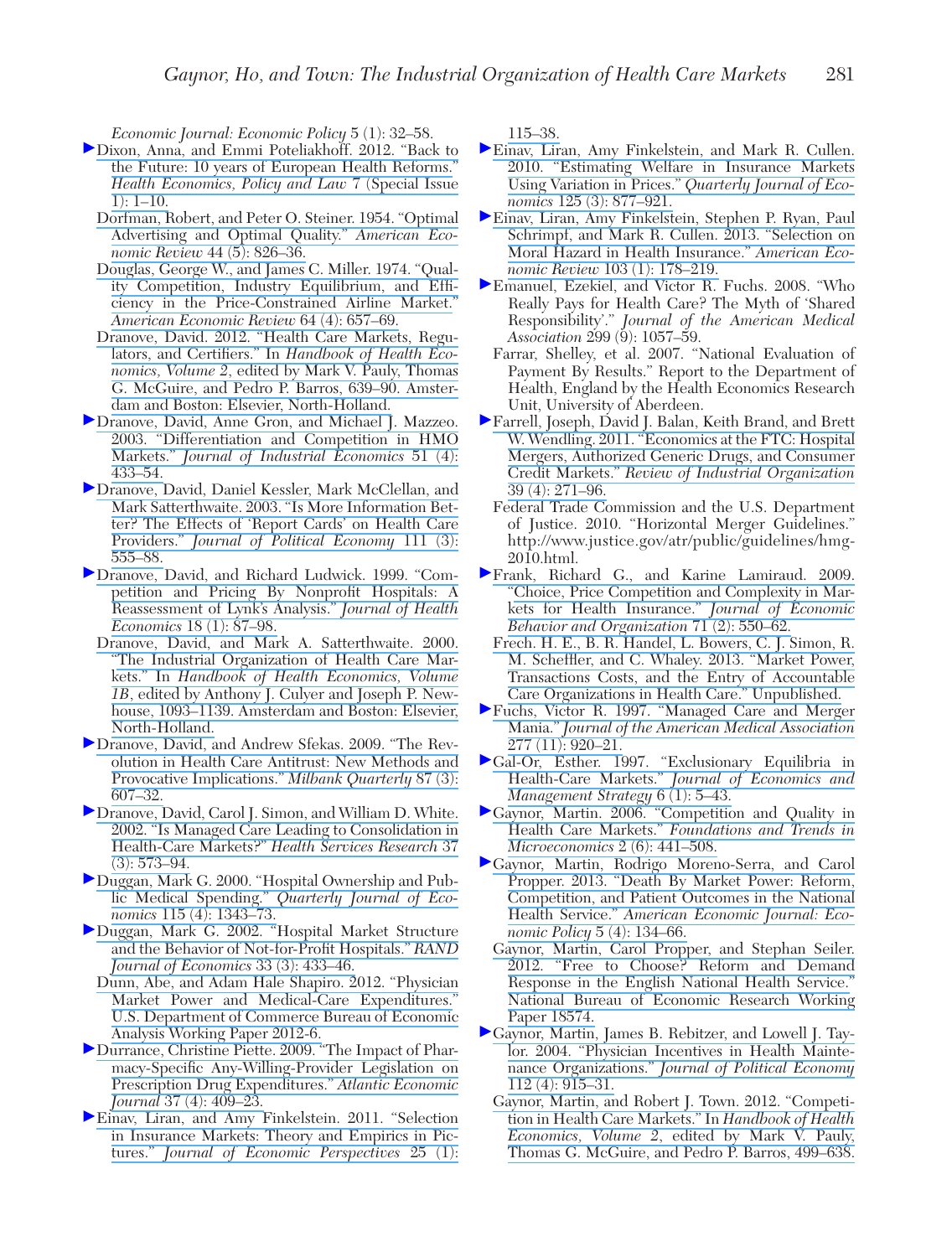*Economic Journal: Economic Policy* 5 (1): 32–58.

- [Dixon, Anna, and Emmi Poteliakhoff. 2012. "Back to](https://www.researchgate.net/publication/221726337_Back_to_the_future_10_years_of_European_health_reforms?el=1_x_8&enrichId=rgreq-cb7d2b5db6741595fb53fa84c810989d-XXX&enrichSource=Y292ZXJQYWdlOzI3ODY3NjcxOTtBUzoyNDE3NTE4ODU2MTEwMDhAMTQzNDY0OTU0OTA1MA==) the Future: 10 years of European Health Reforms.' *[Health Economics, Policy and Law](https://www.researchgate.net/publication/221726337_Back_to_the_future_10_years_of_European_health_reforms?el=1_x_8&enrichId=rgreq-cb7d2b5db6741595fb53fa84c810989d-XXX&enrichSource=Y292ZXJQYWdlOzI3ODY3NjcxOTtBUzoyNDE3NTE4ODU2MTEwMDhAMTQzNDY0OTU0OTA1MA==)* 7 (Special Issue  $1)$ :  $1-10$ .
	- [Dorfman, Robert, and Peter O. Steiner. 1954. "Optimal](https://www.researchgate.net/publication/261703086_Optimal_Advertising_and_Optimal_Quality?el=1_x_8&enrichId=rgreq-cb7d2b5db6741595fb53fa84c810989d-XXX&enrichSource=Y292ZXJQYWdlOzI3ODY3NjcxOTtBUzoyNDE3NTE4ODU2MTEwMDhAMTQzNDY0OTU0OTA1MA==) [Advertising and Optimal Quality."](https://www.researchgate.net/publication/261703086_Optimal_Advertising_and_Optimal_Quality?el=1_x_8&enrichId=rgreq-cb7d2b5db6741595fb53fa84c810989d-XXX&enrichSource=Y292ZXJQYWdlOzI3ODY3NjcxOTtBUzoyNDE3NTE4ODU2MTEwMDhAMTQzNDY0OTU0OTA1MA==) *American Economic Review* [44 \(5\): 826–36.](https://www.researchgate.net/publication/261703086_Optimal_Advertising_and_Optimal_Quality?el=1_x_8&enrichId=rgreq-cb7d2b5db6741595fb53fa84c810989d-XXX&enrichSource=Y292ZXJQYWdlOzI3ODY3NjcxOTtBUzoyNDE3NTE4ODU2MTEwMDhAMTQzNDY0OTU0OTA1MA==)
	- [Douglas, George W., and James C. Miller. 1974. "Qual](https://www.researchgate.net/publication/null?el=1_x_8&enrichId=rgreq-cb7d2b5db6741595fb53fa84c810989d-XXX&enrichSource=Y292ZXJQYWdlOzI3ODY3NjcxOTtBUzoyNDE3NTE4ODU2MTEwMDhAMTQzNDY0OTU0OTA1MA==)[ity Competition, Industry Equilibrium, and Effi](https://www.researchgate.net/publication/null?el=1_x_8&enrichId=rgreq-cb7d2b5db6741595fb53fa84c810989d-XXX&enrichSource=Y292ZXJQYWdlOzI3ODY3NjcxOTtBUzoyNDE3NTE4ODU2MTEwMDhAMTQzNDY0OTU0OTA1MA==)[ciency in the Price-Constrained Airline Market."](https://www.researchgate.net/publication/null?el=1_x_8&enrichId=rgreq-cb7d2b5db6741595fb53fa84c810989d-XXX&enrichSource=Y292ZXJQYWdlOzI3ODY3NjcxOTtBUzoyNDE3NTE4ODU2MTEwMDhAMTQzNDY0OTU0OTA1MA==) *[American Economic Review](https://www.researchgate.net/publication/null?el=1_x_8&enrichId=rgreq-cb7d2b5db6741595fb53fa84c810989d-XXX&enrichSource=Y292ZXJQYWdlOzI3ODY3NjcxOTtBUzoyNDE3NTE4ODU2MTEwMDhAMTQzNDY0OTU0OTA1MA==)* 64 (4): 657–69.
	- [Dranove, David. 2012. "Health Care Markets, Regu](https://www.researchgate.net/publication/285985987_Health_Care_Markets_Regulators_and_Certifiers?el=1_x_8&enrichId=rgreq-cb7d2b5db6741595fb53fa84c810989d-XXX&enrichSource=Y292ZXJQYWdlOzI3ODY3NjcxOTtBUzoyNDE3NTE4ODU2MTEwMDhAMTQzNDY0OTU0OTA1MA==)lators, and Certifiers." In *[Handbook of Health Eco](https://www.researchgate.net/publication/285985987_Health_Care_Markets_Regulators_and_Certifiers?el=1_x_8&enrichId=rgreq-cb7d2b5db6741595fb53fa84c810989d-XXX&enrichSource=Y292ZXJQYWdlOzI3ODY3NjcxOTtBUzoyNDE3NTE4ODU2MTEwMDhAMTQzNDY0OTU0OTA1MA==)nomics, Volume 2*[, edited by Mark V. Pauly, Thomas](https://www.researchgate.net/publication/285985987_Health_Care_Markets_Regulators_and_Certifiers?el=1_x_8&enrichId=rgreq-cb7d2b5db6741595fb53fa84c810989d-XXX&enrichSource=Y292ZXJQYWdlOzI3ODY3NjcxOTtBUzoyNDE3NTE4ODU2MTEwMDhAMTQzNDY0OTU0OTA1MA==) [G. McGuire, and Pedro P. Barros, 639–90. Amster](https://www.researchgate.net/publication/285985987_Health_Care_Markets_Regulators_and_Certifiers?el=1_x_8&enrichId=rgreq-cb7d2b5db6741595fb53fa84c810989d-XXX&enrichSource=Y292ZXJQYWdlOzI3ODY3NjcxOTtBUzoyNDE3NTE4ODU2MTEwMDhAMTQzNDY0OTU0OTA1MA==)[dam and Boston: Elsevier, North-Holland.](https://www.researchgate.net/publication/285985987_Health_Care_Markets_Regulators_and_Certifiers?el=1_x_8&enrichId=rgreq-cb7d2b5db6741595fb53fa84c810989d-XXX&enrichSource=Y292ZXJQYWdlOzI3ODY3NjcxOTtBUzoyNDE3NTE4ODU2MTEwMDhAMTQzNDY0OTU0OTA1MA==)
- [Dranove, David, Anne Gron, and Michael J. Mazzeo.](https://www.researchgate.net/publication/null?el=1_x_8&enrichId=rgreq-cb7d2b5db6741595fb53fa84c810989d-XXX&enrichSource=Y292ZXJQYWdlOzI3ODY3NjcxOTtBUzoyNDE3NTE4ODU2MTEwMDhAMTQzNDY0OTU0OTA1MA==)  [2003. "Differentiation and Competition in HMO](https://www.researchgate.net/publication/null?el=1_x_8&enrichId=rgreq-cb7d2b5db6741595fb53fa84c810989d-XXX&enrichSource=Y292ZXJQYWdlOzI3ODY3NjcxOTtBUzoyNDE3NTE4ODU2MTEwMDhAMTQzNDY0OTU0OTA1MA==)  Markets." *[Journal of Industrial Economics](https://www.researchgate.net/publication/null?el=1_x_8&enrichId=rgreq-cb7d2b5db6741595fb53fa84c810989d-XXX&enrichSource=Y292ZXJQYWdlOzI3ODY3NjcxOTtBUzoyNDE3NTE4ODU2MTEwMDhAMTQzNDY0OTU0OTA1MA==)* 51 (4): [433–54.](https://www.researchgate.net/publication/null?el=1_x_8&enrichId=rgreq-cb7d2b5db6741595fb53fa84c810989d-XXX&enrichSource=Y292ZXJQYWdlOzI3ODY3NjcxOTtBUzoyNDE3NTE4ODU2MTEwMDhAMTQzNDY0OTU0OTA1MA==)
- [Dranove, David, Daniel Kessler, Mark McClellan, and](https://www.researchgate.net/publication/24104310_Is_More_Information_Better_The_Effects_of_Health_Care_Quality_Report_Cards?el=1_x_8&enrichId=rgreq-cb7d2b5db6741595fb53fa84c810989d-XXX&enrichSource=Y292ZXJQYWdlOzI3ODY3NjcxOTtBUzoyNDE3NTE4ODU2MTEwMDhAMTQzNDY0OTU0OTA1MA==) [Mark Satterthwaite. 2003. "Is More Information Bet](https://www.researchgate.net/publication/24104310_Is_More_Information_Better_The_Effects_of_Health_Care_Quality_Report_Cards?el=1_x_8&enrichId=rgreq-cb7d2b5db6741595fb53fa84c810989d-XXX&enrichSource=Y292ZXJQYWdlOzI3ODY3NjcxOTtBUzoyNDE3NTE4ODU2MTEwMDhAMTQzNDY0OTU0OTA1MA==)[ter? The Effects of 'Report Cards' on Health Care](https://www.researchgate.net/publication/24104310_Is_More_Information_Better_The_Effects_of_Health_Care_Quality_Report_Cards?el=1_x_8&enrichId=rgreq-cb7d2b5db6741595fb53fa84c810989d-XXX&enrichSource=Y292ZXJQYWdlOzI3ODY3NjcxOTtBUzoyNDE3NTE4ODU2MTEwMDhAMTQzNDY0OTU0OTA1MA==)  Providers." *[Journal of Political Economy](https://www.researchgate.net/publication/24104310_Is_More_Information_Better_The_Effects_of_Health_Care_Quality_Report_Cards?el=1_x_8&enrichId=rgreq-cb7d2b5db6741595fb53fa84c810989d-XXX&enrichSource=Y292ZXJQYWdlOzI3ODY3NjcxOTtBUzoyNDE3NTE4ODU2MTEwMDhAMTQzNDY0OTU0OTA1MA==)* 111 (3): [555–88.](https://www.researchgate.net/publication/24104310_Is_More_Information_Better_The_Effects_of_Health_Care_Quality_Report_Cards?el=1_x_8&enrichId=rgreq-cb7d2b5db6741595fb53fa84c810989d-XXX&enrichSource=Y292ZXJQYWdlOzI3ODY3NjcxOTtBUzoyNDE3NTE4ODU2MTEwMDhAMTQzNDY0OTU0OTA1MA==)
- [Dranove, David, and Richard Ludwick. 1999. "Com](https://www.researchgate.net/publication/12959664_Competition_and_Pricing_by_Nonprofit_Hospitals_A_Reassessment_of_Lynk)[petition and Pricing By Nonprofit Hospitals: A](https://www.researchgate.net/publication/12959664_Competition_and_Pricing_by_Nonprofit_Hospitals_A_Reassessment_of_Lynk) [Reassessment of Lynk's Analysis."](https://www.researchgate.net/publication/12959664_Competition_and_Pricing_by_Nonprofit_Hospitals_A_Reassessment_of_Lynk) *Journal of Health Economics* [18 \(1\): 87–98.](https://www.researchgate.net/publication/12959664_Competition_and_Pricing_by_Nonprofit_Hospitals_A_Reassessment_of_Lynk)
	- [Dranove, David, and Mark A. Satterthwaite. 2000.](https://www.researchgate.net/publication/222254760_The_Industrial_Organization_of_Health_Care_Markets?el=1_x_8&enrichId=rgreq-cb7d2b5db6741595fb53fa84c810989d-XXX&enrichSource=Y292ZXJQYWdlOzI3ODY3NjcxOTtBUzoyNDE3NTE4ODU2MTEwMDhAMTQzNDY0OTU0OTA1MA==) The Industrial Organization of Health Care Markets." In *[Handbook of Health Economics, Volume](https://www.researchgate.net/publication/222254760_The_Industrial_Organization_of_Health_Care_Markets?el=1_x_8&enrichId=rgreq-cb7d2b5db6741595fb53fa84c810989d-XXX&enrichSource=Y292ZXJQYWdlOzI3ODY3NjcxOTtBUzoyNDE3NTE4ODU2MTEwMDhAMTQzNDY0OTU0OTA1MA==)  1B*[, edited by Anthony J. Culyer and Joseph P. New](https://www.researchgate.net/publication/222254760_The_Industrial_Organization_of_Health_Care_Markets?el=1_x_8&enrichId=rgreq-cb7d2b5db6741595fb53fa84c810989d-XXX&enrichSource=Y292ZXJQYWdlOzI3ODY3NjcxOTtBUzoyNDE3NTE4ODU2MTEwMDhAMTQzNDY0OTU0OTA1MA==)[house, 1093–1139. Amsterdam and Boston: Elsevier,](https://www.researchgate.net/publication/222254760_The_Industrial_Organization_of_Health_Care_Markets?el=1_x_8&enrichId=rgreq-cb7d2b5db6741595fb53fa84c810989d-XXX&enrichSource=Y292ZXJQYWdlOzI3ODY3NjcxOTtBUzoyNDE3NTE4ODU2MTEwMDhAMTQzNDY0OTU0OTA1MA==)  [North-Holland.](https://www.researchgate.net/publication/222254760_The_Industrial_Organization_of_Health_Care_Markets?el=1_x_8&enrichId=rgreq-cb7d2b5db6741595fb53fa84c810989d-XXX&enrichSource=Y292ZXJQYWdlOzI3ODY3NjcxOTtBUzoyNDE3NTE4ODU2MTEwMDhAMTQzNDY0OTU0OTA1MA==)
- [Dranove, David, and Andrew Sfekas. 2009. "The Rev](https://www.researchgate.net/publication/26809330_The_Revolution_in_Health_Care_Antitrust_New_Methods_and_Provocative_Implications?el=1_x_8&enrichId=rgreq-cb7d2b5db6741595fb53fa84c810989d-XXX&enrichSource=Y292ZXJQYWdlOzI3ODY3NjcxOTtBUzoyNDE3NTE4ODU2MTEwMDhAMTQzNDY0OTU0OTA1MA==)[olution in Health Care Antitrust: New Methods and](https://www.researchgate.net/publication/26809330_The_Revolution_in_Health_Care_Antitrust_New_Methods_and_Provocative_Implications?el=1_x_8&enrichId=rgreq-cb7d2b5db6741595fb53fa84c810989d-XXX&enrichSource=Y292ZXJQYWdlOzI3ODY3NjcxOTtBUzoyNDE3NTE4ODU2MTEwMDhAMTQzNDY0OTU0OTA1MA==) [Provocative Implications."](https://www.researchgate.net/publication/26809330_The_Revolution_in_Health_Care_Antitrust_New_Methods_and_Provocative_Implications?el=1_x_8&enrichId=rgreq-cb7d2b5db6741595fb53fa84c810989d-XXX&enrichSource=Y292ZXJQYWdlOzI3ODY3NjcxOTtBUzoyNDE3NTE4ODU2MTEwMDhAMTQzNDY0OTU0OTA1MA==) *Milbank Quarterly* 87 (3): [607–32.](https://www.researchgate.net/publication/26809330_The_Revolution_in_Health_Care_Antitrust_New_Methods_and_Provocative_Implications?el=1_x_8&enrichId=rgreq-cb7d2b5db6741595fb53fa84c810989d-XXX&enrichSource=Y292ZXJQYWdlOzI3ODY3NjcxOTtBUzoyNDE3NTE4ODU2MTEwMDhAMTQzNDY0OTU0OTA1MA==)
- [Dranove, David, Carol J. Simon, and William D. White.](https://www.researchgate.net/publication/11248398_Is_Managed_Care_Leading_to_Consolidation_in_Health-Care_Markets?el=1_x_8&enrichId=rgreq-cb7d2b5db6741595fb53fa84c810989d-XXX&enrichSource=Y292ZXJQYWdlOzI3ODY3NjcxOTtBUzoyNDE3NTE4ODU2MTEwMDhAMTQzNDY0OTU0OTA1MA==) [2002. "Is Managed Care Leading to Consolidation in](https://www.researchgate.net/publication/11248398_Is_Managed_Care_Leading_to_Consolidation_in_Health-Care_Markets?el=1_x_8&enrichId=rgreq-cb7d2b5db6741595fb53fa84c810989d-XXX&enrichSource=Y292ZXJQYWdlOzI3ODY3NjcxOTtBUzoyNDE3NTE4ODU2MTEwMDhAMTQzNDY0OTU0OTA1MA==)  Health-Care Markets?" *[Health Services Research](https://www.researchgate.net/publication/11248398_Is_Managed_Care_Leading_to_Consolidation_in_Health-Care_Markets?el=1_x_8&enrichId=rgreq-cb7d2b5db6741595fb53fa84c810989d-XXX&enrichSource=Y292ZXJQYWdlOzI3ODY3NjcxOTtBUzoyNDE3NTE4ODU2MTEwMDhAMTQzNDY0OTU0OTA1MA==)* 37 [\(3\): 573–94.](https://www.researchgate.net/publication/11248398_Is_Managed_Care_Leading_to_Consolidation_in_Health-Care_Markets?el=1_x_8&enrichId=rgreq-cb7d2b5db6741595fb53fa84c810989d-XXX&enrichSource=Y292ZXJQYWdlOzI3ODY3NjcxOTtBUzoyNDE3NTE4ODU2MTEwMDhAMTQzNDY0OTU0OTA1MA==)
- [Duggan, Mark G. 2000. "Hospital Ownership and Pub](https://www.researchgate.net/publication/24091721_Hospital_Ownership_And_Public_Medical_Spending?el=1_x_8&enrichId=rgreq-cb7d2b5db6741595fb53fa84c810989d-XXX&enrichSource=Y292ZXJQYWdlOzI3ODY3NjcxOTtBUzoyNDE3NTE4ODU2MTEwMDhAMTQzNDY0OTU0OTA1MA==)lic Medical Spending." *[Quarterly Journal of Eco](https://www.researchgate.net/publication/24091721_Hospital_Ownership_And_Public_Medical_Spending?el=1_x_8&enrichId=rgreq-cb7d2b5db6741595fb53fa84c810989d-XXX&enrichSource=Y292ZXJQYWdlOzI3ODY3NjcxOTtBUzoyNDE3NTE4ODU2MTEwMDhAMTQzNDY0OTU0OTA1MA==)nomics* [115 \(4\): 1343–73.](https://www.researchgate.net/publication/24091721_Hospital_Ownership_And_Public_Medical_Spending?el=1_x_8&enrichId=rgreq-cb7d2b5db6741595fb53fa84c810989d-XXX&enrichSource=Y292ZXJQYWdlOzI3ODY3NjcxOTtBUzoyNDE3NTE4ODU2MTEwMDhAMTQzNDY0OTU0OTA1MA==)
- [Duggan, Mark G. 2002. "Hospital Market Structure](https://www.researchgate.net/publication/10902203_Hospital_Market_Structure_and_the_Behavior_of_Not-For-Profit_Hospitals?el=1_x_8&enrichId=rgreq-cb7d2b5db6741595fb53fa84c810989d-XXX&enrichSource=Y292ZXJQYWdlOzI3ODY3NjcxOTtBUzoyNDE3NTE4ODU2MTEwMDhAMTQzNDY0OTU0OTA1MA==) [and the Behavior of Not-for-Profit Hospitals."](https://www.researchgate.net/publication/10902203_Hospital_Market_Structure_and_the_Behavior_of_Not-For-Profit_Hospitals?el=1_x_8&enrichId=rgreq-cb7d2b5db6741595fb53fa84c810989d-XXX&enrichSource=Y292ZXJQYWdlOzI3ODY3NjcxOTtBUzoyNDE3NTE4ODU2MTEwMDhAMTQzNDY0OTU0OTA1MA==) *RAND [Journal of Economics](https://www.researchgate.net/publication/10902203_Hospital_Market_Structure_and_the_Behavior_of_Not-For-Profit_Hospitals?el=1_x_8&enrichId=rgreq-cb7d2b5db6741595fb53fa84c810989d-XXX&enrichSource=Y292ZXJQYWdlOzI3ODY3NjcxOTtBUzoyNDE3NTE4ODU2MTEwMDhAMTQzNDY0OTU0OTA1MA==)* 33 (3): 433–46.
	- [Dunn, Abe, and Adam Hale Shapiro. 2012. "Physician](https://www.researchgate.net/publication/254392558_Physician_Market_Power_and_Medical-Care?el=1_x_8&enrichId=rgreq-cb7d2b5db6741595fb53fa84c810989d-XXX&enrichSource=Y292ZXJQYWdlOzI3ODY3NjcxOTtBUzoyNDE3NTE4ODU2MTEwMDhAMTQzNDY0OTU0OTA1MA==) Market Power and Medical-Care Expenditures. [U.S. Department of Commerce Bureau of Economic](https://www.researchgate.net/publication/254392558_Physician_Market_Power_and_Medical-Care?el=1_x_8&enrichId=rgreq-cb7d2b5db6741595fb53fa84c810989d-XXX&enrichSource=Y292ZXJQYWdlOzI3ODY3NjcxOTtBUzoyNDE3NTE4ODU2MTEwMDhAMTQzNDY0OTU0OTA1MA==)  [Analysis Working Paper 2012-6.](https://www.researchgate.net/publication/254392558_Physician_Market_Power_and_Medical-Care?el=1_x_8&enrichId=rgreq-cb7d2b5db6741595fb53fa84c810989d-XXX&enrichSource=Y292ZXJQYWdlOzI3ODY3NjcxOTtBUzoyNDE3NTE4ODU2MTEwMDhAMTQzNDY0OTU0OTA1MA==)
- [Durrance, Christine Piette. 2009. "The Impact of Phar](https://www.researchgate.net/publication/227451073_The_Impact_of_Pharmacy-Specific_Any-Willing-Provider_Legislation_on_Prescription_Drug_Expenditures?el=1_x_8&enrichId=rgreq-cb7d2b5db6741595fb53fa84c810989d-XXX&enrichSource=Y292ZXJQYWdlOzI3ODY3NjcxOTtBUzoyNDE3NTE4ODU2MTEwMDhAMTQzNDY0OTU0OTA1MA==)[macy-Specific Any-Willing-Provider Legislation on](https://www.researchgate.net/publication/227451073_The_Impact_of_Pharmacy-Specific_Any-Willing-Provider_Legislation_on_Prescription_Drug_Expenditures?el=1_x_8&enrichId=rgreq-cb7d2b5db6741595fb53fa84c810989d-XXX&enrichSource=Y292ZXJQYWdlOzI3ODY3NjcxOTtBUzoyNDE3NTE4ODU2MTEwMDhAMTQzNDY0OTU0OTA1MA==)  [Prescription Drug Expenditures."](https://www.researchgate.net/publication/227451073_The_Impact_of_Pharmacy-Specific_Any-Willing-Provider_Legislation_on_Prescription_Drug_Expenditures?el=1_x_8&enrichId=rgreq-cb7d2b5db6741595fb53fa84c810989d-XXX&enrichSource=Y292ZXJQYWdlOzI3ODY3NjcxOTtBUzoyNDE3NTE4ODU2MTEwMDhAMTQzNDY0OTU0OTA1MA==) *Atlantic Economic Journal* [37 \(4\): 409–23.](https://www.researchgate.net/publication/227451073_The_Impact_of_Pharmacy-Specific_Any-Willing-Provider_Legislation_on_Prescription_Drug_Expenditures?el=1_x_8&enrichId=rgreq-cb7d2b5db6741595fb53fa84c810989d-XXX&enrichSource=Y292ZXJQYWdlOzI3ODY3NjcxOTtBUzoyNDE3NTE4ODU2MTEwMDhAMTQzNDY0OTU0OTA1MA==)
- [Einav, Liran, and Amy Finkelstein. 2011. "Selection](https://www.researchgate.net/publication/51149219_Selection_in_Insurance_Markets_Theory_and_Empirics_in_Pictures?el=1_x_8&enrichId=rgreq-cb7d2b5db6741595fb53fa84c810989d-XXX&enrichSource=Y292ZXJQYWdlOzI3ODY3NjcxOTtBUzoyNDE3NTE4ODU2MTEwMDhAMTQzNDY0OTU0OTA1MA==)  [in Insurance Markets: Theory and Empirics in Pic](https://www.researchgate.net/publication/51149219_Selection_in_Insurance_Markets_Theory_and_Empirics_in_Pictures?el=1_x_8&enrichId=rgreq-cb7d2b5db6741595fb53fa84c810989d-XXX&enrichSource=Y292ZXJQYWdlOzI3ODY3NjcxOTtBUzoyNDE3NTE4ODU2MTEwMDhAMTQzNDY0OTU0OTA1MA==)tures." *[Journal of Economic Perspectives](https://www.researchgate.net/publication/51149219_Selection_in_Insurance_Markets_Theory_and_Empirics_in_Pictures?el=1_x_8&enrichId=rgreq-cb7d2b5db6741595fb53fa84c810989d-XXX&enrichSource=Y292ZXJQYWdlOzI3ODY3NjcxOTtBUzoyNDE3NTE4ODU2MTEwMDhAMTQzNDY0OTU0OTA1MA==)* 25 (1):

[115–38.](https://www.researchgate.net/publication/51149219_Selection_in_Insurance_Markets_Theory_and_Empirics_in_Pictures?el=1_x_8&enrichId=rgreq-cb7d2b5db6741595fb53fa84c810989d-XXX&enrichSource=Y292ZXJQYWdlOzI3ODY3NjcxOTtBUzoyNDE3NTE4ODU2MTEwMDhAMTQzNDY0OTU0OTA1MA==)

- [Einav, Liran, Amy Finkelstein, and Mark R. Cullen.](https://www.researchgate.net/publication/49739934_Estimating_Welfare_In_Insurance_Markets_Using_Variation_in_Prices?el=1_x_8&enrichId=rgreq-cb7d2b5db6741595fb53fa84c810989d-XXX&enrichSource=Y292ZXJQYWdlOzI3ODY3NjcxOTtBUzoyNDE3NTE4ODU2MTEwMDhAMTQzNDY0OTU0OTA1MA==)  [2010. "Estimating Welfare in Insurance Markets](https://www.researchgate.net/publication/49739934_Estimating_Welfare_In_Insurance_Markets_Using_Variation_in_Prices?el=1_x_8&enrichId=rgreq-cb7d2b5db6741595fb53fa84c810989d-XXX&enrichSource=Y292ZXJQYWdlOzI3ODY3NjcxOTtBUzoyNDE3NTE4ODU2MTEwMDhAMTQzNDY0OTU0OTA1MA==) [Using Variation in Prices."](https://www.researchgate.net/publication/49739934_Estimating_Welfare_In_Insurance_Markets_Using_Variation_in_Prices?el=1_x_8&enrichId=rgreq-cb7d2b5db6741595fb53fa84c810989d-XXX&enrichSource=Y292ZXJQYWdlOzI3ODY3NjcxOTtBUzoyNDE3NTE4ODU2MTEwMDhAMTQzNDY0OTU0OTA1MA==) *Quarterly Journal of Economics* [125 \(3\): 877–921.](https://www.researchgate.net/publication/49739934_Estimating_Welfare_In_Insurance_Markets_Using_Variation_in_Prices?el=1_x_8&enrichId=rgreq-cb7d2b5db6741595fb53fa84c810989d-XXX&enrichSource=Y292ZXJQYWdlOzI3ODY3NjcxOTtBUzoyNDE3NTE4ODU2MTEwMDhAMTQzNDY0OTU0OTA1MA==)
- [Einav, Liran, Amy Finkelstein, Stephen P. Ryan, Paul](https://www.researchgate.net/publication/261766793_Selection_on_Moral_Hazard_in_Health_Insurance?el=1_x_8&enrichId=rgreq-cb7d2b5db6741595fb53fa84c810989d-XXX&enrichSource=Y292ZXJQYWdlOzI3ODY3NjcxOTtBUzoyNDE3NTE4ODU2MTEwMDhAMTQzNDY0OTU0OTA1MA==) [Schrimpf, and Mark R. Cullen. 2013. "Selection on](https://www.researchgate.net/publication/261766793_Selection_on_Moral_Hazard_in_Health_Insurance?el=1_x_8&enrichId=rgreq-cb7d2b5db6741595fb53fa84c810989d-XXX&enrichSource=Y292ZXJQYWdlOzI3ODY3NjcxOTtBUzoyNDE3NTE4ODU2MTEwMDhAMTQzNDY0OTU0OTA1MA==) [Moral Hazard in Health Insurance."](https://www.researchgate.net/publication/261766793_Selection_on_Moral_Hazard_in_Health_Insurance?el=1_x_8&enrichId=rgreq-cb7d2b5db6741595fb53fa84c810989d-XXX&enrichSource=Y292ZXJQYWdlOzI3ODY3NjcxOTtBUzoyNDE3NTE4ODU2MTEwMDhAMTQzNDY0OTU0OTA1MA==) *American Economic Review* [103 \(1\): 178–219.](https://www.researchgate.net/publication/261766793_Selection_on_Moral_Hazard_in_Health_Insurance?el=1_x_8&enrichId=rgreq-cb7d2b5db6741595fb53fa84c810989d-XXX&enrichSource=Y292ZXJQYWdlOzI3ODY3NjcxOTtBUzoyNDE3NTE4ODU2MTEwMDhAMTQzNDY0OTU0OTA1MA==)
- Emanuel, Ezekiel, and Victor R. Fuchs. 2008. "Who Really Pays for Health Care? The Myth of 'Shared Responsibility'." *Journal of the American Medical Association* 299 (9): 1057–59.
	- Farrar, Shelley, et al. 2007. "National Evaluation of Payment By Results." Report to the Department of Health, England by the Health Economics Research Unit, University of Aberdeen.
- [Farrell, Joseph, David J. Balan, Keith Brand, and Brett](https://www.researchgate.net/publication/227359865_Economics_at_the_FTC_Hospital_Mergers_Authorized_Generic_Drugs_and_Consumer_Credit_Markets?el=1_x_8&enrichId=rgreq-cb7d2b5db6741595fb53fa84c810989d-XXX&enrichSource=Y292ZXJQYWdlOzI3ODY3NjcxOTtBUzoyNDE3NTE4ODU2MTEwMDhAMTQzNDY0OTU0OTA1MA==) [W. Wendling. 2011. "Economics at the FTC: Hospital](https://www.researchgate.net/publication/227359865_Economics_at_the_FTC_Hospital_Mergers_Authorized_Generic_Drugs_and_Consumer_Credit_Markets?el=1_x_8&enrichId=rgreq-cb7d2b5db6741595fb53fa84c810989d-XXX&enrichSource=Y292ZXJQYWdlOzI3ODY3NjcxOTtBUzoyNDE3NTE4ODU2MTEwMDhAMTQzNDY0OTU0OTA1MA==) [Mergers, Authorized Generic Drugs, and Consumer](https://www.researchgate.net/publication/227359865_Economics_at_the_FTC_Hospital_Mergers_Authorized_Generic_Drugs_and_Consumer_Credit_Markets?el=1_x_8&enrichId=rgreq-cb7d2b5db6741595fb53fa84c810989d-XXX&enrichSource=Y292ZXJQYWdlOzI3ODY3NjcxOTtBUzoyNDE3NTE4ODU2MTEwMDhAMTQzNDY0OTU0OTA1MA==) Credit Markets." *[Review of Industrial Organization](https://www.researchgate.net/publication/227359865_Economics_at_the_FTC_Hospital_Mergers_Authorized_Generic_Drugs_and_Consumer_Credit_Markets?el=1_x_8&enrichId=rgreq-cb7d2b5db6741595fb53fa84c810989d-XXX&enrichSource=Y292ZXJQYWdlOzI3ODY3NjcxOTtBUzoyNDE3NTE4ODU2MTEwMDhAMTQzNDY0OTU0OTA1MA==)* [39 \(4\): 271–96.](https://www.researchgate.net/publication/227359865_Economics_at_the_FTC_Hospital_Mergers_Authorized_Generic_Drugs_and_Consumer_Credit_Markets?el=1_x_8&enrichId=rgreq-cb7d2b5db6741595fb53fa84c810989d-XXX&enrichSource=Y292ZXJQYWdlOzI3ODY3NjcxOTtBUzoyNDE3NTE4ODU2MTEwMDhAMTQzNDY0OTU0OTA1MA==)
	- Federal Trade Commission and the U.S. Department of Justice. 2010. "Horizontal Merger Guidelines." [http://www.justice.gov/atr/public/guidelines/hmg-](http://www.justice.gov/atr/public/guidelines/hmg-2010.html)2010.html.
- [Frank, Richard G., and Karine Lamiraud. 2009.](https://www.researchgate.net/publication/null?el=1_x_8&enrichId=rgreq-cb7d2b5db6741595fb53fa84c810989d-XXX&enrichSource=Y292ZXJQYWdlOzI3ODY3NjcxOTtBUzoyNDE3NTE4ODU2MTEwMDhAMTQzNDY0OTU0OTA1MA==) ["Choice, Price Competition and Complexity in Mar](https://www.researchgate.net/publication/null?el=1_x_8&enrichId=rgreq-cb7d2b5db6741595fb53fa84c810989d-XXX&enrichSource=Y292ZXJQYWdlOzI3ODY3NjcxOTtBUzoyNDE3NTE4ODU2MTEwMDhAMTQzNDY0OTU0OTA1MA==)[kets for Health Insurance."](https://www.researchgate.net/publication/null?el=1_x_8&enrichId=rgreq-cb7d2b5db6741595fb53fa84c810989d-XXX&enrichSource=Y292ZXJQYWdlOzI3ODY3NjcxOTtBUzoyNDE3NTE4ODU2MTEwMDhAMTQzNDY0OTU0OTA1MA==) *Journal of Economic [Behavior and Organization](https://www.researchgate.net/publication/null?el=1_x_8&enrichId=rgreq-cb7d2b5db6741595fb53fa84c810989d-XXX&enrichSource=Y292ZXJQYWdlOzI3ODY3NjcxOTtBUzoyNDE3NTE4ODU2MTEwMDhAMTQzNDY0OTU0OTA1MA==)* 71 (2): 550–62.
- [Frech. H. E., B. R. Handel, L. Bowers, C. J. Simon, R.](https://www.researchgate.net/publication/280386659_Market_Power_Transactions_Costs_and_the_Entry_of_Accountable_Care_Organizations_in_Health_Care?el=1_x_8&enrichId=rgreq-cb7d2b5db6741595fb53fa84c810989d-XXX&enrichSource=Y292ZXJQYWdlOzI3ODY3NjcxOTtBUzoyNDE3NTE4ODU2MTEwMDhAMTQzNDY0OTU0OTA1MA==)  [M. Scheffler, and C. Whaley. 2013. "Market Power,](https://www.researchgate.net/publication/280386659_Market_Power_Transactions_Costs_and_the_Entry_of_Accountable_Care_Organizations_in_Health_Care?el=1_x_8&enrichId=rgreq-cb7d2b5db6741595fb53fa84c810989d-XXX&enrichSource=Y292ZXJQYWdlOzI3ODY3NjcxOTtBUzoyNDE3NTE4ODU2MTEwMDhAMTQzNDY0OTU0OTA1MA==)  [Transactions Costs, and the Entry of Accountable](https://www.researchgate.net/publication/280386659_Market_Power_Transactions_Costs_and_the_Entry_of_Accountable_Care_Organizations_in_Health_Care?el=1_x_8&enrichId=rgreq-cb7d2b5db6741595fb53fa84c810989d-XXX&enrichSource=Y292ZXJQYWdlOzI3ODY3NjcxOTtBUzoyNDE3NTE4ODU2MTEwMDhAMTQzNDY0OTU0OTA1MA==)  [Care Organizations in Health Care." Unpublished.](https://www.researchgate.net/publication/280386659_Market_Power_Transactions_Costs_and_the_Entry_of_Accountable_Care_Organizations_in_Health_Care?el=1_x_8&enrichId=rgreq-cb7d2b5db6741595fb53fa84c810989d-XXX&enrichSource=Y292ZXJQYWdlOzI3ODY3NjcxOTtBUzoyNDE3NTE4ODU2MTEwMDhAMTQzNDY0OTU0OTA1MA==)
- [Fuchs, Victor R. 1997. "Managed Care and Merger](https://www.researchgate.net/publication/14150247_Managed_Care_and_Merger_Mania?el=1_x_8&enrichId=rgreq-cb7d2b5db6741595fb53fa84c810989d-XXX&enrichSource=Y292ZXJQYWdlOzI3ODY3NjcxOTtBUzoyNDE3NTE4ODU2MTEwMDhAMTQzNDY0OTU0OTA1MA==) Mania." *[Journal of the American Medical Association](https://www.researchgate.net/publication/14150247_Managed_Care_and_Merger_Mania?el=1_x_8&enrichId=rgreq-cb7d2b5db6741595fb53fa84c810989d-XXX&enrichSource=Y292ZXJQYWdlOzI3ODY3NjcxOTtBUzoyNDE3NTE4ODU2MTEwMDhAMTQzNDY0OTU0OTA1MA==)* [277 \(11\): 920–21.](https://www.researchgate.net/publication/14150247_Managed_Care_and_Merger_Mania?el=1_x_8&enrichId=rgreq-cb7d2b5db6741595fb53fa84c810989d-XXX&enrichSource=Y292ZXJQYWdlOzI3ODY3NjcxOTtBUzoyNDE3NTE4ODU2MTEwMDhAMTQzNDY0OTU0OTA1MA==)
- [Gal-Or, Esther. 1997. "Exclusionary Equilibria in](https://www.researchgate.net/publication/null?el=1_x_8&enrichId=rgreq-cb7d2b5db6741595fb53fa84c810989d-XXX&enrichSource=Y292ZXJQYWdlOzI3ODY3NjcxOTtBUzoyNDE3NTE4ODU2MTEwMDhAMTQzNDY0OTU0OTA1MA==) Health-Care Markets." *[Journal of Economics and](https://www.researchgate.net/publication/null?el=1_x_8&enrichId=rgreq-cb7d2b5db6741595fb53fa84c810989d-XXX&enrichSource=Y292ZXJQYWdlOzI3ODY3NjcxOTtBUzoyNDE3NTE4ODU2MTEwMDhAMTQzNDY0OTU0OTA1MA==) [Management Strategy](https://www.researchgate.net/publication/null?el=1_x_8&enrichId=rgreq-cb7d2b5db6741595fb53fa84c810989d-XXX&enrichSource=Y292ZXJQYWdlOzI3ODY3NjcxOTtBUzoyNDE3NTE4ODU2MTEwMDhAMTQzNDY0OTU0OTA1MA==)* 6 (1): 5–43.
- [Gaynor, Martin. 2006. "Competition and Quality in](https://www.researchgate.net/publication/286591516_Competition_and_quality_in_health_care_markets?el=1_x_8&enrichId=rgreq-cb7d2b5db6741595fb53fa84c810989d-XXX&enrichSource=Y292ZXJQYWdlOzI3ODY3NjcxOTtBUzoyNDE3NTE4ODU2MTEwMDhAMTQzNDY0OTU0OTA1MA==) Health Care Markets." *[Foundations and Trends in](https://www.researchgate.net/publication/286591516_Competition_and_quality_in_health_care_markets?el=1_x_8&enrichId=rgreq-cb7d2b5db6741595fb53fa84c810989d-XXX&enrichSource=Y292ZXJQYWdlOzI3ODY3NjcxOTtBUzoyNDE3NTE4ODU2MTEwMDhAMTQzNDY0OTU0OTA1MA==) [Microeconomics](https://www.researchgate.net/publication/286591516_Competition_and_quality_in_health_care_markets?el=1_x_8&enrichId=rgreq-cb7d2b5db6741595fb53fa84c810989d-XXX&enrichSource=Y292ZXJQYWdlOzI3ODY3NjcxOTtBUzoyNDE3NTE4ODU2MTEwMDhAMTQzNDY0OTU0OTA1MA==)* 2 (6): 441–508.
- [Gaynor, Martin, Rodrigo Moreno-Serra, and Carol](https://www.researchgate.net/publication/228283953_Death_by_Market_Power_Reform_Competition_and_Patient_Outcomes_in_the_National_Health_Service?el=1_x_8&enrichId=rgreq-cb7d2b5db6741595fb53fa84c810989d-XXX&enrichSource=Y292ZXJQYWdlOzI3ODY3NjcxOTtBUzoyNDE3NTE4ODU2MTEwMDhAMTQzNDY0OTU0OTA1MA==)  [Propper. 2013. "Death By Market Power: Reform,](https://www.researchgate.net/publication/228283953_Death_by_Market_Power_Reform_Competition_and_Patient_Outcomes_in_the_National_Health_Service?el=1_x_8&enrichId=rgreq-cb7d2b5db6741595fb53fa84c810989d-XXX&enrichSource=Y292ZXJQYWdlOzI3ODY3NjcxOTtBUzoyNDE3NTE4ODU2MTEwMDhAMTQzNDY0OTU0OTA1MA==) [Competition, and Patient Outcomes in the National](https://www.researchgate.net/publication/228283953_Death_by_Market_Power_Reform_Competition_and_Patient_Outcomes_in_the_National_Health_Service?el=1_x_8&enrichId=rgreq-cb7d2b5db6741595fb53fa84c810989d-XXX&enrichSource=Y292ZXJQYWdlOzI3ODY3NjcxOTtBUzoyNDE3NTE4ODU2MTEwMDhAMTQzNDY0OTU0OTA1MA==) Health Service." *[American Economic Journal: Eco](https://www.researchgate.net/publication/228283953_Death_by_Market_Power_Reform_Competition_and_Patient_Outcomes_in_the_National_Health_Service?el=1_x_8&enrichId=rgreq-cb7d2b5db6741595fb53fa84c810989d-XXX&enrichSource=Y292ZXJQYWdlOzI3ODY3NjcxOTtBUzoyNDE3NTE4ODU2MTEwMDhAMTQzNDY0OTU0OTA1MA==)nomic Policy* [5 \(4\): 134–66.](https://www.researchgate.net/publication/228283953_Death_by_Market_Power_Reform_Competition_and_Patient_Outcomes_in_the_National_Health_Service?el=1_x_8&enrichId=rgreq-cb7d2b5db6741595fb53fa84c810989d-XXX&enrichSource=Y292ZXJQYWdlOzI3ODY3NjcxOTtBUzoyNDE3NTE4ODU2MTEwMDhAMTQzNDY0OTU0OTA1MA==)
	- [Gaynor, Martin, Carol Propper, and Stephan Seiler.](https://www.researchgate.net/publication/281844155_Free_to_Choose_Reform_and_Demand_Response_in_the_English_National_Health_Service?el=1_x_8&enrichId=rgreq-cb7d2b5db6741595fb53fa84c810989d-XXX&enrichSource=Y292ZXJQYWdlOzI3ODY3NjcxOTtBUzoyNDE3NTE4ODU2MTEwMDhAMTQzNDY0OTU0OTA1MA==)  [2012. "Free to Choose? Reform and Demand](https://www.researchgate.net/publication/281844155_Free_to_Choose_Reform_and_Demand_Response_in_the_English_National_Health_Service?el=1_x_8&enrichId=rgreq-cb7d2b5db6741595fb53fa84c810989d-XXX&enrichSource=Y292ZXJQYWdlOzI3ODY3NjcxOTtBUzoyNDE3NTE4ODU2MTEwMDhAMTQzNDY0OTU0OTA1MA==)  Response in the English National Health Service.' [National Bureau of Economic Research Working](https://www.researchgate.net/publication/281844155_Free_to_Choose_Reform_and_Demand_Response_in_the_English_National_Health_Service?el=1_x_8&enrichId=rgreq-cb7d2b5db6741595fb53fa84c810989d-XXX&enrichSource=Y292ZXJQYWdlOzI3ODY3NjcxOTtBUzoyNDE3NTE4ODU2MTEwMDhAMTQzNDY0OTU0OTA1MA==) [Paper 18574.](https://www.researchgate.net/publication/281844155_Free_to_Choose_Reform_and_Demand_Response_in_the_English_National_Health_Service?el=1_x_8&enrichId=rgreq-cb7d2b5db6741595fb53fa84c810989d-XXX&enrichSource=Y292ZXJQYWdlOzI3ODY3NjcxOTtBUzoyNDE3NTE4ODU2MTEwMDhAMTQzNDY0OTU0OTA1MA==)
- [Gaynor, Martin, James B. Rebitzer, and Lowell J. Tay](https://www.researchgate.net/publication/24104369_Physician_Incentives_in_Health_Maintenance_Organizations?el=1_x_8&enrichId=rgreq-cb7d2b5db6741595fb53fa84c810989d-XXX&enrichSource=Y292ZXJQYWdlOzI3ODY3NjcxOTtBUzoyNDE3NTE4ODU2MTEwMDhAMTQzNDY0OTU0OTA1MA==)[lor. 2004. "Physician Incentives in Health Mainte](https://www.researchgate.net/publication/24104369_Physician_Incentives_in_Health_Maintenance_Organizations?el=1_x_8&enrichId=rgreq-cb7d2b5db6741595fb53fa84c810989d-XXX&enrichSource=Y292ZXJQYWdlOzI3ODY3NjcxOTtBUzoyNDE3NTE4ODU2MTEwMDhAMTQzNDY0OTU0OTA1MA==)nance Organizations." *[Journal of Political Economy](https://www.researchgate.net/publication/24104369_Physician_Incentives_in_Health_Maintenance_Organizations?el=1_x_8&enrichId=rgreq-cb7d2b5db6741595fb53fa84c810989d-XXX&enrichSource=Y292ZXJQYWdlOzI3ODY3NjcxOTtBUzoyNDE3NTE4ODU2MTEwMDhAMTQzNDY0OTU0OTA1MA==)* [112 \(4\): 915–31.](https://www.researchgate.net/publication/24104369_Physician_Incentives_in_Health_Maintenance_Organizations?el=1_x_8&enrichId=rgreq-cb7d2b5db6741595fb53fa84c810989d-XXX&enrichSource=Y292ZXJQYWdlOzI3ODY3NjcxOTtBUzoyNDE3NTE4ODU2MTEwMDhAMTQzNDY0OTU0OTA1MA==)
	- [Gaynor, Martin, and Robert J. Town. 2012. "Competi](https://www.researchgate.net/publication/228303477_Competition_in_Health_Care_Markets?el=1_x_8&enrichId=rgreq-cb7d2b5db6741595fb53fa84c810989d-XXX&enrichSource=Y292ZXJQYWdlOzI3ODY3NjcxOTtBUzoyNDE3NTE4ODU2MTEwMDhAMTQzNDY0OTU0OTA1MA==)[tion in Health Care Markets." In](https://www.researchgate.net/publication/228303477_Competition_in_Health_Care_Markets?el=1_x_8&enrichId=rgreq-cb7d2b5db6741595fb53fa84c810989d-XXX&enrichSource=Y292ZXJQYWdlOzI3ODY3NjcxOTtBUzoyNDE3NTE4ODU2MTEwMDhAMTQzNDY0OTU0OTA1MA==) *Handbook of Health Economics, Volume 2*[, edited by Mark V. Pauly,](https://www.researchgate.net/publication/228303477_Competition_in_Health_Care_Markets?el=1_x_8&enrichId=rgreq-cb7d2b5db6741595fb53fa84c810989d-XXX&enrichSource=Y292ZXJQYWdlOzI3ODY3NjcxOTtBUzoyNDE3NTE4ODU2MTEwMDhAMTQzNDY0OTU0OTA1MA==)  [Thomas G. McGuire, and Pedro P. Barros, 499–638.](https://www.researchgate.net/publication/228303477_Competition_in_Health_Care_Markets?el=1_x_8&enrichId=rgreq-cb7d2b5db6741595fb53fa84c810989d-XXX&enrichSource=Y292ZXJQYWdlOzI3ODY3NjcxOTtBUzoyNDE3NTE4ODU2MTEwMDhAMTQzNDY0OTU0OTA1MA==)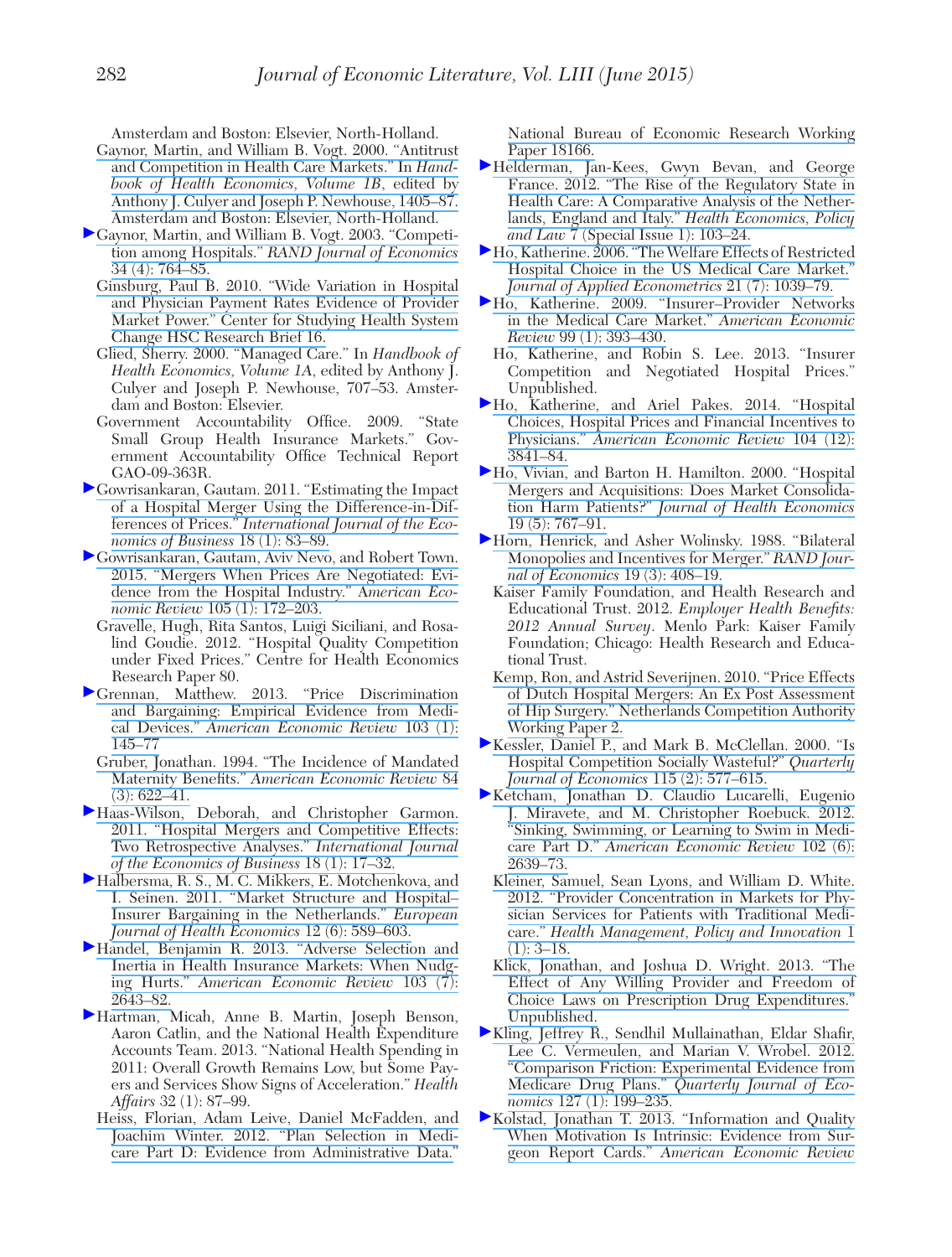Amsterdam and Boston: Elsevier, North-Holland.

- [Gaynor, Martin, and William B. Vogt. 2000. "Antitrust](https://www.researchgate.net/publication/247317737_Antitrust_and_Competition_in_Health_Care_Markets?el=1_x_8&enrichId=rgreq-cb7d2b5db6741595fb53fa84c810989d-XXX&enrichSource=Y292ZXJQYWdlOzI3ODY3NjcxOTtBUzoyNDE3NTE4ODU2MTEwMDhAMTQzNDY0OTU0OTA1MA==) [and Competition in Health Care Markets." In](https://www.researchgate.net/publication/247317737_Antitrust_and_Competition_in_Health_Care_Markets?el=1_x_8&enrichId=rgreq-cb7d2b5db6741595fb53fa84c810989d-XXX&enrichSource=Y292ZXJQYWdlOzI3ODY3NjcxOTtBUzoyNDE3NTE4ODU2MTEwMDhAMTQzNDY0OTU0OTA1MA==) *Hand[book of Health Economics, Volume 1B](https://www.researchgate.net/publication/247317737_Antitrust_and_Competition_in_Health_Care_Markets?el=1_x_8&enrichId=rgreq-cb7d2b5db6741595fb53fa84c810989d-XXX&enrichSource=Y292ZXJQYWdlOzI3ODY3NjcxOTtBUzoyNDE3NTE4ODU2MTEwMDhAMTQzNDY0OTU0OTA1MA==)*, edited by [Anthony J. Culyer and Joseph P. Newhouse, 1405–87.](https://www.researchgate.net/publication/247317737_Antitrust_and_Competition_in_Health_Care_Markets?el=1_x_8&enrichId=rgreq-cb7d2b5db6741595fb53fa84c810989d-XXX&enrichSource=Y292ZXJQYWdlOzI3ODY3NjcxOTtBUzoyNDE3NTE4ODU2MTEwMDhAMTQzNDY0OTU0OTA1MA==)  Amsterdam and Boston: Elsevier, North-Holland.
- [Gaynor, Martin, and William B. Vogt. 2003. "Competi](https://www.researchgate.net/publication/8681856_Competition_Among_Hospitals?el=1_x_8&enrichId=rgreq-cb7d2b5db6741595fb53fa84c810989d-XXX&enrichSource=Y292ZXJQYWdlOzI3ODY3NjcxOTtBUzoyNDE3NTE4ODU2MTEwMDhAMTQzNDY0OTU0OTA1MA==)tion among Hospitals." *[RAND Journal of Economics](https://www.researchgate.net/publication/8681856_Competition_Among_Hospitals?el=1_x_8&enrichId=rgreq-cb7d2b5db6741595fb53fa84c810989d-XXX&enrichSource=Y292ZXJQYWdlOzI3ODY3NjcxOTtBUzoyNDE3NTE4ODU2MTEwMDhAMTQzNDY0OTU0OTA1MA==)* [34 \(4\): 764–85.](https://www.researchgate.net/publication/8681856_Competition_Among_Hospitals?el=1_x_8&enrichId=rgreq-cb7d2b5db6741595fb53fa84c810989d-XXX&enrichSource=Y292ZXJQYWdlOzI3ODY3NjcxOTtBUzoyNDE3NTE4ODU2MTEwMDhAMTQzNDY0OTU0OTA1MA==)
	- [Ginsburg, Paul B. 2010. "Wide Variation in Hospital](https://www.researchgate.net/publication/49644943_Wide_Variation_in_Hospital_and_Physician_Payment_Rates_Evidence_of_Provider_Market_Power?el=1_x_8&enrichId=rgreq-cb7d2b5db6741595fb53fa84c810989d-XXX&enrichSource=Y292ZXJQYWdlOzI3ODY3NjcxOTtBUzoyNDE3NTE4ODU2MTEwMDhAMTQzNDY0OTU0OTA1MA==) [and Physician Payment Rates Evidence of Provider](https://www.researchgate.net/publication/49644943_Wide_Variation_in_Hospital_and_Physician_Payment_Rates_Evidence_of_Provider_Market_Power?el=1_x_8&enrichId=rgreq-cb7d2b5db6741595fb53fa84c810989d-XXX&enrichSource=Y292ZXJQYWdlOzI3ODY3NjcxOTtBUzoyNDE3NTE4ODU2MTEwMDhAMTQzNDY0OTU0OTA1MA==) [Market Power." Center for Studying Health System](https://www.researchgate.net/publication/49644943_Wide_Variation_in_Hospital_and_Physician_Payment_Rates_Evidence_of_Provider_Market_Power?el=1_x_8&enrichId=rgreq-cb7d2b5db6741595fb53fa84c810989d-XXX&enrichSource=Y292ZXJQYWdlOzI3ODY3NjcxOTtBUzoyNDE3NTE4ODU2MTEwMDhAMTQzNDY0OTU0OTA1MA==)  [Change HSC Research Brief 16.](https://www.researchgate.net/publication/49644943_Wide_Variation_in_Hospital_and_Physician_Payment_Rates_Evidence_of_Provider_Market_Power?el=1_x_8&enrichId=rgreq-cb7d2b5db6741595fb53fa84c810989d-XXX&enrichSource=Y292ZXJQYWdlOzI3ODY3NjcxOTtBUzoyNDE3NTE4ODU2MTEwMDhAMTQzNDY0OTU0OTA1MA==)
	- Glied, Sherry. 2000. "Managed Care." In *Handbook of Health Economics, Volume 1A*, edited by Anthony J. Culyer and Joseph P. Newhouse, 707–53. Amsterdam and Boston: Elsevier.
	- Government Accountability Office. 2009. "State Small Group Health Insurance Markets." Government Accountability Office Technical Report GAO-09-363R.
- [Gowrisankaran, Gautam. 2011. "Estimating the Impact](https://www.researchgate.net/publication/227615632_Estimating_the_Impact_of_a_Hospital_Merger_Using_the_Difference-in-Differences_of_Prices?el=1_x_8&enrichId=rgreq-cb7d2b5db6741595fb53fa84c810989d-XXX&enrichSource=Y292ZXJQYWdlOzI3ODY3NjcxOTtBUzoyNDE3NTE4ODU2MTEwMDhAMTQzNDY0OTU0OTA1MA==) [of a Hospital Merger Using the Difference-in-Dif](https://www.researchgate.net/publication/227615632_Estimating_the_Impact_of_a_Hospital_Merger_Using_the_Difference-in-Differences_of_Prices?el=1_x_8&enrichId=rgreq-cb7d2b5db6741595fb53fa84c810989d-XXX&enrichSource=Y292ZXJQYWdlOzI3ODY3NjcxOTtBUzoyNDE3NTE4ODU2MTEwMDhAMTQzNDY0OTU0OTA1MA==)ferences of Prices." *[International Journal of the Eco](https://www.researchgate.net/publication/227615632_Estimating_the_Impact_of_a_Hospital_Merger_Using_the_Difference-in-Differences_of_Prices?el=1_x_8&enrichId=rgreq-cb7d2b5db6741595fb53fa84c810989d-XXX&enrichSource=Y292ZXJQYWdlOzI3ODY3NjcxOTtBUzoyNDE3NTE4ODU2MTEwMDhAMTQzNDY0OTU0OTA1MA==)[nomics of Business](https://www.researchgate.net/publication/227615632_Estimating_the_Impact_of_a_Hospital_Merger_Using_the_Difference-in-Differences_of_Prices?el=1_x_8&enrichId=rgreq-cb7d2b5db6741595fb53fa84c810989d-XXX&enrichSource=Y292ZXJQYWdlOzI3ODY3NjcxOTtBUzoyNDE3NTE4ODU2MTEwMDhAMTQzNDY0OTU0OTA1MA==)* 18 (1): 83–89.
- [Gowrisankaran, Gautam, Aviv Nevo, and Robert Town.](https://www.researchgate.net/publication/256051556_Mergers_When_Prices_Are_Negotiated_Evidence_from_the_Hospital_Industry?el=1_x_8&enrichId=rgreq-cb7d2b5db6741595fb53fa84c810989d-XXX&enrichSource=Y292ZXJQYWdlOzI3ODY3NjcxOTtBUzoyNDE3NTE4ODU2MTEwMDhAMTQzNDY0OTU0OTA1MA==)  [2015. "Mergers When Prices Are Negotiated: Evi](https://www.researchgate.net/publication/256051556_Mergers_When_Prices_Are_Negotiated_Evidence_from_the_Hospital_Industry?el=1_x_8&enrichId=rgreq-cb7d2b5db6741595fb53fa84c810989d-XXX&enrichSource=Y292ZXJQYWdlOzI3ODY3NjcxOTtBUzoyNDE3NTE4ODU2MTEwMDhAMTQzNDY0OTU0OTA1MA==)[dence from the Hospital Industry." A](https://www.researchgate.net/publication/256051556_Mergers_When_Prices_Are_Negotiated_Evidence_from_the_Hospital_Industry?el=1_x_8&enrichId=rgreq-cb7d2b5db6741595fb53fa84c810989d-XXX&enrichSource=Y292ZXJQYWdlOzI3ODY3NjcxOTtBUzoyNDE3NTE4ODU2MTEwMDhAMTQzNDY0OTU0OTA1MA==)*merican Economic Review* [105 \(1\): 172–203.](https://www.researchgate.net/publication/256051556_Mergers_When_Prices_Are_Negotiated_Evidence_from_the_Hospital_Industry?el=1_x_8&enrichId=rgreq-cb7d2b5db6741595fb53fa84c810989d-XXX&enrichSource=Y292ZXJQYWdlOzI3ODY3NjcxOTtBUzoyNDE3NTE4ODU2MTEwMDhAMTQzNDY0OTU0OTA1MA==)
	- Gravelle, Hugh, Rita Santos, Luigi Siciliani, and Rosalind Goudie. 2012. "Hospital Quality Competition under Fixed Prices." Centre for Health Economics Research Paper 80.
- [Grennan, Matthew. 2013. "Price Discrimination](https://www.researchgate.net/publication/228250263_Price_Discrimination_and_Bargaining_Empirical_Evidence_from_Medical_Devices?el=1_x_8&enrichId=rgreq-cb7d2b5db6741595fb53fa84c810989d-XXX&enrichSource=Y292ZXJQYWdlOzI3ODY3NjcxOTtBUzoyNDE3NTE4ODU2MTEwMDhAMTQzNDY0OTU0OTA1MA==)  [and Bargaining: Empirical Evidence from Medi](https://www.researchgate.net/publication/228250263_Price_Discrimination_and_Bargaining_Empirical_Evidence_from_Medical_Devices?el=1_x_8&enrichId=rgreq-cb7d2b5db6741595fb53fa84c810989d-XXX&enrichSource=Y292ZXJQYWdlOzI3ODY3NjcxOTtBUzoyNDE3NTE4ODU2MTEwMDhAMTQzNDY0OTU0OTA1MA==)cal Devices." *[American Economic Review](https://www.researchgate.net/publication/228250263_Price_Discrimination_and_Bargaining_Empirical_Evidence_from_Medical_Devices?el=1_x_8&enrichId=rgreq-cb7d2b5db6741595fb53fa84c810989d-XXX&enrichSource=Y292ZXJQYWdlOzI3ODY3NjcxOTtBUzoyNDE3NTE4ODU2MTEwMDhAMTQzNDY0OTU0OTA1MA==)* 103 (1): [145–77](https://www.researchgate.net/publication/228250263_Price_Discrimination_and_Bargaining_Empirical_Evidence_from_Medical_Devices?el=1_x_8&enrichId=rgreq-cb7d2b5db6741595fb53fa84c810989d-XXX&enrichSource=Y292ZXJQYWdlOzI3ODY3NjcxOTtBUzoyNDE3NTE4ODU2MTEwMDhAMTQzNDY0OTU0OTA1MA==)
	- [Gruber, Jonathan. 1994. "The Incidence of Mandated](https://www.researchgate.net/publication/13162730_The_Incidence_of_Mandated_Maternity_Benefits?el=1_x_8&enrichId=rgreq-cb7d2b5db6741595fb53fa84c810989d-XXX&enrichSource=Y292ZXJQYWdlOzI3ODY3NjcxOTtBUzoyNDE3NTE4ODU2MTEwMDhAMTQzNDY0OTU0OTA1MA==)  Maternity Benefits." *[American Economic Review](https://www.researchgate.net/publication/13162730_The_Incidence_of_Mandated_Maternity_Benefits?el=1_x_8&enrichId=rgreq-cb7d2b5db6741595fb53fa84c810989d-XXX&enrichSource=Y292ZXJQYWdlOzI3ODY3NjcxOTtBUzoyNDE3NTE4ODU2MTEwMDhAMTQzNDY0OTU0OTA1MA==)* 84  $(3): 622 - 41.$
- [Haas-Wilson, Deborah, and Christopher Garmon.](https://www.researchgate.net/publication/227615625_Hospital_Mergers_and_Competitive_Effects_Two_Retrospective_Analyses?el=1_x_8&enrichId=rgreq-cb7d2b5db6741595fb53fa84c810989d-XXX&enrichSource=Y292ZXJQYWdlOzI3ODY3NjcxOTtBUzoyNDE3NTE4ODU2MTEwMDhAMTQzNDY0OTU0OTA1MA==) [2011. "Hospital Mergers and Competitive Effects:](https://www.researchgate.net/publication/227615625_Hospital_Mergers_and_Competitive_Effects_Two_Retrospective_Analyses?el=1_x_8&enrichId=rgreq-cb7d2b5db6741595fb53fa84c810989d-XXX&enrichSource=Y292ZXJQYWdlOzI3ODY3NjcxOTtBUzoyNDE3NTE4ODU2MTEwMDhAMTQzNDY0OTU0OTA1MA==) [Two Retrospective Analyses."](https://www.researchgate.net/publication/227615625_Hospital_Mergers_and_Competitive_Effects_Two_Retrospective_Analyses?el=1_x_8&enrichId=rgreq-cb7d2b5db6741595fb53fa84c810989d-XXX&enrichSource=Y292ZXJQYWdlOzI3ODY3NjcxOTtBUzoyNDE3NTE4ODU2MTEwMDhAMTQzNDY0OTU0OTA1MA==) *International Journal [of the Economics of Business](https://www.researchgate.net/publication/227615625_Hospital_Mergers_and_Competitive_Effects_Two_Retrospective_Analyses?el=1_x_8&enrichId=rgreq-cb7d2b5db6741595fb53fa84c810989d-XXX&enrichSource=Y292ZXJQYWdlOzI3ODY3NjcxOTtBUzoyNDE3NTE4ODU2MTEwMDhAMTQzNDY0OTU0OTA1MA==)* 18 (1): 17–32.
- [Halbersma, R. S., M. C. Mikkers, E. Motchenkova, and](https://www.researchgate.net/publication/46307319_Market_structure_and_hospital-insurer_bargaining_in_the_Netherlands?el=1_x_8&enrichId=rgreq-cb7d2b5db6741595fb53fa84c810989d-XXX&enrichSource=Y292ZXJQYWdlOzI3ODY3NjcxOTtBUzoyNDE3NTE4ODU2MTEwMDhAMTQzNDY0OTU0OTA1MA==)  [I. Seinen. 2011. "Market Structure and Hospital–](https://www.researchgate.net/publication/46307319_Market_structure_and_hospital-insurer_bargaining_in_the_Netherlands?el=1_x_8&enrichId=rgreq-cb7d2b5db6741595fb53fa84c810989d-XXX&enrichSource=Y292ZXJQYWdlOzI3ODY3NjcxOTtBUzoyNDE3NTE4ODU2MTEwMDhAMTQzNDY0OTU0OTA1MA==) [Insurer Bargaining in the Netherlands."](https://www.researchgate.net/publication/46307319_Market_structure_and_hospital-insurer_bargaining_in_the_Netherlands?el=1_x_8&enrichId=rgreq-cb7d2b5db6741595fb53fa84c810989d-XXX&enrichSource=Y292ZXJQYWdlOzI3ODY3NjcxOTtBUzoyNDE3NTE4ODU2MTEwMDhAMTQzNDY0OTU0OTA1MA==) *European [Journal of Health Economics](https://www.researchgate.net/publication/46307319_Market_structure_and_hospital-insurer_bargaining_in_the_Netherlands?el=1_x_8&enrichId=rgreq-cb7d2b5db6741595fb53fa84c810989d-XXX&enrichSource=Y292ZXJQYWdlOzI3ODY3NjcxOTtBUzoyNDE3NTE4ODU2MTEwMDhAMTQzNDY0OTU0OTA1MA==)* 12 (6): 589–603.
- [Handel, Benjamin R. 2013. "Adverse Selection and](https://www.researchgate.net/publication/274799081_Adverse_Selection_and_Inertia_in_Health_Insurance_Markets_When_Nudging_Hurts?el=1_x_8&enrichId=rgreq-cb7d2b5db6741595fb53fa84c810989d-XXX&enrichSource=Y292ZXJQYWdlOzI3ODY3NjcxOTtBUzoyNDE3NTE4ODU2MTEwMDhAMTQzNDY0OTU0OTA1MA==)  [Inertia in Health Insurance Markets: When Nudg](https://www.researchgate.net/publication/274799081_Adverse_Selection_and_Inertia_in_Health_Insurance_Markets_When_Nudging_Hurts?el=1_x_8&enrichId=rgreq-cb7d2b5db6741595fb53fa84c810989d-XXX&enrichSource=Y292ZXJQYWdlOzI3ODY3NjcxOTtBUzoyNDE3NTE4ODU2MTEwMDhAMTQzNDY0OTU0OTA1MA==)ing Hurts." *[American Economic Review](https://www.researchgate.net/publication/274799081_Adverse_Selection_and_Inertia_in_Health_Insurance_Markets_When_Nudging_Hurts?el=1_x_8&enrichId=rgreq-cb7d2b5db6741595fb53fa84c810989d-XXX&enrichSource=Y292ZXJQYWdlOzI3ODY3NjcxOTtBUzoyNDE3NTE4ODU2MTEwMDhAMTQzNDY0OTU0OTA1MA==)* 103 (7): [2643–82.](https://www.researchgate.net/publication/274799081_Adverse_Selection_and_Inertia_in_Health_Insurance_Markets_When_Nudging_Hurts?el=1_x_8&enrichId=rgreq-cb7d2b5db6741595fb53fa84c810989d-XXX&enrichSource=Y292ZXJQYWdlOzI3ODY3NjcxOTtBUzoyNDE3NTE4ODU2MTEwMDhAMTQzNDY0OTU0OTA1MA==)
- Hartman, Micah, Anne B. Martin, Joseph Benson, Aaron Catlin, and the National Health Expenditure Accounts Team. 2013. "National Health Spending in 2011: Overall Growth Remains Low, but Some Payers and Services Show Signs of Acceleration." *Health Affairs* 32 (1): 87–99.
	- [Heiss, Florian, Adam Leive, Daniel McFadden, and](https://www.researchgate.net/publication/259204565_Plan_selection_in_Medicare_Part_D_Evidence_from_administrative_data?el=1_x_8&enrichId=rgreq-cb7d2b5db6741595fb53fa84c810989d-XXX&enrichSource=Y292ZXJQYWdlOzI3ODY3NjcxOTtBUzoyNDE3NTE4ODU2MTEwMDhAMTQzNDY0OTU0OTA1MA==)  [Joachim Winter. 2012. "Plan Selection in Medi](https://www.researchgate.net/publication/259204565_Plan_selection_in_Medicare_Part_D_Evidence_from_administrative_data?el=1_x_8&enrichId=rgreq-cb7d2b5db6741595fb53fa84c810989d-XXX&enrichSource=Y292ZXJQYWdlOzI3ODY3NjcxOTtBUzoyNDE3NTE4ODU2MTEwMDhAMTQzNDY0OTU0OTA1MA==)[care Part D: Evidence from Administrative Data."](https://www.researchgate.net/publication/259204565_Plan_selection_in_Medicare_Part_D_Evidence_from_administrative_data?el=1_x_8&enrichId=rgreq-cb7d2b5db6741595fb53fa84c810989d-XXX&enrichSource=Y292ZXJQYWdlOzI3ODY3NjcxOTtBUzoyNDE3NTE4ODU2MTEwMDhAMTQzNDY0OTU0OTA1MA==)

[National Bureau of Economic Research Working](https://www.researchgate.net/publication/259204565_Plan_selection_in_Medicare_Part_D_Evidence_from_administrative_data?el=1_x_8&enrichId=rgreq-cb7d2b5db6741595fb53fa84c810989d-XXX&enrichSource=Y292ZXJQYWdlOzI3ODY3NjcxOTtBUzoyNDE3NTE4ODU2MTEwMDhAMTQzNDY0OTU0OTA1MA==) [Paper 18166.](https://www.researchgate.net/publication/259204565_Plan_selection_in_Medicare_Part_D_Evidence_from_administrative_data?el=1_x_8&enrichId=rgreq-cb7d2b5db6741595fb53fa84c810989d-XXX&enrichSource=Y292ZXJQYWdlOzI3ODY3NjcxOTtBUzoyNDE3NTE4ODU2MTEwMDhAMTQzNDY0OTU0OTA1MA==)

- [Helderman, Jan-Kees, Gwyn Bevan, and George](https://www.researchgate.net/publication/221726341_The_rise_of_the_regulatory_state_in_health_care_A_comparative_analysis_of_the_Netherlands_England_and_Italy?el=1_x_8&enrichId=rgreq-cb7d2b5db6741595fb53fa84c810989d-XXX&enrichSource=Y292ZXJQYWdlOzI3ODY3NjcxOTtBUzoyNDE3NTE4ODU2MTEwMDhAMTQzNDY0OTU0OTA1MA==)  [France. 2012. "The Rise of the Regulatory State in](https://www.researchgate.net/publication/221726341_The_rise_of_the_regulatory_state_in_health_care_A_comparative_analysis_of_the_Netherlands_England_and_Italy?el=1_x_8&enrichId=rgreq-cb7d2b5db6741595fb53fa84c810989d-XXX&enrichSource=Y292ZXJQYWdlOzI3ODY3NjcxOTtBUzoyNDE3NTE4ODU2MTEwMDhAMTQzNDY0OTU0OTA1MA==) [Health Care: A Comparative Analysis of the Nether](https://www.researchgate.net/publication/221726341_The_rise_of_the_regulatory_state_in_health_care_A_comparative_analysis_of_the_Netherlands_England_and_Italy?el=1_x_8&enrichId=rgreq-cb7d2b5db6741595fb53fa84c810989d-XXX&enrichSource=Y292ZXJQYWdlOzI3ODY3NjcxOTtBUzoyNDE3NTE4ODU2MTEwMDhAMTQzNDY0OTU0OTA1MA==)[lands, England and Italy."](https://www.researchgate.net/publication/221726341_The_rise_of_the_regulatory_state_in_health_care_A_comparative_analysis_of_the_Netherlands_England_and_Italy?el=1_x_8&enrichId=rgreq-cb7d2b5db6741595fb53fa84c810989d-XXX&enrichSource=Y292ZXJQYWdlOzI3ODY3NjcxOTtBUzoyNDE3NTE4ODU2MTEwMDhAMTQzNDY0OTU0OTA1MA==) *Health Economics, Policy and Law* [7 \(Special Issue 1\): 103–24.](https://www.researchgate.net/publication/221726341_The_rise_of_the_regulatory_state_in_health_care_A_comparative_analysis_of_the_Netherlands_England_and_Italy?el=1_x_8&enrichId=rgreq-cb7d2b5db6741595fb53fa84c810989d-XXX&enrichSource=Y292ZXJQYWdlOzI3ODY3NjcxOTtBUzoyNDE3NTE4ODU2MTEwMDhAMTQzNDY0OTU0OTA1MA==)
- [Ho, Katherine. 2006. "The Welfare Effects of Restricted](https://www.researchgate.net/publication/null?el=1_x_8&enrichId=rgreq-cb7d2b5db6741595fb53fa84c810989d-XXX&enrichSource=Y292ZXJQYWdlOzI3ODY3NjcxOTtBUzoyNDE3NTE4ODU2MTEwMDhAMTQzNDY0OTU0OTA1MA==) [Hospital Choice in the US Medical Care Market."](https://www.researchgate.net/publication/null?el=1_x_8&enrichId=rgreq-cb7d2b5db6741595fb53fa84c810989d-XXX&enrichSource=Y292ZXJQYWdlOzI3ODY3NjcxOTtBUzoyNDE3NTE4ODU2MTEwMDhAMTQzNDY0OTU0OTA1MA==) *[Journal of Applied Econometrics](https://www.researchgate.net/publication/null?el=1_x_8&enrichId=rgreq-cb7d2b5db6741595fb53fa84c810989d-XXX&enrichSource=Y292ZXJQYWdlOzI3ODY3NjcxOTtBUzoyNDE3NTE4ODU2MTEwMDhAMTQzNDY0OTU0OTA1MA==)* 21 (7): 1039–79.
- [Ho, Katherine. 2009. "Insurer–Provider Networks](https://www.researchgate.net/publication/null?el=1_x_8&enrichId=rgreq-cb7d2b5db6741595fb53fa84c810989d-XXX&enrichSource=Y292ZXJQYWdlOzI3ODY3NjcxOTtBUzoyNDE3NTE4ODU2MTEwMDhAMTQzNDY0OTU0OTA1MA==) [in the Medical Care Market."](https://www.researchgate.net/publication/null?el=1_x_8&enrichId=rgreq-cb7d2b5db6741595fb53fa84c810989d-XXX&enrichSource=Y292ZXJQYWdlOzI3ODY3NjcxOTtBUzoyNDE3NTE4ODU2MTEwMDhAMTQzNDY0OTU0OTA1MA==) *American Economic Review* [99 \(1\): 393–430.](https://www.researchgate.net/publication/null?el=1_x_8&enrichId=rgreq-cb7d2b5db6741595fb53fa84c810989d-XXX&enrichSource=Y292ZXJQYWdlOzI3ODY3NjcxOTtBUzoyNDE3NTE4ODU2MTEwMDhAMTQzNDY0OTU0OTA1MA==)
- Ho, Katherine, and Robin S. Lee. 2013. "Insurer Competition and Negotiated Hospital Prices." Unpublished.
- [Ho, Katherine, and Ariel Pakes. 2014. "Hospital](https://www.researchgate.net/publication/265158677_Hospital_Choices_Hospital_Prices_and_Financial_Incentives_to_Physicians?el=1_x_8&enrichId=rgreq-cb7d2b5db6741595fb53fa84c810989d-XXX&enrichSource=Y292ZXJQYWdlOzI3ODY3NjcxOTtBUzoyNDE3NTE4ODU2MTEwMDhAMTQzNDY0OTU0OTA1MA==) [Choices, Hospital Prices and Financial Incentives to](https://www.researchgate.net/publication/265158677_Hospital_Choices_Hospital_Prices_and_Financial_Incentives_to_Physicians?el=1_x_8&enrichId=rgreq-cb7d2b5db6741595fb53fa84c810989d-XXX&enrichSource=Y292ZXJQYWdlOzI3ODY3NjcxOTtBUzoyNDE3NTE4ODU2MTEwMDhAMTQzNDY0OTU0OTA1MA==) Physicians." *[American Economic Review](https://www.researchgate.net/publication/265158677_Hospital_Choices_Hospital_Prices_and_Financial_Incentives_to_Physicians?el=1_x_8&enrichId=rgreq-cb7d2b5db6741595fb53fa84c810989d-XXX&enrichSource=Y292ZXJQYWdlOzI3ODY3NjcxOTtBUzoyNDE3NTE4ODU2MTEwMDhAMTQzNDY0OTU0OTA1MA==)* 104 (12): [3841–84.](https://www.researchgate.net/publication/265158677_Hospital_Choices_Hospital_Prices_and_Financial_Incentives_to_Physicians?el=1_x_8&enrichId=rgreq-cb7d2b5db6741595fb53fa84c810989d-XXX&enrichSource=Y292ZXJQYWdlOzI3ODY3NjcxOTtBUzoyNDE3NTE4ODU2MTEwMDhAMTQzNDY0OTU0OTA1MA==)
- [Ho, Vivian, and Barton H. Hamilton. 2000. "Hospital](https://www.researchgate.net/publication/12145855_Hospital_Mergers_and_Acquisitions_Does_Market_Consolidation_Harm_Patients?el=1_x_8&enrichId=rgreq-cb7d2b5db6741595fb53fa84c810989d-XXX&enrichSource=Y292ZXJQYWdlOzI3ODY3NjcxOTtBUzoyNDE3NTE4ODU2MTEwMDhAMTQzNDY0OTU0OTA1MA==) [Mergers and Acquisitions: Does Market Consolida](https://www.researchgate.net/publication/12145855_Hospital_Mergers_and_Acquisitions_Does_Market_Consolidation_Harm_Patients?el=1_x_8&enrichId=rgreq-cb7d2b5db6741595fb53fa84c810989d-XXX&enrichSource=Y292ZXJQYWdlOzI3ODY3NjcxOTtBUzoyNDE3NTE4ODU2MTEwMDhAMTQzNDY0OTU0OTA1MA==)tion Harm Patients?" *[Journal of Health Economics](https://www.researchgate.net/publication/12145855_Hospital_Mergers_and_Acquisitions_Does_Market_Consolidation_Harm_Patients?el=1_x_8&enrichId=rgreq-cb7d2b5db6741595fb53fa84c810989d-XXX&enrichSource=Y292ZXJQYWdlOzI3ODY3NjcxOTtBUzoyNDE3NTE4ODU2MTEwMDhAMTQzNDY0OTU0OTA1MA==)* [19 \(5\): 767–91.](https://www.researchgate.net/publication/12145855_Hospital_Mergers_and_Acquisitions_Does_Market_Consolidation_Harm_Patients?el=1_x_8&enrichId=rgreq-cb7d2b5db6741595fb53fa84c810989d-XXX&enrichSource=Y292ZXJQYWdlOzI3ODY3NjcxOTtBUzoyNDE3NTE4ODU2MTEwMDhAMTQzNDY0OTU0OTA1MA==)
- [Horn, Henrick, and Asher Wolinsky. 1988. "Bilateral](https://www.researchgate.net/publication/null?el=1_x_8&enrichId=rgreq-cb7d2b5db6741595fb53fa84c810989d-XXX&enrichSource=Y292ZXJQYWdlOzI3ODY3NjcxOTtBUzoyNDE3NTE4ODU2MTEwMDhAMTQzNDY0OTU0OTA1MA==)  [Monopolies and Incentives for Merger."](https://www.researchgate.net/publication/null?el=1_x_8&enrichId=rgreq-cb7d2b5db6741595fb53fa84c810989d-XXX&enrichSource=Y292ZXJQYWdlOzI3ODY3NjcxOTtBUzoyNDE3NTE4ODU2MTEwMDhAMTQzNDY0OTU0OTA1MA==) *RAND Jour[nal of Economics](https://www.researchgate.net/publication/null?el=1_x_8&enrichId=rgreq-cb7d2b5db6741595fb53fa84c810989d-XXX&enrichSource=Y292ZXJQYWdlOzI3ODY3NjcxOTtBUzoyNDE3NTE4ODU2MTEwMDhAMTQzNDY0OTU0OTA1MA==)* 19 (3): 408–19.
- Kaiser Family Foundation, and Health Research and Educational Trust. 2012. *Employer Health Benefits: 2012 Annual Survey*. Menlo Park: Kaiser Family Foundation; Chicago: Health Research and Educational Trust.
- [Kemp, Ron, and Astrid Severijnen. 2010. "Price Effects](https://www.researchgate.net/publication/48176373_Price_Effects_of_Dutch_Hospital_Mergers_An_Ex_Post_Assessment_of_Hip_Surgery?el=1_x_8&enrichId=rgreq-cb7d2b5db6741595fb53fa84c810989d-XXX&enrichSource=Y292ZXJQYWdlOzI3ODY3NjcxOTtBUzoyNDE3NTE4ODU2MTEwMDhAMTQzNDY0OTU0OTA1MA==) [of Dutch Hospital Mergers: An Ex Post Assessment](https://www.researchgate.net/publication/48176373_Price_Effects_of_Dutch_Hospital_Mergers_An_Ex_Post_Assessment_of_Hip_Surgery?el=1_x_8&enrichId=rgreq-cb7d2b5db6741595fb53fa84c810989d-XXX&enrichSource=Y292ZXJQYWdlOzI3ODY3NjcxOTtBUzoyNDE3NTE4ODU2MTEwMDhAMTQzNDY0OTU0OTA1MA==) [of Hip Surgery." Netherlands Competition Authority](https://www.researchgate.net/publication/48176373_Price_Effects_of_Dutch_Hospital_Mergers_An_Ex_Post_Assessment_of_Hip_Surgery?el=1_x_8&enrichId=rgreq-cb7d2b5db6741595fb53fa84c810989d-XXX&enrichSource=Y292ZXJQYWdlOzI3ODY3NjcxOTtBUzoyNDE3NTE4ODU2MTEwMDhAMTQzNDY0OTU0OTA1MA==) [Working Paper 2.](https://www.researchgate.net/publication/48176373_Price_Effects_of_Dutch_Hospital_Mergers_An_Ex_Post_Assessment_of_Hip_Surgery?el=1_x_8&enrichId=rgreq-cb7d2b5db6741595fb53fa84c810989d-XXX&enrichSource=Y292ZXJQYWdlOzI3ODY3NjcxOTtBUzoyNDE3NTE4ODU2MTEwMDhAMTQzNDY0OTU0OTA1MA==)
- [Kessler, Daniel P., and Mark B. McClellan. 2000. "Is](https://www.researchgate.net/publication/280905995_Is_Hospital_Competition_Socially_Wasteful?el=1_x_8&enrichId=rgreq-cb7d2b5db6741595fb53fa84c810989d-XXX&enrichSource=Y292ZXJQYWdlOzI3ODY3NjcxOTtBUzoyNDE3NTE4ODU2MTEwMDhAMTQzNDY0OTU0OTA1MA==)  [Hospital Competition Socially Wasteful?"](https://www.researchgate.net/publication/280905995_Is_Hospital_Competition_Socially_Wasteful?el=1_x_8&enrichId=rgreq-cb7d2b5db6741595fb53fa84c810989d-XXX&enrichSource=Y292ZXJQYWdlOzI3ODY3NjcxOTtBUzoyNDE3NTE4ODU2MTEwMDhAMTQzNDY0OTU0OTA1MA==) *Quarterly [Journal of Economics](https://www.researchgate.net/publication/280905995_Is_Hospital_Competition_Socially_Wasteful?el=1_x_8&enrichId=rgreq-cb7d2b5db6741595fb53fa84c810989d-XXX&enrichSource=Y292ZXJQYWdlOzI3ODY3NjcxOTtBUzoyNDE3NTE4ODU2MTEwMDhAMTQzNDY0OTU0OTA1MA==)* 115 (2): 577–615.
- [Ketcham, Jonathan D. Claudio Lucarelli, Eugenio](https://www.researchgate.net/publication/229003765_Sinking_Swimming_or_Learning_to_Swim_in_Medicare_Part_D?el=1_x_8&enrichId=rgreq-cb7d2b5db6741595fb53fa84c810989d-XXX&enrichSource=Y292ZXJQYWdlOzI3ODY3NjcxOTtBUzoyNDE3NTE4ODU2MTEwMDhAMTQzNDY0OTU0OTA1MA==) [J. Miravete, and M. Christopher Roebuck. 2012.](https://www.researchgate.net/publication/229003765_Sinking_Swimming_or_Learning_to_Swim_in_Medicare_Part_D?el=1_x_8&enrichId=rgreq-cb7d2b5db6741595fb53fa84c810989d-XXX&enrichSource=Y292ZXJQYWdlOzI3ODY3NjcxOTtBUzoyNDE3NTE4ODU2MTEwMDhAMTQzNDY0OTU0OTA1MA==)  ["Sinking, Swimming, or Learning to Swim in Medi](https://www.researchgate.net/publication/229003765_Sinking_Swimming_or_Learning_to_Swim_in_Medicare_Part_D?el=1_x_8&enrichId=rgreq-cb7d2b5db6741595fb53fa84c810989d-XXX&enrichSource=Y292ZXJQYWdlOzI3ODY3NjcxOTtBUzoyNDE3NTE4ODU2MTEwMDhAMTQzNDY0OTU0OTA1MA==)care Part D." *[American Economic Review](https://www.researchgate.net/publication/229003765_Sinking_Swimming_or_Learning_to_Swim_in_Medicare_Part_D?el=1_x_8&enrichId=rgreq-cb7d2b5db6741595fb53fa84c810989d-XXX&enrichSource=Y292ZXJQYWdlOzI3ODY3NjcxOTtBUzoyNDE3NTE4ODU2MTEwMDhAMTQzNDY0OTU0OTA1MA==)* 102 (6): [2639–73.](https://www.researchgate.net/publication/229003765_Sinking_Swimming_or_Learning_to_Swim_in_Medicare_Part_D?el=1_x_8&enrichId=rgreq-cb7d2b5db6741595fb53fa84c810989d-XXX&enrichSource=Y292ZXJQYWdlOzI3ODY3NjcxOTtBUzoyNDE3NTE4ODU2MTEwMDhAMTQzNDY0OTU0OTA1MA==)
	- [Kleiner, Samuel, Sean Lyons, and William D. White.](https://www.researchgate.net/publication/255858767_Provider_Concentration_in_Markets_for_Physician_Services_for_Patients_with_Traditional_Medicare?el=1_x_8&enrichId=rgreq-cb7d2b5db6741595fb53fa84c810989d-XXX&enrichSource=Y292ZXJQYWdlOzI3ODY3NjcxOTtBUzoyNDE3NTE4ODU2MTEwMDhAMTQzNDY0OTU0OTA1MA==)  [2012. "Provider Concentration in Markets for Phy](https://www.researchgate.net/publication/255858767_Provider_Concentration_in_Markets_for_Physician_Services_for_Patients_with_Traditional_Medicare?el=1_x_8&enrichId=rgreq-cb7d2b5db6741595fb53fa84c810989d-XXX&enrichSource=Y292ZXJQYWdlOzI3ODY3NjcxOTtBUzoyNDE3NTE4ODU2MTEwMDhAMTQzNDY0OTU0OTA1MA==)[sician Services for Patients with Traditional Medi](https://www.researchgate.net/publication/255858767_Provider_Concentration_in_Markets_for_Physician_Services_for_Patients_with_Traditional_Medicare?el=1_x_8&enrichId=rgreq-cb7d2b5db6741595fb53fa84c810989d-XXX&enrichSource=Y292ZXJQYWdlOzI3ODY3NjcxOTtBUzoyNDE3NTE4ODU2MTEwMDhAMTQzNDY0OTU0OTA1MA==)care." *[Health Management, Policy and Innovation](https://www.researchgate.net/publication/255858767_Provider_Concentration_in_Markets_for_Physician_Services_for_Patients_with_Traditional_Medicare?el=1_x_8&enrichId=rgreq-cb7d2b5db6741595fb53fa84c810989d-XXX&enrichSource=Y292ZXJQYWdlOzI3ODY3NjcxOTtBUzoyNDE3NTE4ODU2MTEwMDhAMTQzNDY0OTU0OTA1MA==)* 1  $(1): 3-18.$
- [Klick, Jonathan, and Joshua D. Wright. 2013. "The](https://www.researchgate.net/publication/276111334_The_Effect_of_Any_Willing_Provider_and_Freedom_of_Choice_Laws_on_Prescription_Drug_Expenditures?el=1_x_8&enrichId=rgreq-cb7d2b5db6741595fb53fa84c810989d-XXX&enrichSource=Y292ZXJQYWdlOzI3ODY3NjcxOTtBUzoyNDE3NTE4ODU2MTEwMDhAMTQzNDY0OTU0OTA1MA==) [Effect of Any Willing Provider and Freedom of](https://www.researchgate.net/publication/276111334_The_Effect_of_Any_Willing_Provider_and_Freedom_of_Choice_Laws_on_Prescription_Drug_Expenditures?el=1_x_8&enrichId=rgreq-cb7d2b5db6741595fb53fa84c810989d-XXX&enrichSource=Y292ZXJQYWdlOzI3ODY3NjcxOTtBUzoyNDE3NTE4ODU2MTEwMDhAMTQzNDY0OTU0OTA1MA==) [Choice Laws on Prescription Drug Expenditures."](https://www.researchgate.net/publication/276111334_The_Effect_of_Any_Willing_Provider_and_Freedom_of_Choice_Laws_on_Prescription_Drug_Expenditures?el=1_x_8&enrichId=rgreq-cb7d2b5db6741595fb53fa84c810989d-XXX&enrichSource=Y292ZXJQYWdlOzI3ODY3NjcxOTtBUzoyNDE3NTE4ODU2MTEwMDhAMTQzNDY0OTU0OTA1MA==) [Unpublished.](https://www.researchgate.net/publication/276111334_The_Effect_of_Any_Willing_Provider_and_Freedom_of_Choice_Laws_on_Prescription_Drug_Expenditures?el=1_x_8&enrichId=rgreq-cb7d2b5db6741595fb53fa84c810989d-XXX&enrichSource=Y292ZXJQYWdlOzI3ODY3NjcxOTtBUzoyNDE3NTE4ODU2MTEwMDhAMTQzNDY0OTU0OTA1MA==)
- [Kling, Jeffrey R., Sendhil Mullainathan, Eldar Shafir,](https://www.researchgate.net/publication/221979773_Comparison_Friction_Experimental_Evidence_from_Medicare_Drug_Plans?el=1_x_8&enrichId=rgreq-cb7d2b5db6741595fb53fa84c810989d-XXX&enrichSource=Y292ZXJQYWdlOzI3ODY3NjcxOTtBUzoyNDE3NTE4ODU2MTEwMDhAMTQzNDY0OTU0OTA1MA==) [Lee C. Vermeulen, and Marian V. Wrobel. 2012.](https://www.researchgate.net/publication/221979773_Comparison_Friction_Experimental_Evidence_from_Medicare_Drug_Plans?el=1_x_8&enrichId=rgreq-cb7d2b5db6741595fb53fa84c810989d-XXX&enrichSource=Y292ZXJQYWdlOzI3ODY3NjcxOTtBUzoyNDE3NTE4ODU2MTEwMDhAMTQzNDY0OTU0OTA1MA==)  "[Comparison Friction: Experimental Evidence from](https://www.researchgate.net/publication/221979773_Comparison_Friction_Experimental_Evidence_from_Medicare_Drug_Plans?el=1_x_8&enrichId=rgreq-cb7d2b5db6741595fb53fa84c810989d-XXX&enrichSource=Y292ZXJQYWdlOzI3ODY3NjcxOTtBUzoyNDE3NTE4ODU2MTEwMDhAMTQzNDY0OTU0OTA1MA==) Medicare Drug Plans." *[Quarterly Journal of Eco](https://www.researchgate.net/publication/221979773_Comparison_Friction_Experimental_Evidence_from_Medicare_Drug_Plans?el=1_x_8&enrichId=rgreq-cb7d2b5db6741595fb53fa84c810989d-XXX&enrichSource=Y292ZXJQYWdlOzI3ODY3NjcxOTtBUzoyNDE3NTE4ODU2MTEwMDhAMTQzNDY0OTU0OTA1MA==)nomics* [127 \(1\): 199–235.](https://www.researchgate.net/publication/221979773_Comparison_Friction_Experimental_Evidence_from_Medicare_Drug_Plans?el=1_x_8&enrichId=rgreq-cb7d2b5db6741595fb53fa84c810989d-XXX&enrichSource=Y292ZXJQYWdlOzI3ODY3NjcxOTtBUzoyNDE3NTE4ODU2MTEwMDhAMTQzNDY0OTU0OTA1MA==)
- [Kolstad, Jonathan T. 2013. "Information and Quality](https://www.researchgate.net/publication/255633509_Information_and_Quality_When_Motivation_Is_Intrinsic_Evidence_from_Surgeon_Report_Cards?el=1_x_8&enrichId=rgreq-cb7d2b5db6741595fb53fa84c810989d-XXX&enrichSource=Y292ZXJQYWdlOzI3ODY3NjcxOTtBUzoyNDE3NTE4ODU2MTEwMDhAMTQzNDY0OTU0OTA1MA==)  [When Motivation Is Intrinsic: Evidence from Sur](https://www.researchgate.net/publication/255633509_Information_and_Quality_When_Motivation_Is_Intrinsic_Evidence_from_Surgeon_Report_Cards?el=1_x_8&enrichId=rgreq-cb7d2b5db6741595fb53fa84c810989d-XXX&enrichSource=Y292ZXJQYWdlOzI3ODY3NjcxOTtBUzoyNDE3NTE4ODU2MTEwMDhAMTQzNDY0OTU0OTA1MA==)geon Report Cards." *[American Economic Review](https://www.researchgate.net/publication/255633509_Information_and_Quality_When_Motivation_Is_Intrinsic_Evidence_from_Surgeon_Report_Cards?el=1_x_8&enrichId=rgreq-cb7d2b5db6741595fb53fa84c810989d-XXX&enrichSource=Y292ZXJQYWdlOzI3ODY3NjcxOTtBUzoyNDE3NTE4ODU2MTEwMDhAMTQzNDY0OTU0OTA1MA==)*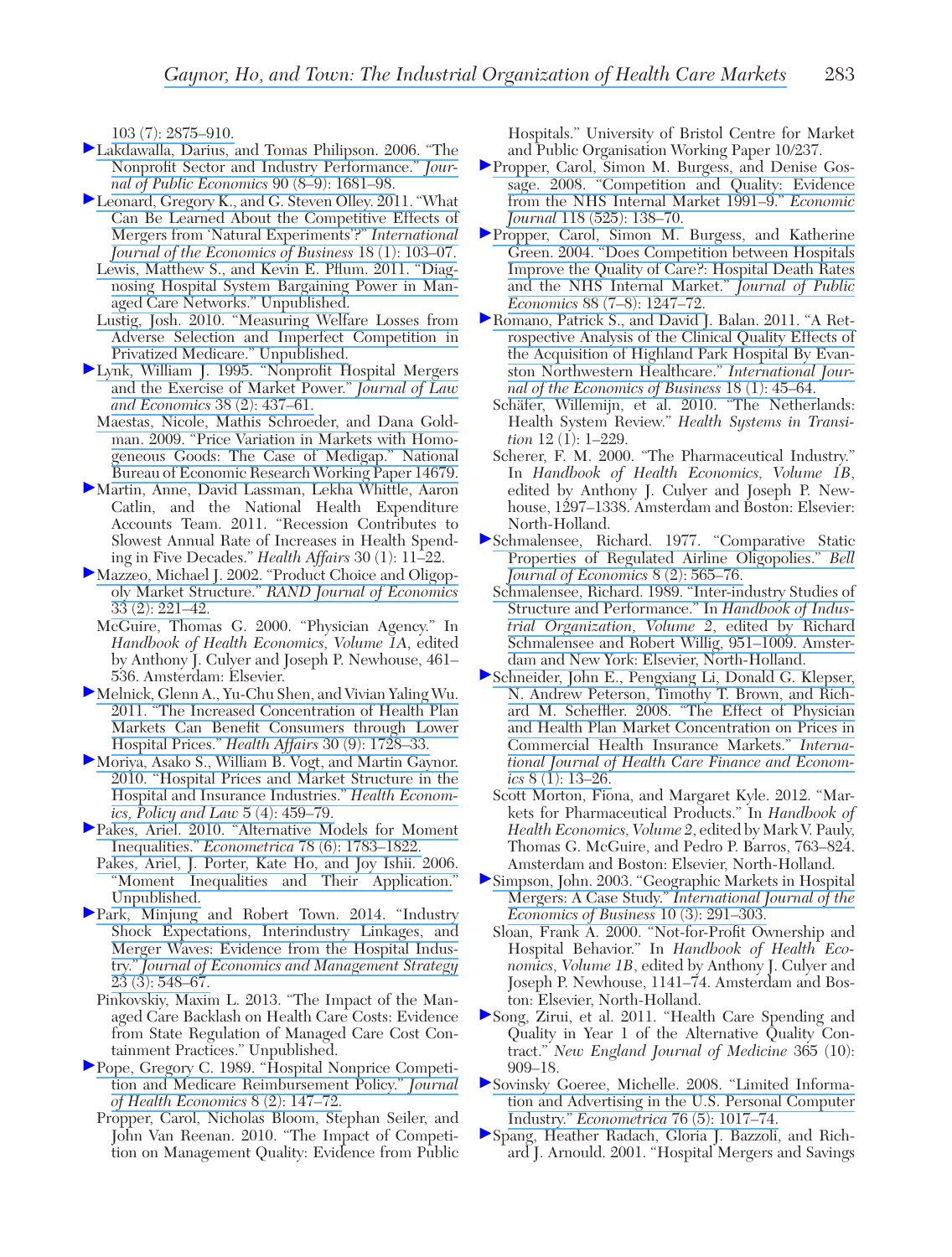[103 \(7\): 2875–910.](https://www.researchgate.net/publication/278676719_The_Industrial_Organization_of_Health-Care_Markets?el=1_x_8&enrichId=rgreq-cb7d2b5db6741595fb53fa84c810989d-XXX&enrichSource=Y292ZXJQYWdlOzI3ODY3NjcxOTtBUzoyNDE3NTE4ODU2MTEwMDhAMTQzNDY0OTU0OTA1MA==)

- [Lakdawalla, Darius, and Tomas Philipson. 2006. "The](https://www.researchgate.net/publication/222398380_The_Nonprofit_Sector_and_Industry_Performance?el=1_x_8&enrichId=rgreq-cb7d2b5db6741595fb53fa84c810989d-XXX&enrichSource=Y292ZXJQYWdlOzI3ODY3NjcxOTtBUzoyNDE3NTE4ODU2MTEwMDhAMTQzNDY0OTU0OTA1MA==) [Nonprofit Sector and Industry Performance."](https://www.researchgate.net/publication/222398380_The_Nonprofit_Sector_and_Industry_Performance?el=1_x_8&enrichId=rgreq-cb7d2b5db6741595fb53fa84c810989d-XXX&enrichSource=Y292ZXJQYWdlOzI3ODY3NjcxOTtBUzoyNDE3NTE4ODU2MTEwMDhAMTQzNDY0OTU0OTA1MA==) *Jour[nal of Public Economics](https://www.researchgate.net/publication/222398380_The_Nonprofit_Sector_and_Industry_Performance?el=1_x_8&enrichId=rgreq-cb7d2b5db6741595fb53fa84c810989d-XXX&enrichSource=Y292ZXJQYWdlOzI3ODY3NjcxOTtBUzoyNDE3NTE4ODU2MTEwMDhAMTQzNDY0OTU0OTA1MA==)* 90 (8–9): 1681–98.
- [Leonard, Gregory K., and G. Steven Olley. 2011. "What](https://www.researchgate.net/publication/227615618_What_Can_Be_Learned_About_the_Competitive_Effects_of_Mergers_from_Natural_Experiments?el=1_x_8&enrichId=rgreq-cb7d2b5db6741595fb53fa84c810989d-XXX&enrichSource=Y292ZXJQYWdlOzI3ODY3NjcxOTtBUzoyNDE3NTE4ODU2MTEwMDhAMTQzNDY0OTU0OTA1MA==)  [Can Be Learned About the Competitive Effects of](https://www.researchgate.net/publication/227615618_What_Can_Be_Learned_About_the_Competitive_Effects_of_Mergers_from_Natural_Experiments?el=1_x_8&enrichId=rgreq-cb7d2b5db6741595fb53fa84c810989d-XXX&enrichSource=Y292ZXJQYWdlOzI3ODY3NjcxOTtBUzoyNDE3NTE4ODU2MTEwMDhAMTQzNDY0OTU0OTA1MA==)  [Mergers from 'Natural Experiments'?"](https://www.researchgate.net/publication/227615618_What_Can_Be_Learned_About_the_Competitive_Effects_of_Mergers_from_Natural_Experiments?el=1_x_8&enrichId=rgreq-cb7d2b5db6741595fb53fa84c810989d-XXX&enrichSource=Y292ZXJQYWdlOzI3ODY3NjcxOTtBUzoyNDE3NTE4ODU2MTEwMDhAMTQzNDY0OTU0OTA1MA==) *International [Journal of the Economics of Business](https://www.researchgate.net/publication/227615618_What_Can_Be_Learned_About_the_Competitive_Effects_of_Mergers_from_Natural_Experiments?el=1_x_8&enrichId=rgreq-cb7d2b5db6741595fb53fa84c810989d-XXX&enrichSource=Y292ZXJQYWdlOzI3ODY3NjcxOTtBUzoyNDE3NTE4ODU2MTEwMDhAMTQzNDY0OTU0OTA1MA==)* 18 (1): 103–07.
	- [Lewis, Matthew S., and Kevin E. Pflum. 2011. "Diag](https://www.researchgate.net/publication/272201268_Diagnosing_Hospital_System_Bargaining_Power_in_Managed_Care_Networks?el=1_x_8&enrichId=rgreq-cb7d2b5db6741595fb53fa84c810989d-XXX&enrichSource=Y292ZXJQYWdlOzI3ODY3NjcxOTtBUzoyNDE3NTE4ODU2MTEwMDhAMTQzNDY0OTU0OTA1MA==)[nosing Hospital System Bargaining Power in Man](https://www.researchgate.net/publication/272201268_Diagnosing_Hospital_System_Bargaining_Power_in_Managed_Care_Networks?el=1_x_8&enrichId=rgreq-cb7d2b5db6741595fb53fa84c810989d-XXX&enrichSource=Y292ZXJQYWdlOzI3ODY3NjcxOTtBUzoyNDE3NTE4ODU2MTEwMDhAMTQzNDY0OTU0OTA1MA==)[aged Care Networks." Unpublished.](https://www.researchgate.net/publication/272201268_Diagnosing_Hospital_System_Bargaining_Power_in_Managed_Care_Networks?el=1_x_8&enrichId=rgreq-cb7d2b5db6741595fb53fa84c810989d-XXX&enrichSource=Y292ZXJQYWdlOzI3ODY3NjcxOTtBUzoyNDE3NTE4ODU2MTEwMDhAMTQzNDY0OTU0OTA1MA==)
	- [Lustig, Josh. 2010. "Measuring Welfare Losses from](https://www.researchgate.net/publication/228649178_Measuring_Welfare_Losses_from_Adverse_Selection_and_Imperfect_Competition_in_Privatized_Medicare?el=1_x_8&enrichId=rgreq-cb7d2b5db6741595fb53fa84c810989d-XXX&enrichSource=Y292ZXJQYWdlOzI3ODY3NjcxOTtBUzoyNDE3NTE4ODU2MTEwMDhAMTQzNDY0OTU0OTA1MA==) [Adverse Selection and Imperfect Competition in](https://www.researchgate.net/publication/228649178_Measuring_Welfare_Losses_from_Adverse_Selection_and_Imperfect_Competition_in_Privatized_Medicare?el=1_x_8&enrichId=rgreq-cb7d2b5db6741595fb53fa84c810989d-XXX&enrichSource=Y292ZXJQYWdlOzI3ODY3NjcxOTtBUzoyNDE3NTE4ODU2MTEwMDhAMTQzNDY0OTU0OTA1MA==)  [Privatized Medicare." Unpublished.](https://www.researchgate.net/publication/228649178_Measuring_Welfare_Losses_from_Adverse_Selection_and_Imperfect_Competition_in_Privatized_Medicare?el=1_x_8&enrichId=rgreq-cb7d2b5db6741595fb53fa84c810989d-XXX&enrichSource=Y292ZXJQYWdlOzI3ODY3NjcxOTtBUzoyNDE3NTE4ODU2MTEwMDhAMTQzNDY0OTU0OTA1MA==)
- [Lynk, William J. 1995. "Nonprofit Hospital Mergers](https://www.researchgate.net/publication/24100913_Nonprofit_Hospital_Mergers_and_the_Exercise_of_Market_Power?el=1_x_8&enrichId=rgreq-cb7d2b5db6741595fb53fa84c810989d-XXX&enrichSource=Y292ZXJQYWdlOzI3ODY3NjcxOTtBUzoyNDE3NTE4ODU2MTEwMDhAMTQzNDY0OTU0OTA1MA==) [and the Exercise of Market Power."](https://www.researchgate.net/publication/24100913_Nonprofit_Hospital_Mergers_and_the_Exercise_of_Market_Power?el=1_x_8&enrichId=rgreq-cb7d2b5db6741595fb53fa84c810989d-XXX&enrichSource=Y292ZXJQYWdlOzI3ODY3NjcxOTtBUzoyNDE3NTE4ODU2MTEwMDhAMTQzNDY0OTU0OTA1MA==) *Journal of Law and Economics* [38 \(2\): 437–61.](https://www.researchgate.net/publication/24100913_Nonprofit_Hospital_Mergers_and_the_Exercise_of_Market_Power?el=1_x_8&enrichId=rgreq-cb7d2b5db6741595fb53fa84c810989d-XXX&enrichSource=Y292ZXJQYWdlOzI3ODY3NjcxOTtBUzoyNDE3NTE4ODU2MTEwMDhAMTQzNDY0OTU0OTA1MA==)
	- [Maestas, Nicole, Mathis Schroeder, and Dana Gold](https://www.researchgate.net/publication/24120373_Price_Variation_in_Markets_with_Homogeneous_Goods_The_Case_of_Medigap?el=1_x_8&enrichId=rgreq-cb7d2b5db6741595fb53fa84c810989d-XXX&enrichSource=Y292ZXJQYWdlOzI3ODY3NjcxOTtBUzoyNDE3NTE4ODU2MTEwMDhAMTQzNDY0OTU0OTA1MA==)[man. 2009. "Price Variation in Markets with Homo](https://www.researchgate.net/publication/24120373_Price_Variation_in_Markets_with_Homogeneous_Goods_The_Case_of_Medigap?el=1_x_8&enrichId=rgreq-cb7d2b5db6741595fb53fa84c810989d-XXX&enrichSource=Y292ZXJQYWdlOzI3ODY3NjcxOTtBUzoyNDE3NTE4ODU2MTEwMDhAMTQzNDY0OTU0OTA1MA==)[geneous Goods: The Case of Medigap." National](https://www.researchgate.net/publication/24120373_Price_Variation_in_Markets_with_Homogeneous_Goods_The_Case_of_Medigap?el=1_x_8&enrichId=rgreq-cb7d2b5db6741595fb53fa84c810989d-XXX&enrichSource=Y292ZXJQYWdlOzI3ODY3NjcxOTtBUzoyNDE3NTE4ODU2MTEwMDhAMTQzNDY0OTU0OTA1MA==)  [Bureau of Economic Research Working Paper 14679.](https://www.researchgate.net/publication/24120373_Price_Variation_in_Markets_with_Homogeneous_Goods_The_Case_of_Medigap?el=1_x_8&enrichId=rgreq-cb7d2b5db6741595fb53fa84c810989d-XXX&enrichSource=Y292ZXJQYWdlOzI3ODY3NjcxOTtBUzoyNDE3NTE4ODU2MTEwMDhAMTQzNDY0OTU0OTA1MA==)
- Martin, Anne, David Lassman, Lekha Whittle, Aaron Catlin, and the National Health Expenditure Accounts Team. 2011. "Recession Contributes to Slowest Annual Rate of Increases in Health Spending in Five Decades." *Health Affairs* 30 (1): 11–22.
- [Mazzeo, Michael J. 2002. "Product Choice and Oligop](https://www.researchgate.net/publication/280796390_Product_choice_and_oligopoly_market_structure?el=1_x_8&enrichId=rgreq-cb7d2b5db6741595fb53fa84c810989d-XXX&enrichSource=Y292ZXJQYWdlOzI3ODY3NjcxOTtBUzoyNDE3NTE4ODU2MTEwMDhAMTQzNDY0OTU0OTA1MA==)oly Market Structure." *[RAND Journal of Economics](https://www.researchgate.net/publication/280796390_Product_choice_and_oligopoly_market_structure?el=1_x_8&enrichId=rgreq-cb7d2b5db6741595fb53fa84c810989d-XXX&enrichSource=Y292ZXJQYWdlOzI3ODY3NjcxOTtBUzoyNDE3NTE4ODU2MTEwMDhAMTQzNDY0OTU0OTA1MA==)* [33 \(2\): 221–42.](https://www.researchgate.net/publication/280796390_Product_choice_and_oligopoly_market_structure?el=1_x_8&enrichId=rgreq-cb7d2b5db6741595fb53fa84c810989d-XXX&enrichSource=Y292ZXJQYWdlOzI3ODY3NjcxOTtBUzoyNDE3NTE4ODU2MTEwMDhAMTQzNDY0OTU0OTA1MA==)
	- McGuire, Thomas G. 2000. "Physician Agency." In *Handbook of Health Economics, Volume 1A*, edited by Anthony J. Culyer and Joseph P. Newhouse, 461– 536. Amsterdam: Elsevier.
- [Melnick, Glenn A., Yu-Chu Shen, and Vivian Yaling Wu.](https://www.researchgate.net/publication/51626612_The_Increased_Concentration_Of_Health_Plan_Markets_Can_Benefit_Consumers_Through_Lower_Hospital_Prices?el=1_x_8&enrichId=rgreq-cb7d2b5db6741595fb53fa84c810989d-XXX&enrichSource=Y292ZXJQYWdlOzI3ODY3NjcxOTtBUzoyNDE3NTE4ODU2MTEwMDhAMTQzNDY0OTU0OTA1MA==) [2011. "The Increased Concentration of Health Plan](https://www.researchgate.net/publication/51626612_The_Increased_Concentration_Of_Health_Plan_Markets_Can_Benefit_Consumers_Through_Lower_Hospital_Prices?el=1_x_8&enrichId=rgreq-cb7d2b5db6741595fb53fa84c810989d-XXX&enrichSource=Y292ZXJQYWdlOzI3ODY3NjcxOTtBUzoyNDE3NTE4ODU2MTEwMDhAMTQzNDY0OTU0OTA1MA==) [Markets Can Benefit Consumers through Lower](https://www.researchgate.net/publication/51626612_The_Increased_Concentration_Of_Health_Plan_Markets_Can_Benefit_Consumers_Through_Lower_Hospital_Prices?el=1_x_8&enrichId=rgreq-cb7d2b5db6741595fb53fa84c810989d-XXX&enrichSource=Y292ZXJQYWdlOzI3ODY3NjcxOTtBUzoyNDE3NTE4ODU2MTEwMDhAMTQzNDY0OTU0OTA1MA==) [Hospital Prices."](https://www.researchgate.net/publication/51626612_The_Increased_Concentration_Of_Health_Plan_Markets_Can_Benefit_Consumers_Through_Lower_Hospital_Prices?el=1_x_8&enrichId=rgreq-cb7d2b5db6741595fb53fa84c810989d-XXX&enrichSource=Y292ZXJQYWdlOzI3ODY3NjcxOTtBUzoyNDE3NTE4ODU2MTEwMDhAMTQzNDY0OTU0OTA1MA==) *Health Affairs* 30 (9): 1728–33.
- [Moriya, Asako S., William B. Vogt, and Martin Gaynor.](https://www.researchgate.net/publication/272488612_Hospital_prices_and_market_structure_in_the_hospital_and_insurance_industries?el=1_x_8&enrichId=rgreq-cb7d2b5db6741595fb53fa84c810989d-XXX&enrichSource=Y292ZXJQYWdlOzI3ODY3NjcxOTtBUzoyNDE3NTE4ODU2MTEwMDhAMTQzNDY0OTU0OTA1MA==)  [2010. "Hospital Prices and Market Structure in the](https://www.researchgate.net/publication/272488612_Hospital_prices_and_market_structure_in_the_hospital_and_insurance_industries?el=1_x_8&enrichId=rgreq-cb7d2b5db6741595fb53fa84c810989d-XXX&enrichSource=Y292ZXJQYWdlOzI3ODY3NjcxOTtBUzoyNDE3NTE4ODU2MTEwMDhAMTQzNDY0OTU0OTA1MA==)  [Hospital and Insurance Industries."](https://www.researchgate.net/publication/272488612_Hospital_prices_and_market_structure_in_the_hospital_and_insurance_industries?el=1_x_8&enrichId=rgreq-cb7d2b5db6741595fb53fa84c810989d-XXX&enrichSource=Y292ZXJQYWdlOzI3ODY3NjcxOTtBUzoyNDE3NTE4ODU2MTEwMDhAMTQzNDY0OTU0OTA1MA==) *Health Econom[ics, Policy and Law](https://www.researchgate.net/publication/272488612_Hospital_prices_and_market_structure_in_the_hospital_and_insurance_industries?el=1_x_8&enrichId=rgreq-cb7d2b5db6741595fb53fa84c810989d-XXX&enrichSource=Y292ZXJQYWdlOzI3ODY3NjcxOTtBUzoyNDE3NTE4ODU2MTEwMDhAMTQzNDY0OTU0OTA1MA==)* 5 (4): 459–79.
- [Pakes, Ariel. 2010. "Alternative Models for Moment](https://www.researchgate.net/publication/46447455_Alternative_Models_for_Moment_Inequalities?el=1_x_8&enrichId=rgreq-cb7d2b5db6741595fb53fa84c810989d-XXX&enrichSource=Y292ZXJQYWdlOzI3ODY3NjcxOTtBUzoyNDE3NTE4ODU2MTEwMDhAMTQzNDY0OTU0OTA1MA==)  Inequalities." *Econometrica* [78 \(6\): 1783–1822.](https://www.researchgate.net/publication/46447455_Alternative_Models_for_Moment_Inequalities?el=1_x_8&enrichId=rgreq-cb7d2b5db6741595fb53fa84c810989d-XXX&enrichSource=Y292ZXJQYWdlOzI3ODY3NjcxOTtBUzoyNDE3NTE4ODU2MTEwMDhAMTQzNDY0OTU0OTA1MA==)
	- [Pakes, Ariel, J. Porter, Kate Ho, and Joy Ishii. 2006.](https://www.researchgate.net/publication/null?el=1_x_8&enrichId=rgreq-cb7d2b5db6741595fb53fa84c810989d-XXX&enrichSource=Y292ZXJQYWdlOzI3ODY3NjcxOTtBUzoyNDE3NTE4ODU2MTEwMDhAMTQzNDY0OTU0OTA1MA==) [Moment Inequalities and Their Application."](https://www.researchgate.net/publication/null?el=1_x_8&enrichId=rgreq-cb7d2b5db6741595fb53fa84c810989d-XXX&enrichSource=Y292ZXJQYWdlOzI3ODY3NjcxOTtBUzoyNDE3NTE4ODU2MTEwMDhAMTQzNDY0OTU0OTA1MA==) [Unpublished.](https://www.researchgate.net/publication/null?el=1_x_8&enrichId=rgreq-cb7d2b5db6741595fb53fa84c810989d-XXX&enrichSource=Y292ZXJQYWdlOzI3ODY3NjcxOTtBUzoyNDE3NTE4ODU2MTEwMDhAMTQzNDY0OTU0OTA1MA==)
- [Park, Minjung and Robert Town. 2014. "Industry](https://www.researchgate.net/publication/263813927_Industry_Shock_Expectations_Interindustry_Linkages_and_Merger_Waves_Evidence_from_the_Hospital_Industry?el=1_x_8&enrichId=rgreq-cb7d2b5db6741595fb53fa84c810989d-XXX&enrichSource=Y292ZXJQYWdlOzI3ODY3NjcxOTtBUzoyNDE3NTE4ODU2MTEwMDhAMTQzNDY0OTU0OTA1MA==)  [Shock Expectations, Interindustry Linkages, and](https://www.researchgate.net/publication/263813927_Industry_Shock_Expectations_Interindustry_Linkages_and_Merger_Waves_Evidence_from_the_Hospital_Industry?el=1_x_8&enrichId=rgreq-cb7d2b5db6741595fb53fa84c810989d-XXX&enrichSource=Y292ZXJQYWdlOzI3ODY3NjcxOTtBUzoyNDE3NTE4ODU2MTEwMDhAMTQzNDY0OTU0OTA1MA==) [Merger Waves: Evidence from the Hospital Indus](https://www.researchgate.net/publication/263813927_Industry_Shock_Expectations_Interindustry_Linkages_and_Merger_Waves_Evidence_from_the_Hospital_Industry?el=1_x_8&enrichId=rgreq-cb7d2b5db6741595fb53fa84c810989d-XXX&enrichSource=Y292ZXJQYWdlOzI3ODY3NjcxOTtBUzoyNDE3NTE4ODU2MTEwMDhAMTQzNDY0OTU0OTA1MA==)try." *[Journal of Economics and Management Strategy](https://www.researchgate.net/publication/263813927_Industry_Shock_Expectations_Interindustry_Linkages_and_Merger_Waves_Evidence_from_the_Hospital_Industry?el=1_x_8&enrichId=rgreq-cb7d2b5db6741595fb53fa84c810989d-XXX&enrichSource=Y292ZXJQYWdlOzI3ODY3NjcxOTtBUzoyNDE3NTE4ODU2MTEwMDhAMTQzNDY0OTU0OTA1MA==)* [23 \(3\): 548–67.](https://www.researchgate.net/publication/263813927_Industry_Shock_Expectations_Interindustry_Linkages_and_Merger_Waves_Evidence_from_the_Hospital_Industry?el=1_x_8&enrichId=rgreq-cb7d2b5db6741595fb53fa84c810989d-XXX&enrichSource=Y292ZXJQYWdlOzI3ODY3NjcxOTtBUzoyNDE3NTE4ODU2MTEwMDhAMTQzNDY0OTU0OTA1MA==)
	- Pinkovskiy, Maxim L. 2013. "The Impact of the Managed Care Backlash on Health Care Costs: Evidence from State Regulation of Managed Care Cost Containment Practices." Unpublished.
- [Pope, Gregory C. 1989. "Hospital Nonprice Competi](https://www.researchgate.net/publication/12994448_Hospital_NonPrice_Competition_and_Medicare_Reimbursement_Policy?el=1_x_8&enrichId=rgreq-cb7d2b5db6741595fb53fa84c810989d-XXX&enrichSource=Y292ZXJQYWdlOzI3ODY3NjcxOTtBUzoyNDE3NTE4ODU2MTEwMDhAMTQzNDY0OTU0OTA1MA==)[tion and Medicare Reimbursement Policy."](https://www.researchgate.net/publication/12994448_Hospital_NonPrice_Competition_and_Medicare_Reimbursement_Policy?el=1_x_8&enrichId=rgreq-cb7d2b5db6741595fb53fa84c810989d-XXX&enrichSource=Y292ZXJQYWdlOzI3ODY3NjcxOTtBUzoyNDE3NTE4ODU2MTEwMDhAMTQzNDY0OTU0OTA1MA==) *Journal [of Health Economics](https://www.researchgate.net/publication/12994448_Hospital_NonPrice_Competition_and_Medicare_Reimbursement_Policy?el=1_x_8&enrichId=rgreq-cb7d2b5db6741595fb53fa84c810989d-XXX&enrichSource=Y292ZXJQYWdlOzI3ODY3NjcxOTtBUzoyNDE3NTE4ODU2MTEwMDhAMTQzNDY0OTU0OTA1MA==)* 8 (2): 147–72.
	- Propper, Carol, Nicholas Bloom, Stephan Seiler, and John Van Reenan. 2010. "The Impact of Competition on Management Quality: Evidence from Public

Hospitals." University of Bristol Centre for Market and Public Organisation Working Paper 10/237.

- [Propper, Carol, Simon M. Burgess, and Denise Gos](https://www.researchgate.net/publication/null?el=1_x_8&enrichId=rgreq-cb7d2b5db6741595fb53fa84c810989d-XXX&enrichSource=Y292ZXJQYWdlOzI3ODY3NjcxOTtBUzoyNDE3NTE4ODU2MTEwMDhAMTQzNDY0OTU0OTA1MA==)[sage. 2008. "Competition and Quality: Evidence](https://www.researchgate.net/publication/null?el=1_x_8&enrichId=rgreq-cb7d2b5db6741595fb53fa84c810989d-XXX&enrichSource=Y292ZXJQYWdlOzI3ODY3NjcxOTtBUzoyNDE3NTE4ODU2MTEwMDhAMTQzNDY0OTU0OTA1MA==) [from the NHS Internal Market 1991–9."](https://www.researchgate.net/publication/null?el=1_x_8&enrichId=rgreq-cb7d2b5db6741595fb53fa84c810989d-XXX&enrichSource=Y292ZXJQYWdlOzI3ODY3NjcxOTtBUzoyNDE3NTE4ODU2MTEwMDhAMTQzNDY0OTU0OTA1MA==) *Economic Journal* [118 \(525\): 138–70.](https://www.researchgate.net/publication/null?el=1_x_8&enrichId=rgreq-cb7d2b5db6741595fb53fa84c810989d-XXX&enrichSource=Y292ZXJQYWdlOzI3ODY3NjcxOTtBUzoyNDE3NTE4ODU2MTEwMDhAMTQzNDY0OTU0OTA1MA==)
- [Propper, Carol, Simon M. Burgess, and Katherine](https://www.researchgate.net/publication/222830078_Does_Competition_Between_Hospitals_Improve_the_Quality_Of_Care_Hospital_Death_Rates_and_the_NHS_Internal_Market?el=1_x_8&enrichId=rgreq-cb7d2b5db6741595fb53fa84c810989d-XXX&enrichSource=Y292ZXJQYWdlOzI3ODY3NjcxOTtBUzoyNDE3NTE4ODU2MTEwMDhAMTQzNDY0OTU0OTA1MA==) [Green. 2004. "Does Competition between Hospitals](https://www.researchgate.net/publication/222830078_Does_Competition_Between_Hospitals_Improve_the_Quality_Of_Care_Hospital_Death_Rates_and_the_NHS_Internal_Market?el=1_x_8&enrichId=rgreq-cb7d2b5db6741595fb53fa84c810989d-XXX&enrichSource=Y292ZXJQYWdlOzI3ODY3NjcxOTtBUzoyNDE3NTE4ODU2MTEwMDhAMTQzNDY0OTU0OTA1MA==)  [Improve the Quality of Care?: Hospital Death Rates](https://www.researchgate.net/publication/222830078_Does_Competition_Between_Hospitals_Improve_the_Quality_Of_Care_Hospital_Death_Rates_and_the_NHS_Internal_Market?el=1_x_8&enrichId=rgreq-cb7d2b5db6741595fb53fa84c810989d-XXX&enrichSource=Y292ZXJQYWdlOzI3ODY3NjcxOTtBUzoyNDE3NTE4ODU2MTEwMDhAMTQzNDY0OTU0OTA1MA==) [and the NHS Internal Market."](https://www.researchgate.net/publication/222830078_Does_Competition_Between_Hospitals_Improve_the_Quality_Of_Care_Hospital_Death_Rates_and_the_NHS_Internal_Market?el=1_x_8&enrichId=rgreq-cb7d2b5db6741595fb53fa84c810989d-XXX&enrichSource=Y292ZXJQYWdlOzI3ODY3NjcxOTtBUzoyNDE3NTE4ODU2MTEwMDhAMTQzNDY0OTU0OTA1MA==) *Journal of Public Economics* [88 \(7–8\): 1247–72.](https://www.researchgate.net/publication/222830078_Does_Competition_Between_Hospitals_Improve_the_Quality_Of_Care_Hospital_Death_Rates_and_the_NHS_Internal_Market?el=1_x_8&enrichId=rgreq-cb7d2b5db6741595fb53fa84c810989d-XXX&enrichSource=Y292ZXJQYWdlOzI3ODY3NjcxOTtBUzoyNDE3NTE4ODU2MTEwMDhAMTQzNDY0OTU0OTA1MA==)
- [Romano, Patrick S., and David J. Balan. 2011. "A Ret](https://www.researchgate.net/publication/47425676_A_Retrospective_Analysis_of_the_Clinical_Quality_Effects_of_the_Acquisition_of_Highland_Park_Hospital_by_Evanston_Northwestern_Healthcare?el=1_x_8&enrichId=rgreq-cb7d2b5db6741595fb53fa84c810989d-XXX&enrichSource=Y292ZXJQYWdlOzI3ODY3NjcxOTtBUzoyNDE3NTE4ODU2MTEwMDhAMTQzNDY0OTU0OTA1MA==)[rospective Analysis of the Clinical Quality Effects of](https://www.researchgate.net/publication/47425676_A_Retrospective_Analysis_of_the_Clinical_Quality_Effects_of_the_Acquisition_of_Highland_Park_Hospital_by_Evanston_Northwestern_Healthcare?el=1_x_8&enrichId=rgreq-cb7d2b5db6741595fb53fa84c810989d-XXX&enrichSource=Y292ZXJQYWdlOzI3ODY3NjcxOTtBUzoyNDE3NTE4ODU2MTEwMDhAMTQzNDY0OTU0OTA1MA==) [the Acquisition of Highland Park Hospital By Evan](https://www.researchgate.net/publication/47425676_A_Retrospective_Analysis_of_the_Clinical_Quality_Effects_of_the_Acquisition_of_Highland_Park_Hospital_by_Evanston_Northwestern_Healthcare?el=1_x_8&enrichId=rgreq-cb7d2b5db6741595fb53fa84c810989d-XXX&enrichSource=Y292ZXJQYWdlOzI3ODY3NjcxOTtBUzoyNDE3NTE4ODU2MTEwMDhAMTQzNDY0OTU0OTA1MA==)[ston Northwestern Healthcare."](https://www.researchgate.net/publication/47425676_A_Retrospective_Analysis_of_the_Clinical_Quality_Effects_of_the_Acquisition_of_Highland_Park_Hospital_by_Evanston_Northwestern_Healthcare?el=1_x_8&enrichId=rgreq-cb7d2b5db6741595fb53fa84c810989d-XXX&enrichSource=Y292ZXJQYWdlOzI3ODY3NjcxOTtBUzoyNDE3NTE4ODU2MTEwMDhAMTQzNDY0OTU0OTA1MA==) *International Jour[nal of the Economics of Business](https://www.researchgate.net/publication/47425676_A_Retrospective_Analysis_of_the_Clinical_Quality_Effects_of_the_Acquisition_of_Highland_Park_Hospital_by_Evanston_Northwestern_Healthcare?el=1_x_8&enrichId=rgreq-cb7d2b5db6741595fb53fa84c810989d-XXX&enrichSource=Y292ZXJQYWdlOzI3ODY3NjcxOTtBUzoyNDE3NTE4ODU2MTEwMDhAMTQzNDY0OTU0OTA1MA==)* 18 (1): 45–64.
	- Schäfer, Willemijn, et al. 2010. "The Netherlands: Health System Review." *Health Systems in Transition* 12 (1): 1–229.
	- Scherer, F. M. 2000. "The Pharmaceutical Industry." In *Handbook of Health Economics, Volume 1B*, edited by Anthony J. Culyer and Joseph P. Newhouse, 1297–1338. Amsterdam and Boston: Elsevier: North-Holland.
- [Schmalensee, Richard. 1977. "Comparative Static](https://www.researchgate.net/publication/24048360_Comparative_Static_Properties_of_Regulated_Airline_Oligopolies?el=1_x_8&enrichId=rgreq-cb7d2b5db6741595fb53fa84c810989d-XXX&enrichSource=Y292ZXJQYWdlOzI3ODY3NjcxOTtBUzoyNDE3NTE4ODU2MTEwMDhAMTQzNDY0OTU0OTA1MA==) [Properties of Regulated Airline Oligopolies."](https://www.researchgate.net/publication/24048360_Comparative_Static_Properties_of_Regulated_Airline_Oligopolies?el=1_x_8&enrichId=rgreq-cb7d2b5db6741595fb53fa84c810989d-XXX&enrichSource=Y292ZXJQYWdlOzI3ODY3NjcxOTtBUzoyNDE3NTE4ODU2MTEwMDhAMTQzNDY0OTU0OTA1MA==) *Bell [Journal of Economics](https://www.researchgate.net/publication/24048360_Comparative_Static_Properties_of_Regulated_Airline_Oligopolies?el=1_x_8&enrichId=rgreq-cb7d2b5db6741595fb53fa84c810989d-XXX&enrichSource=Y292ZXJQYWdlOzI3ODY3NjcxOTtBUzoyNDE3NTE4ODU2MTEwMDhAMTQzNDY0OTU0OTA1MA==)* 8 (2): 565–76.
- [Schmalensee, Richard. 1989. "Inter-industry Studies of](https://www.researchgate.net/publication/247317435_Chapter_16_Inter-industry_studies_of_structure_and_performance?el=1_x_8&enrichId=rgreq-cb7d2b5db6741595fb53fa84c810989d-XXX&enrichSource=Y292ZXJQYWdlOzI3ODY3NjcxOTtBUzoyNDE3NTE4ODU2MTEwMDhAMTQzNDY0OTU0OTA1MA==) [Structure and Performance." In](https://www.researchgate.net/publication/247317435_Chapter_16_Inter-industry_studies_of_structure_and_performance?el=1_x_8&enrichId=rgreq-cb7d2b5db6741595fb53fa84c810989d-XXX&enrichSource=Y292ZXJQYWdlOzI3ODY3NjcxOTtBUzoyNDE3NTE4ODU2MTEwMDhAMTQzNDY0OTU0OTA1MA==) *Handbook of Indus[trial Organization, Volume 2](https://www.researchgate.net/publication/247317435_Chapter_16_Inter-industry_studies_of_structure_and_performance?el=1_x_8&enrichId=rgreq-cb7d2b5db6741595fb53fa84c810989d-XXX&enrichSource=Y292ZXJQYWdlOzI3ODY3NjcxOTtBUzoyNDE3NTE4ODU2MTEwMDhAMTQzNDY0OTU0OTA1MA==)*, edited by Richard [Schmalensee and Robert Willig, 951–1009. Amster](https://www.researchgate.net/publication/247317435_Chapter_16_Inter-industry_studies_of_structure_and_performance?el=1_x_8&enrichId=rgreq-cb7d2b5db6741595fb53fa84c810989d-XXX&enrichSource=Y292ZXJQYWdlOzI3ODY3NjcxOTtBUzoyNDE3NTE4ODU2MTEwMDhAMTQzNDY0OTU0OTA1MA==)[dam and New York: Elsevier, North-Holland.](https://www.researchgate.net/publication/247317435_Chapter_16_Inter-industry_studies_of_structure_and_performance?el=1_x_8&enrichId=rgreq-cb7d2b5db6741595fb53fa84c810989d-XXX&enrichSource=Y292ZXJQYWdlOzI3ODY3NjcxOTtBUzoyNDE3NTE4ODU2MTEwMDhAMTQzNDY0OTU0OTA1MA==)
- [Schneider, John E., Pengxiang Li, Donald G. Klepser,](https://www.researchgate.net/publication/null?el=1_x_8&enrichId=rgreq-cb7d2b5db6741595fb53fa84c810989d-XXX&enrichSource=Y292ZXJQYWdlOzI3ODY3NjcxOTtBUzoyNDE3NTE4ODU2MTEwMDhAMTQzNDY0OTU0OTA1MA==) [N. Andrew Peterson, Timothy T. Brown, and Rich](https://www.researchgate.net/publication/null?el=1_x_8&enrichId=rgreq-cb7d2b5db6741595fb53fa84c810989d-XXX&enrichSource=Y292ZXJQYWdlOzI3ODY3NjcxOTtBUzoyNDE3NTE4ODU2MTEwMDhAMTQzNDY0OTU0OTA1MA==)[ard M. Scheffler. 2008. "The Effect of Physician](https://www.researchgate.net/publication/null?el=1_x_8&enrichId=rgreq-cb7d2b5db6741595fb53fa84c810989d-XXX&enrichSource=Y292ZXJQYWdlOzI3ODY3NjcxOTtBUzoyNDE3NTE4ODU2MTEwMDhAMTQzNDY0OTU0OTA1MA==) [and Health Plan Market Concentration on Prices in](https://www.researchgate.net/publication/null?el=1_x_8&enrichId=rgreq-cb7d2b5db6741595fb53fa84c810989d-XXX&enrichSource=Y292ZXJQYWdlOzI3ODY3NjcxOTtBUzoyNDE3NTE4ODU2MTEwMDhAMTQzNDY0OTU0OTA1MA==) [Commercial Health Insurance Markets."](https://www.researchgate.net/publication/null?el=1_x_8&enrichId=rgreq-cb7d2b5db6741595fb53fa84c810989d-XXX&enrichSource=Y292ZXJQYWdlOzI3ODY3NjcxOTtBUzoyNDE3NTE4ODU2MTEwMDhAMTQzNDY0OTU0OTA1MA==) *Interna[tional Journal of Health Care Finance and Econom](https://www.researchgate.net/publication/null?el=1_x_8&enrichId=rgreq-cb7d2b5db6741595fb53fa84c810989d-XXX&enrichSource=Y292ZXJQYWdlOzI3ODY3NjcxOTtBUzoyNDE3NTE4ODU2MTEwMDhAMTQzNDY0OTU0OTA1MA==)ics* [8 \(1\): 13–26.](https://www.researchgate.net/publication/null?el=1_x_8&enrichId=rgreq-cb7d2b5db6741595fb53fa84c810989d-XXX&enrichSource=Y292ZXJQYWdlOzI3ODY3NjcxOTtBUzoyNDE3NTE4ODU2MTEwMDhAMTQzNDY0OTU0OTA1MA==)
	- Scott Morton, Fiona, and Margaret Kyle. 2012. "Markets for Pharmaceutical Products." In *Handbook of Health Economics, Volume 2*, edited by Mark V. Pauly, Thomas G. McGuire, and Pedro P. Barros, 763–824. Amsterdam and Boston: Elsevier, North-Holland.
- [Simpson, John. 2003. "Geographic Markets in Hospital](https://www.researchgate.net/publication/24081363_Geographic_Markets_in_Hospital_Mergers_A_Case_Study?el=1_x_8&enrichId=rgreq-cb7d2b5db6741595fb53fa84c810989d-XXX&enrichSource=Y292ZXJQYWdlOzI3ODY3NjcxOTtBUzoyNDE3NTE4ODU2MTEwMDhAMTQzNDY0OTU0OTA1MA==) Mergers: A Case Study." *[International Journal of the](https://www.researchgate.net/publication/24081363_Geographic_Markets_in_Hospital_Mergers_A_Case_Study?el=1_x_8&enrichId=rgreq-cb7d2b5db6741595fb53fa84c810989d-XXX&enrichSource=Y292ZXJQYWdlOzI3ODY3NjcxOTtBUzoyNDE3NTE4ODU2MTEwMDhAMTQzNDY0OTU0OTA1MA==) [Economics of Business](https://www.researchgate.net/publication/24081363_Geographic_Markets_in_Hospital_Mergers_A_Case_Study?el=1_x_8&enrichId=rgreq-cb7d2b5db6741595fb53fa84c810989d-XXX&enrichSource=Y292ZXJQYWdlOzI3ODY3NjcxOTtBUzoyNDE3NTE4ODU2MTEwMDhAMTQzNDY0OTU0OTA1MA==)* 10 (3): 291–303.
- Sloan, Frank A. 2000. "Not-for-Profit Ownership and Hospital Behavior." In *Handbook of Health Economics, Volume 1B*, edited by Anthony J. Culyer and Joseph P. Newhouse, 1141–74. Amsterdam and Boston: Elsevier, North-Holland.
- Song, Zirui, et al. 2011. "Health Care Spending and Quality in Year 1 of the Alternative Quality Contract." *New England Journal of Medicine* 365 (10): 909–18.
- [Sovinsky Goeree, Michelle. 2008. "Limited Informa](https://www.researchgate.net/publication/null?el=1_x_8&enrichId=rgreq-cb7d2b5db6741595fb53fa84c810989d-XXX&enrichSource=Y292ZXJQYWdlOzI3ODY3NjcxOTtBUzoyNDE3NTE4ODU2MTEwMDhAMTQzNDY0OTU0OTA1MA==)[tion and Advertising in the U.S. Personal Computer](https://www.researchgate.net/publication/null?el=1_x_8&enrichId=rgreq-cb7d2b5db6741595fb53fa84c810989d-XXX&enrichSource=Y292ZXJQYWdlOzI3ODY3NjcxOTtBUzoyNDE3NTE4ODU2MTEwMDhAMTQzNDY0OTU0OTA1MA==) Industry." *Econometrica* [76 \(5\): 1017–74.](https://www.researchgate.net/publication/null?el=1_x_8&enrichId=rgreq-cb7d2b5db6741595fb53fa84c810989d-XXX&enrichSource=Y292ZXJQYWdlOzI3ODY3NjcxOTtBUzoyNDE3NTE4ODU2MTEwMDhAMTQzNDY0OTU0OTA1MA==)
- Spang, Heather Radach, Gloria J. Bazzoli, and Richard J. Arnould. 2001. "Hospital Mergers and Savings